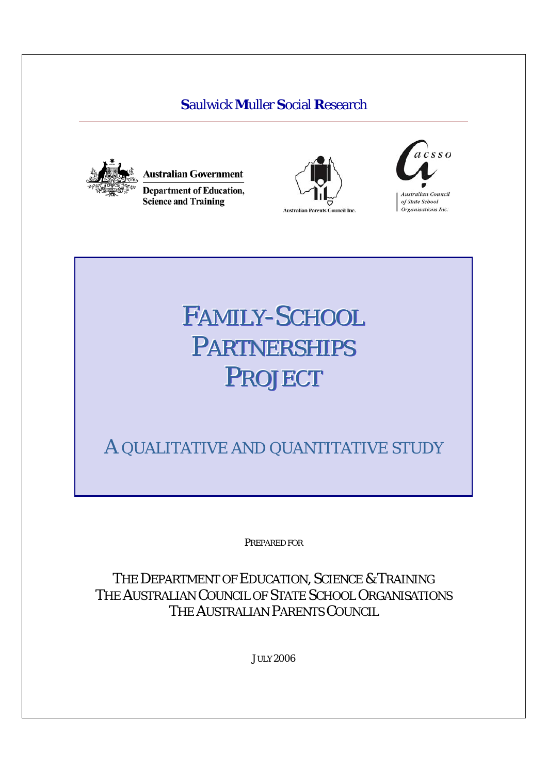# **S**aulwick **M**uller **S**ocial **R**esearch



**Australian Government Department of Education, Science and Training** 





# FAMILY-SCHOOL PARTNERSHIPS PROJECT

A QUALITATIVE AND QUANTITATIVE STUDY

PREPARED FOR

THE DEPARTMENT OF EDUCATION, SCIENCE & TRAINING THE AUSTRALIAN COUNCIL OF STATE SCHOOL ORGANISATIONS THE AUSTRALIAN PARENTS COUNCIL

JULY 2006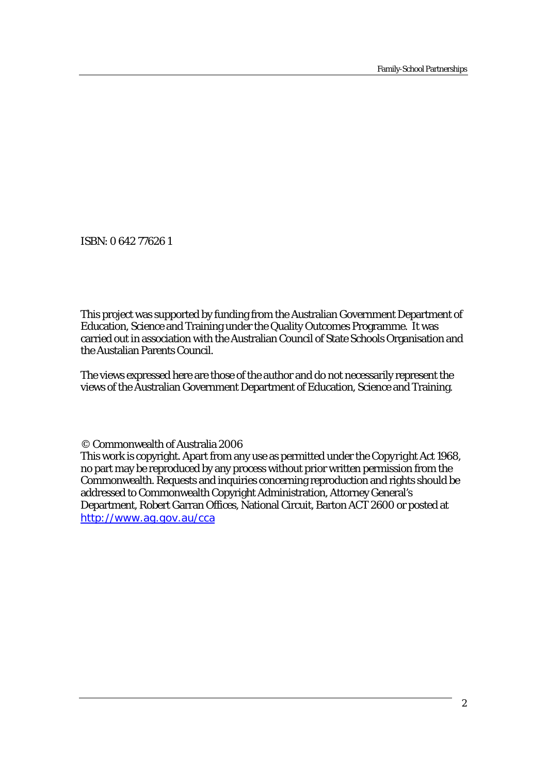ISBN: 0 642 77626 1

This project was supported by funding from the Australian Government Department of Education, Science and Training under the Quality Outcomes Programme. It was carried out in association with the Australian Council of State Schools Organisation and the Austalian Parents Council.

The views expressed here are those of the author and do not necessarily represent the views of the Australian Government Department of Education, Science and Training.

© Commonwealth of Australia 2006

This work is copyright. Apart from any use as permitted under the *Copyright Act 1968*, no part may be reproduced by any process without prior written permission from the Commonwealth. Requests and inquiries concerning reproduction and rights should be addressed to Commonwealth Copyright Administration, Attorney General's Department, Robert Garran Offices, National Circuit, Barton ACT 2600 or posted at http://www.ag.gov.au/cca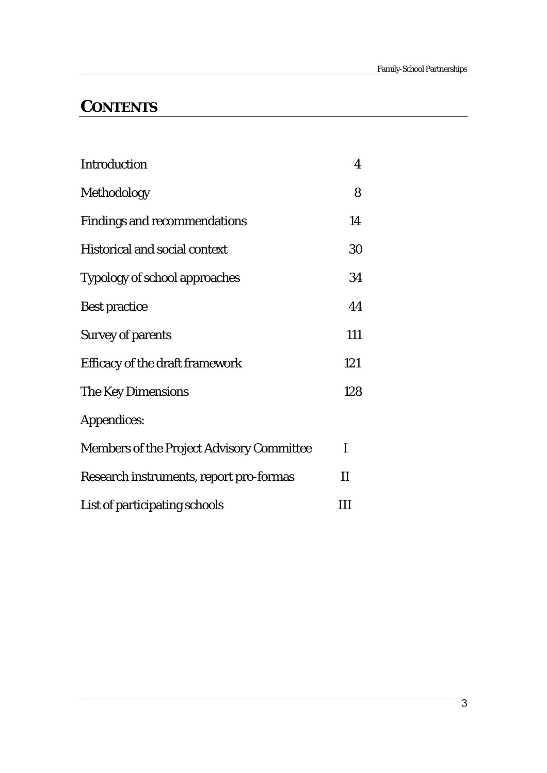# **CONTENTS**

| <b>Introduction</b>                              | 4            |
|--------------------------------------------------|--------------|
| Methodology                                      | 8            |
| <b>Findings and recommendations</b>              | 14           |
| <b>Historical and social context</b>             | 30           |
| <b>Typology of school approaches</b>             | 34           |
| <b>Best practice</b>                             | 44           |
| <b>Survey of parents</b>                         | 111          |
| Efficacy of the draft framework                  | 121          |
| The Key Dimensions                               | 128          |
| Appendices:                                      |              |
| <b>Members of the Project Advisory Committee</b> | T            |
| Research instruments, report pro-formas          | $\mathbf{I}$ |
| List of participating schools                    | Ш            |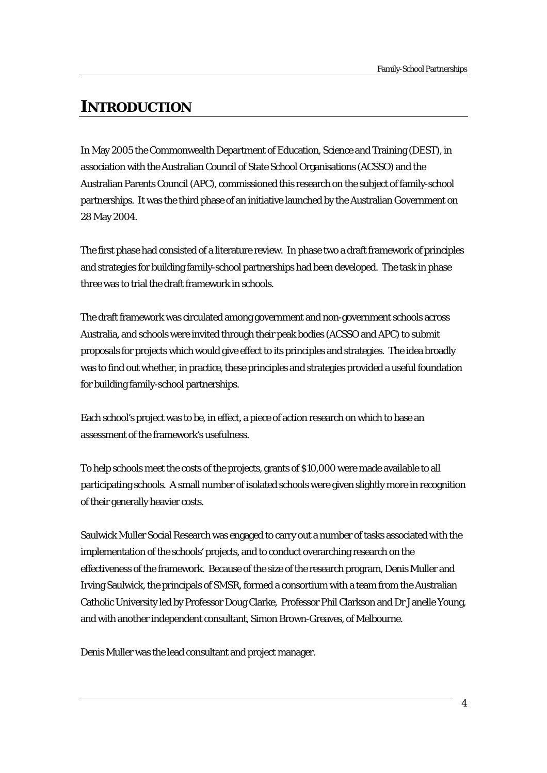# **INTRODUCTION**

In May 2005 the Commonwealth Department of Education, Science and Training (DEST), in association with the Australian Council of State School Organisations (ACSSO) and the Australian Parents Council (APC), commissioned this research on the subject of family-school partnerships. It was the third phase of an initiative launched by the Australian Government on 28 May 2004.

The first phase had consisted of a literature review. In phase two a draft framework of principles and strategies for building family-school partnerships had been developed. The task in phase three was to trial the draft framework in schools.

The draft framework was circulated among government and non-government schools across Australia, and schools were invited through their peak bodies (ACSSO and APC) to submit proposals for projects which would give effect to its principles and strategies. The idea broadly was to find out whether, in practice, these principles and strategies provided a useful foundation for building family-school partnerships.

Each school's project was to be, in effect, a piece of action research on which to base an assessment of the framework's usefulness.

To help schools meet the costs of the projects, grants of \$10,000 were made available to all participating schools. A small number of isolated schools were given slightly more in recognition of their generally heavier costs.

Saulwick Muller Social Research was engaged to carry out a number of tasks associated with the implementation of the schools' projects, and to conduct overarching research on the effectiveness of the framework. Because of the size of the research program, Denis Muller and Irving Saulwick, the principals of SMSR, formed a consortium with a team from the Australian Catholic University led by Professor Doug Clarke, Professor Phil Clarkson and Dr Janelle Young, and with another independent consultant, Simon Brown-Greaves, of Melbourne.

Denis Muller was the lead consultant and project manager.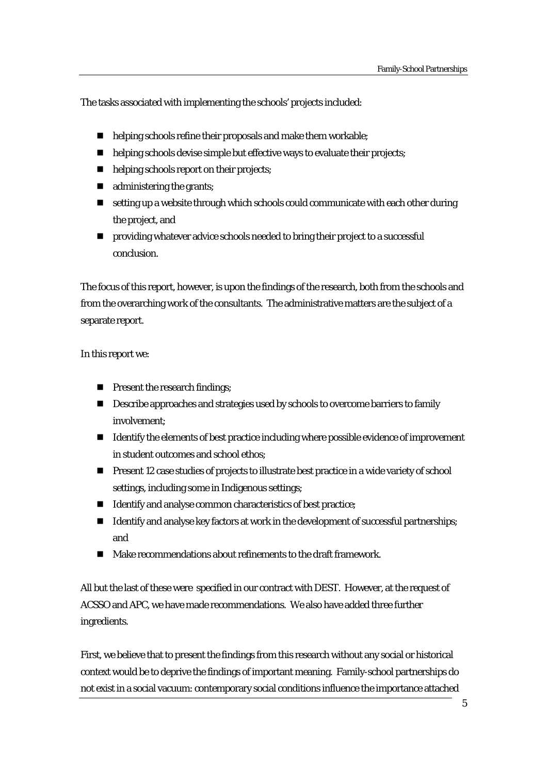The tasks associated with implementing the schools' projects included:

- helping schools refine their proposals and make them workable;
- helping schools devise simple but effective ways to evaluate their projects;
- $\blacksquare$  helping schools report on their projects;
- **a** administering the grants;
- setting up a website through which schools could communicate with each other during the project, and
- **PEDRICAL EXECUTE:** providing whatever advice schools needed to bring their project to a successful conclusion.

The focus of this report, however, is upon the findings of the research, both from the schools and from the overarching work of the consultants. The administrative matters are the subject of a separate report.

#### In this report we:

- **Present the research findings;**
- **Describe approaches and strategies used by schools to overcome barriers to family** involvement;
- Identify the elements of best practice including where possible evidence of improvement in student outcomes and school ethos;
- **Present 12 case studies of projects to illustrate best practice in a wide variety of school** settings, including some in Indigenous settings;
- Identify and analyse common characteristics of best practice;
- $\blacksquare$  Identify and analyse key factors at work in the development of successful partnerships; and
- Make recommendations about refinements to the draft framework.

All but the last of these were specified in our contract with DEST. However, at the request of ACSSO and APC, we have made recommendations. We also have added three further ingredients.

First, we believe that to present the findings from this research without any social or historical context would be to deprive the findings of important meaning. Family-school partnerships do not exist in a social vacuum: contemporary social conditions influence the importance attached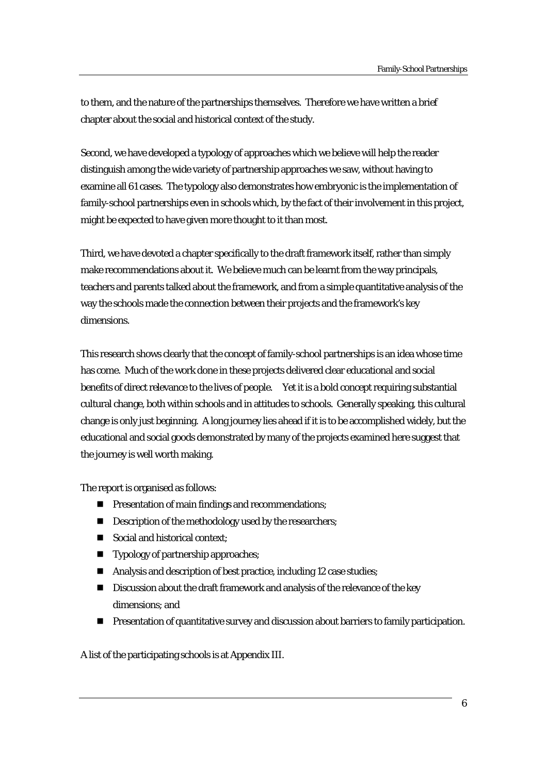to them, and the nature of the partnerships themselves. Therefore we have written a brief chapter about the social and historical context of the study.

Second, we have developed a typology of approaches which we believe will help the reader distinguish among the wide variety of partnership approaches we saw, without having to examine all 61 cases. The typology also demonstrates how embryonic is the implementation of family-school partnerships even in schools which, by the fact of their involvement in this project, might be expected to have given more thought to it than most.

Third, we have devoted a chapter specifically to the draft framework itself, rather than simply make recommendations about it. We believe much can be learnt from the way principals, teachers and parents talked about the framework, and from a simple quantitative analysis of the way the schools made the connection between their projects and the framework's key dimensions.

This research shows clearly that the concept of family-school partnerships is an idea whose time has come. Much of the work done in these projects delivered clear educational and social benefits of direct relevance to the lives of people. Yet it is a bold concept requiring substantial cultural change, both within schools and in attitudes to schools. Generally speaking, this cultural change is only just beginning. A long journey lies ahead if it is to be accomplished widely, but the educational and social goods demonstrated by many of the projects examined here suggest that the journey is well worth making.

The report is organised as follows:

- **Persentation of main findings and recommendations;**
- Description of the methodology used by the researchers;
- Social and historical context:
- **Typology of partnership approaches;**
- Analysis and description of best practice, including 12 case studies;
- Discussion about the draft framework and analysis of the relevance of the key dimensions; and
- **Presentation of quantitative survey and discussion about barriers to family participation.**

A list of the participating schools is at Appendix III.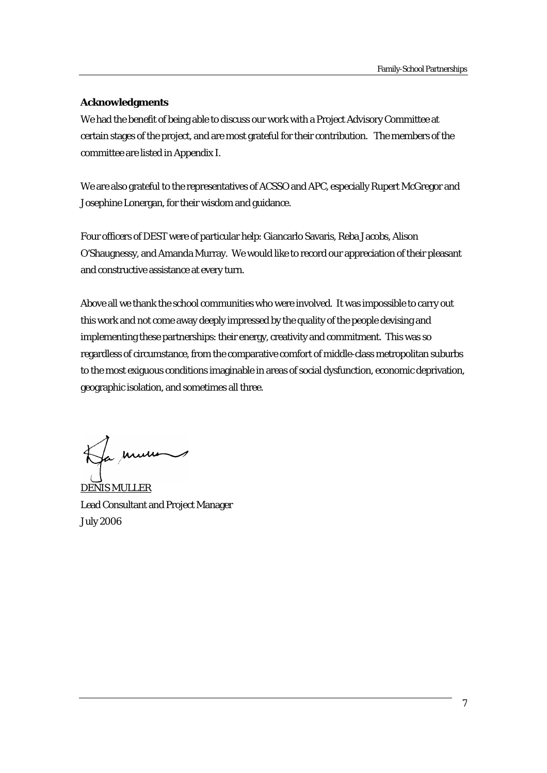#### **Acknowledgments**

We had the benefit of being able to discuss our work with a Project Advisory Committee at certain stages of the project, and are most grateful for their contribution. The members of the committee are listed in Appendix I.

We are also grateful to the representatives of ACSSO and APC, especially Rupert McGregor and Josephine Lonergan, for their wisdom and guidance.

Four officers of DEST were of particular help: Giancarlo Savaris, Reba Jacobs, Alison O'Shaugnessy, and Amanda Murray. We would like to record our appreciation of their pleasant and constructive assistance at every turn.

Above all we thank the school communities who were involved. It was impossible to carry out this work and not come away deeply impressed by the quality of the people devising and implementing these partnerships: their energy, creativity and commitment. This was so regardless of circumstance, from the comparative comfort of middle-class metropolitan suburbs to the most exiguous conditions imaginable in areas of social dysfunction, economic deprivation, geographic isolation, and sometimes all three.

Ja murie

DENIS MULLER Lead Consultant and Project Manager July 2006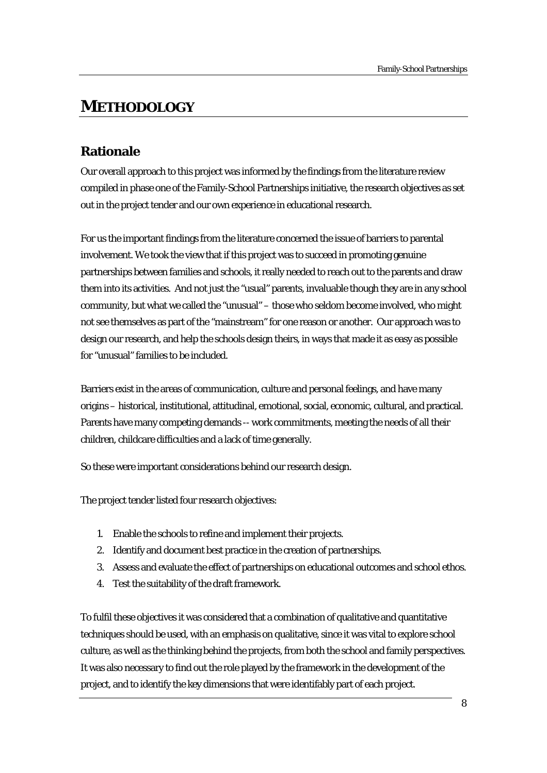# **METHODOLOGY**

# **Rationale**

Our overall approach to this project was informed by the findings from the literature review compiled in phase one of the Family-School Partnerships initiative, the research objectives as set out in the project tender and our own experience in educational research.

For us the important findings from the literature concerned the issue of barriers to parental involvement. We took the view that if this project was to succeed in promoting genuine partnerships between families and schools, it really needed to reach out to the parents and draw them into its activities. And not just the "usual" parents, invaluable though they are in any school community, but what we called the "unusual" – those who seldom become involved, who might not see themselves as part of the "mainstream" for one reason or another. Our approach was to design our research, and help the schools design theirs, in ways that made it as easy as possible for "unusual" families to be included.

Barriers exist in the areas of communication, culture and personal feelings, and have many origins – historical, institutional, attitudinal, emotional, social, economic, cultural, and practical. Parents have many competing demands -- work commitments, meeting the needs of all their children, childcare difficulties and a lack of time generally.

So these were important considerations behind our research design.

The project tender listed four research objectives:

- 1. Enable the schools to refine and implement their projects.
- 2. Identify and document best practice in the creation of partnerships.
- 3. Assess and evaluate the effect of partnerships on educational outcomes and school ethos.
- 4. Test the suitability of the draft framework.

To fulfil these objectives it was considered that a combination of qualitative and quantitative techniques should be used, with an emphasis on qualitative, since it was vital to explore school culture, as well as the thinking behind the projects, from both the school and family perspectives. It was also necessary to find out the role played by the framework in the development of the project, and to identify the key dimensions that were identifably part of each project.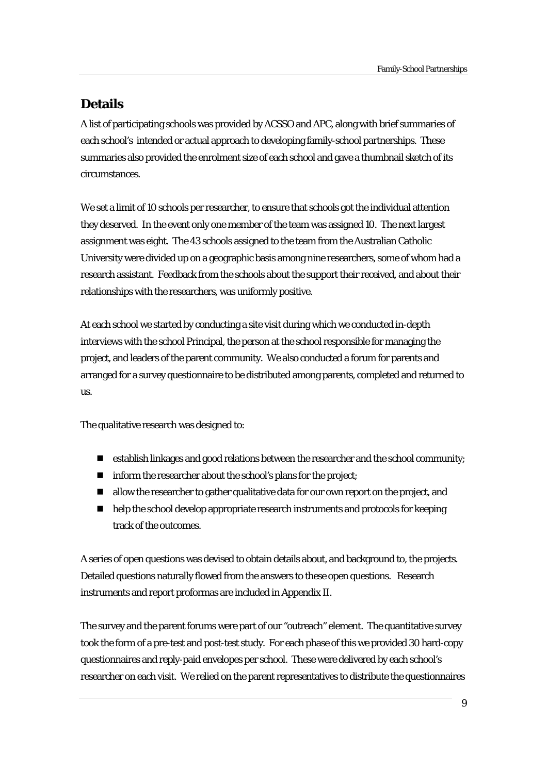# **Details**

A list of participating schools was provided by ACSSO and APC, along with brief summaries of each school's intended or actual approach to developing family-school partnerships. These summaries also provided the enrolment size of each school and gave a thumbnail sketch of its circumstances.

We set a limit of 10 schools per researcher, to ensure that schools got the individual attention they deserved. In the event only one member of the team was assigned 10. The next largest assignment was eight. The 43 schools assigned to the team from the Australian Catholic University were divided up on a geographic basis among nine researchers, some of whom had a research assistant. Feedback from the schools about the support their received, and about their relationships with the researchers, was uniformly positive.

At each school we started by conducting a site visit during which we conducted in-depth interviews with the school Principal, the person at the school responsible for managing the project, and leaders of the parent community. We also conducted a forum for parents and arranged for a survey questionnaire to be distributed among parents, completed and returned to us.

The qualitative research was designed to:

- establish linkages and good relations between the researcher and the school community;
- $\blacksquare$  inform the researcher about the school's plans for the project;
- allow the researcher to gather qualitative data for our own report on the project, and
- $\blacksquare$  help the school develop appropriate research instruments and protocols for keeping track of the outcomes.

A series of open questions was devised to obtain details about, and background to, the projects. Detailed questions naturally flowed from the answers to these open questions. Research instruments and report proformas are included in Appendix II.

The survey and the parent forums were part of our "outreach" element. The quantitative survey took the form of a pre-test and post-test study. For each phase of this we provided 30 hard-copy questionnaires and reply-paid envelopes per school. These were delivered by each school's researcher on each visit. We relied on the parent representatives to distribute the questionnaires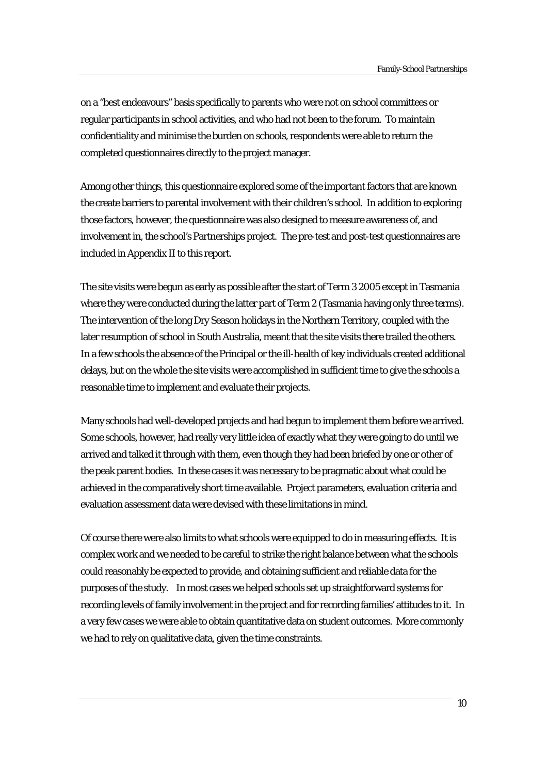on a "best endeavours" basis specifically to parents who were not on school committees or regular participants in school activities, and who had not been to the forum. To maintain confidentiality and minimise the burden on schools, respondents were able to return the completed questionnaires directly to the project manager.

Among other things, this questionnaire explored some of the important factors that are known the create barriers to parental involvement with their children's school. In addition to exploring those factors, however, the questionnaire was also designed to measure awareness of, and involvement in, the school's Partnerships project. The pre-test and post-test questionnaires are included in Appendix II to this report.

The site visits were begun as early as possible after the start of Term 3 2005 except in Tasmania where they were conducted during the latter part of Term 2 (Tasmania having only three terms). The intervention of the long Dry Season holidays in the Northern Territory, coupled with the later resumption of school in South Australia, meant that the site visits there trailed the others. In a few schools the absence of the Principal or the ill-health of key individuals created additional delays, but on the whole the site visits were accomplished in sufficient time to give the schools a reasonable time to implement and evaluate their projects.

Many schools had well-developed projects and had begun to implement them before we arrived. Some schools, however, had really very little idea of exactly what they were going to do until we arrived and talked it through with them, even though they had been briefed by one or other of the peak parent bodies. In these cases it was necessary to be pragmatic about what could be achieved in the comparatively short time available. Project parameters, evaluation criteria and evaluation assessment data were devised with these limitations in mind.

Of course there were also limits to what schools were equipped to do in measuring effects. It is complex work and we needed to be careful to strike the right balance between what the schools could reasonably be expected to provide, and obtaining sufficient and reliable data for the purposes of the study. In most cases we helped schools set up straightforward systems for recording levels of family involvement in the project and for recording families' attitudes to it. In a very few cases we were able to obtain quantitative data on student outcomes. More commonly we had to rely on qualitative data, given the time constraints.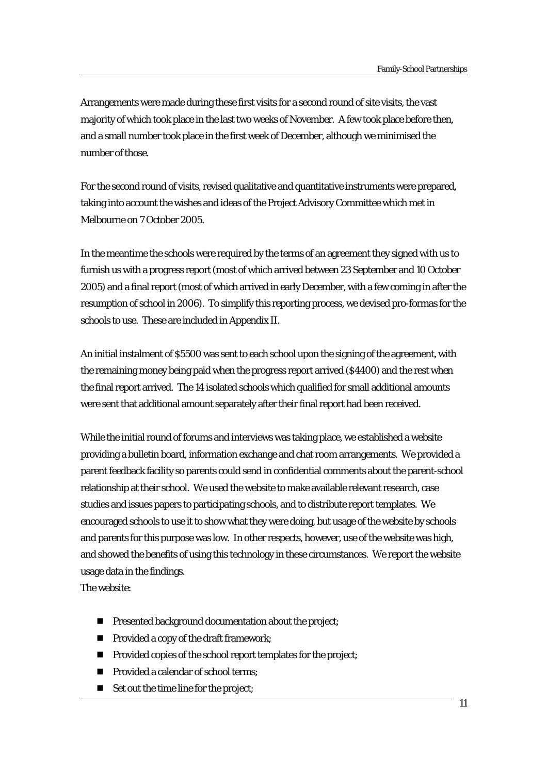Arrangements were made during these first visits for a second round of site visits, the vast majority of which took place in the last two weeks of November. A few took place before then, and a small number took place in the first week of December, although we minimised the number of those.

For the second round of visits, revised qualitative and quantitative instruments were prepared, taking into account the wishes and ideas of the Project Advisory Committee which met in Melbourne on 7 October 2005.

In the meantime the schools were required by the terms of an agreement they signed with us to furnish us with a progress report (most of which arrived between 23 September and 10 October 2005) and a final report (most of which arrived in early December, with a few coming in after the resumption of school in 2006). To simplify this reporting process, we devised pro-formas for the schools to use. These are included in Appendix II.

An initial instalment of \$5500 was sent to each school upon the signing of the agreement, with the remaining money being paid when the progress report arrived (\$4400) and the rest when the final report arrived. The 14 isolated schools which qualified for small additional amounts were sent that additional amount separately after their final report had been received.

While the initial round of forums and interviews was taking place, we established a website providing a bulletin board, information exchange and chat room arrangements. We provided a parent feedback facility so parents could send in confidential comments about the parent-school relationship at their school. We used the website to make available relevant research, case studies and issues papers to participating schools, and to distribute report templates. We encouraged schools to use it to show what they were doing, but usage of the website by schools and parents for this purpose was low. In other respects, however, use of the website was high, and showed the benefits of using this technology in these circumstances. We report the website usage data in the findings.

The website:

- **Presented background documentation about the project;**
- **Provided a copy of the draft framework:**
- **Provided copies of the school report templates for the project;**
- **Provided a calendar of school terms;**
- Set out the time line for the project: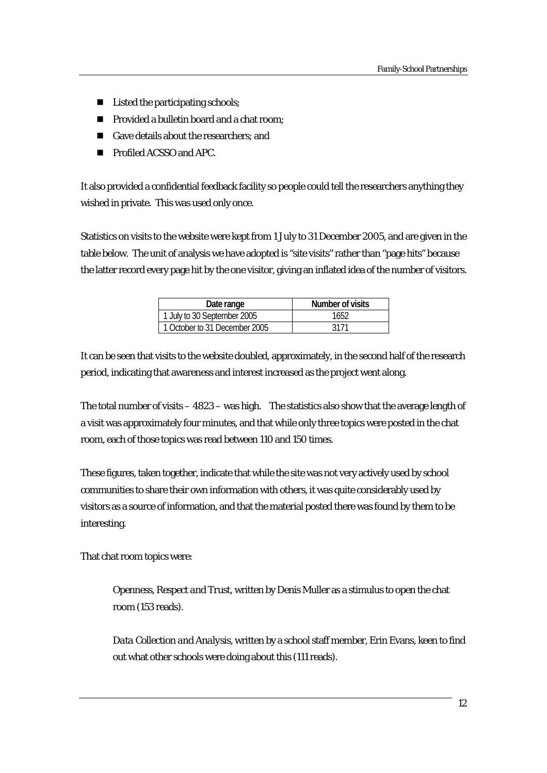- Listed the participating schools;
- Provided a bulletin board and a chat room:
- Gave details about the researchers: and
- **Profiled ACSSO and APC.**

It also provided a confidential feedback facility so people could tell the researchers anything they wished in private. This was used only once.

Statistics on visits to the website were kept from 1 July to 31 December 2005, and are given in the table below. The unit of analysis we have adopted is "site visits" rather than "page hits" because the latter record every page hit by the one visitor, giving an inflated idea of the number of visitors.

| Date range                    | Number of visits |
|-------------------------------|------------------|
| 1 July to 30 September 2005   | 1652.            |
| 1 October to 31 December 2005 | 3171             |

It can be seen that visits to the website doubled, approximately, in the second half of the research period, indicating that awareness and interest increased as the project went along.

The total number of visits – 4823 – was high. The statistics also show that the average length of a visit was approximately four minutes, and that while only three topics were posted in the chat room, each of those topics was read between 110 and 150 times.

These figures, taken together, indicate that while the site was not very actively used by school communities to share their own information with others, it was quite considerably used by visitors as a source of information, and that the material posted there was found by them to be interesting.

That chat room topics were:

*Openness, Respect and Trust*, written by Denis Muller as a stimulus to open the chat room (153 reads).

*Data Collection and Analysis*, written by a school staff member, Erin Evans, keen to find out what other schools were doing about this (111 reads).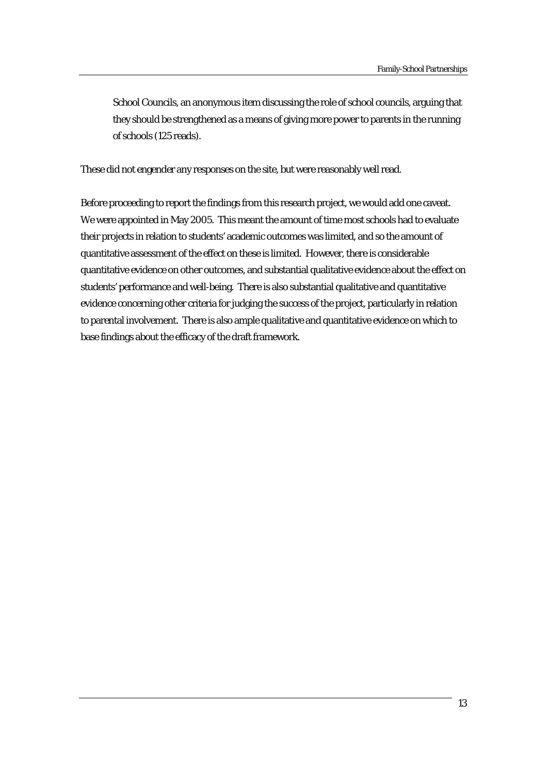*School Councils*, an anonymous item discussing the role of school councils, arguing that they should be strengthened as a means of giving more power to parents in the running of schools (125 reads).

These did not engender any responses on the site, but were reasonably well read.

Before proceeding to report the findings from this research project, we would add one caveat. We were appointed in May 2005. This meant the amount of time most schools had to evaluate their projects in relation to students' academic outcomes was limited, and so the amount of quantitative assessment of the effect on these is limited. However, there is considerable quantitative evidence on other outcomes, and substantial qualitative evidence about the effect on students' performance and well-being. There is also substantial qualitative and quantitative evidence concerning other criteria for judging the success of the project, particularly in relation to parental involvement. There is also ample qualitative and quantitative evidence on which to base findings about the efficacy of the draft framework.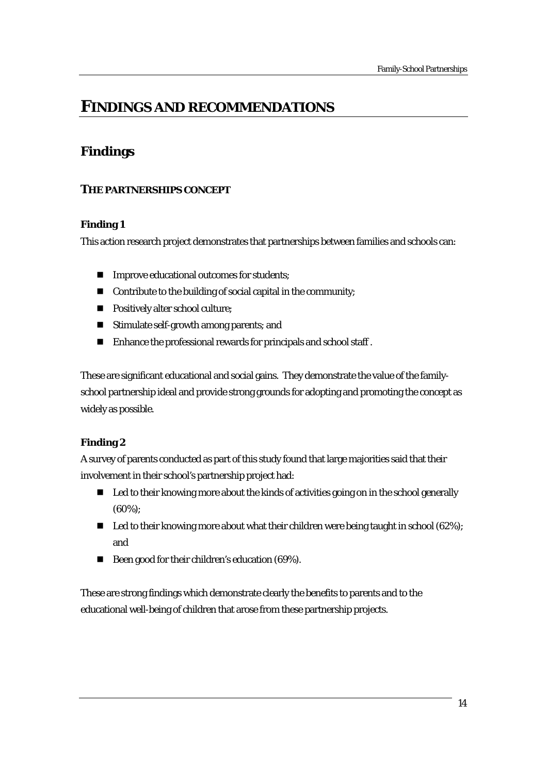# **FINDINGS AND RECOMMENDATIONS**

# **Findings**

# **THE PARTNERSHIPS CONCEPT**

# **Finding 1**

This action research project demonstrates that partnerships between families and schools can:

- **IMPROVE EQUATION IN THE EXECUTE:** Improve educational outcomes for students;
- Contribute to the building of social capital in the community;
- **Positively alter school culture:**
- **Stimulate self-growth among parents; and**
- Enhance the professional rewards for principals and school staff.

These are significant educational and social gains. They demonstrate the value of the familyschool partnership ideal and provide strong grounds for adopting and promoting the concept as widely as possible.

# **Finding 2**

A survey of parents conducted as part of this study found that large majorities said that their involvement in their school's partnership project had:

- Led to their knowing more about the kinds of activities going on in the school generally (60%);
- $\blacksquare$  Led to their knowing more about what their children were being taught in school (62%); and
- Been good for their children's education (69%).

These are strong findings which demonstrate clearly the benefits to parents and to the educational well-being of children that arose from these partnership projects.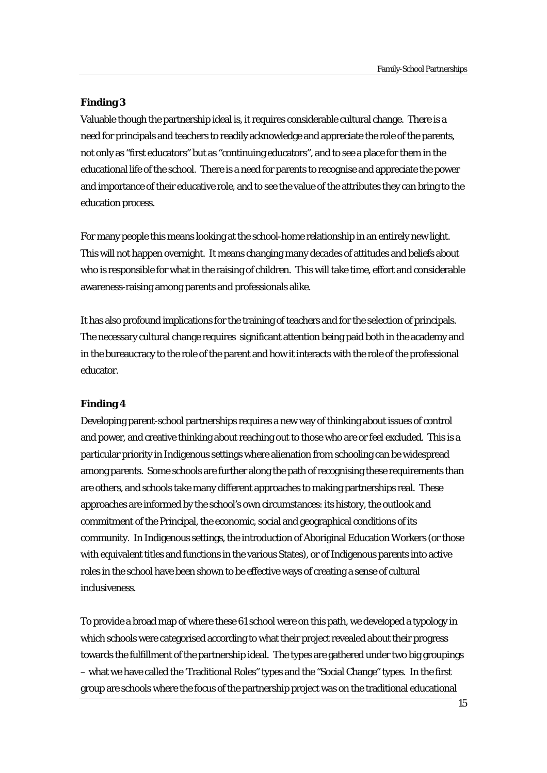#### **Finding 3**

Valuable though the partnership ideal is, it requires considerable cultural change. There is a need for principals and teachers to readily acknowledge and appreciate the role of the parents, not only as "first educators" but as "continuing educators", and to see a place for them in the educational life of the school. There is a need for parents to recognise and appreciate the power and importance of their educative role, and to see the value of the attributes they can bring to the education process.

For many people this means looking at the school-home relationship in an entirely new light. This will not happen overnight. It means changing many decades of attitudes and beliefs about who is responsible for what in the raising of children. This will take time, effort and considerable awareness-raising among parents and professionals alike.

It has also profound implications for the training of teachers and for the selection of principals. The necessary cultural change requires significant attention being paid both in the academy and in the bureaucracy to the role of the parent and how it interacts with the role of the professional educator.

#### **Finding 4**

Developing parent-school partnerships requires a new way of thinking about issues of control and power, and creative thinking about reaching out to those who are or feel excluded. This is a particular priority in Indigenous settings where alienation from schooling can be widespread among parents. Some schools are further along the path of recognising these requirements than are others, and schools take many different approaches to making partnerships real. These approaches are informed by the school's own circumstances: its history, the outlook and commitment of the Principal, the economic, social and geographical conditions of its community. In Indigenous settings, the introduction of Aboriginal Education Workers (or those with equivalent titles and functions in the various States), or of Indigenous parents into active roles in the school have been shown to be effective ways of creating a sense of cultural inclusiveness.

To provide a broad map of where these 61 school were on this path, we developed a typology in which schools were categorised according to what their project revealed about their progress towards the fulfillment of the partnership ideal. The types are gathered under two big groupings – what we have called the 'Traditional Roles" types and the "Social Change" types. In the first group are schools where the focus of the partnership project was on the traditional educational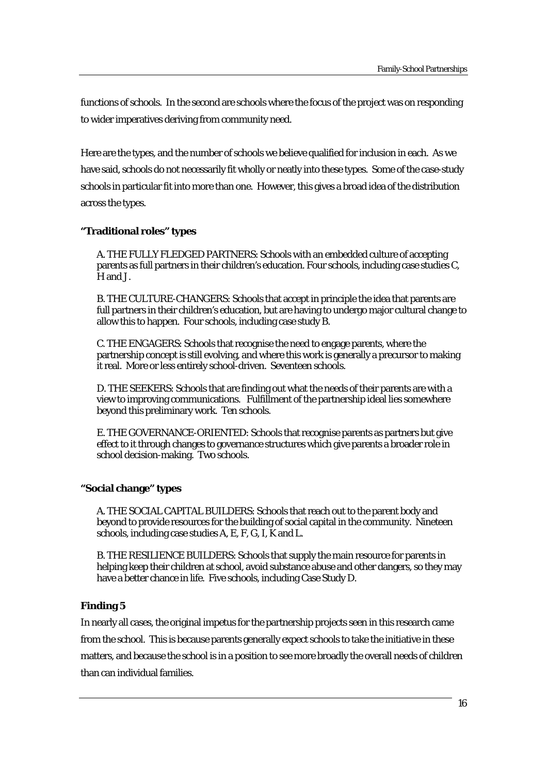functions of schools. In the second are schools where the focus of the project was on responding to wider imperatives deriving from community need.

Here are the types, and the number of schools we believe qualified for inclusion in each. As we have said, schools do not necessarily fit wholly or neatly into these types. Some of the case-study schools in particular fit into more than one. However, this gives a broad idea of the distribution across the types.

#### **"Traditional roles" types**

A. THE FULLY FLEDGED PARTNERS: Schools with an embedded culture of accepting parents as full partners in their children's education. Four schools, including case studies C, H and J.

B. THE CULTURE-CHANGERS: Schools that accept in principle the idea that parents are full partners in their children's education, but are having to undergo major cultural change to allow this to happen. Four schools, including case study B.

C. THE ENGAGERS: Schools that recognise the need to engage parents, where the partnership concept is still evolving, and where this work is generally a precursor to making it real. More or less entirely school-driven. Seventeen schools.

D. THE SEEKERS: Schools that are finding out what the needs of their parents are with a view to improving communications. Fulfillment of the partnership ideal lies somewhere beyond this preliminary work. Ten schools.

E. THE GOVERNANCE-ORIENTED: Schools that recognise parents as partners but give effect to it through changes to governance structures which give parents a broader role in school decision-making. Two schools.

# **"Social change" types**

A. THE SOCIAL CAPITAL BUILDERS: Schools that reach out to the parent body and beyond to provide resources for the building of social capital in the community. Nineteen schools, including case studies A, E, F, G, I, K and L.

B. THE RESILIENCE BUILDERS: Schools that supply the main resource for parents in helping keep their children at school, avoid substance abuse and other dangers, so they may have a better chance in life. Five schools, including Case Study D.

# **Finding 5**

In nearly all cases, the original impetus for the partnership projects seen in this research came from the school. This is because parents generally expect schools to take the initiative in these matters, and because the school is in a position to see more broadly the overall needs of children than can individual families.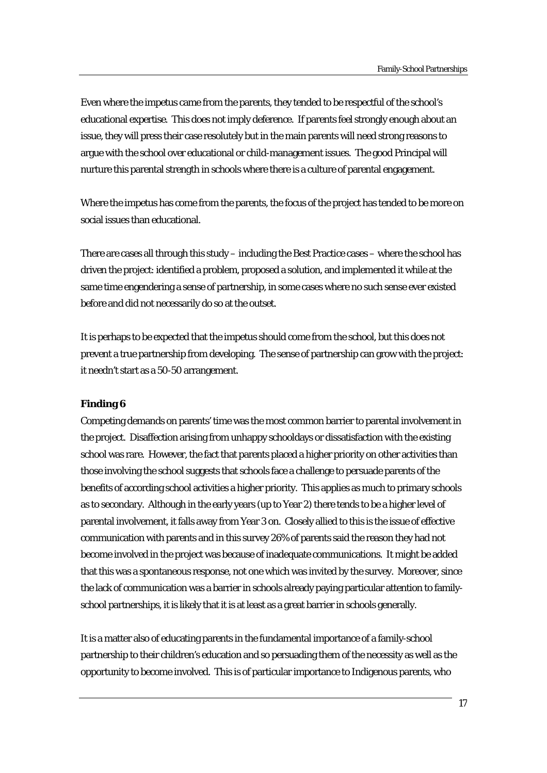Even where the impetus came from the parents, they tended to be respectful of the school's educational expertise. This does not imply deference. If parents feel strongly enough about an issue, they will press their case resolutely but in the main parents will need strong reasons to argue with the school over educational or child-management issues. The good Principal will nurture this parental strength in schools where there is a culture of parental engagement.

Where the impetus has come from the parents, the focus of the project has tended to be more on social issues than educational.

There are cases all through this study – including the Best Practice cases – where the school has driven the project: identified a problem, proposed a solution, and implemented it while at the same time engendering a sense of partnership, in some cases where no such sense ever existed before and did not necessarily do so at the outset.

It is perhaps to be expected that the impetus should come from the school, but this does not prevent a true partnership from developing. The sense of partnership can grow with the project: it needn't start as a 50-50 arrangement.

#### **Finding 6**

Competing demands on parents' time was the most common barrier to parental involvement in the project. Disaffection arising from unhappy schooldays or dissatisfaction with the existing school was rare. However, the fact that parents placed a higher priority on other activities than those involving the school suggests that schools face a challenge to persuade parents of the benefits of according school activities a higher priority. This applies as much to primary schools as to secondary. Although in the early years (up to Year 2) there tends to be a higher level of parental involvement, it falls away from Year 3 on. Closely allied to this is the issue of effective communication with parents and in this survey 26% of parents said the reason they had not become involved in the project was because of inadequate communications. It might be added that this was a spontaneous response, not one which was invited by the survey. Moreover, since the lack of communication was a barrier in schools already paying particular attention to familyschool partnerships, it is likely that it is at least as a great barrier in schools generally.

It is a matter also of educating parents in the fundamental importance of a family-school partnership to their children's education and so persuading them of the necessity as well as the opportunity to become involved. This is of particular importance to Indigenous parents, who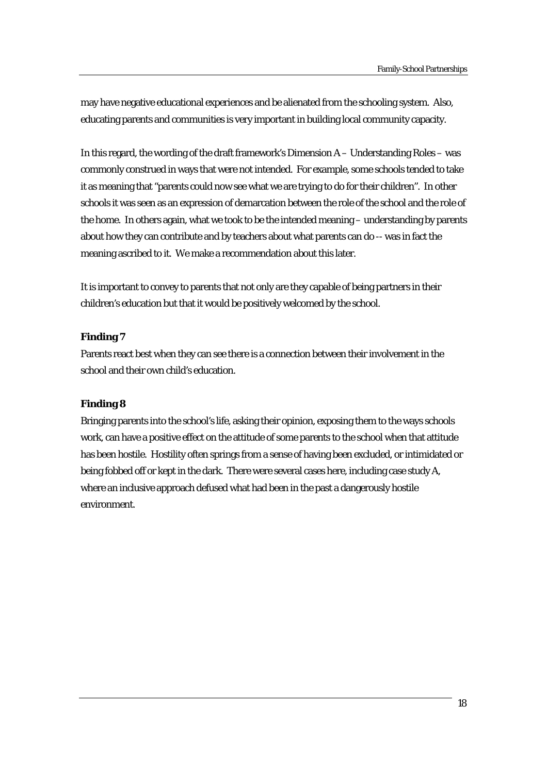may have negative educational experiences and be alienated from the schooling system. Also, educating parents and communities is very important in building local community capacity.

In this regard, the wording of the draft framework's Dimension A – Understanding Roles – was commonly construed in ways that were not intended. For example, some schools tended to take it as meaning that "parents could now see what we are trying to do for their children". In other schools it was seen as an expression of demarcation between the role of the school and the role of the home. In others again, what we took to be the intended meaning – understanding by parents about how they can contribute and by teachers about what parents can do -- was in fact the meaning ascribed to it. We make a recommendation about this later.

It is important to convey to parents that not only are they capable of being partners in their children's education but that it would be positively welcomed by the school.

#### **Finding 7**

Parents react best when they can see there is a connection between their involvement in the school and their own child's education.

#### **Finding 8**

Bringing parents into the school's life, asking their opinion, exposing them to the ways schools work, can have a positive effect on the attitude of some parents to the school when that attitude has been hostile. Hostility often springs from a sense of having been excluded, or intimidated or being fobbed off or kept in the dark. There were several cases here, including case study A, where an inclusive approach defused what had been in the past a dangerously hostile environment.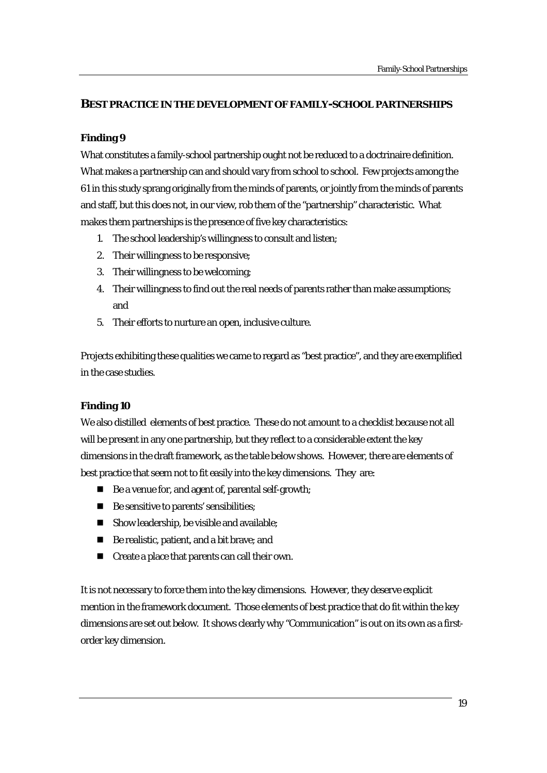# **BEST PRACTICE IN THE DEVELOPMENT OF FAMILY-SCHOOL PARTNERSHIPS**

# **Finding 9**

What constitutes a family-school partnership ought not be reduced to a doctrinaire definition. What makes a partnership can and should vary from school to school. Few projects among the 61 in this study sprang originally from the minds of parents, or jointly from the minds of parents and staff, but this does not, in our view, rob them of the "partnership" characteristic. What makes them partnerships is the presence of five key characteristics:

- 1. The school leadership's willingness to consult and listen;
- 2. Their willingness to be responsive;
- 3. Their willingness to be welcoming;
- 4. Their willingness to find out the real needs of parents rather than make assumptions; and
- 5. Their efforts to nurture an open, inclusive culture.

Projects exhibiting these qualities we came to regard as "best practice", and they are exemplified in the case studies.

# **Finding 10**

We also distilled elements of best practice. These do not amount to a checklist because not all will be present in any one partnership, but they reflect to a considerable extent the key dimensions in the draft framework, as the table below shows. However, there are elements of best practice that seem not to fit easily into the key dimensions. They are:

- Be a venue for, and agent of, parental self-growth;
- Be sensitive to parents' sensibilities;
- Show leadership, be visible and available;
- Be realistic, patient, and a bit brave; and
- Create a place that parents can call their own.

It is not necessary to force them into the key dimensions. However, they deserve explicit mention in the framework document. Those elements of best practice that do fit within the key dimensions are set out below. It shows clearly why "Communication" is out on its own as a firstorder key dimension.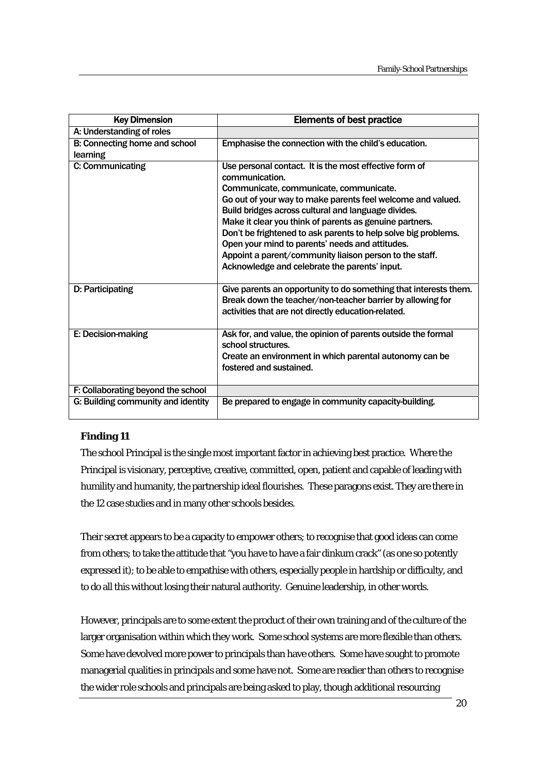| <b>Key Dimension</b>                      | <b>Elements of best practice</b>                                                                                                                                                                                                                                                                                                                                                                                                                                                                                                     |
|-------------------------------------------|--------------------------------------------------------------------------------------------------------------------------------------------------------------------------------------------------------------------------------------------------------------------------------------------------------------------------------------------------------------------------------------------------------------------------------------------------------------------------------------------------------------------------------------|
| A: Understanding of roles                 |                                                                                                                                                                                                                                                                                                                                                                                                                                                                                                                                      |
| B: Connecting home and school<br>learning | Emphasise the connection with the child's education.                                                                                                                                                                                                                                                                                                                                                                                                                                                                                 |
| C: Communicating                          | Use personal contact. It is the most effective form of<br>communication.<br>Communicate, communicate, communicate.<br>Go out of your way to make parents feel welcome and valued.<br>Build bridges across cultural and language divides.<br>Make it clear you think of parents as genuine partners.<br>Don't be frightened to ask parents to help solve big problems.<br>Open your mind to parents' needs and attitudes.<br>Appoint a parent/community liaison person to the staff.<br>Acknowledge and celebrate the parents' input. |
| D: Participating                          | Give parents an opportunity to do something that interests them.<br>Break down the teacher/non-teacher barrier by allowing for<br>activities that are not directly education-related.                                                                                                                                                                                                                                                                                                                                                |
| E: Decision-making                        | Ask for, and value, the opinion of parents outside the formal<br>school structures.<br>Create an environment in which parental autonomy can be<br>fostered and sustained.                                                                                                                                                                                                                                                                                                                                                            |
| F: Collaborating beyond the school        |                                                                                                                                                                                                                                                                                                                                                                                                                                                                                                                                      |
| G: Building community and identity        | Be prepared to engage in community capacity-building.                                                                                                                                                                                                                                                                                                                                                                                                                                                                                |

# **Finding 11**

The school Principal is the single most important factor in achieving best practice. Where the Principal is visionary, perceptive, creative, committed, open, patient and capable of leading with humility and humanity, the partnership ideal flourishes. These paragons exist. They are there in the 12 case studies and in many other schools besides.

Their secret appears to be a capacity to empower others; to recognise that good ideas can come from others; to take the attitude that "you have to have a fair dinkum crack" (as one so potently expressed it); to be able to empathise with others, especially people in hardship or difficulty, and to do all this without losing their natural authority. Genuine leadership, in other words.

However, principals are to some extent the product of their own training and of the culture of the larger organisation within which they work. Some school systems are more flexible than others. Some have devolved more power to principals than have others. Some have sought to promote managerial qualities in principals and some have not. Some are readier than others to recognise the wider role schools and principals are being asked to play, though additional resourcing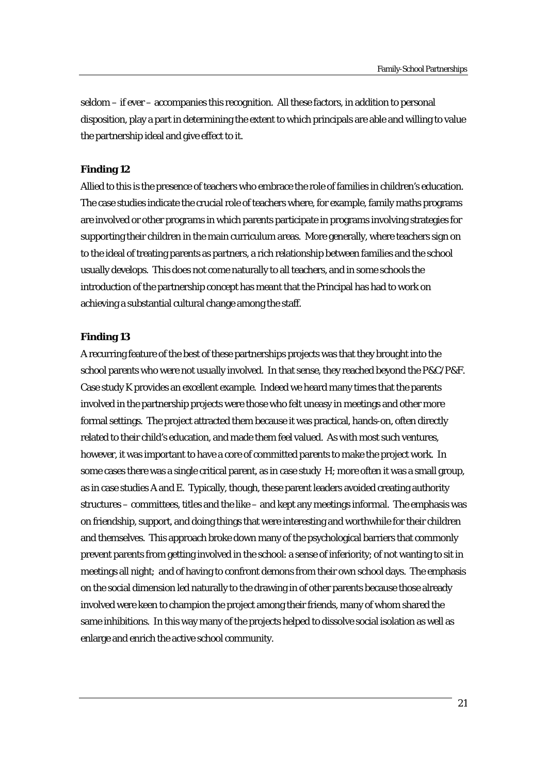seldom – if ever – accompanies this recognition. All these factors, in addition to personal disposition, play a part in determining the extent to which principals are able and willing to value the partnership ideal and give effect to it.

#### **Finding 12**

Allied to this is the presence of teachers who embrace the role of families in children's education. The case studies indicate the crucial role of teachers where, for example, family maths programs are involved or other programs in which parents participate in programs involving strategies for supporting their children in the main curriculum areas. More generally, where teachers sign on to the ideal of treating parents as partners, a rich relationship between families and the school usually develops. This does not come naturally to all teachers, and in some schools the introduction of the partnership concept has meant that the Principal has had to work on achieving a substantial cultural change among the staff.

#### **Finding 13**

A recurring feature of the best of these partnerships projects was that they brought into the school parents who were not usually involved. In that sense, they reached beyond the P&C/P&F. Case study K provides an excellent example. Indeed we heard many times that the parents involved in the partnership projects were those who felt uneasy in meetings and other more formal settings. The project attracted them because it was practical, hands-on, often directly related to their child's education, and made them feel valued. As with most such ventures, however, it was important to have a core of committed parents to make the project work. In some cases there was a single critical parent, as in case study H; more often it was a small group, as in case studies A and E. Typically, though, these parent leaders avoided creating authority structures – committees, titles and the like – and kept any meetings informal. The emphasis was on friendship, support, and doing things that were interesting and worthwhile for their children and themselves. This approach broke down many of the psychological barriers that commonly prevent parents from getting involved in the school: a sense of inferiority; of not wanting to sit in meetings all night; and of having to confront demons from their own school days. The emphasis on the social dimension led naturally to the drawing in of other parents because those already involved were keen to champion the project among their friends, many of whom shared the same inhibitions. In this way many of the projects helped to dissolve social isolation as well as enlarge and enrich the active school community.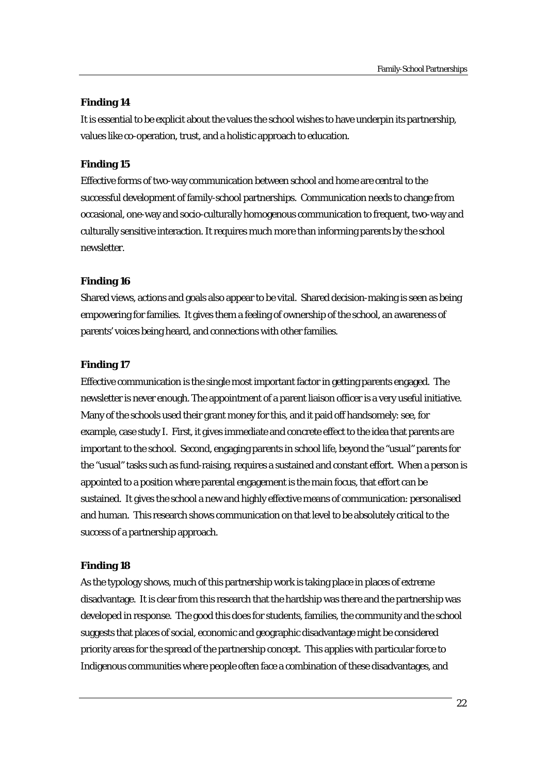### **Finding 14**

It is essential to be explicit about the values the school wishes to have underpin its partnership, values like co-operation, trust, and a holistic approach to education.

#### **Finding 15**

Effective forms of two-way communication between school and home are central to the successful development of family-school partnerships. Communication needs to change from occasional, one-way and socio-culturally homogenous communication to frequent, two-way and culturally sensitive interaction. It requires much more than informing parents by the school newsletter.

#### **Finding 16**

Shared views, actions and goals also appear to be vital. Shared decision-making is seen as being empowering for families. It gives them a feeling of ownership of the school, an awareness of parents' voices being heard, and connections with other families.

#### **Finding 17**

Effective communication is the single most important factor in getting parents engaged. The newsletter is never enough. The appointment of a parent liaison officer is a very useful initiative. Many of the schools used their grant money for this, and it paid off handsomely: see, for example, case study I. First, it gives immediate and concrete effect to the idea that parents are important to the school. Second, engaging parents in school life, beyond the "usual" parents for the "usual" tasks such as fund-raising, requires a sustained and constant effort. When a person is appointed to a position where parental engagement is the main focus, that effort can be sustained. It gives the school a new and highly effective means of communication: personalised and human. This research shows communication on that level to be absolutely critical to the success of a partnership approach.

#### **Finding 18**

As the typology shows, much of this partnership work is taking place in places of extreme disadvantage. It is clear from this research that the hardship was there and the partnership was developed in response. The good this does for students, families, the community and the school suggests that places of social, economic and geographic disadvantage might be considered priority areas for the spread of the partnership concept. This applies with particular force to Indigenous communities where people often face a combination of these disadvantages, and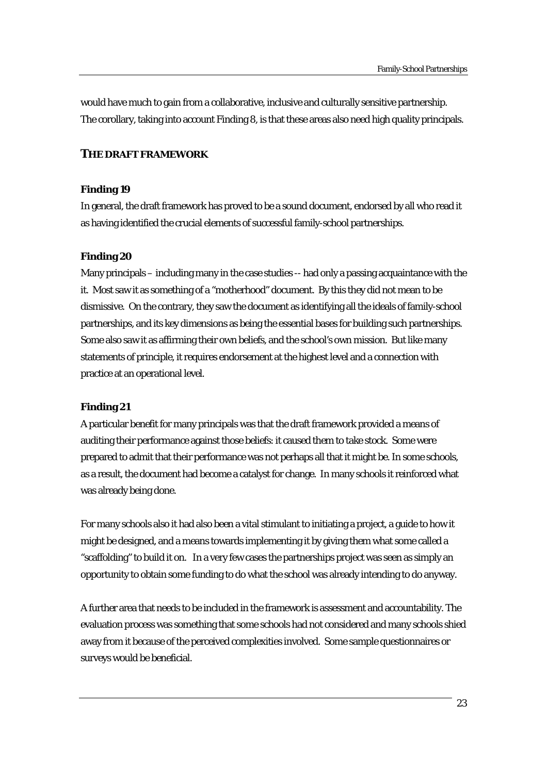would have much to gain from a collaborative, inclusive and culturally sensitive partnership. The corollary, taking into account Finding 8, is that these areas also need high quality principals.

### **THE DRAFT FRAMEWORK**

#### **Finding 19**

In general, the draft framework has proved to be a sound document, endorsed by all who read it as having identified the crucial elements of successful family-school partnerships.

#### **Finding 20**

Many principals – including many in the case studies -- had only a passing acquaintance with the it. Most saw it as something of a "motherhood" document. By this they did not mean to be dismissive. On the contrary, they saw the document as identifying all the ideals of family-school partnerships, and its key dimensions as being the essential bases for building such partnerships. Some also saw it as affirming their own beliefs, and the school's own mission. But like many statements of principle, it requires endorsement at the highest level and a connection with practice at an operational level.

#### **Finding 21**

A particular benefit for many principals was that the draft framework provided a means of auditing their performance against those beliefs: it caused them to take stock. Some were prepared to admit that their performance was not perhaps all that it might be. In some schools, as a result, the document had become a catalyst for change. In many schools it reinforced what was already being done.

For many schools also it had also been a vital stimulant to initiating a project, a guide to how it might be designed, and a means towards implementing it by giving them what some called a "scaffolding" to build it on. In a very few cases the partnerships project was seen as simply an opportunity to obtain some funding to do what the school was already intending to do anyway.

A further area that needs to be included in the framework is assessment and accountability. The evaluation process was something that some schools had not considered and many schools shied away from it because of the perceived complexities involved. Some sample questionnaires or surveys would be beneficial.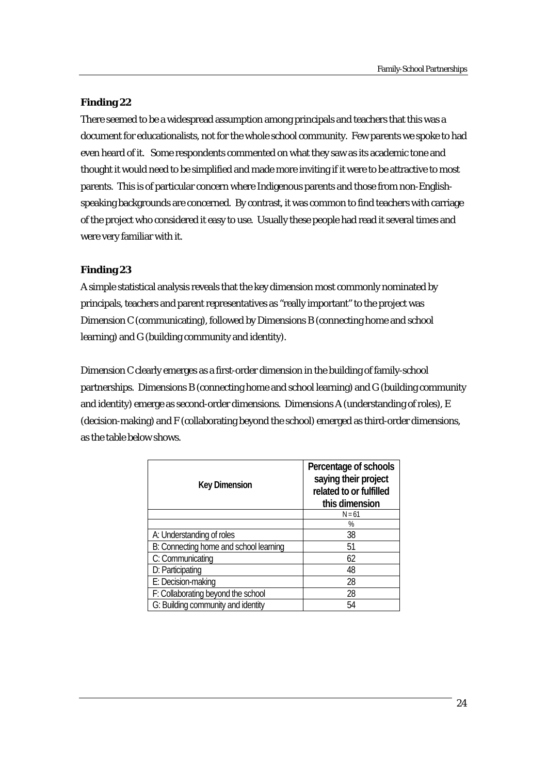### **Finding 22**

There seemed to be a widespread assumption among principals and teachers that this was a document for educationalists, not for the whole school community. Few parents we spoke to had even heard of it. Some respondents commented on what they saw as its academic tone and thought it would need to be simplified and made more inviting if it were to be attractive to most parents. This is of particular concern where Indigenous parents and those from non-Englishspeaking backgrounds are concerned. By contrast, it was common to find teachers with carriage of the project who considered it easy to use. Usually these people had read it several times and were very familiar with it.

# **Finding 23**

A simple statistical analysis reveals that the key dimension most commonly nominated by principals, teachers and parent representatives as "really important" to the project was Dimension C (communicating), followed by Dimensions B (connecting home and school learning) and G (building community and identity).

Dimension C clearly emerges as a first-order dimension in the building of family-school partnerships. Dimensions B (connecting home and school learning) and G (building community and identity) emerge as second-order dimensions. Dimensions A (understanding of roles), E (decision-making) and F (collaborating beyond the school) emerged as third-order dimensions, as the table below shows.

| <b>Key Dimension</b>                   | Percentage of schools<br>saying their project<br>related to or fulfilled<br>this dimension |
|----------------------------------------|--------------------------------------------------------------------------------------------|
|                                        | $N = 61$                                                                                   |
|                                        | %                                                                                          |
| A: Understanding of roles              | 38                                                                                         |
| B: Connecting home and school learning | 51                                                                                         |
| C: Communicating                       | 62                                                                                         |
| D: Participating                       | 48                                                                                         |
| E: Decision-making                     | 28                                                                                         |
| F: Collaborating beyond the school     | 28                                                                                         |
| G: Building community and identity     | 54                                                                                         |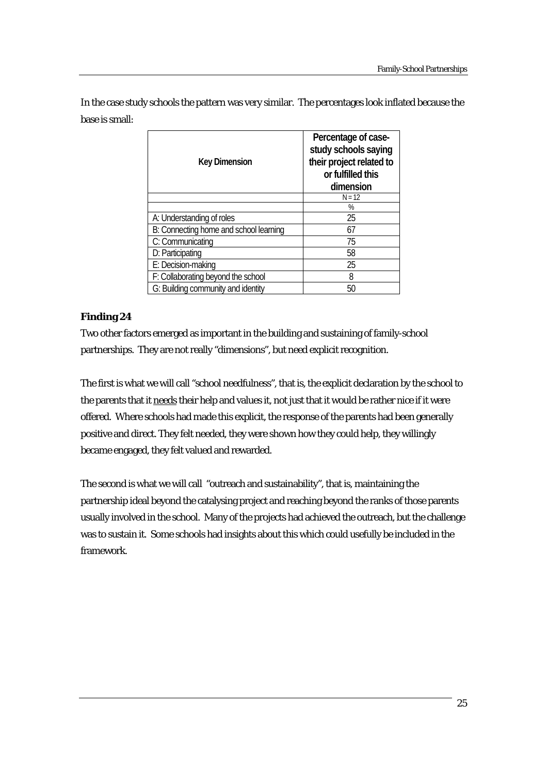In the case study schools the pattern was very similar. The percentages look inflated because the base is small:

| <b>Key Dimension</b>                   | Percentage of case-<br>study schools saying<br>their project related to<br>or fulfilled this<br>dimension |
|----------------------------------------|-----------------------------------------------------------------------------------------------------------|
|                                        | $N = 12$                                                                                                  |
|                                        | %                                                                                                         |
| A: Understanding of roles              | 25                                                                                                        |
| B: Connecting home and school learning | 67                                                                                                        |
| C: Communicating                       | 75                                                                                                        |
| D: Participating                       | 58                                                                                                        |
| E: Decision-making                     | 25                                                                                                        |
| F: Collaborating beyond the school     | 8                                                                                                         |
| G: Building community and identity     | 50                                                                                                        |

# **Finding 24**

Two other factors emerged as important in the building and sustaining of family-school partnerships. They are not really "dimensions", but need explicit recognition.

The first is what we will call "school needfulness", that is, the explicit declaration by the school to the parents that it needs their help and values it, not just that it would be rather nice if it were offered. Where schools had made this explicit, the response of the parents had been generally positive and direct. They felt needed, they were shown how they could help, they willingly became engaged, they felt valued and rewarded.

The second is what we will call "outreach and sustainability", that is, maintaining the partnership ideal beyond the catalysing project and reaching beyond the ranks of those parents usually involved in the school. Many of the projects had achieved the outreach, but the challenge was to sustain it. Some schools had insights about this which could usefully be included in the framework.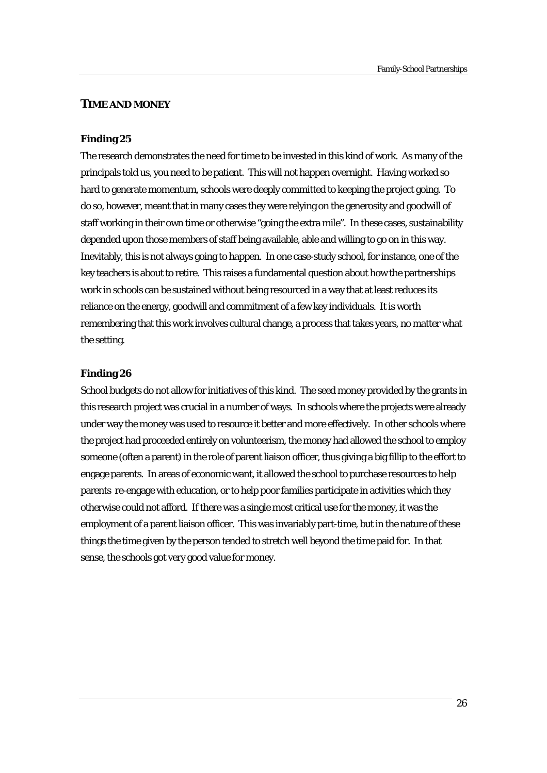#### **TIME AND MONEY**

#### **Finding 25**

The research demonstrates the need for time to be invested in this kind of work. As many of the principals told us, you need to be patient. This will not happen overnight. Having worked so hard to generate momentum, schools were deeply committed to keeping the project going. To do so, however, meant that in many cases they were relying on the generosity and goodwill of staff working in their own time or otherwise "going the extra mile". In these cases, sustainability depended upon those members of staff being available, able and willing to go on in this way. Inevitably, this is not always going to happen. In one case-study school, for instance, one of the key teachers is about to retire. This raises a fundamental question about how the partnerships work in schools can be sustained without being resourced in a way that at least reduces its reliance on the energy, goodwill and commitment of a few key individuals. It is worth remembering that this work involves cultural change, a process that takes years, no matter what the setting.

#### **Finding 26**

School budgets do not allow for initiatives of this kind. The seed money provided by the grants in this research project was crucial in a number of ways. In schools where the projects were already under way the money was used to resource it better and more effectively. In other schools where the project had proceeded entirely on volunteerism, the money had allowed the school to employ someone (often a parent) in the role of parent liaison officer, thus giving a big fillip to the effort to engage parents. In areas of economic want, it allowed the school to purchase resources to help parents re-engage with education, or to help poor families participate in activities which they otherwise could not afford. If there was a single most critical use for the money, it was the employment of a parent liaison officer. This was invariably part-time, but in the nature of these things the time given by the person tended to stretch well beyond the time paid for. In that sense, the schools got very good value for money.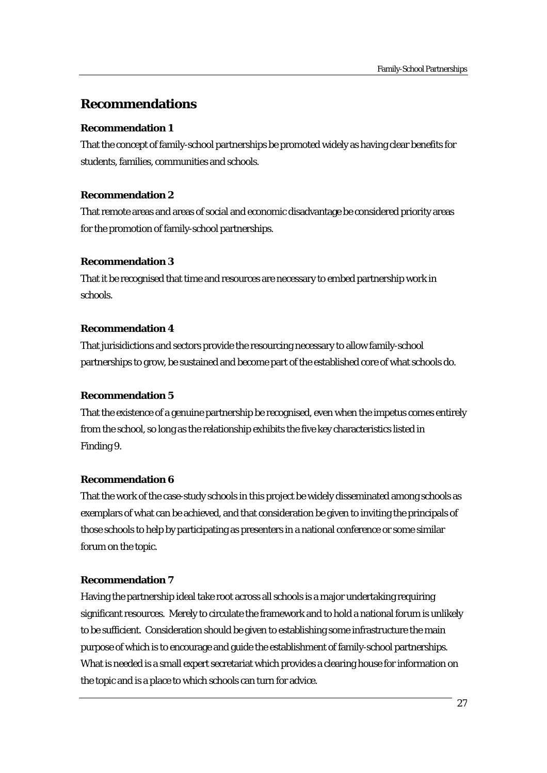# **Recommendations**

### **Recommendation 1**

That the concept of family-school partnerships be promoted widely as having clear benefits for students, families, communities and schools.

#### **Recommendation 2**

That remote areas and areas of social and economic disadvantage be considered priority areas for the promotion of family-school partnerships.

#### **Recommendation 3**

That it be recognised that time and resources are necessary to embed partnership work in schools.

#### **Recommendation 4**

That jurisidictions and sectors provide the resourcing necessary to allow family-school partnerships to grow, be sustained and become part of the established core of what schools do.

# **Recommendation 5**

That the existence of a genuine partnership be recognised, even when the impetus comes entirely from the school, so long as the relationship exhibits the five key characteristics listed in Finding 9.

# **Recommendation 6**

That the work of the case-study schools in this project be widely disseminated among schools as exemplars of what can be achieved, and that consideration be given to inviting the principals of those schools to help by participating as presenters in a national conference or some similar forum on the topic.

# **Recommendation 7**

Having the partnership ideal take root across all schools is a major undertaking requiring significant resources. Merely to circulate the framework and to hold a national forum is unlikely to be sufficient. Consideration should be given to establishing some infrastructure the main purpose of which is to encourage and guide the establishment of family-school partnerships. What is needed is a small expert secretariat which provides a clearing house for information on the topic and is a place to which schools can turn for advice.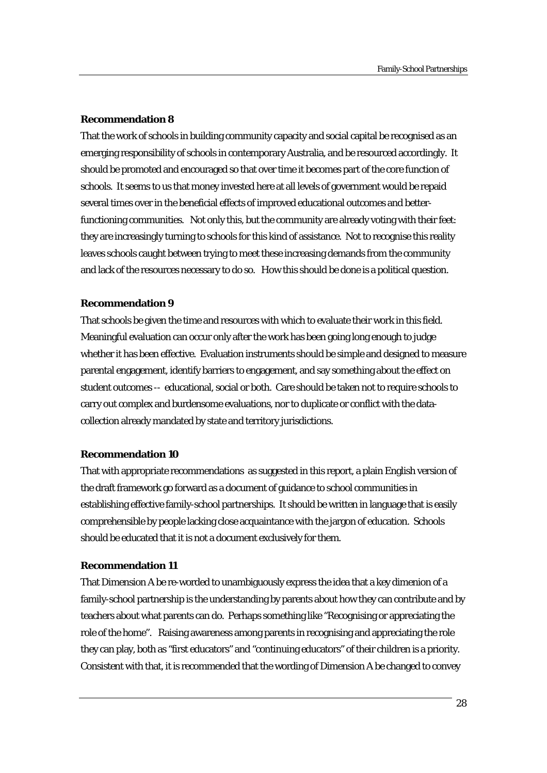#### **Recommendation 8**

That the work of schools in building community capacity and social capital be recognised as an emerging responsibility of schools in contemporary Australia, and be resourced accordingly. It should be promoted and encouraged so that over time it becomes part of the core function of schools. It seems to us that money invested here at all levels of government would be repaid several times over in the beneficial effects of improved educational outcomes and betterfunctioning communities. Not only this, but the community are already voting with their feet: they are increasingly turning to schools for this kind of assistance. Not to recognise this reality leaves schools caught between trying to meet these increasing demands from the community and lack of the resources necessary to do so. How this should be done is a political question.

#### **Recommendation 9**

That schools be given the time and resources with which to evaluate their work in this field. Meaningful evaluation can occur only after the work has been going long enough to judge whether it has been effective. Evaluation instruments should be simple and designed to measure parental engagement, identify barriers to engagement, and say something about the effect on student outcomes -- educational, social or both. Care should be taken not to require schools to carry out complex and burdensome evaluations, nor to duplicate or conflict with the datacollection already mandated by state and territory jurisdictions.

#### **Recommendation 10**

That with appropriate recommendations as suggested in this report, a plain English version of the draft framework go forward as a document of guidance to school communities in establishing effective family-school partnerships. It should be written in language that is easily comprehensible by people lacking close acquaintance with the jargon of education. Schools should be educated that it is not a document exclusively for them.

#### **Recommendation 11**

That Dimension A be re-worded to unambiguously express the idea that a key dimenion of a family-school partnership is the understanding by parents about how they can contribute and by teachers about what parents can do. Perhaps something like "Recognising or appreciating the role of the home".Raising awareness among parents in recognising and appreciating the role they can play, both as "first educators" and "continuing educators" of their children is a priority. Consistent with that, it is recommended that the wording of Dimension A be changed to convey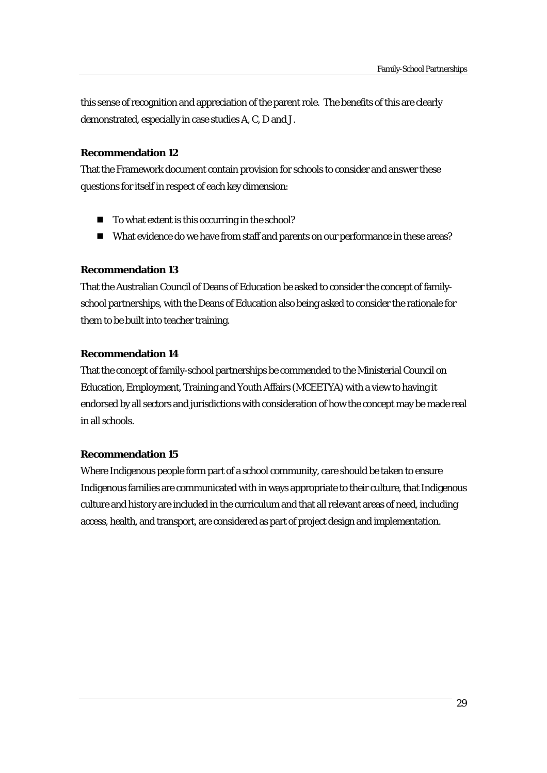this sense of recognition and appreciation of the parent role. The benefits of this are clearly demonstrated, especially in case studies A, C, D and J.

#### **Recommendation 12**

That the Framework document contain provision for schools to consider and answer these questions for itself in respect of each key dimension:

- To what extent is this occurring in the school?
- What evidence do we have from staff and parents on our performance in these areas?

#### **Recommendation 13**

That the Australian Council of Deans of Education be asked to consider the concept of familyschool partnerships, with the Deans of Education also being asked to consider the rationale for them to be built into teacher training.

# **Recommendation 14**

That the concept of family-school partnerships be commended to the Ministerial Council on Education, Employment, Training and Youth Affairs (MCEETYA) with a view to having it endorsed by all sectors and jurisdictions with consideration of how the concept may be made real in all schools.

# **Recommendation 15**

Where Indigenous people form part of a school community, care should be taken to ensure Indigenous families are communicated with in ways appropriate to their culture, that Indigenous culture and history are included in the curriculum and that all relevant areas of need, including access, health, and transport, are considered as part of project design and implementation.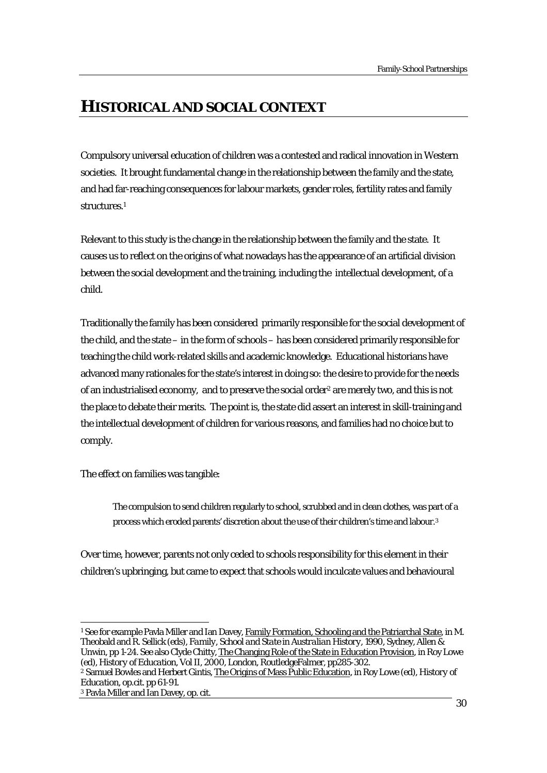# **HISTORICAL AND SOCIAL CONTEXT**

Compulsory universal education of children was a contested and radical innovation in Western societies. It brought fundamental change in the relationship between the family and the state, and had far-reaching consequences for labour markets, gender roles, fertility rates and family structures.1

Relevant to this study is the change in the relationship between the family and the state. It causes us to reflect on the origins of what nowadays has the appearance of an artificial division between the social development and the training, including the intellectual development, of a child.

Traditionally the family has been considered primarily responsible for the social development of the child, and the state – in the form of schools – has been considered primarily responsible for teaching the child work-related skills and academic knowledge. Educational historians have advanced many rationales for the state's interest in doing so: the desire to provide for the needs of an industrialised economy, and to preserve the social order2 are merely two, and this is not the place to debate their merits. The point is, the state did assert an interest in skill-training and the intellectual development of children for various reasons, and families had no choice but to comply.

The effect on families was tangible:

The compulsion to send children regularly to school, scrubbed and in clean clothes, was part of a process which eroded parents' discretion about the use of their children's time and labour.3

Over time, however, parents not only ceded to schools responsibility for this element in their children's upbringing, but came to expect that schools would inculcate values and behavioural

 $\overline{a}$ 

<sup>&</sup>lt;sup>1</sup> See for example Pavla Miller and Ian Davey, *Family Formation*, *Schooling and the Patriarchal State*, in M. Theobald and R. Sellick (eds), *Family, School and State in Australian History*, 1990, Sydney, Allen & Unwin, pp 1-24. See also Clyde Chitty, The Changing Role of the State in Education Provision, in Roy Lowe

<sup>(</sup>ed), *History of Education, Vol II*, 2000, London, RoutledgeFalmer, pp285-302.<br><sup>2</sup> Samuel Bowles and Herbert Gintis. The Origins of Mass Public Education. in Roy Lowe (ed). *History of Education*, op.cit. pp 61-91.

<sup>3</sup> Pavla Miller and Ian Davey, op. cit.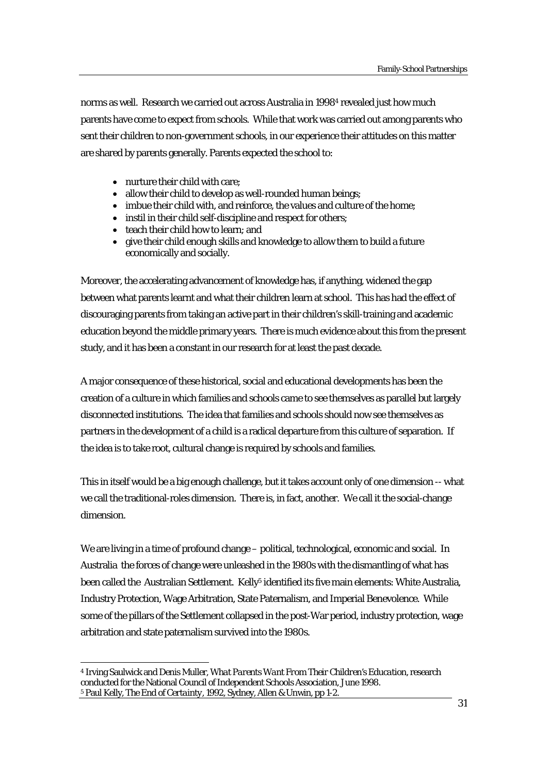norms as well. Research we carried out across Australia in 19984 revealed just how much parents have come to expect from schools. While that work was carried out among parents who sent their children to non-government schools, in our experience their attitudes on this matter are shared by parents generally. Parents expected the school to:

- nurture their child with care;
- allow their child to develop as well-rounded human beings;
- imbue their child with, and reinforce, the values and culture of the home;
- instil in their child self-discipline and respect for others:
- teach their child how to learn: and
- give their child enough skills and knowledge to allow them to build a future economically and socially.

Moreover, the accelerating advancement of knowledge has, if anything, widened the gap between what parents learnt and what their children learn at school. This has had the effect of discouraging parents from taking an active part in their children's skill-training and academic education beyond the middle primary years. There is much evidence about this from the present study, and it has been a constant in our research for at least the past decade.

A major consequence of these historical, social and educational developments has been the creation of a culture in which families and schools came to see themselves as parallel but largely disconnected institutions. The idea that families and schools should now see themselves as partners in the development of a child is a radical departure from this culture of separation. If the idea is to take root, cultural change is required by schools and families.

This in itself would be a big enough challenge, but it takes account only of one dimension -- what we call the traditional-roles dimension. There is, in fact, another. We call it the social-change dimension.

We are living in a time of profound change – political, technological, economic and social. In Australia the forces of change were unleashed in the 1980s with the dismantling of what has been called the Australian Settlement. Kelly<sup>5</sup> identified its five main elements: White Australia, Industry Protection, Wage Arbitration, State Paternalism, and Imperial Benevolence. While some of the pillars of the Settlement collapsed in the post-War period, industry protection, wage arbitration and state paternalism survived into the 1980s.

 $\overline{a}$ 4 Irving Saulwick and Denis Muller, *What Parents Want From Their Children's Education*, research conducted for the National Council of Independent Schools Association, June 1998. 5 Paul Kelly, *The End of Certainty*, 1992, Sydney, Allen & Unwin, pp 1-2.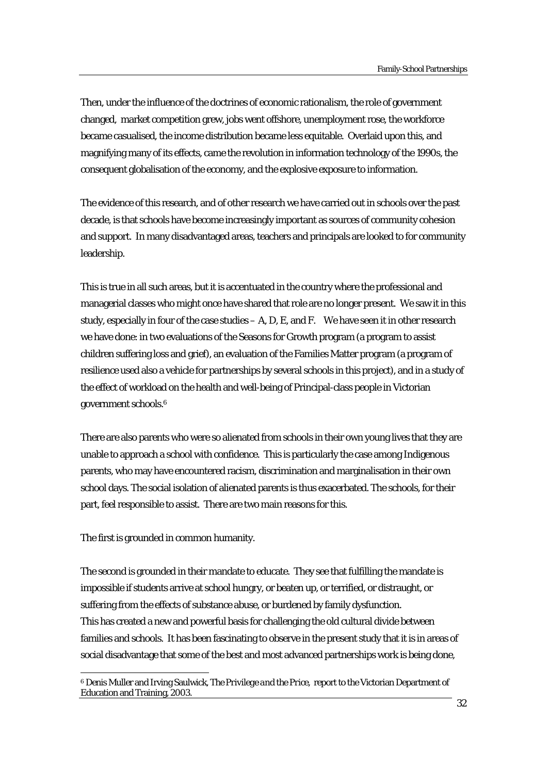Then, under the influence of the doctrines of economic rationalism, the role of government changed, market competition grew, jobs went offshore, unemployment rose, the workforce became casualised, the income distribution became less equitable. Overlaid upon this, and magnifying many of its effects, came the revolution in information technology of the 1990s, the consequent globalisation of the economy, and the explosive exposure to information.

The evidence of this research, and of other research we have carried out in schools over the past decade, is that schools have become increasingly important as sources of community cohesion and support. In many disadvantaged areas, teachers and principals are looked to for community leadership.

This is true in all such areas, but it is accentuated in the country where the professional and managerial classes who might once have shared that role are no longer present. We saw it in this study, especially in four of the case studies  $-A$ , D, E, and F. We have seen it in other research we have done: in two evaluations of the Seasons for Growth program (a program to assist children suffering loss and grief), an evaluation of the Families Matter program (a program of resilience used also a vehicle for partnerships by several schools in this project), and in a study of the effect of workload on the health and well-being of Principal-class people in Victorian government schools.6

There are also parents who were so alienated from schools in their own young lives that they are unable to approach a school with confidence. This is particularly the case among Indigenous parents, who may have encountered racism, discrimination and marginalisation in their own school days. The social isolation of alienated parents is thus exacerbated. The schools, for their part, feel responsible to assist. There are two main reasons for this.

The first is grounded in common humanity.

 $\overline{a}$ 

The second is grounded in their mandate to educate. They see that fulfilling the mandate is impossible if students arrive at school hungry, or beaten up, or terrified, or distraught, or suffering from the effects of substance abuse, or burdened by family dysfunction. This has created a new and powerful basis for challenging the old cultural divide between families and schools. It has been fascinating to observe in the present study that it is in areas of social disadvantage that some of the best and most advanced partnerships work is being done,

<sup>6</sup> Denis Muller and Irving Saulwick, *The Privilege and the Price*, report to the Victorian Department of Education and Training, 2003.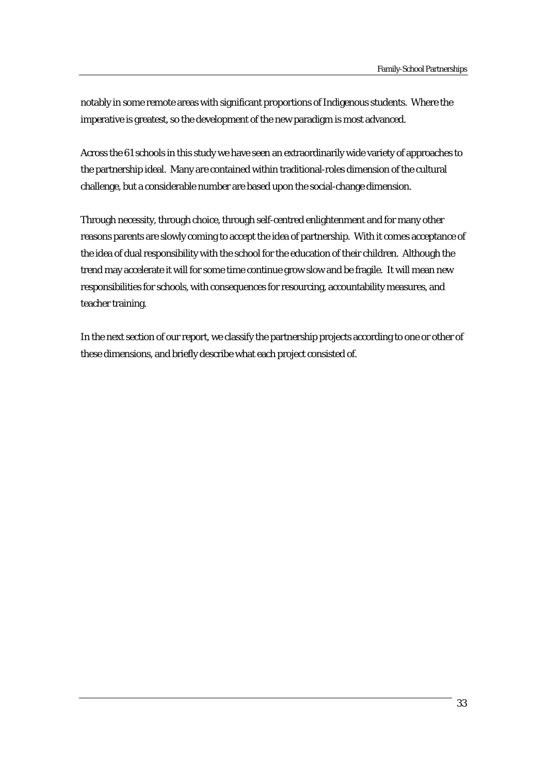notably in some remote areas with significant proportions of Indigenous students. Where the imperative is greatest, so the development of the new paradigm is most advanced.

Across the 61 schools in this study we have seen an extraordinarily wide variety of approaches to the partnership ideal. Many are contained within traditional-roles dimension of the cultural challenge, but a considerable number are based upon the social-change dimension.

Through necessity, through choice, through self-centred enlightenment and for many other reasons parents are slowly coming to accept the idea of partnership. With it comes acceptance of the idea of dual responsibility with the school for the education of their children. Although the trend may accelerate it will for some time continue grow slow and be fragile. It will mean new responsibilities for schools, with consequences for resourcing, accountability measures, and teacher training.

In the next section of our report, we classify the partnership projects according to one or other of these dimensions, and briefly describe what each project consisted of.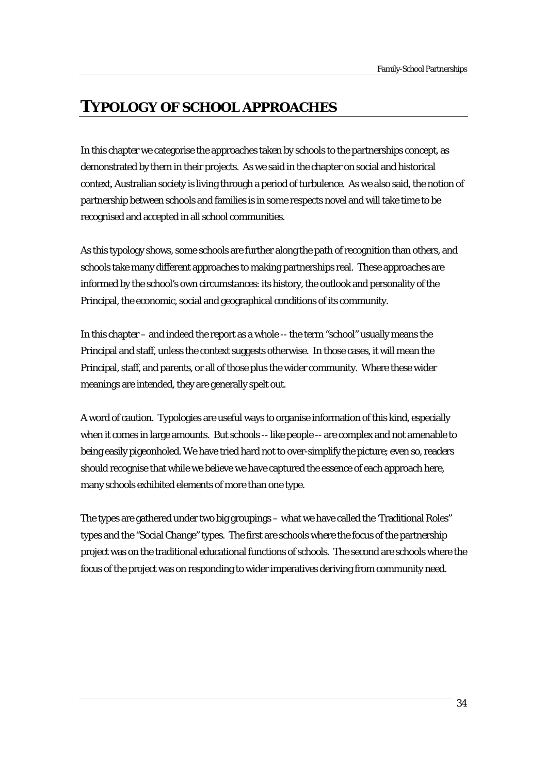# **TYPOLOGY OF SCHOOL APPROACHES**

In this chapter we categorise the approaches taken by schools to the partnerships concept, as demonstrated by them in their projects. As we said in the chapter on social and historical context, Australian society is living through a period of turbulence. As we also said, the notion of partnership between schools and families is in some respects novel and will take time to be recognised and accepted in all school communities.

As this typology shows, some schools are further along the path of recognition than others, and schools take many different approaches to making partnerships real. These approaches are informed by the school's own circumstances: its history, the outlook and personality of the Principal, the economic, social and geographical conditions of its community.

In this chapter – and indeed the report as a whole -- the term "school" usually means the Principal and staff, unless the context suggests otherwise. In those cases, it will mean the Principal, staff, and parents, or all of those plus the wider community. Where these wider meanings are intended, they are generally spelt out.

A word of caution. Typologies are useful ways to organise information of this kind, especially when it comes in large amounts. But schools -- like people -- are complex and not amenable to being easily pigeonholed. We have tried hard not to over-simplify the picture; even so, readers should recognise that while we believe we have captured the essence of each approach here, many schools exhibited elements of more than one type.

The types are gathered under two big groupings – what we have called the 'Traditional Roles" types and the "Social Change" types. The first are schools where the focus of the partnership project was on the traditional educational functions of schools. The second are schools where the focus of the project was on responding to wider imperatives deriving from community need.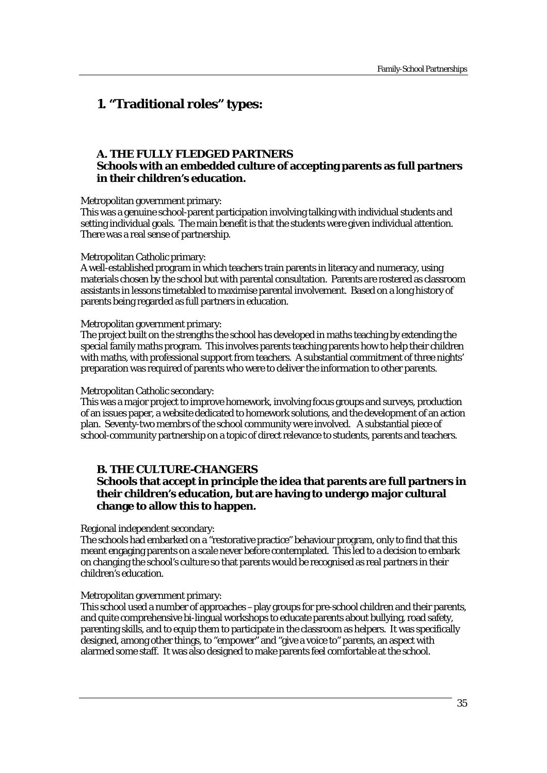# **1. "Traditional roles" types:**

# **A. THE FULLY FLEDGED PARTNERS Schools with an embedded culture of accepting parents as full partners in their children's education.**

Metropolitan government primary:

This was a genuine school-parent participation involving talking with individual students and setting individual goals. The main benefit is that the students were given individual attention. There was a real sense of partnership.

#### Metropolitan Catholic primary:

A well-established program in which teachers train parents in literacy and numeracy, using materials chosen by the school but with parental consultation. Parents are rostered as classroom assistants in lessons timetabled to maximise parental involvement. Based on a long history of parents being regarded as full partners in education.

#### Metropolitan government primary:

The project built on the strengths the school has developed in maths teaching by extending the special family maths program. This involves parents teaching parents how to help their children with maths, with professional support from teachers. A substantial commitment of three nights' preparation was required of parents who were to deliver the information to other parents.

#### Metropolitan Catholic secondary:

This was a major project to improve homework, involving focus groups and surveys, production of an issues paper, a website dedicated to homework solutions, and the development of an action plan. Seventy-two membrs of the school community were involved. A substantial piece of school-community partnership on a topic of direct relevance to students, parents and teachers.

#### **B. THE CULTURE-CHANGERS**

# **Schools that accept in principle the idea that parents are full partners in their children's education, but are having to undergo major cultural change to allow this to happen.**

Regional independent secondary:

The schools had embarked on a "restorative practice" behaviour program, only to find that this meant engaging parents on a scale never before contemplated. This led to a decision to embark on changing the school's culture so that parents would be recognised as real partners in their children's education.

#### Metropolitan government primary:

This school used a number of approaches –play groups for pre-school children and their parents, and quite comprehensive bi-lingual workshops to educate parents about bullying, road safety, parenting skills, and to equip them to participate in the classroom as helpers. It was specifically designed, among other things, to "empower" and "give a voice to" parents, an aspect with alarmed some staff. It was also designed to make parents feel comfortable at the school.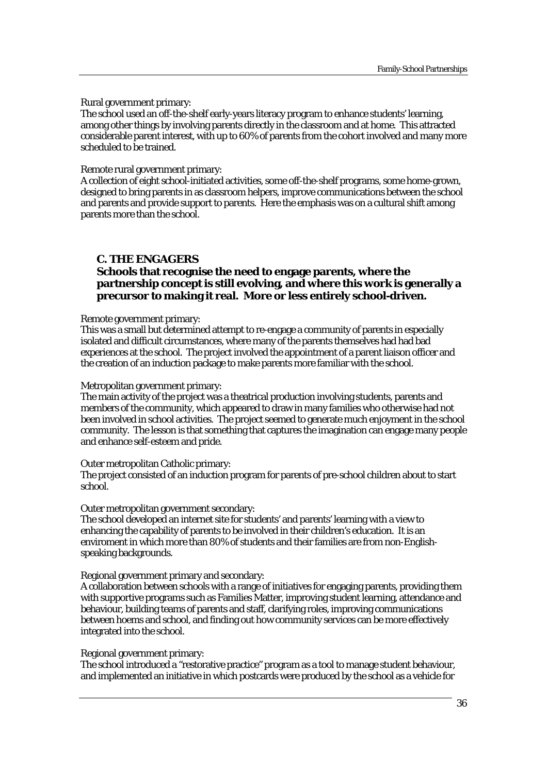Rural government primary:

The school used an off-the-shelf early-years literacy program to enhance students' learning, among other things by involving parents directly in the classroom and at home. This attracted considerable parent interest, with up to 60% of parents from the cohort involved and many more scheduled to be trained.

Remote rural government primary:

A collection of eight school-initiated activities, some off-the-shelf programs, some home-grown, designed to bring parents in as classroom helpers, improve communications between the school and parents and provide support to parents. Here the emphasis was on a cultural shift among parents more than the school.

#### **C. THE ENGAGERS**

# **Schools that recognise the need to engage parents, where the partnership concept is still evolving, and where this work is generally a precursor to making it real. More or less entirely school-driven.**

#### Remote government primary:

This was a small but determined attempt to re-engage a community of parents in especially isolated and difficult circumstances, where many of the parents themselves had had bad experiences at the school. The project involved the appointment of a parent liaison officer and the creation of an induction package to make parents more familiar with the school.

#### Metropolitan government primary:

The main activity of the project was a theatrical production involving students, parents and members of the community, which appeared to draw in many families who otherwise had not been involved in school activities. The project seemed to generate much enjoyment in the school community. The lesson is that something that captures the imagination can engage many people and enhance self-esteem and pride.

#### Outer metropolitan Catholic primary:

The project consisted of an induction program for parents of pre-school children about to start school.

#### Outer metropolitan government secondary:

The school developed an internet site for students' and parents' learning with a view to enhancing the capability of parents to be involved in their children's education. It is an enviroment in which more than 80% of students and their families are from non-Englishspeaking backgrounds.

#### Regional government primary and secondary:

A collaboration between schools with a range of initiatives for engaging parents, providing them with supportive programs such as Families Matter, improving student learning, attendance and behaviour, building teams of parents and staff, clarifying roles, improving communications between hoems and school, and finding out how community services can be more effectively integrated into the school.

#### Regional government primary:

The school introduced a "restorative practice" program as a tool to manage student behaviour, and implemented an initiative in which postcards were produced by the school as a vehicle for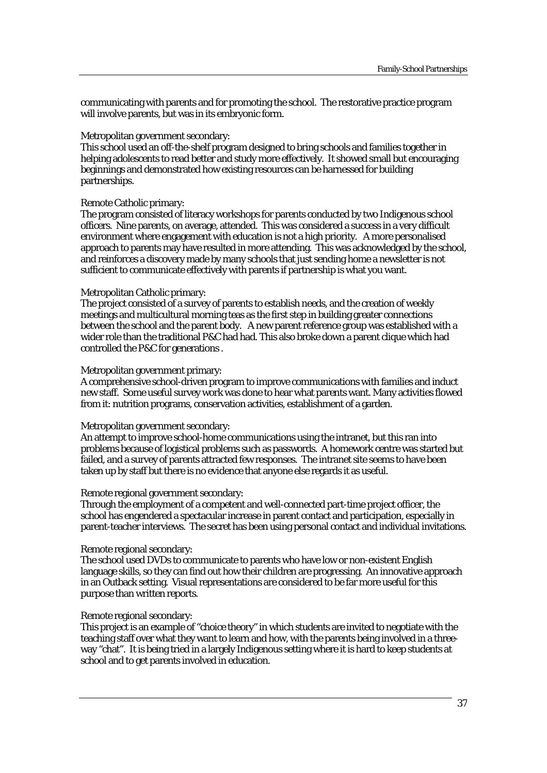communicating with parents and for promoting the school. The restorative practice program will involve parents, but was in its embryonic form.

# Metropolitan government secondary:

This school used an off-the-shelf program designed to bring schools and families together in helping adolescents to read better and study more effectively. It showed small but encouraging beginnings and demonstrated how existing resources can be harnessed for building partnerships.

#### Remote Catholic primary:

The program consisted of literacy workshops for parents conducted by two Indigenous school officers. Nine parents, on average, attended. This was considered a success in a very difficult environment where engagement with education is not a high priority. A more personalised approach to parents may have resulted in more attending. This was acknowledged by the school, and reinforces a discovery made by many schools that just sending home a newsletter is not sufficient to communicate effectively with parents if partnership is what you want.

#### Metropolitan Catholic primary:

The project consisted of a survey of parents to establish needs, and the creation of weekly meetings and multicultural morning teas as the first step in building greater connections between the school and the parent body. A new parent reference group was established with a wider role than the traditional P&C had had. This also broke down a parent clique which had controlled the P&C for generations .

#### Metropolitan government primary:

A comprehensive school-driven program to improve communications with families and induct new staff. Some useful survey work was done to hear what parents want. Many activities flowed from it: nutrition programs, conservation activities, establishment of a garden.

# Metropolitan government secondary:

An attempt to improve school-home communications using the intranet, but this ran into problems because of logistical problems such as passwords. A homework centre was started but failed, and a survey of parents attracted few responses. The intranet site seems to have been taken up by staff but there is no evidence that anyone else regards it as useful.

#### Remote regional government secondary:

Through the employment of a competent and well-connected part-time project officer, the school has engendered a spectacular increase in parent contact and participation, especially in parent-teacher interviews. The secret has been using personal contact and individual invitations.

# Remote regional secondary:

The school used DVDs to communicate to parents who have low or non-existent English language skills, so they can find out how their children are progressing. An innovative approach in an Outback setting. Visual representations are considered to be far more useful for this purpose than written reports.

# Remote regional secondary:

This project is an example of "choice theory" in which students are invited to negotiate with the teaching staff over what they want to learn and how, with the parents being involved in a threeway "chat". It is being tried in a largely Indigenous setting where it is hard to keep students at school and to get parents involved in education.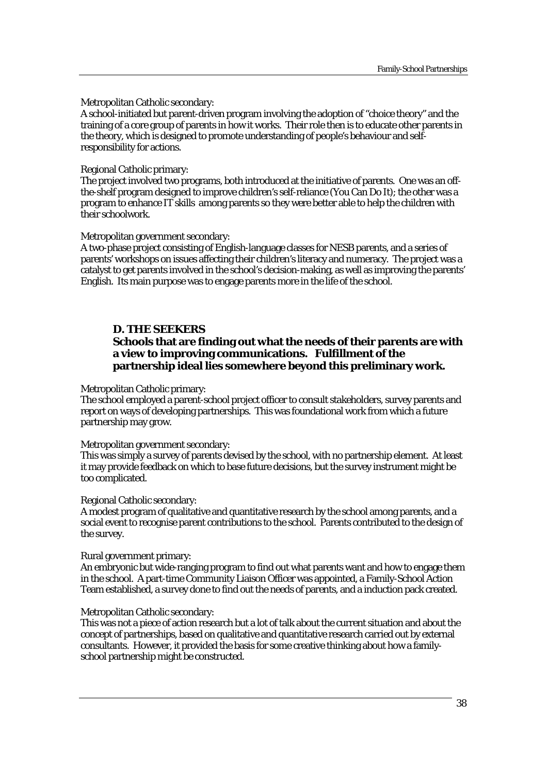Metropolitan Catholic secondary:

A school-initiated but parent-driven program involving the adoption of "choice theory" and the training of a core group of parents in how it works. Their role then is to educate other parents in the theory, which is designed to promote understanding of people's behaviour and selfresponsibility for actions.

Regional Catholic primary:

The project involved two programs, both introduced at the initiative of parents. One was an offthe-shelf program designed to improve children's self-reliance (You Can Do It); the other was a program to enhance IT skills among parents so they were better able to help the children with their schoolwork.

Metropolitan government secondary:

A two-phase project consisting of English-language classes for NESB parents, and a series of parents' workshops on issues affecting their children's literacy and numeracy. The project was a catalyst to get parents involved in the school's decision-making, as well as improving the parents' English. Its main purpose was to engage parents more in the life of the school.

# **D. THE SEEKERS**

# **Schools that are finding out what the needs of their parents are with a view to improving communications. Fulfillment of the partnership ideal lies somewhere beyond this preliminary work.**

Metropolitan Catholic primary:

The school employed a parent-school project officer to consult stakeholders, survey parents and report on ways of developing partnerships. This was foundational work from which a future partnership may grow.

Metropolitan government secondary:

This was simply a survey of parents devised by the school, with no partnership element. At least it may provide feedback on which to base future decisions, but the survey instrument might be too complicated.

Regional Catholic secondary:

A modest program of qualitative and quantitative research by the school among parents, and a social event to recognise parent contributions to the school. Parents contributed to the design of the survey.

Rural government primary:

An embryonic but wide-ranging program to find out what parents want and how to engage them in the school. A part-time Community Liaison Officer was appointed, a Family-School Action Team established, a survey done to find out the needs of parents, and a induction pack created.

# Metropolitan Catholic secondary:

This was not a piece of action research but a lot of talk about the current situation and about the concept of partnerships, based on qualitative and quantitative research carried out by external consultants. However, it provided the basis for some creative thinking about how a familyschool partnership might be constructed.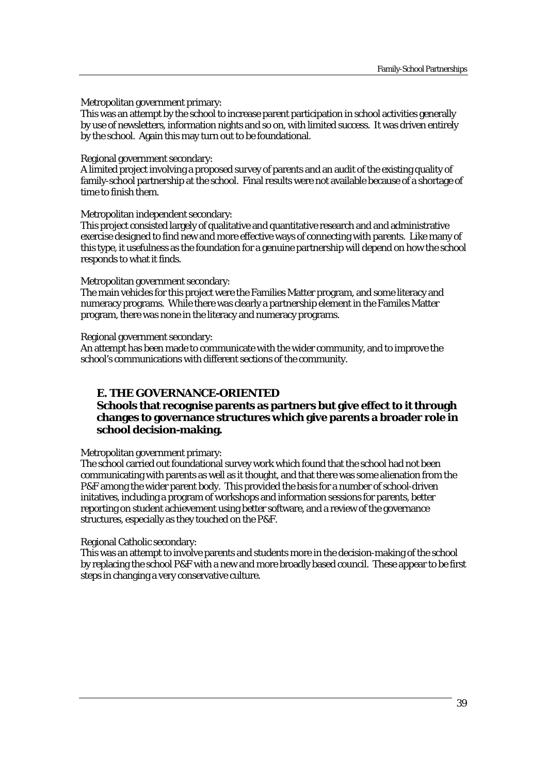Metropolitan government primary:

This was an attempt by the school to increase parent participation in school activities generally by use of newsletters, information nights and so on, with limited success. It was driven entirely by the school. Again this may turn out to be foundational.

#### Regional government secondary:

A limited project involving a proposed survey of parents and an audit of the existing quality of family-school partnership at the school. Final results were not available because of a shortage of time to finish them.

#### Metropolitan independent secondary:

This project consisted largely of qualitative and quantitative research and and administrative exercise designed to find new and more effective ways of connecting with parents. Like many of this type, it usefulness as the foundation for a genuine partnership will depend on how the school responds to what it finds.

Metropolitan government secondary:

The main vehicles for this project were the Families Matter program, and some literacy and numeracy programs. While there was clearly a partnership element in the Familes Matter program, there was none in the literacy and numeracy programs.

Regional government secondary:

An attempt has been made to communicate with the wider community, and to improve the school's communications with different sections of the community.

# **E. THE GOVERNANCE-ORIENTED**

# **Schools that recognise parents as partners but give effect to it through changes to governance structures which give parents a broader role in school decision-making.**

Metropolitan government primary:

The school carried out foundational survey work which found that the school had not been communicating with parents as well as it thought, and that there was some alienation from the P&F among the wider parent body. This provided the basis for a number of school-driven initatives, including a program of workshops and information sessions for parents, better reporting on student achievement using better software, and a review of the governance structures, especially as they touched on the P&F.

# Regional Catholic secondary:

This was an attempt to involve parents and students more in the decision-making of the school by replacing the school P&F with a new and more broadly based council. These appear to be first steps in changing a very conservative culture.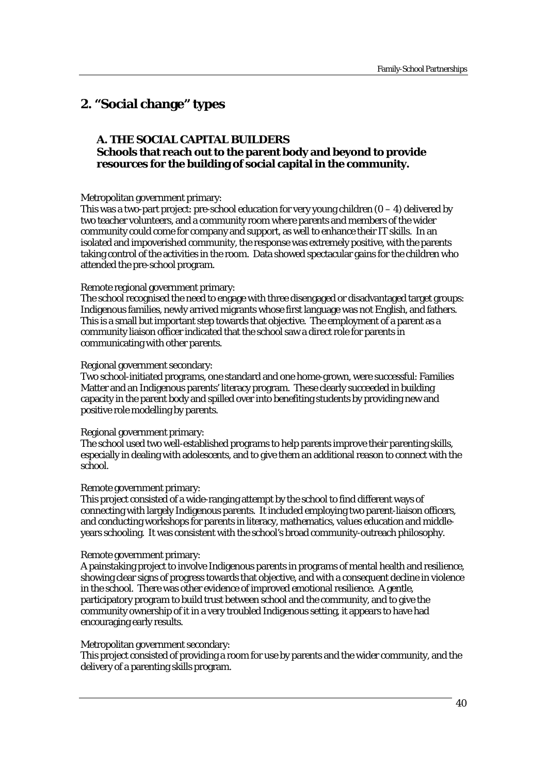# **2. "Social change" types**

# **A. THE SOCIAL CAPITAL BUILDERS Schools that reach out to the parent body and beyond to provide resources for the building of social capital in the community.**

#### Metropolitan government primary:

This was a two-part project: pre-school education for very young children  $(0 - 4)$  delivered by two teacher volunteers, and a community room where parents and members of the wider community could come for company and support, as well to enhance their IT skills. In an isolated and impoverished community, the response was extremely positive, with the parents taking control of the activities in the room. Data showed spectacular gains for the children who attended the pre-school program.

#### Remote regional government primary:

The school recognised the need to engage with three disengaged or disadvantaged target groups: Indigenous families, newly arrived migrants whose first language was not English, and fathers. This is a small but important step towards that objective. The employment of a parent as a community liaison officer indicated that the school saw a direct role for parents in communicating with other parents.

#### Regional government secondary:

Two school-initiated programs, one standard and one home-grown, were successful: Families Matter and an Indigenous parents' literacy program. These clearly succeeded in building capacity in the parent body and spilled over into benefiting students by providing new and positive role modelling by parents.

# Regional government primary:

The school used two well-established programs to help parents improve their parenting skills, especially in dealing with adolescents, and to give them an additional reason to connect with the school.

# Remote government primary:

This project consisted of a wide-ranging attempt by the school to find different ways of connecting with largely Indigenous parents. It included employing two parent-liaison officers, and conducting workshops for parents in literacy, mathematics, values education and middleyears schooling. It was consistent with the school's broad community-outreach philosophy.

#### Remote government primary:

A painstaking project to involve Indigenous parents in programs of mental health and resilience, showing clear signs of progress towards that objective, and with a consequent decline in violence in the school. There was other evidence of improved emotional resilience. A gentle, participatory program to build trust between school and the community, and to give the community ownership of it in a very troubled Indigenous setting, it appears to have had encouraging early results.

#### Metropolitan government secondary:

This project consisted of providing a room for use by parents and the wider community, and the delivery of a parenting skills program.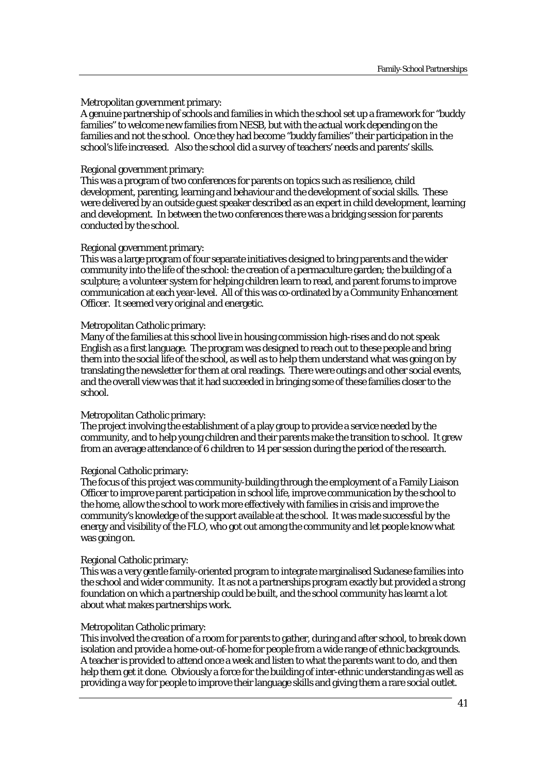# Metropolitan government primary:

A genuine partnership of schools and families in which the school set up a framework for "buddy families" to welcome new families from NESB, but with the actual work depending on the families and not the school. Once they had become "buddy families" their participation in the school's life increased. Also the school did a survey of teachers' needs and parents' skills.

#### Regional government primary:

This was a program of two conferences for parents on topics such as resilience, child development, parenting, learning and behaviour and the development of social skills. These were delivered by an outside guest speaker described as an expert in child development, learning and development. In between the two conferences there was a bridging session for parents conducted by the school.

#### Regional government primary:

This was a large program of four separate initiatives designed to bring parents and the wider community into the life of the school: the creation of a permaculture garden; the building of a sculpture; a volunteer system for helping children learn to read, and parent forums to improve communication at each year-level. All of this was co-ordinated by a Community Enhancement Officer. It seemed very original and energetic.

#### Metropolitan Catholic primary:

Many of the families at this school live in housing commission high-rises and do not speak English as a first language. The program was designed to reach out to these people and bring them into the social life of the school, as well as to help them understand what was going on by translating the newsletter for them at oral readings. There were outings and other social events, and the overall view was that it had succeeded in bringing some of these families closer to the school.

#### Metropolitan Catholic primary:

The project involving the establishment of a play group to provide a service needed by the community, and to help young children and their parents make the transition to school. It grew from an average attendance of 6 children to 14 per session during the period of the research.

#### Regional Catholic primary:

The focus of this project was community-building through the employment of a Family Liaison Officer to improve parent participation in school life, improve communication by the school to the home, allow the school to work more effectively with families in crisis and improve the community's knowledge of the support available at the school. It was made successful by the energy and visibility of the FLO, who got out among the community and let people know what was going on.

#### Regional Catholic primary:

This was a very gentle family-oriented program to integrate marginalised Sudanese families into the school and wider community. It as not a partnerships program exactly but provided a strong foundation on which a partnership could be built, and the school community has learnt a lot about what makes partnerships work.

#### Metropolitan Catholic primary:

This involved the creation of a room for parents to gather, during and after school, to break down isolation and provide a home-out-of-home for people from a wide range of ethnic backgrounds. A teacher is provided to attend once a week and listen to what the parents want to do, and then help them get it done. Obviously a force for the building of inter-ethnic understanding as well as providing a way for people to improve their language skills and giving them a rare social outlet.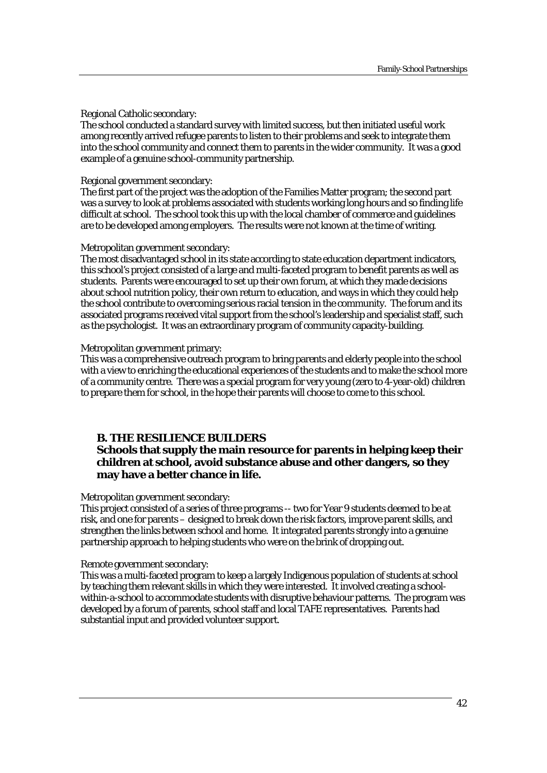# Regional Catholic secondary:

The school conducted a standard survey with limited success, but then initiated useful work among recently arrived refugee parents to listen to their problems and seek to integrate them into the school community and connect them to parents in the wider community. It was a good example of a genuine school-community partnership.

# Regional government secondary:

The first part of the project was the adoption of the Families Matter program; the second part was a survey to look at problems associated with students working long hours and so finding life difficult at school. The school took this up with the local chamber of commerce and guidelines are to be developed among employers. The results were not known at the time of writing.

# Metropolitan government secondary:

The most disadvantaged school in its state according to state education department indicators, this school's project consisted of a large and multi-faceted program to benefit parents as well as students. Parents were encouraged to set up their own forum, at which they made decisions about school nutrition policy, their own return to education, and ways in which they could help the school contribute to overcoming serious racial tension in the community. The forum and its associated programs received vital support from the school's leadership and specialist staff, such as the psychologist. It was an extraordinary program of community capacity-building.

# Metropolitan government primary:

This was a comprehensive outreach program to bring parents and elderly people into the school with a view to enriching the educational experiences of the students and to make the school more of a community centre. There was a special program for very young (zero to 4-year-old) children to prepare them for school, in the hope their parents will choose to come to this school.

# **B. THE RESILIENCE BUILDERS**

# **Schools that supply the main resource for parents in helping keep their children at school, avoid substance abuse and other dangers, so they may have a better chance in life.**

# Metropolitan government secondary:

This project consisted of a series of three programs -- two for Year 9 students deemed to be at risk, and one for parents – designed to break down the risk factors, improve parent skills, and strengthen the links between school and home. It integrated parents strongly into a genuine partnership approach to helping students who were on the brink of dropping out.

# Remote government secondary:

This was a multi-faceted program to keep a largely Indigenous population of students at school by teaching them relevant skills in which they were interested. It involved creating a schoolwithin-a-school to accommodate students with disruptive behaviour patterns. The program was developed by a forum of parents, school staff and local TAFE representatives. Parents had substantial input and provided volunteer support.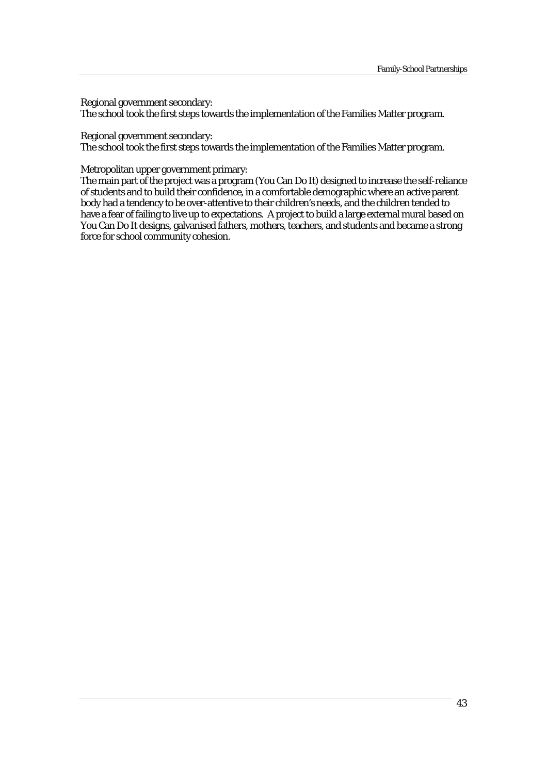Regional government secondary:

The school took the first steps towards the implementation of the Families Matter program.

Regional government secondary:

The school took the first steps towards the implementation of the Families Matter program.

Metropolitan upper government primary:

The main part of the project was a program (You Can Do It) designed to increase the self-reliance of students and to build their confidence, in a comfortable demographic where an active parent body had a tendency to be over-attentive to their children's needs, and the children tended to have a fear of failing to live up to expectations. A project to build a large external mural based on You Can Do It designs, galvanised fathers, mothers, teachers, and students and became a strong force for school community cohesion.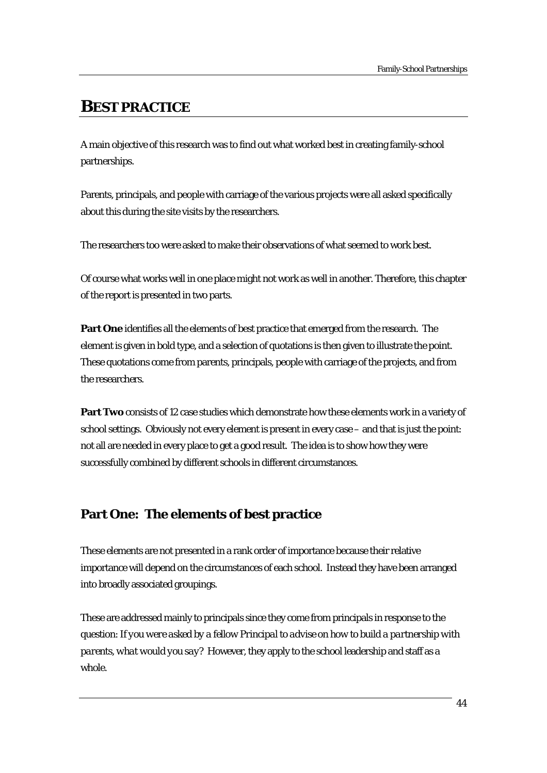# **BEST PRACTICE**

A main objective of this research was to find out what worked best in creating family-school partnerships.

Parents, principals, and people with carriage of the various projects were all asked specifically about this during the site visits by the researchers.

The researchers too were asked to make their observations of what seemed to work best.

Of course what works well in one place might not work as well in another. Therefore, this chapter of the report is presented in two parts.

**Part One** identifies all the elements of best practice that emerged from the research. The element is given in bold type, and a selection of quotations is then given to illustrate the point. These quotations come from parents, principals, people with carriage of the projects, and from the researchers.

**Part Two** consists of 12 case studies which demonstrate how these elements work in a variety of school settings. Obviously not every element is present in every case – and that is just the point: not all are needed in every place to get a good result. The idea is to show how they were successfully combined by different schools in different circumstances.

# **Part One: The elements of best practice**

These elements are not presented in a rank order of importance because their relative importance will depend on the circumstances of each school. Instead they have been arranged into broadly associated groupings.

These are addressed mainly to principals since they come from principals in response to the question: *If you were asked by a fellow Principal to advise on how to build a partnership with parents, what would you say?* However, they apply to the school leadership and staff as a whole.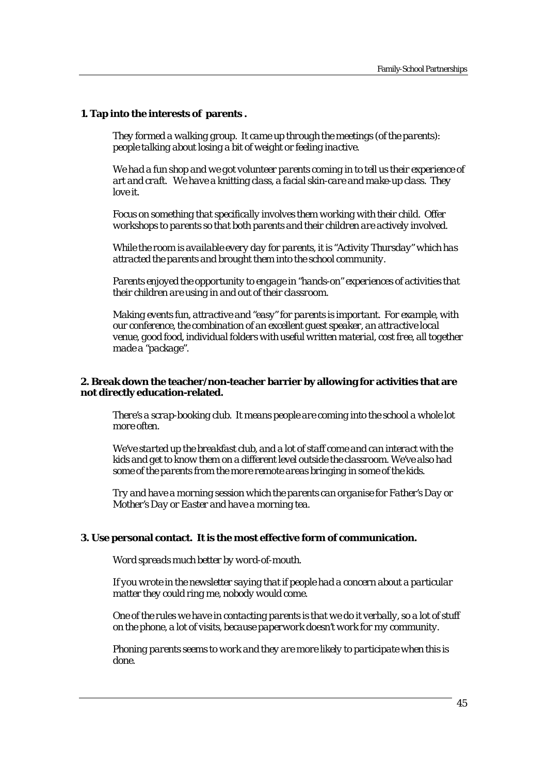# **1. Tap into the interests of parents .**

*They formed a walking group. It came up through the meetings (of the parents): people talking about losing a bit of weight or feeling inactive.* 

*We had a fun shop and we got volunteer parents coming in to tell us their experience of art and craft. We have a knitting class, a facial skin-care and make-up class. They love it.* 

*Focus on something that specifically involves them working with their child. Offer workshops to parents so that both parents and their children are actively involved.* 

*While the room is available every day for parents, it is "Activity Thursday" which has attracted the parents and brought them into the school community.* 

*Parents enjoyed the opportunity to engage in "hands-on" experiences of activities that their children are using in and out of their classroom.* 

*Making events fun, attractive and "easy" for parents is important. For example, with our conference, the combination of an excellent guest speaker, an attractive local venue, good food, individual folders with useful written material, cost free, all together made a "package".* 

#### **2. Break down the teacher/non-teacher barrier by allowing for activities that are not directly education-related.**

*There's a scrap-booking club. It means people are coming into the school a whole lot more often.* 

*We've started up the breakfast club, and a lot of staff come and can interact with the kids and get to know them on a different level outside the classroom. We've also had some of the parents from the more remote areas bringing in some of the kids.* 

*Try and have a morning session which the parents can organise for Father's Day or Mother's Day or Easter and have a morning tea.* 

#### **3. Use personal contact. It is the most effective form of communication.**

*Word spreads much better by word-of-mouth.* 

*If you wrote in the newsletter saying that if people had a concern about a particular matter they could ring me, nobody would come.* 

*One of the rules we have in contacting parents is that we do it verbally, so a lot of stuff on the phone, a lot of visits, because paperwork doesn't work for my community.* 

*Phoning parents seems to work and they are more likely to participate when this is done.*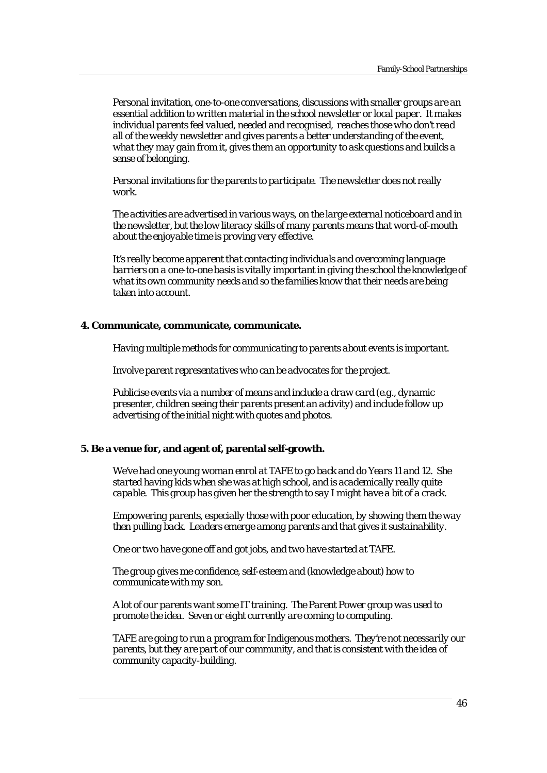*Personal invitation, one-to-one conversations, discussions with smaller groups are an essential addition to written material in the school newsletter or local paper. It makes individual parents feel valued, needed and recognised, reaches those who don't read all of the weekly newsletter and gives parents a better understanding of the event, what they may gain from it, gives them an opportunity to ask questions and builds a sense of belonging.* 

*Personal invitations for the parents to participate. The newsletter does not really work.* 

*The activities are advertised in various ways, on the large external noticeboard and in the newsletter, but the low literacy skills of many parents means that word-of-mouth about the enjoyable time is proving very effective.* 

*It's really become apparent that contacting individuals and overcoming language barriers on a one-to-one basis is vitally important in giving the school the knowledge of what its own community needs and so the families know that their needs are being taken into account.* 

# **4. Communicate, communicate, communicate.**

*Having multiple methods for communicating to parents about events is important.* 

*Involve parent representatives who can be advocates for the project.* 

*Publicise events via a number of means and include a draw card (e.g., dynamic presenter, children seeing their parents present an activity) and include follow up advertising of the initial night with quotes and photos.* 

#### **5. Be a venue for, and agent of, parental self-growth.**

*We've had one young woman enrol at TAFE to go back and do Years 11 and 12. She started having kids when she was at high school, and is academically really quite capable. This group has given her the strength to say I might have a bit of a crack.* 

*Empowering parents, especially those with poor education, by showing them the way then pulling back. Leaders emerge among parents and that gives it sustainability.* 

*One or two have gone off and got jobs, and two have started at TAFE.* 

*The group gives me confidence, self-esteem and (knowledge about) how to communicate with my son.* 

*A lot of our parents want some IT training. The Parent Power group was used to promote the idea. Seven or eight currently are coming to computing.* 

*TAFE are going to run a program for Indigenous mothers. They're not necessarily our parents, but they are part of our community, and that is consistent with the idea of community capacity-building.*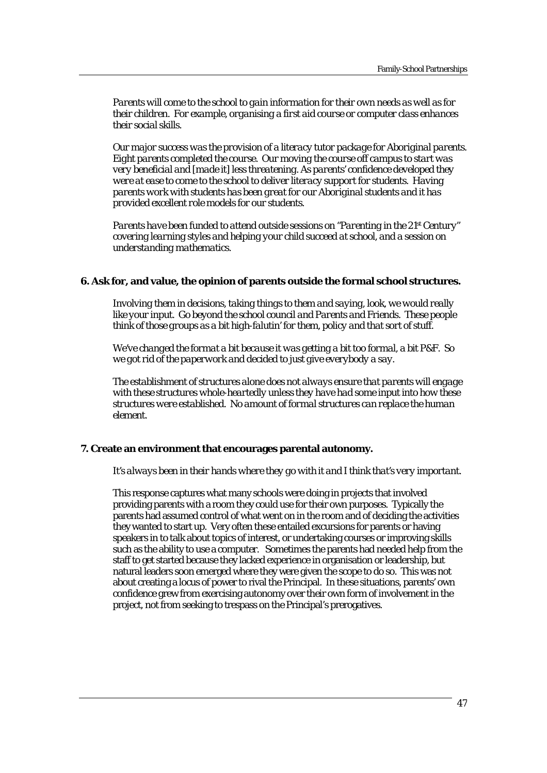*Parents will come to the school to gain information for their own needs as well as for their children. For example, organising a first aid course or computer class enhances their social skills.* 

*Our major success was the provision of a literacy tutor package for Aboriginal parents. Eight parents completed the course. Our moving the course off campus to start was very beneficial and [made it] less threatening. As parents' confidence developed they were at ease to come to the school to deliver literacy support for students. Having parents work with students has been great for our Aboriginal students and it has provided excellent role models for our students.* 

*Parents have been funded to attend outside sessions on "Parenting in the 21st Century" covering learning styles and helping your child succeed at school, and a session on understanding mathematics.* 

#### **6. Ask for, and value, the opinion of parents outside the formal school structures.**

*Involving them in decisions, taking things to them and saying, look, we would really like your input. Go beyond the school council and Parents and Friends. These people think of those groups as a bit high-falutin' for them, policy and that sort of stuff.* 

*We've changed the format a bit because it was getting a bit too formal, a bit P&F. So we got rid of the paperwork and decided to just give everybody a say.* 

*The establishment of structures alone does not always ensure that parents will engage with these structures whole-heartedly unless they have had some input into how these structures were established. No amount of formal structures can replace the human element.* 

#### **7. Create an environment that encourages parental autonomy.**

#### *It's always been in their hands where they go with it and I think that's very important.*

This response captures what many schools were doing in projects that involved providing parents with a room they could use for their own purposes. Typically the parents had assumed control of what went on in the room and of deciding the activities they wanted to start up. Very often these entailed excursions for parents or having speakers in to talk about topics of interest, or undertaking courses or improving skills such as the ability to use a computer. Sometimes the parents had needed help from the staff to get started because they lacked experience in organisation or leadership, but natural leaders soon emerged where they were given the scope to do so. This was not about creating a locus of power to rival the Principal. In these situations, parents' own confidence grew from exercising autonomy over their own form of involvement in the project, not from seeking to trespass on the Principal's prerogatives.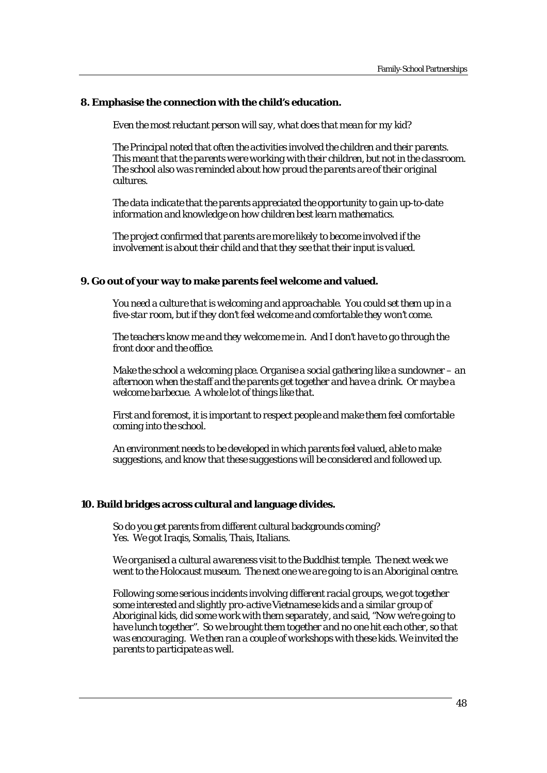#### **8. Emphasise the connection with the child's education.**

*Even the most reluctant person will say, what does that mean for my kid?* 

*The Principal noted that often the activities involved the children and their parents. This meant that the parents were working with their children, but not in the classroom. The school also was reminded about how proud the parents are of their original cultures.* 

*The data indicate that the parents appreciated the opportunity to gain up-to-date information and knowledge on how children best learn mathematics.* 

*The project confirmed that parents are more likely to become involved if the involvement is about their child and that they see that their input is valued.* 

#### **9. Go out of your way to make parents feel welcome and valued.**

*You need a culture that is welcoming and approachable. You could set them up in a five-star room, but if they don't feel welcome and comfortable they won't come.* 

*The teachers know me and they welcome me in. And I don't have to go through the front door and the office.* 

*Make the school a welcoming place. Organise a social gathering like a sundowner – an afternoon when the staff and the parents get together and have a drink. Or maybe a welcome barbecue. A whole lot of things like that.* 

*First and foremost, it is important to respect people and make them feel comfortable coming into the school.* 

*An environment needs to be developed in which parents feel valued, able to make suggestions, and know that these suggestions will be considered and followed up.* 

#### **10. Build bridges across cultural and language divides.**

So do you get parents from different cultural backgrounds coming? *Yes. We got Iraqis, Somalis, Thais, Italians.* 

*We organised a cultural awareness visit to the Buddhist temple. The next week we went to the Holocaust museum. The next one we are going to is an Aboriginal centre.* 

*Following some serious incidents involving different racial groups, we got together some interested and slightly pro-active Vietnamese kids and a similar group of Aboriginal kids, did some work with them separately, and said, "Now we're going to have lunch together". So we brought them together and no one hit each other, so that was encouraging. We then ran a couple of workshops with these kids. We invited the parents to participate as well.*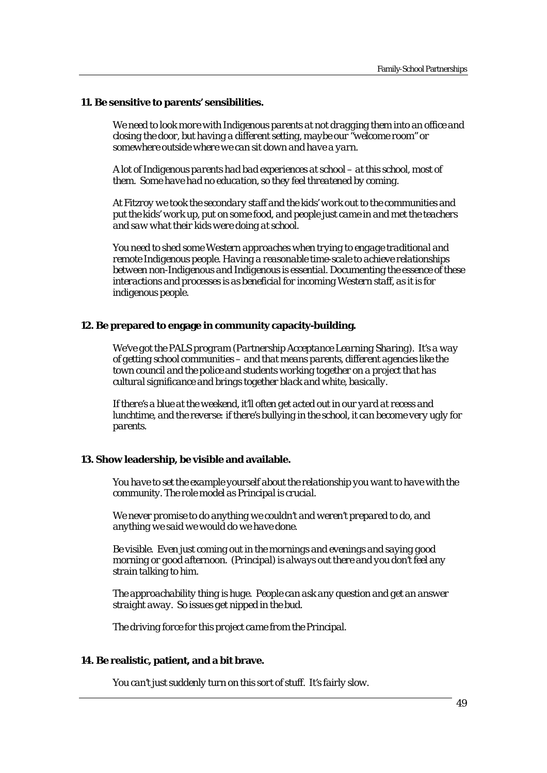#### **11. Be sensitive to parents' sensibilities.**

*We need to look more with Indigenous parents at not dragging them into an office and closing the door, but having a different setting, maybe our "welcome room" or somewhere outside where we can sit down and have a yarn.* 

*A lot of Indigenous parents had bad experiences at school – at this school, most of them. Some have had no education, so they feel threatened by coming.* 

*At Fitzroy we took the secondary staff and the kids' work out to the communities and put the kids' work up, put on some food, and people just came in and met the teachers and saw what their kids were doing at school.* 

*You need to shed some Western approaches when trying to engage traditional and remote Indigenous people. Having a reasonable time-scale to achieve relationships between non-Indigenous and Indigenous is essential. Documenting the essence of these interactions and processes is as beneficial for incoming Western staff, as it is for indigenous people.* 

# **12. Be prepared to engage in community capacity-building.**

*We've got the PALS program (Partnership Acceptance Learning Sharing). It's a way of getting school communities – and that means parents, different agencies like the town council and the police and students working together on a project that has cultural significance and brings together black and white, basically.* 

*If there's a blue at the weekend, it'll often get acted out in our yard at recess and lunchtime, and the reverse: if there's bullying in the school, it can become very ugly for parents.* 

# **13. Show leadership, be visible and available.**

*You have to set the example yourself about the relationship you want to have with the community. The role model as Principal is crucial.* 

*We never promise to do anything we couldn't and weren't prepared to do, and anything we said we would do we have done.* 

*Be visible. Even just coming out in the mornings and evenings and saying good morning or good afternoon. (Principal) is always out there and you don't feel any strain talking to him.* 

*The approachability thing is huge. People can ask any question and get an answer straight away. So issues get nipped in the bud.* 

*The driving force for this project came from the Principal.* 

# **14. Be realistic, patient, and a bit brave.**

*You can't just suddenly turn on this sort of stuff. It's fairly slow.*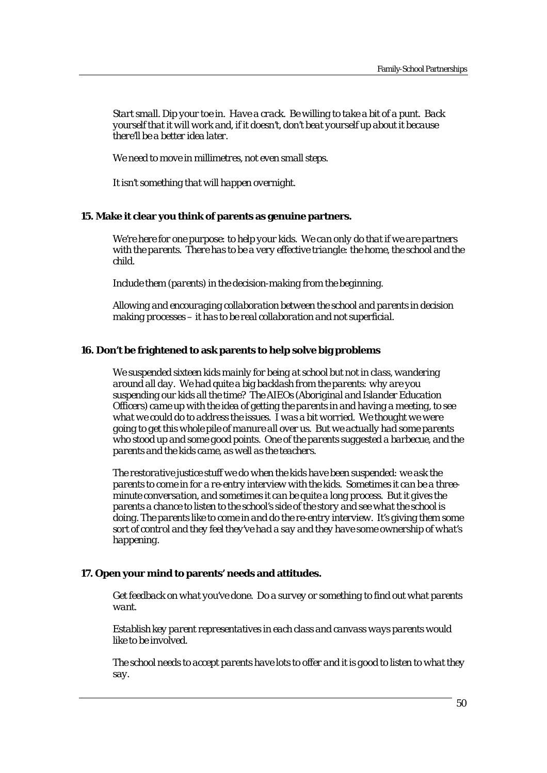*Start small. Dip your toe in. Have a crack. Be willing to take a bit of a punt. Back yourself that it will work and, if it doesn't, don't beat yourself up about it because there'll be a better idea later.* 

 *We need to move in millimetres, not even small steps.* 

*It isn't something that will happen overnight.* 

# **15. Make it clear you think of parents as genuine partners.**

*We're here for one purpose: to help your kids. We can only do that if we are partners with the parents. There has to be a very effective triangle: the home, the school and the child.* 

*Include them (parents) in the decision-making from the beginning.* 

*Allowing and encouraging collaboration between the school and parents in decision making processes – it has to be real collaboration and not superficial.* 

#### **16. Don't be frightened to ask parents to help solve big problems**

*We suspended sixteen kids mainly for being at school but not in class, wandering around all day. We had quite a big backlash from the parents: why are you suspending our kids all the time? The AIEOs (Aboriginal and Islander Education Officers) came up with the idea of getting the parents in and having a meeting, to see what we could do to address the issues. I was a bit worried. We thought we were going to get this whole pile of manure all over us. But we actually had some parents who stood up and some good points. One of the parents suggested a barbecue, and the parents and the kids came, as well as the teachers.* 

*The restorative justice stuff we do when the kids have been suspended: we ask the parents to come in for a re-entry interview with the kids. Sometimes it can be a threeminute conversation, and sometimes it can be quite a long process. But it gives the parents a chance to listen to the school's side of the story and see what the school is doing. The parents like to come in and do the re-entry interview. It's giving them some sort of control and they feel they've had a say and they have some ownership of what's happening.* 

#### **17. Open your mind to parents' needs and attitudes.**

*Get feedback on what you've done. Do a survey or something to find out what parents want.* 

*Establish key parent representatives in each class and canvass ways parents would like to be involved.* 

*The school needs to accept parents have lots to offer and it is good to listen to what they say.*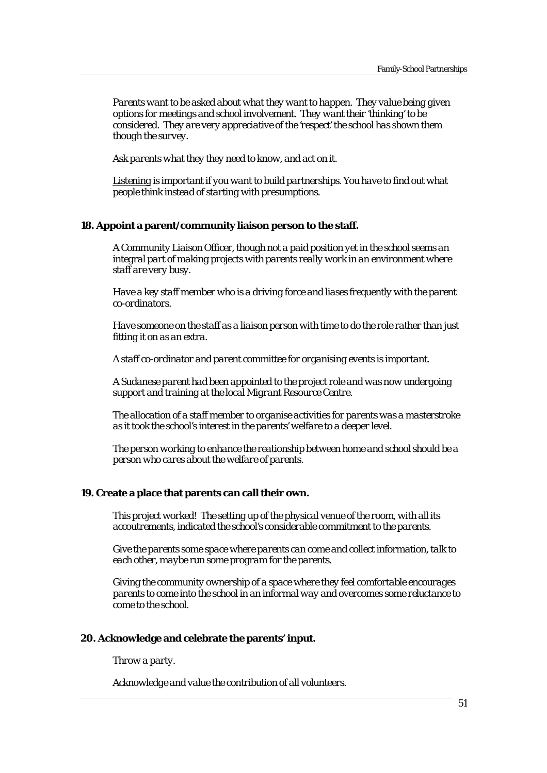*Parents want to be asked about what they want to happen. They value being given options for meetings and school involvement. They want their 'thinking' to be considered. They are very appreciative of the 'respect' the school has shown them though the survey.* 

*Ask parents what they they need to know, and act on it.* 

*Listening is important if you want to build partnerships. You have to find out what people think instead of starting with presumptions.* 

# **18. Appoint a parent/community liaison person to the staff.**

*A Community Liaison Officer, though not a paid position yet in the school seems an integral part of making projects with parents really work in an environment where staff are very busy.* 

*Have a key staff member who is a driving force and liases frequently with the parent co-ordinators.* 

*Have someone on the staff as a liaison person with time to do the role rather than just fitting it on as an extra.* 

*A staff co-ordinator and parent committee for organising events is important.* 

*A Sudanese parent had been appointed to the project role and was now undergoing support and training at the local Migrant Resource Centre.* 

*The allocation of a staff member to organise activities for parents was a masterstroke as it took the school's interest in the parents' welfare to a deeper level.* 

*The person working to enhance the reationship between home and school should be a person who cares about the welfare of parents.* 

#### **19. Create a place that parents can call their own.**

*This project worked! The setting up of the physical venue of the room, with all its accoutrements, indicated the school's considerable commitment to the parents.* 

*Give the parents some space where parents can come and collect information, talk to each other, maybe run some program for the parents.* 

*Giving the community ownership of a space where they feel comfortable encourages parents to come into the school in an informal way and overcomes some reluctance to come to the school.* 

# **20. Acknowledge and celebrate the parents' input.**

*Throw a party.* 

*Acknowledge and value the contribution of all volunteers.*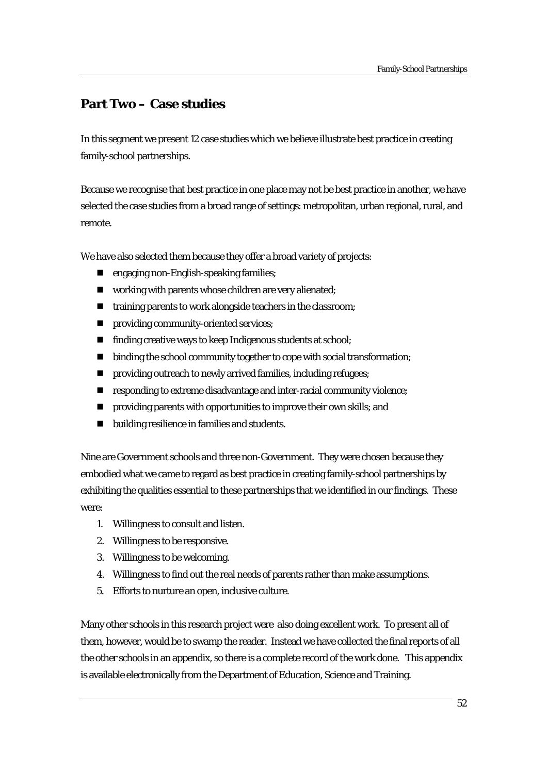# **Part Two – Case studies**

In this segment we present 12 case studies which we believe illustrate best practice in creating family-school partnerships.

Because we recognise that best practice in one place may not be best practice in another, we have selected the case studies from a broad range of settings: metropolitan, urban regional, rural, and remote.

We have also selected them because they offer a broad variety of projects:

- **n** engaging non-English-speaking families;
- $\blacksquare$  working with parents whose children are very alienated;
- $\blacksquare$  training parents to work alongside teachers in the classroom;
- **n** providing community-oriented services;
- finding creative ways to keep Indigenous students at school;
- $\blacksquare$  binding the school community together to cope with social transformation;
- $\blacksquare$  providing outreach to newly arrived families, including refugees;
- $\blacksquare$  responding to extreme disadvantage and inter-racial community violence;
- **P** providing parents with opportunities to improve their own skills; and
- $\blacksquare$  building resilience in families and students.

Nine are Government schools and three non-Government. They were chosen because they embodied what we came to regard as best practice in creating family-school partnerships by exhibiting the qualities essential to these partnerships that we identified in our findings. These were:

- 1. Willingness to consult and listen.
- 2. Willingness to be responsive.
- 3. Willingness to be welcoming.
- 4. Willingness to find out the real needs of parents rather than make assumptions.
- 5. Efforts to nurture an open, inclusive culture.

Many other schools in this research project were also doing excellent work. To present all of them, however, would be to swamp the reader. Instead we have collected the final reports of all the other schools in an appendix, so there is a complete record of the work done. This appendix is available electronically from the Department of Education, Science and Training.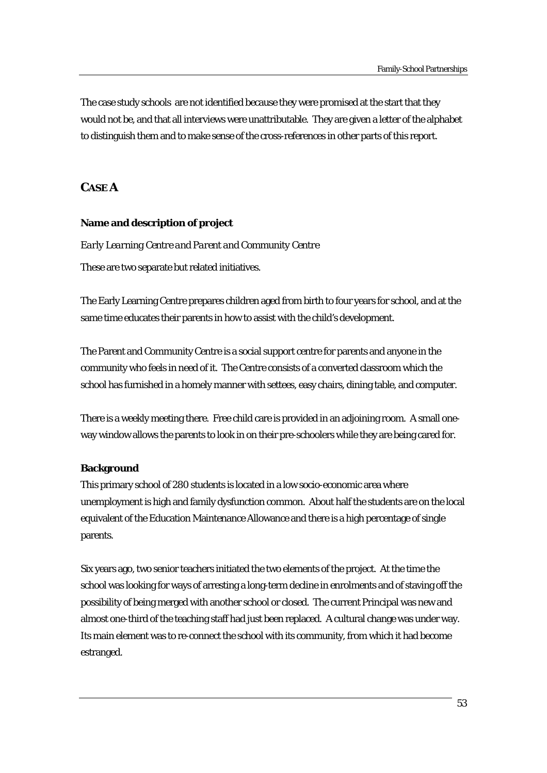The case study schools are not identified because they were promised at the start that they would not be, and that all interviews were unattributable. They are given a letter of the alphabet to distinguish them and to make sense of the cross-references in other parts of this report.

# **CASE A**

#### **Name and description of project**

#### *Early Learning Centre and Parent and Community Centre*

These are two separate but related initiatives.

The Early Learning Centre prepares children aged from birth to four years for school, and at the same time educates their parents in how to assist with the child's development.

The Parent and Community Centre is a social support centre for parents and anyone in the community who feels in need of it. The Centre consists of a converted classroom which the school has furnished in a homely manner with settees, easy chairs, dining table, and computer.

There is a weekly meeting there. Free child care is provided in an adjoining room. A small oneway window allows the parents to look in on their pre-schoolers while they are being cared for.

#### **Background**

This primary school of 280 students is located in a low socio-economic area where unemployment is high and family dysfunction common. About half the students are on the local equivalent of the Education Maintenance Allowance and there is a high percentage of single parents.

Six years ago, two senior teachers initiated the two elements of the project. At the time the school was looking for ways of arresting a long-term decline in enrolments and of staving off the possibility of being merged with another school or closed. The current Principal was new and almost one-third of the teaching staff had just been replaced. A cultural change was under way. Its main element was to re-connect the school with its community, from which it had become estranged.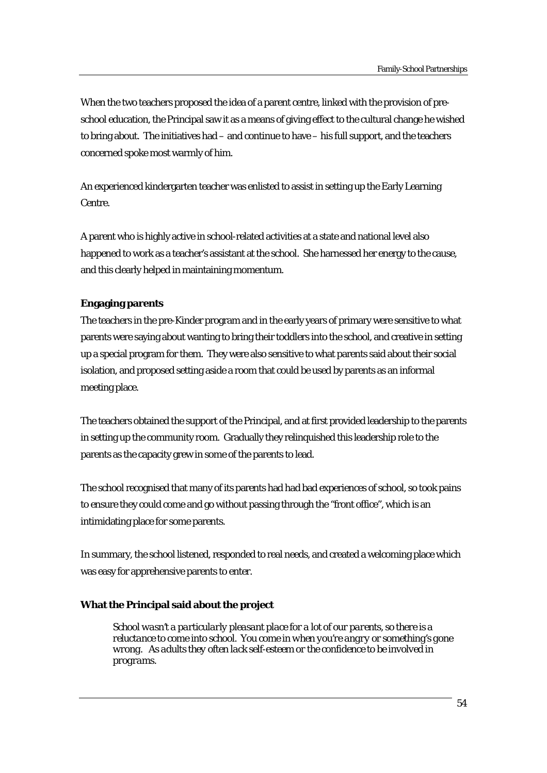When the two teachers proposed the idea of a parent centre, linked with the provision of preschool education, the Principal saw it as a means of giving effect to the cultural change he wished to bring about. The initiatives had – and continue to have – his full support, and the teachers concerned spoke most warmly of him.

An experienced kindergarten teacher was enlisted to assist in setting up the Early Learning Centre.

A parent who is highly active in school-related activities at a state and national level also happened to work as a teacher's assistant at the school. She harnessed her energy to the cause, and this clearly helped in maintaining momentum.

# **Engaging parents**

The teachers in the pre-Kinder program and in the early years of primary were sensitive to what parents were saying about wanting to bring their toddlers into the school, and creative in setting up a special program for them. They were also sensitive to what parents said about their social isolation, and proposed setting aside a room that could be used by parents as an informal meeting place.

The teachers obtained the support of the Principal, and at first provided leadership to the parents in setting up the community room. Gradually they relinquished this leadership role to the parents as the capacity grew in some of the parents to lead.

The school recognised that many of its parents had had bad experiences of school, so took pains to ensure they could come and go without passing through the "front office", which is an intimidating place for some parents.

In summary, the school listened, responded to real needs, and created a welcoming place which was easy for apprehensive parents to enter.

# **What the Principal said about the project**

*School wasn't a particularly pleasant place for a lot of our parents, so there is a reluctance to come into school. You come in when you're angry or something's gone wrong. As adults they often lack self-esteem or the confidence to be involved in programs.*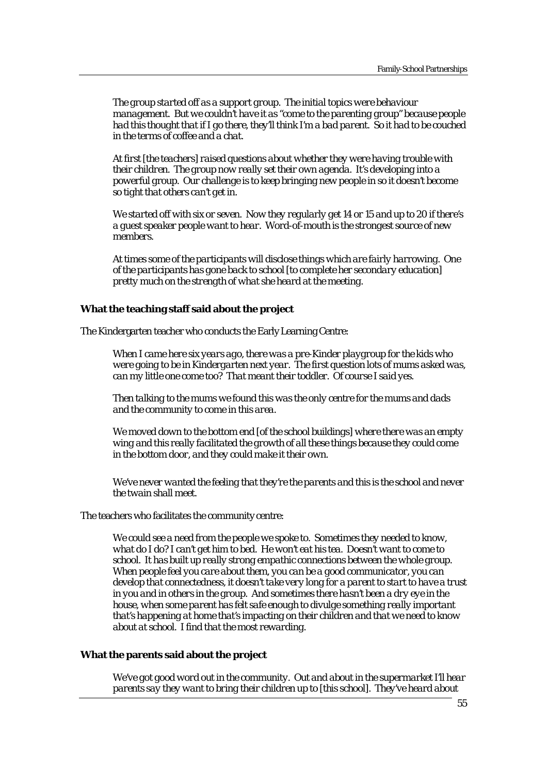*The group started off as a support group. The initial topics were behaviour management. But we couldn't have it as "come to the parenting group" because people had this thought that if I go there, they'll think I'm a bad parent. So it had to be couched in the terms of coffee and a chat.* 

*At first [the teachers] raised questions about whether they were having trouble with their children. The group now really set their own agenda. It's developing into a powerful group. Our challenge is to keep bringing new people in so it doesn't become so tight that others can't get in.* 

*We started off with six or seven. Now they regularly get 14 or 15 and up to 20 if there's a guest speaker people want to hear. Word-of-mouth is the strongest source of new members.* 

*At times some of the participants will disclose things which are fairly harrowing. One of the participants has gone back to school [to complete her secondary education] pretty much on the strength of what she heard at the meeting.* 

#### **What the teaching staff said about the project**

The Kindergarten teacher who conducts the Early Learning Centre:

*When I came here six years ago, there was a pre-Kinder playgroup for the kids who were going to be in Kindergarten next year. The first question lots of mums asked was, can my little one come too? That meant their toddler. Of course I said yes.* 

*Then talking to the mums we found this was the only centre for the mums and dads and the community to come in this area.* 

*We moved down to the bottom end [of the school buildings] where there was an empty wing and this really facilitated the growth of all these things because they could come in the bottom door, and they could make it their own.* 

*We've never wanted the feeling that they're the parents and this is the school and never the twain shall meet.* 

The teachers who facilitates the community centre:

*We could see a need from the people we spoke to. Sometimes they needed to know, what do I do? I can't get him to bed. He won't eat his tea. Doesn't want to come to school. It has built up really strong empathic connections between the whole group. When people feel you care about them, you can be a good communicator, you can develop that connectedness, it doesn't take very long for a parent to start to have a trust in you and in others in the group. And sometimes there hasn't been a dry eye in the house, when some parent has felt safe enough to divulge something really important that's happening at home that's impacting on their children and that we need to know about at school. I find that the most rewarding.* 

#### **What the parents said about the project**

*We've got good word out in the community. Out and about in the supermarket I'll hear parents say they want to bring their children up to [this school]. They've heard about*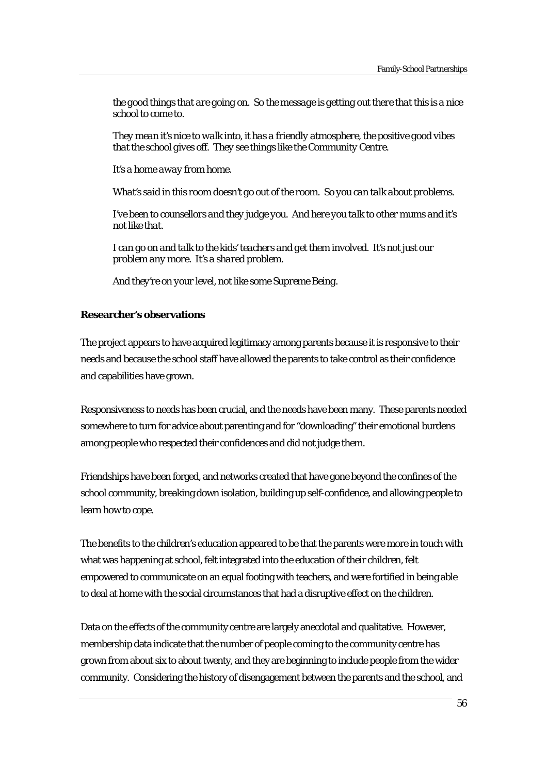*the good things that are going on. So the message is getting out there that this is a nice school to come to.* 

*They mean it's nice to walk into, it has a friendly atmosphere, the positive good vibes that the school gives off. They see things like the Community Centre.* 

*It's a home away from home.* 

*What's said in this room doesn't go out of the room. So you can talk about problems.* 

*I've been to counsellors and they judge you. And here you talk to other mums and it's not like that.* 

*I can go on and talk to the kids' teachers and get them involved. It's not just our problem any more. It's a shared problem.* 

*And they're on your level, not like some Supreme Being.* 

#### **Researcher's observations**

The project appears to have acquired legitimacy among parents because it is responsive to their needs and because the school staff have allowed the parents to take control as their confidence and capabilities have grown.

Responsiveness to needs has been crucial, and the needs have been many. These parents needed somewhere to turn for advice about parenting and for "downloading" their emotional burdens among people who respected their confidences and did not judge them.

Friendships have been forged, and networks created that have gone beyond the confines of the school community, breaking down isolation, building up self-confidence, and allowing people to learn how to cope.

The benefits to the children's education appeared to be that the parents were more in touch with what was happening at school, felt integrated into the education of their children, felt empowered to communicate on an equal footing with teachers, and were fortified in being able to deal at home with the social circumstances that had a disruptive effect on the children.

Data on the effects of the community centre are largely anecdotal and qualitative. However, membership data indicate that the number of people coming to the community centre has grown from about six to about twenty, and they are beginning to include people from the wider community. Considering the history of disengagement between the parents and the school, and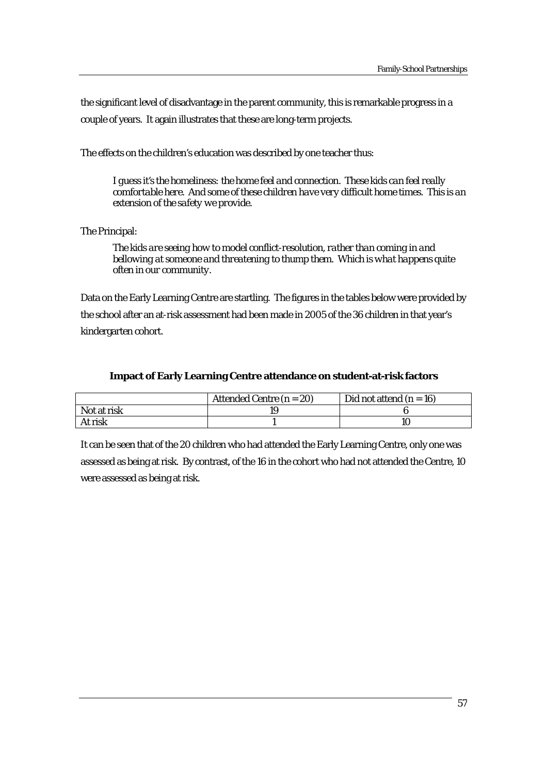the significant level of disadvantage in the parent community, this is remarkable progress in a couple of years. It again illustrates that these are long-term projects.

The effects on the children's education was described by one teacher thus:

*I guess it's the homeliness: the home feel and connection. These kids can feel really comfortable here. And some of these children have very difficult home times. This is an extension of the safety we provide.* 

The Principal:

*The kids are seeing how to model conflict-resolution, rather than coming in and bellowing at someone and threatening to thump them. Which is what happens quite often in our community.* 

Data on the Early Learning Centre are startling. The figures in the tables below were provided by the school after an at-risk assessment had been made in 2005 of the 36 children in that year's kindergarten cohort.

# **Impact of Early Learning Centre attendance on student-at-risk factors**

|             | Attended Centre $(n = 20)$ | Did not attend $(n = 16)$ |
|-------------|----------------------------|---------------------------|
| Not at risk |                            |                           |
| At risk     |                            |                           |

It can be seen that of the 20 children who had attended the Early Learning Centre, only one was assessed as being at risk. By contrast, of the 16 in the cohort who had not attended the Centre, 10 were assessed as being at risk.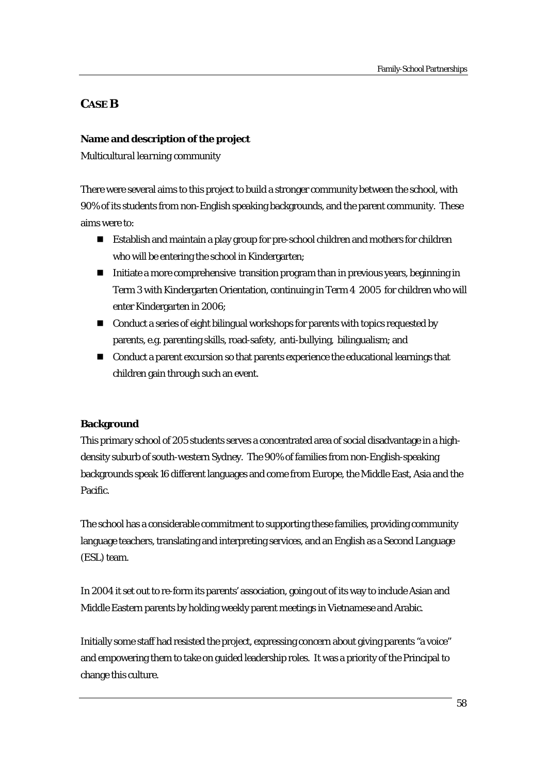# **CASE B**

# **Name and description of the project**

*Multicultural learning community* 

There were several aims to this project to build a stronger community between the school, with 90% of its students from non-English speaking backgrounds, and the parent community. These aims were to:

- Establish and maintain a play group for pre-school children and mothers for children who will be entering the school in Kindergarten;
- Initiate a more comprehensive transition program than in previous years, beginning in Term 3 with Kindergarten Orientation, continuing in Term 4 2005 for children who will enter Kindergarten in 2006;
- Conduct a series of eight bilingual workshops for parents with topics requested by parents, e.g. parenting skills, road-safety, anti-bullying, bilingualism; and
- Conduct a parent excursion so that parents experience the educational learnings that children gain through such an event.

# **Background**

This primary school of 205 students serves a concentrated area of social disadvantage in a highdensity suburb of south-western Sydney. The 90% of families from non-English-speaking backgrounds speak 16 different languages and come from Europe, the Middle East, Asia and the **Pacific** 

The school has a considerable commitment to supporting these families, providing community language teachers, translating and interpreting services, and an English as a Second Language (ESL) team.

In 2004 it set out to re-form its parents' association, going out of its way to include Asian and Middle Eastern parents by holding weekly parent meetings in Vietnamese and Arabic.

Initially some staff had resisted the project, expressing concern about giving parents "a voice" and empowering them to take on guided leadership roles. It was a priority of the Principal to change this culture.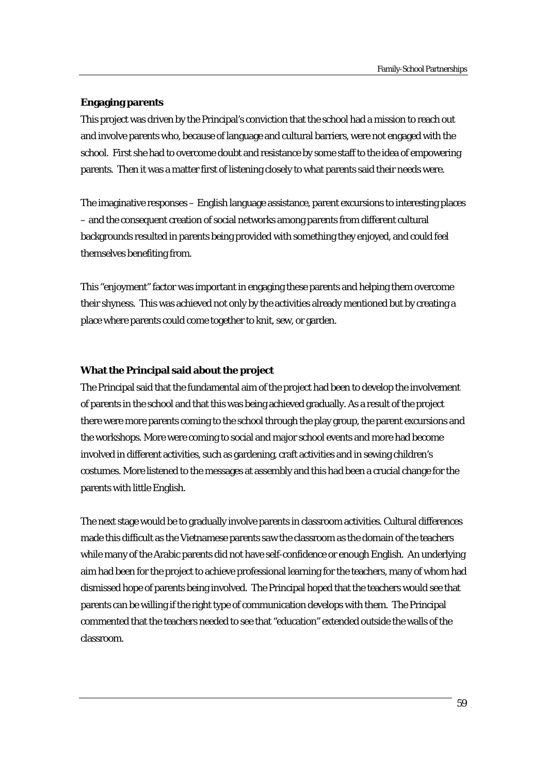#### **Engaging parents**

This project was driven by the Principal's conviction that the school had a mission to reach out and involve parents who, because of language and cultural barriers, were not engaged with the school. First she had to overcome doubt and resistance by some staff to the idea of empowering parents. Then it was a matter first of listening closely to what parents said their needs were.

The imaginative responses – English language assistance, parent excursions to interesting places – and the consequent creation of social networks among parents from different cultural backgrounds resulted in parents being provided with something they enjoyed, and could feel themselves benefiting from.

This "enjoyment" factor was important in engaging these parents and helping them overcome their shyness. This was achieved not only by the activities already mentioned but by creating a place where parents could come together to knit, sew, or garden.

#### **What the Principal said about the project**

The Principal said that the fundamental aim of the project had been to develop the involvement of parents in the school and that this was being achieved gradually. As a result of the project there were more parents coming to the school through the play group, the parent excursions and the workshops. More were coming to social and major school events and more had become involved in different activities, such as gardening, craft activities and in sewing children's costumes. More listened to the messages at assembly and this had been a crucial change for the parents with little English.

The next stage would be to gradually involve parents in classroom activities. Cultural differences made this difficult as the Vietnamese parents saw the classroom as the domain of the teachers while many of the Arabic parents did not have self-confidence or enough English. An underlying aim had been for the project to achieve professional learning for the teachers, many of whom had dismissed hope of parents being involved. The Principal hoped that the teachers would see that parents can be willing if the right type of communication develops with them. The Principal commented that the teachers needed to see that "education" extended outside the walls of the classroom.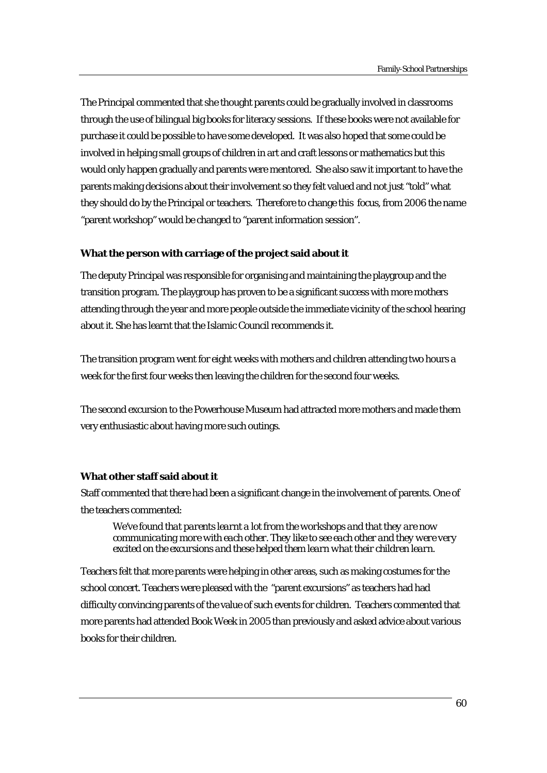The Principal commented that she thought parents could be gradually involved in classrooms through the use of bilingual big books for literacy sessions. If these books were not available for purchase it could be possible to have some developed. It was also hoped that some could be involved in helping small groups of children in art and craft lessons or mathematics but this would only happen gradually and parents were mentored. She also saw it important to have the parents making decisions about their involvement so they felt valued and not just "told" what they should do by the Principal or teachers. Therefore to change this focus, from 2006 the name "parent workshop" would be changed to "parent information session".

# **What the person with carriage of the project said about it**

The deputy Principal was responsible for organising and maintaining the playgroup and the transition program. The playgroup has proven to be a significant success with more mothers attending through the year and more people outside the immediate vicinity of the school hearing about it. She has learnt that the Islamic Council recommends it.

The transition program went for eight weeks with mothers and children attending two hours a week for the first four weeks then leaving the children for the second four weeks.

The second excursion to the Powerhouse Museum had attracted more mothers and made them very enthusiastic about having more such outings.

# **What other staff said about it**

Staff commented that there had been a significant change in the involvement of parents. One of the teachers commented:

*We've found that parents learnt a lot from the workshops and that they are now communicating more with each other. They like to see each other and they were very excited on the excursions and these helped them learn what their children learn.* 

Teachers felt that more parents were helping in other areas, such as making costumes for the school concert. Teachers were pleased with the "parent excursions" as teachers had had difficulty convincing parents of the value of such events for children. Teachers commented that more parents had attended Book Week in 2005 than previously and asked advice about various books for their children.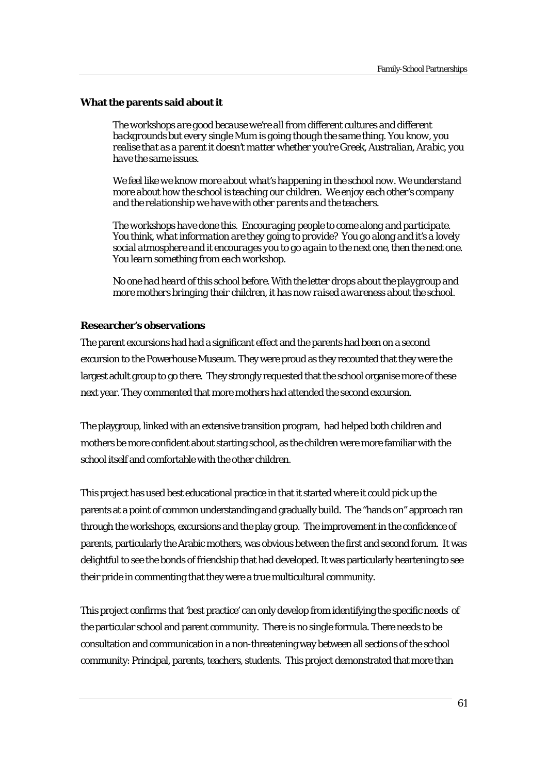#### **What the parents said about it**

*The workshops are good because we're all from different cultures and different backgrounds but every single Mum is going though the same thing. You know, you realise that as a parent it doesn't matter whether you're Greek, Australian, Arabic, you have the same issues.* 

We feel like we know more about what's happening in the school now. We understand *more about how the school is teaching our children. We enjoy each other's company and the relationship we have with other parents and the teachers.* 

*The workshops have done this. Encouraging people to come along and participate. You think, what information are they going to provide? You go along and it's a lovely social atmosphere and it encourages you to go again to the next one, then the next one. You learn something from each workshop.* 

*No one had heard of this school before. With the letter drops about the playgroup and more mothers bringing their children, it has now raised awareness about the school.*

# **Researcher's observations**

The parent excursions had had a significant effect and the parents had been on a second excursion to the Powerhouse Museum. They were proud as they recounted that they were the largest adult group to go there. They strongly requested that the school organise more of these next year. They commented that more mothers had attended the second excursion.

The playgroup, linked with an extensive transition program, had helped both children and mothers be more confident about starting school, as the children were more familiar with the school itself and comfortable with the other children.

This project has used best educational practice in that it started where it could pick up the parents at a point of common understanding and gradually build. The "hands on" approach ran through the workshops, excursions and the play group. The improvement in the confidence of parents, particularly the Arabic mothers, was obvious between the first and second forum. It was delightful to see the bonds of friendship that had developed. It was particularly heartening to see their pride in commenting that they were a true multicultural community*.* 

This project confirms that 'best practice' can only develop from identifying the specific needs of the particular school and parent community. There is no single formula. There needs to be consultation and communication in a non-threatening way between all sections of the school community: Principal, parents, teachers, students. This project demonstrated that more than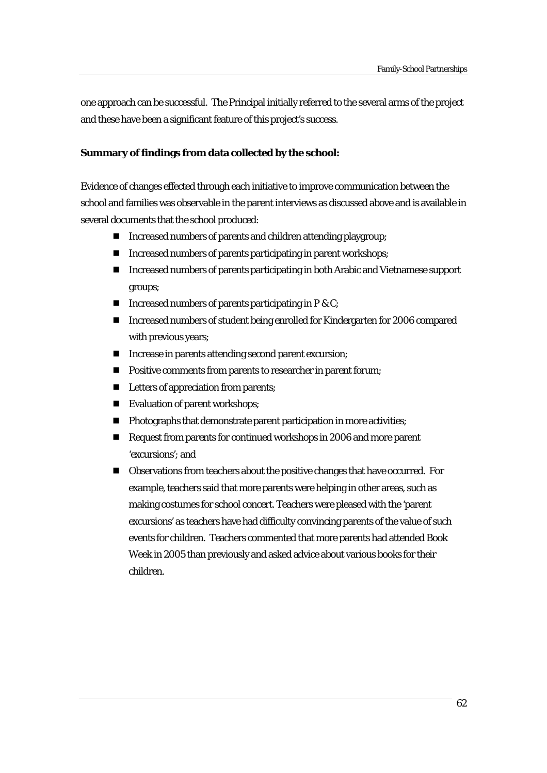one approach can be successful. The Principal initially referred to the several arms of the project and these have been a significant feature of this project's success.

# **Summary of findings from data collected by the school:**

Evidence of changes effected through each initiative to improve communication between the school and families was observable in the parent interviews as discussed above and is available in several documents that the school produced:

- Increased numbers of parents and children attending playgroup;
- Increased numbers of parents participating in parent workshops;
- Increased numbers of parents participating in both Arabic and Vietnamese support groups;
- Increased numbers of parents participating in  $P \& C$ ;
- Increased numbers of student being enrolled for Kindergarten for 2006 compared with previous years;
- Increase in parents attending second parent excursion;
- **Positive comments from parents to researcher in parent forum;**
- Letters of appreciation from parents;
- Evaluation of parent workshops;
- **Photographs that demonstrate parent participation in more activities;**
- Request from parents for continued workshops in 2006 and more parent 'excursions'; and
- Observations from teachers about the positive changes that have occurred. For example, teachers said that more parents were helping in other areas, such as making costumes for school concert. Teachers were pleased with the 'parent excursions' as teachers have had difficulty convincing parents of the value of such events for children. Teachers commented that more parents had attended Book Week in 2005 than previously and asked advice about various books for their children.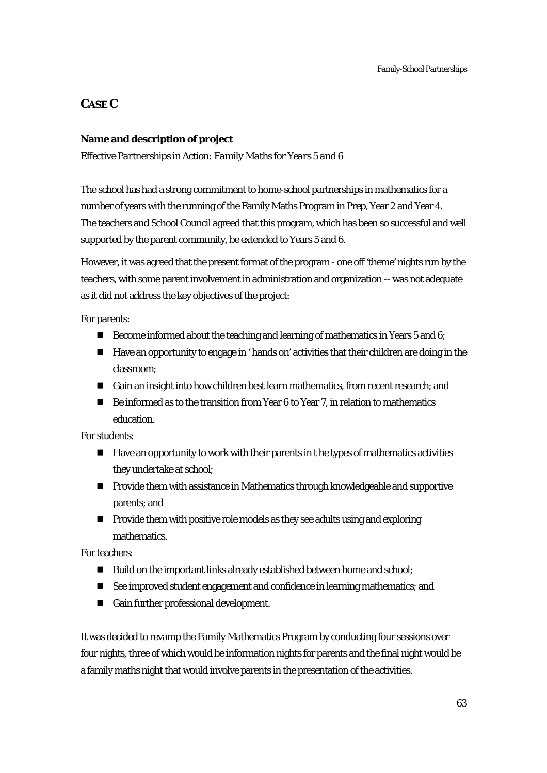# **CASE C**

# **Name and description of project**

*Effective Partnerships in Action: Family Maths for Years 5 and 6* 

The school has had a strong commitment to home-school partnerships in mathematics for a number of years with the running of the Family Maths Program in Prep, Year 2 and Year 4. The teachers and School Council agreed that this program, which has been so successful and well supported by the parent community, be extended to Years 5 and 6.

However, it was agreed that the present format of the program - one off 'theme' nights run by the teachers, with some parent involvement in administration and organization -- was not adequate as it did not address the key objectives of the project:

For parents:

- Become informed about the teaching and learning of mathematics in Years 5 and 6;
- Have an opportunity to engage in ' hands on' activities that their children are doing in the classroom;
- Gain an insight into how children best learn mathematics, from recent research; and
- Be informed as to the transition from Year 6 to Year 7, in relation to mathematics education.

For students:

- $\blacksquare$  Have an opportunity to work with their parents in t he types of mathematics activities they undertake at school;
- **Provide them with assistance in Mathematics through knowledgeable and supportive** parents; and
- **Provide them with positive role models as they see adults using and exploring** mathematics.

For teachers:

- Build on the important links already established between home and school;
- See improved student engagement and confidence in learning mathematics; and
- Gain further professional development.

It was decided to revamp the Family Mathematics Program by conducting four sessions over four nights, three of which would be information nights for parents and the final night would be a family maths night that would involve parents in the presentation of the activities.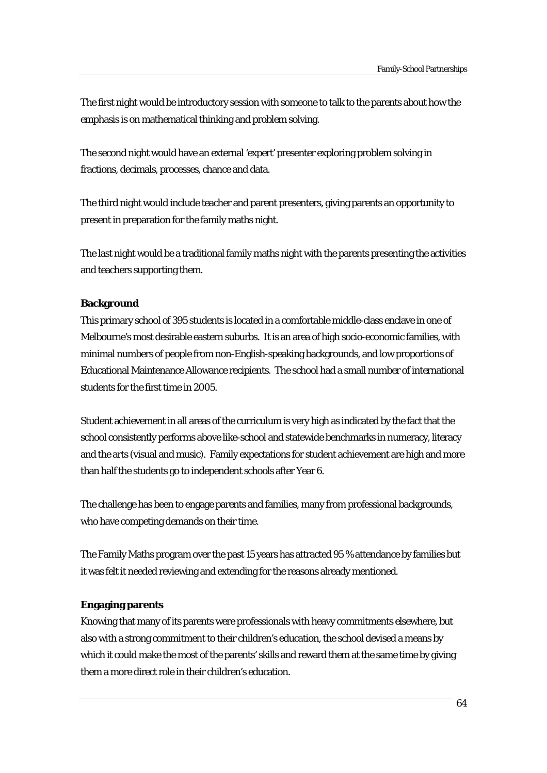The first night would be introductory session with someone to talk to the parents about how the emphasis is on mathematical thinking and problem solving.

The second night would have an external 'expert' presenter exploring problem solving in fractions, decimals, processes, chance and data.

The third night would include teacher and parent presenters, giving parents an opportunity to present in preparation for the family maths night.

The last night would be a traditional family maths night with the parents presenting the activities and teachers supporting them.

# **Background**

This primary school of 395 students is located in a comfortable middle-class enclave in one of Melbourne's most desirable eastern suburbs. It is an area of high socio-economic families, with minimal numbers of people from non-English-speaking backgrounds, and low proportions of Educational Maintenance Allowance recipients. The school had a small number of international students for the first time in 2005.

Student achievement in all areas of the curriculum is very high as indicated by the fact that the school consistently performs above like-school and statewide benchmarks in numeracy, literacy and the arts (visual and music). Family expectations for student achievement are high and more than half the students go to independent schools after Year 6.

The challenge has been to engage parents and families, many from professional backgrounds, who have competing demands on their time.

The Family Maths program over the past 15 years has attracted 95 % attendance by families but it was felt it needed reviewing and extending for the reasons already mentioned.

# **Engaging parents**

Knowing that many of its parents were professionals with heavy commitments elsewhere, but also with a strong commitment to their children's education, the school devised a means by which it could make the most of the parents' skills and reward them at the same time by giving them a more direct role in their children's education.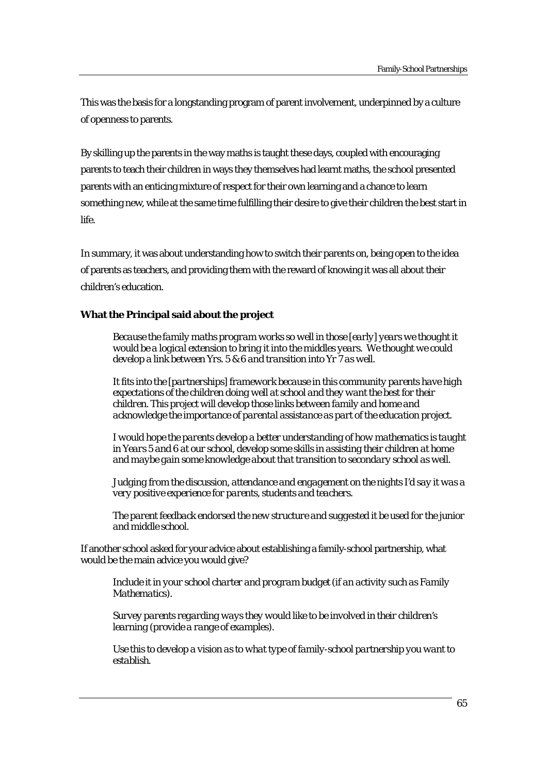This was the basis for a longstanding program of parent involvement, underpinned by a culture of openness to parents.

By skilling up the parents in the way maths is taught these days, coupled with encouraging parents to teach their children in ways they themselves had learnt maths, the school presented parents with an enticing mixture of respect for their own learning and a chance to learn something new, while at the same time fulfilling their desire to give their children the best start in life.

In summary, it was about understanding how to switch their parents on, being open to the idea of parents as teachers, and providing them with the reward of knowing it was all about their children's education.

# **What the Principal said about the project**

*Because the family maths program works so well in those [early] years we thought it would be a logical extension to bring it into the middles years. We thought we could develop a link between Yrs. 5 & 6 and transition into Yr 7 as well.* 

*It fits into the [partnerships] framework because in this community parents have high expectations of the children doing well at school and they want the best for their children. This project will develop those links between family and home and acknowledge the importance of parental assistance as part of the education project.* 

*I would hope the parents develop a better understanding of how mathematics is taught in Years 5 and 6 at our school, develop some skills in assisting their children at home and maybe gain some knowledge about that transition to secondary school as well.* 

*Judging from the discussion, attendance and engagement on the nights I'd say it was a very positive experience for parents, students and teachers.* 

*The parent feedback endorsed the new structure and suggested it be used for the junior and middle school.* 

If another school asked for your advice about establishing a family-school partnership, what would be the main advice you would give?

*Include it in your school charter and program budget (if an activity such as Family Mathematics).* 

*Survey parents regarding ways they would like to be involved in their children's learning (provide a range of examples).* 

*Use this to develop a vision as to what type of family-school partnership you want to establish.*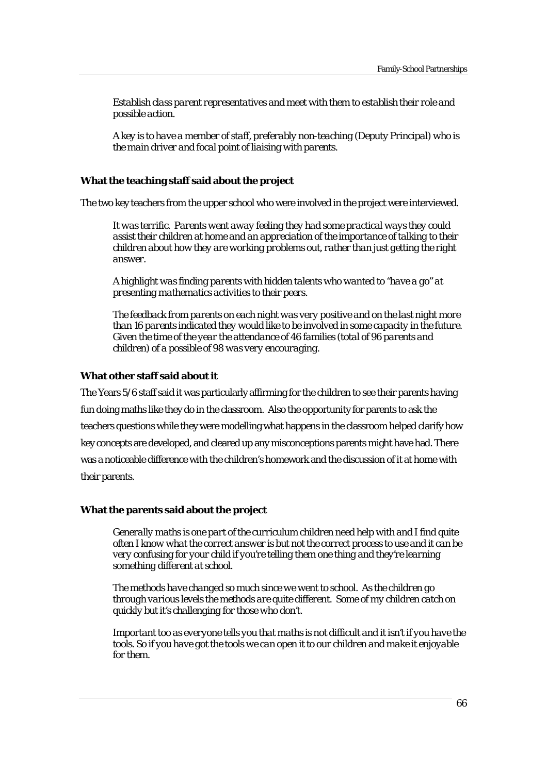*Establish class parent representatives and meet with them to establish their role and possible action.* 

*A key is to have a member of staff, preferably non-teaching (Deputy Principal) who is the main driver and focal point of liaising with parents.* 

#### **What the teaching staff said about the project**

The two key teachers from the upper school who were involved in the project were interviewed.

*It was terrific. Parents went away feeling they had some practical ways they could assist their children at home and an appreciation of the importance of talking to their children about how they are working problems out, rather than just getting the right answer.* 

*A highlight was finding parents with hidden talents who wanted to "have a go" at presenting mathematics activities to their peers.* 

*The feedback from parents on each night was very positive and on the last night more than 16 parents indicated they would like to be involved in some capacity in the future. Given the time of the year the attendance of 46 families (total of 96 parents and children) of a possible of 98 was very encouraging.* 

#### **What other staff said about it**

The Years 5/6 staff said it was particularly affirming for the children to see their parents having fun doing maths like they do in the classroom. Also the opportunity for parents to ask the teachers questions while they were modelling what happens in the classroom helped clarify how key concepts are developed, and cleared up any misconceptions parents might have had. There was a noticeable difference with the children's homework and the discussion of it at home with their parents.

#### **What the parents said about the project**

*Generally maths is one part of the curriculum children need help with and I find quite often I know what the correct answer is but not the correct process to use and it can be very confusing for your child if you're telling them one thing and they're learning something different at school.* 

*The methods have changed so much since we went to school. As the children go through various levels the methods are quite different. Some of my children catch on quickly but it's challenging for those who don't.* 

*Important too as everyone tells you that maths is not difficult and it isn't if you have the tools. So if you have got the tools we can open it to our children and make it enjoyable for them.*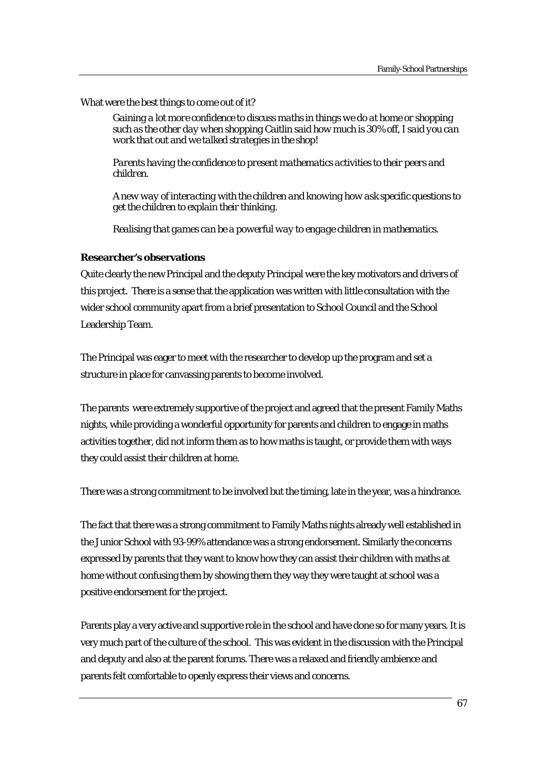# What were the best things to come out of it?

*Gaining a lot more confidence to discuss maths in things we do at home or shopping such as the other day when shopping Caitlin said how much is 30% off, I said you can work that out and we talked strategies in the shop!* 

*Parents having the confidence to present mathematics activities to their peers and children.* 

*A new way of interacting with the children and knowing how ask specific questions to get the children to explain their thinking.* 

*Realising that games can be a powerful way to engage children in mathematics.* 

# **Researcher's observations**

Quite clearly the new Principal and the deputy Principal were the key motivators and drivers of this project. There is a sense that the application was written with little consultation with the wider school community apart from a brief presentation to School Council and the School Leadership Team.

The Principal was eager to meet with the researcher to develop up the program and set a structure in place for canvassing parents to become involved.

The parents were extremely supportive of the project and agreed that the present Family Maths nights, while providing a wonderful opportunity for parents and children to engage in maths activities together, did not inform them as to how maths is taught, or provide them with ways they could assist their children at home.

There was a strong commitment to be involved but the timing, late in the year, was a hindrance.

The fact that there was a strong commitment to Family Maths nights already well established in the Junior School with 93-99% attendance was a strong endorsement. Similarly the concerns expressed by parents that they want to know how they can assist their children with maths at home without confusing them by showing them they way they were taught at school was a positive endorsement for the project.

Parents play a very active and supportive role in the school and have done so for many years. It is very much part of the culture of the school. This was evident in the discussion with the Principal and deputy and also at the parent forums. There was a relaxed and friendly ambience and parents felt comfortable to openly express their views and concerns.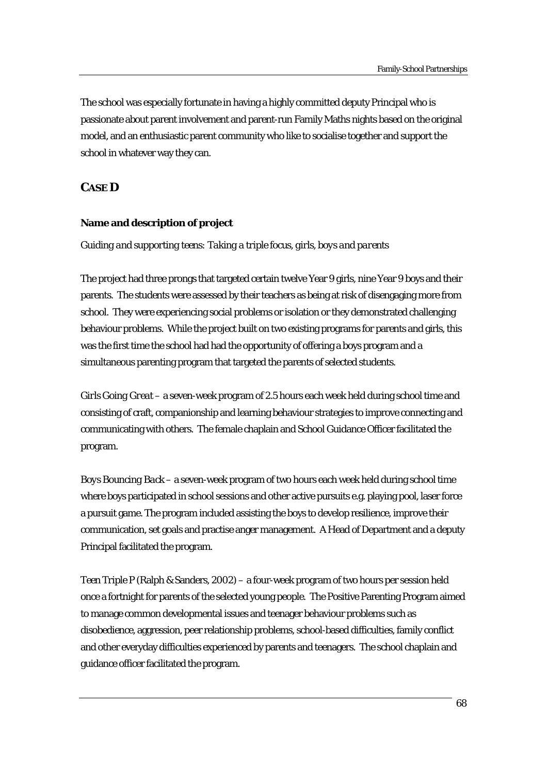The school was especially fortunate in having a highly committed deputy Principal who is passionate about parent involvement and parent-run Family Maths nights based on the original model, and an enthusiastic parent community who like to socialise together and support the school in whatever way they can.

# **CASE D**

# **Name and description of project**

#### *Guiding and supporting teens: Taking a triple focus, girls, boys and parents*

The project had three prongs that targeted certain twelve Year 9 girls, nine Year 9 boys and their parents. The students were assessed by their teachers as being at risk of disengaging more from school. They were experiencing social problems or isolation or they demonstrated challenging behaviour problems. While the project built on two existing programs for parents and girls, this was the first time the school had had the opportunity of offering a boys program and a simultaneous parenting program that targeted the parents of selected students.

*Girls Going Great* – a seven-week program of 2.5 hours each week held during school time and consisting of craft, companionship and learning behaviour strategies to improve connecting and communicating with others. The female chaplain and School Guidance Officer facilitated the program.

*Boys Bouncing Back* – a seven-week program of two hours each week held during school time where boys participated in school sessions and other active pursuits e.g. playing pool, laser force a pursuit game. The program included assisting the boys to develop resilience, improve their communication, set goals and practise anger management. A Head of Department and a deputy Principal facilitated the program.

*Teen Triple P* (Ralph & Sanders, 2002) – a four-week program of two hours per session held once a fortnight for parents of the selected young people. The Positive Parenting Program aimed to manage common developmental issues and teenager behaviour problems such as disobedience, aggression, peer relationship problems, school-based difficulties, family conflict and other everyday difficulties experienced by parents and teenagers. The school chaplain and guidance officer facilitated the program.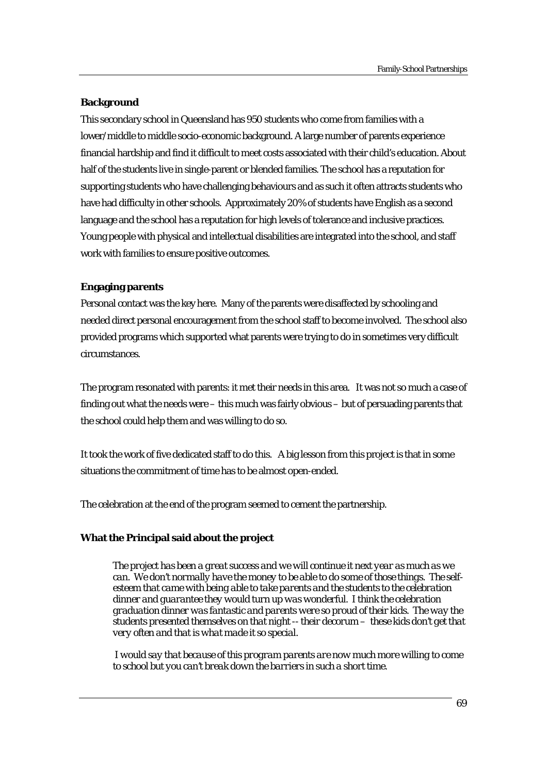# **Background**

This secondary school in Queensland has 950 students who come from families with a lower/middle to middle socio-economic background. A large number of parents experience financial hardship and find it difficult to meet costs associated with their child's education. About half of the students live in single-parent or blended families. The school has a reputation for supporting students who have challenging behaviours and as such it often attracts students who have had difficulty in other schools. Approximately 20% of students have English as a second language and the school has a reputation for high levels of tolerance and inclusive practices. Young people with physical and intellectual disabilities are integrated into the school, and staff work with families to ensure positive outcomes.

# **Engaging parents**

Personal contact was the key here. Many of the parents were disaffected by schooling and needed direct personal encouragement from the school staff to become involved. The school also provided programs which supported what parents were trying to do in sometimes very difficult circumstances.

The program resonated with parents: it met their needs in this area. It was not so much a case of finding out what the needs were – this much was fairly obvious – but of persuading parents that the school could help them and was willing to do so.

It took the work of five dedicated staff to do this. A big lesson from this project is that in some situations the commitment of time has to be almost open-ended.

The celebration at the end of the program seemed to cement the partnership.

# **What the Principal said about the project**

*The project has been a great success and we will continue it next year as much as we can. We don't normally have the money to be able to do some of those things. The selfesteem that came with being able to take parents and the students to the celebration dinner and guarantee they would turn up was wonderful. I think the celebration graduation dinner was fantastic and parents were so proud of their kids. The way the students presented themselves on that night -- their decorum – these kids don't get that very often and that is what made it so special.* 

 *I would say that because of this program parents are now much more willing to come to school but you can't break down the barriers in such a short time.*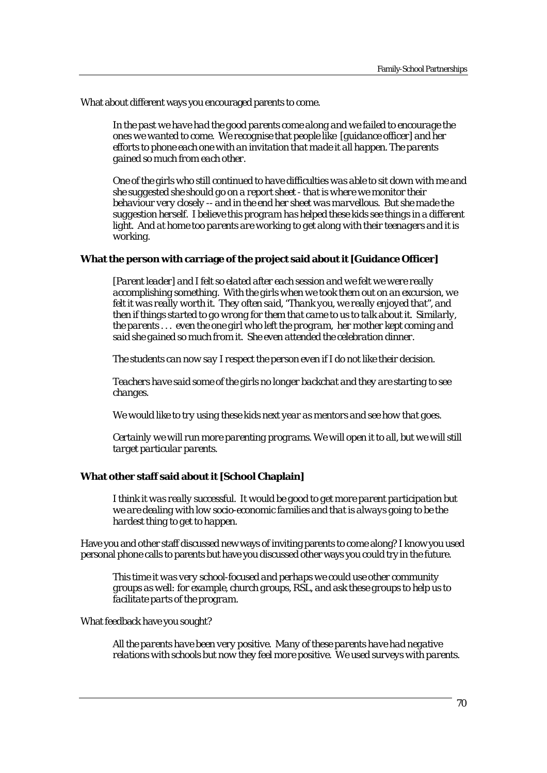What about different ways you encouraged parents to come.

*In the past we have had the good parents come along and we failed to encourage the ones we wanted to come. We recognise that people like [guidance officer] and her efforts to phone each one with an invitation that made it all happen. The parents gained so much from each other.* 

*One of the girls who still continued to have difficulties was able to sit down with me and she suggested she should go on a report sheet - that is where we monitor their behaviour very closely -- and in the end her sheet was marvellous. But she made the suggestion herself. I believe this program has helped these kids see things in a different light. And at home too parents are working to get along with their teenagers and it is working.* 

# **What the person with carriage of the project said about it [Guidance Officer]**

*[Parent leader] and I felt so elated after each session and we felt we were really accomplishing something. With the girls when we took them out on an excursion, we felt it was really worth it. They often said, "Thank you, we really enjoyed that", and then if things started to go wrong for them that came to us to talk about it. Similarly, the parents . . . even the one girl who left the program, her mother kept coming and said she gained so much from it. She even attended the celebration dinner.* 

*The students can now say I respect the person even if I do not like their decision.* 

*Teachers have said some of the girls no longer backchat and they are starting to see changes.* 

*We would like to try using these kids next year as mentors and see how that goes.* 

*Certainly we will run more parenting programs. We will open it to all, but we will still target particular parents.* 

# **What other staff said about it [School Chaplain]**

*I think it was really successful. It would be good to get more parent participation but we are dealing with low socio-economic families and that is always going to be the hardest thing to get to happen.* 

Have you and other staff discussed new ways of inviting parents to come along? I know you used personal phone calls to parents but have you discussed other ways you could try in the future.

*This time it was very school-focused and perhaps we could use other community groups as well: for example, church groups, RSL, and ask these groups to help us to facilitate parts of the program.* 

What feedback have you sought?

*All the parents have been very positive. Many of these parents have had negative relations with schools but now they feel more positive. We used surveys with parents.*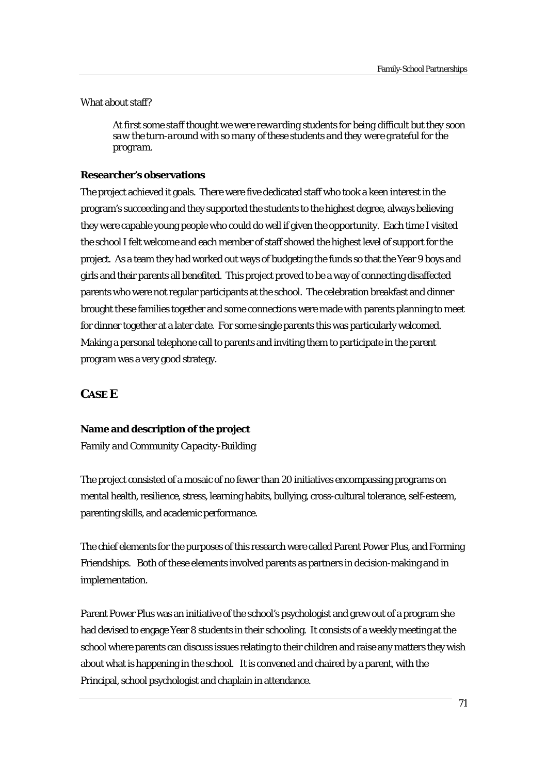What about staff?

*At first some staff thought we were rewarding students for being difficult but they soon saw the turn-around with so many of these students and they were grateful for the program.* 

# **Researcher's observations**

The project achieved it goals. There were five dedicated staff who took a keen interest in the program's succeeding and they supported the students to the highest degree, always believing they were capable young people who could do well if given the opportunity. Each time I visited the school I felt welcome and each member of staff showed the highest level of support for the project. As a team they had worked out ways of budgeting the funds so that the Year 9 boys and girls and their parents all benefited. This project proved to be a way of connecting disaffected parents who were not regular participants at the school. The celebration breakfast and dinner brought these families together and some connections were made with parents planning to meet for dinner together at a later date. For some single parents this was particularly welcomed. Making a personal telephone call to parents and inviting them to participate in the parent program was a very good strategy.

# **CASE E**

# **Name and description of the project**

*Family and Community Capacity-Building* 

The project consisted of a mosaic of no fewer than 20 initiatives encompassing programs on mental health, resilience, stress, learning habits, bullying, cross-cultural tolerance, self-esteem, parenting skills, and academic performance.

The chief elements for the purposes of this research were called Parent Power Plus, and Forming Friendships. Both of these elements involved parents as partners in decision-making and in implementation.

Parent Power Plus was an initiative of the school's psychologist and grew out of a program she had devised to engage Year 8 students in their schooling. It consists of a weekly meeting at the school where parents can discuss issues relating to their children and raise any matters they wish about what is happening in the school. It is convened and chaired by a parent, with the Principal, school psychologist and chaplain in attendance.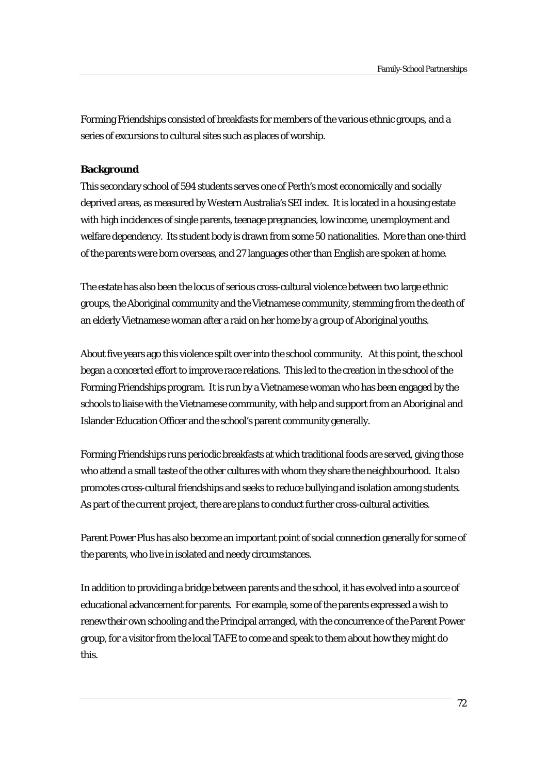Forming Friendships consisted of breakfasts for members of the various ethnic groups, and a series of excursions to cultural sites such as places of worship.

# **Background**

This secondary school of 594 students serves one of Perth's most economically and socially deprived areas, as measured by Western Australia's SEI index. It is located in a housing estate with high incidences of single parents, teenage pregnancies, low income, unemployment and welfare dependency. Its student body is drawn from some 50 nationalities. More than one-third of the parents were born overseas, and 27 languages other than English are spoken at home.

The estate has also been the locus of serious cross-cultural violence between two large ethnic groups, the Aboriginal community and the Vietnamese community, stemming from the death of an elderly Vietnamese woman after a raid on her home by a group of Aboriginal youths.

About five years ago this violence spilt over into the school community. At this point, the school began a concerted effort to improve race relations. This led to the creation in the school of the Forming Friendships program. It is run by a Vietnamese woman who has been engaged by the schools to liaise with the Vietnamese community, with help and support from an Aboriginal and Islander Education Officer and the school's parent community generally.

Forming Friendships runs periodic breakfasts at which traditional foods are served, giving those who attend a small taste of the other cultures with whom they share the neighbourhood. It also promotes cross-cultural friendships and seeks to reduce bullying and isolation among students. As part of the current project, there are plans to conduct further cross-cultural activities.

Parent Power Plus has also become an important point of social connection generally for some of the parents, who live in isolated and needy circumstances.

In addition to providing a bridge between parents and the school, it has evolved into a source of educational advancement for parents. For example, some of the parents expressed a wish to renew their own schooling and the Principal arranged, with the concurrence of the Parent Power group, for a visitor from the local TAFE to come and speak to them about how they might do this.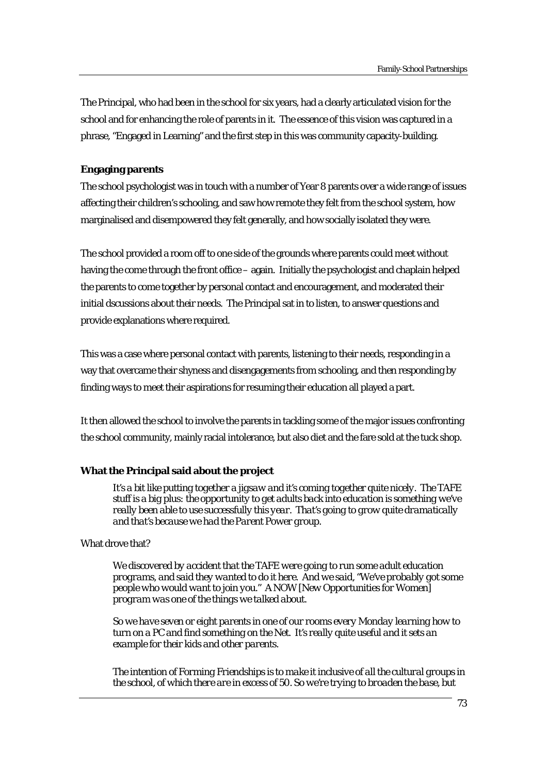The Principal, who had been in the school for six years, had a clearly articulated vision for the school and for enhancing the role of parents in it. The essence of this vision was captured in a phrase, "Engaged in Learning" and the first step in this was community capacity-building.

# **Engaging parents**

The school psychologist was in touch with a number of Year 8 parents over a wide range of issues affecting their children's schooling, and saw how remote they felt from the school system, how marginalised and disempowered they felt generally, and how socially isolated they were.

The school provided a room off to one side of the grounds where parents could meet without having the come through the front office – again. Initially the psychologist and chaplain helped the parents to come together by personal contact and encouragement, and moderated their initial dscussions about their needs. The Principal sat in to listen, to answer questions and provide explanations where required.

This was a case where personal contact with parents, listening to their needs, responding in a way that overcame their shyness and disengagements from schooling, and then responding by finding ways to meet their aspirations for resuming their education all played a part.

It then allowed the school to involve the parents in tackling some of the major issues confronting the school community, mainly racial intolerance, but also diet and the fare sold at the tuck shop.

# **What the Principal said about the project**

*It's a bit like putting together a jigsaw and it's coming together quite nicely. The TAFE stuff is a big plus: the opportunity to get adults back into education is something we've really been able to use successfully this year. That's going to grow quite dramatically and that's because we had the Parent Power group.* 

# What drove that?

*We discovered by accident that the TAFE were going to run some adult education programs, and said they wanted to do it here. And we said, "We've probably got some people who would want to join you." A NOW [New Opportunities for Women] program was one of the things we talked about.* 

*So we have seven or eight parents in one of our rooms every Monday learning how to turn on a PC and find something on the Net. It's really quite useful and it sets an example for their kids and other parents.* 

*The intention of Forming Friendships is to make it inclusive of all the cultural groups in the school, of which there are in excess of 50. So we're trying to broaden the base, but*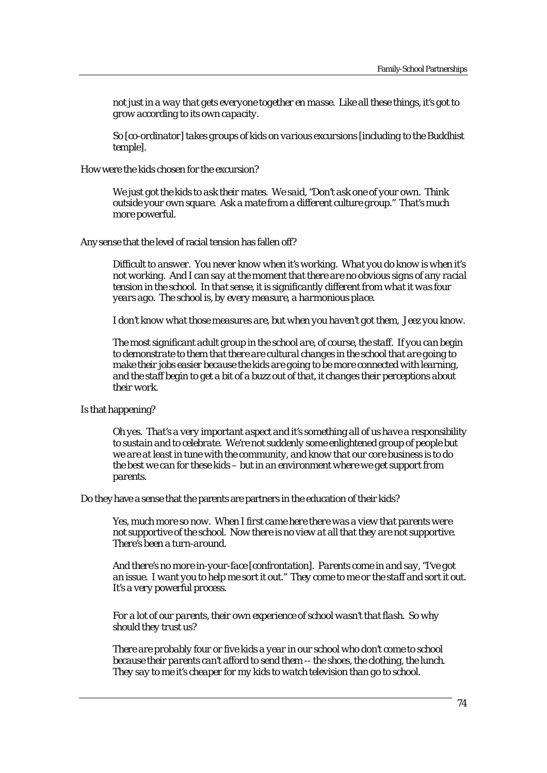*not just in a way that gets everyone together en masse. Like all these things, it's got to grow according to its own capacity.* 

*So [co-ordinator] takes groups of kids on various excursions [including to the Buddhist temple].* 

How were the kids chosen for the excursion?

*We just got the kids to ask their mates. We said, "Don't ask one of your own. Think outside your own square. Ask a mate from a different culture group." That's much more powerful.* 

Any sense that the level of racial tension has fallen off?

*Difficult to answer. You never know when it's working. What you do know is when it's not working. And I can say at the moment that there are no obvious signs of any racial tension in the school. In that sense, it is significantly different from what it was four years ago. The school is, by every measure, a harmonious place.* 

*I don't know what those measures are, but when you haven't got them, Jeez you know.* 

*The most significant adult group in the school are, of course, the staff. If you can begin to demonstrate to them that there are cultural changes in the school that are going to make their jobs easier because the kids are going to be more connected with learning, and the staff begin to get a bit of a buzz out of that, it changes their perceptions about their work.* 

Is that happening?

*Oh yes. That's a very important aspect and it's something all of us have a responsibility to sustain and to celebrate. We're not suddenly some enlightened group of people but we are at least in tune with the community, and know that our core business is to do the best we can for these kids – but in an environment where we get support from parents.* 

Do they have a sense that the parents are partners in the education of their kids?

*Yes, much more so now. When I first came here there was a view that parents were not supportive of the school. Now there is no view at all that they are not supportive. There's been a turn-around.* 

*And there's no more in-your-face [confrontation]. Parents come in and say, "I've got an issue. I want you to help me sort it out." They come to me or the staff and sort it out. It's a very powerful process.* 

*For a lot of our parents, their own experience of school wasn't that flash. So why should they trust us?* 

*There are probably four or five kids a year in our school who don't come to school because their parents can't afford to send them -- the shoes, the clothing, the lunch. They say to me it's cheaper for my kids to watch television than go to school.*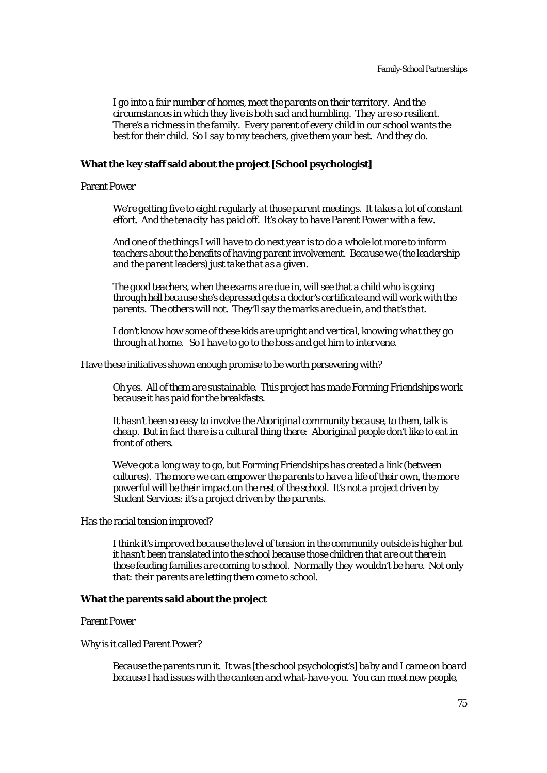*I go into a fair number of homes, meet the parents on their territory. And the circumstances in which they live is both sad and humbling. They are so resilient. There's a richness in the family. Every parent of every child in our school wants the best for their child. So I say to my teachers, give them your best. And they do.* 

### **What the key staff said about the project [School psychologist]**

# Parent Power

*We're getting five to eight regularly at those parent meetings. It takes a lot of constant effort. And the tenacity has paid off. It's okay to have Parent Power with a few.* 

*And one of the things I will have to do next year is to do a whole lot more to inform teachers about the benefits of having parent involvement. Because we (the leadership and the parent leaders) just take that as a given.* 

*The good teachers, when the exams are due in, will see that a child who is going through hell because she's depressed gets a doctor's certificate and will work with the parents. The others will not. They'll say the marks are due in, and that's that.* 

*I don't know how some of these kids are upright and vertical, knowing what they go through at home. So I have to go to the boss and get him to intervene.* 

Have these initiatives shown enough promise to be worth persevering with?

*Oh yes. All of them are sustainable. This project has made Forming Friendships work because it has paid for the breakfasts.* 

*It hasn't been so easy to involve the Aboriginal community because, to them, talk is cheap. But in fact there is a cultural thing there: Aboriginal people don't like to eat in front of others.* 

*We've got a long way to go, but Forming Friendships has created a link (between cultures). The more we can empower the parents to have a life of their own, the more powerful will be their impact on the rest of the school. It's not a project driven by Student Services: it's a project driven by the parents.* 

### Has the racial tension improved?

*I think it's improved because the level of tension in the community outside is higher but it hasn't been translated into the school because those children that are out there in those feuding families are coming to school. Normally they wouldn't be here. Not only that: their parents are letting them come to school.* 

#### **What the parents said about the project**

Parent Power

Why is it called Parent Power?

*Because the parents run it. It was [the school psychologist's] baby and I came on board because I had issues with the canteen and what-have-you. You can meet new people,*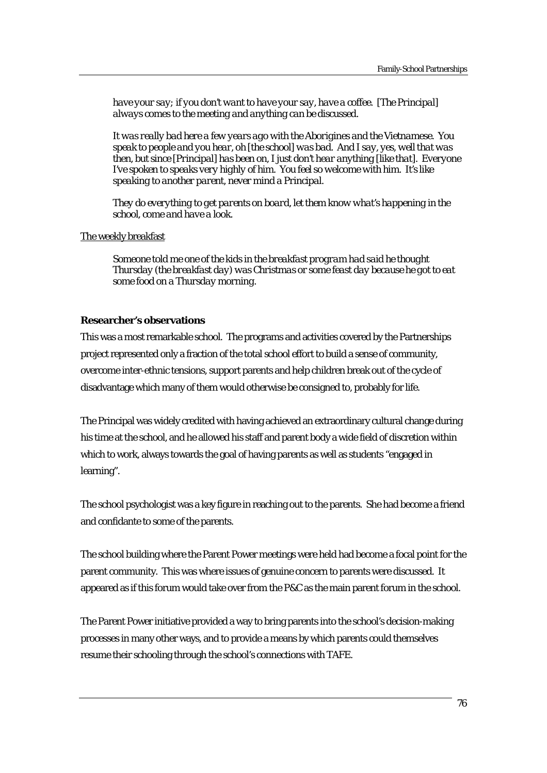*have your say; if you don't want to have your say, have a coffee. [The Principal] always comes to the meeting and anything can be discussed.* 

*It was really bad here a few years ago with the Aborigines and the Vietnamese. You speak to people and you hear, oh [the school] was bad. And I say, yes, well that was then, but since [Principal] has been on, I just don't hear anything [like that]. Everyone I've spoken to speaks very highly of him. You feel so welcome with him. It's like speaking to another parent, never mind a Principal.* 

*They do everything to get parents on board, let them know what's happening in the school, come and have a look.* 

# The weekly breakfast

*Someone told me one of the kids in the breakfast program had said he thought Thursday (the breakfast day) was Christmas or some feast day because he got to eat some food on a Thursday morning.* 

### **Researcher's observations**

This was a most remarkable school. The programs and activities covered by the Partnerships project represented only a fraction of the total school effort to build a sense of community, overcome inter-ethnic tensions, support parents and help children break out of the cycle of disadvantage which many of them would otherwise be consigned to, probably for life.

The Principal was widely credited with having achieved an extraordinary cultural change during his time at the school, and he allowed his staff and parent body a wide field of discretion within which to work, always towards the goal of having parents as well as students "engaged in learning".

The school psychologist was a key figure in reaching out to the parents. She had become a friend and confidante to some of the parents.

The school building where the Parent Power meetings were held had become a focal point for the parent community. This was where issues of genuine concern to parents were discussed. It appeared as if this forum would take over from the P&C as the main parent forum in the school.

The Parent Power initiative provided a way to bring parents into the school's decision-making processes in many other ways, and to provide a means by which parents could themselves resume their schooling through the school's connections with TAFE.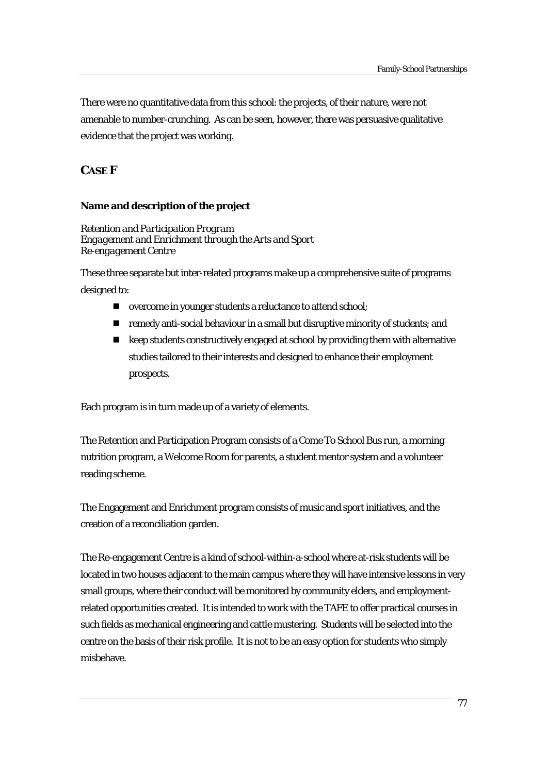There were no quantitative data from this school: the projects, of their nature, were not amenable to number-crunching. As can be seen, however, there was persuasive qualitative evidence that the project was working.

# **CASE F**

# **Name and description of the project**

*Retention and Participation Program Engagement and Enrichment through the Arts and Sport Re-engagement Centre* 

These three separate but inter-related programs make up a comprehensive suite of programs designed to:

- overcome in younger students a reluctance to attend school;
- $\blacksquare$  remedy anti-social behaviour in a small but disruptive minority of students; and
- keep students constructively engaged at school by providing them with alternative studies tailored to their interests and designed to enhance their employment prospects.

Each program is in turn made up of a variety of elements.

The Retention and Participation Program consists of a Come To School Bus run, a morning nutrition program, a Welcome Room for parents, a student mentor system and a volunteer reading scheme.

The Engagement and Enrichment program consists of music and sport initiatives, and the creation of a reconciliation garden.

The Re-engagement Centre is a kind of school-within-a-school where at-risk students will be located in two houses adjacent to the main campus where they will have intensive lessons in very small groups, where their conduct will be monitored by community elders, and employmentrelated opportunities created. It is intended to work with the TAFE to offer practical courses in such fields as mechanical engineering and cattle mustering. Students will be selected into the centre on the basis of their risk profile. It is not to be an easy option for students who simply misbehave.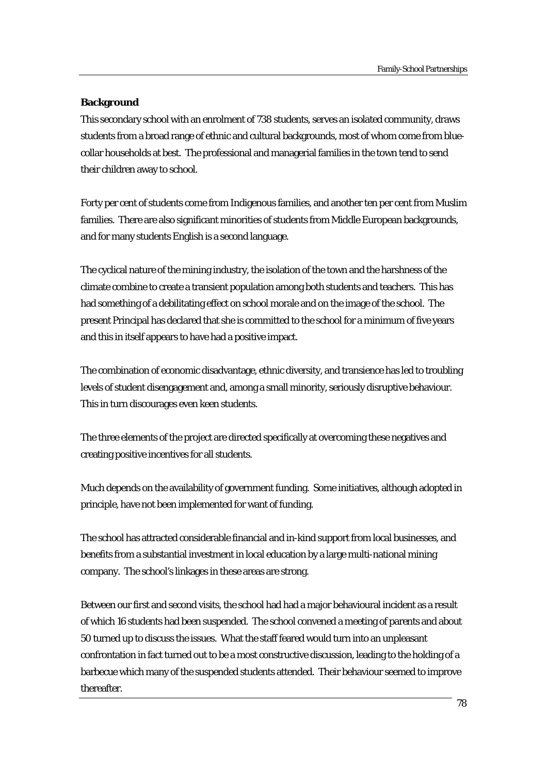# **Background**

This secondary school with an enrolment of 738 students, serves an isolated community, draws students from a broad range of ethnic and cultural backgrounds, most of whom come from bluecollar households at best. The professional and managerial families in the town tend to send their children away to school.

Forty per cent of students come from Indigenous families, and another ten per cent from Muslim families. There are also significant minorities of students from Middle European backgrounds, and for many students English is a second language.

The cyclical nature of the mining industry, the isolation of the town and the harshness of the climate combine to create a transient population among both students and teachers. This has had something of a debilitating effect on school morale and on the image of the school. The present Principal has declared that she is committed to the school for a minimum of five years and this in itself appears to have had a positive impact.

The combination of economic disadvantage, ethnic diversity, and transience has led to troubling levels of student disengagement and, among a small minority, seriously disruptive behaviour. This in turn discourages even keen students.

The three elements of the project are directed specifically at overcoming these negatives and creating positive incentives for all students.

Much depends on the availability of government funding. Some initiatives, although adopted in principle, have not been implemented for want of funding.

The school has attracted considerable financial and in-kind support from local businesses, and benefits from a substantial investment in local education by a large multi-national mining company. The school's linkages in these areas are strong.

Between our first and second visits, the school had had a major behavioural incident as a result of which 16 students had been suspended. The school convened a meeting of parents and about 50 turned up to discuss the issues. What the staff feared would turn into an unpleasant confrontation in fact turned out to be a most constructive discussion, leading to the holding of a barbecue which many of the suspended students attended. Their behaviour seemed to improve thereafter.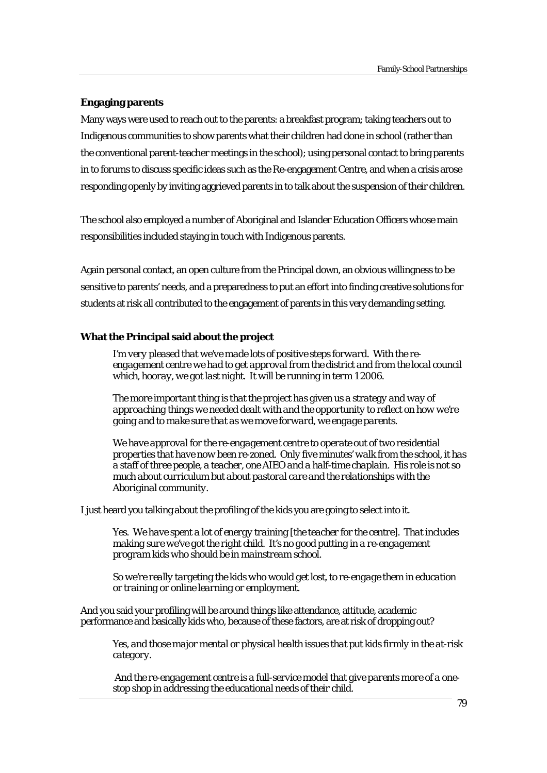# **Engaging parents**

Many ways were used to reach out to the parents: a breakfast program; taking teachers out to Indigenous communities to show parents what their children had done in school (rather than the conventional parent-teacher meetings in the school); using personal contact to bring parents in to forums to discuss specific ideas such as the Re-engagement Centre, and when a crisis arose responding openly by inviting aggrieved parents in to talk about the suspension of their children.

The school also employed a number of Aboriginal and Islander Education Officers whose main responsibilities included staying in touch with Indigenous parents.

Again personal contact, an open culture from the Principal down, an obvious willingness to be sensitive to parents' needs, and a preparedness to put an effort into finding creative solutions for students at risk all contributed to the engagement of parents in this very demanding setting.

### **What the Principal said about the project**

*I'm very pleased that we've made lots of positive steps forward. With the reengagement centre we had to get approval from the district and from the local council which, hooray, we got last night. It will be running in term 1 2006.* 

*The more important thing is that the project has given us a strategy and way of approaching things we needed dealt with and the opportunity to reflect on how we're going and to make sure that as we move forward, we engage parents.* 

*We have approval for the re-engagement centre to operate out of two residential properties that have now been re-zoned. Only five minutes' walk from the school, it has a staff of three people, a teacher, one AIEO and a half-time chaplain. His role is not so much about curriculum but about pastoral care and the relationships with the Aboriginal community.* 

I just heard you talking about the profiling of the kids you are going to select into it.

*Yes. We have spent a lot of energy training [the teacher for the centre]. That includes making sure we've got the right child. It's no good putting in a re-engagement program kids who should be in mainstream school.* 

*So we're really targeting the kids who would get lost, to re-engage them in education or training or online learning or employment.* 

And you said your profiling will be around things like attendance, attitude, academic performance and basically kids who, because of these factors, are at risk of dropping out?

*Yes, and those major mental or physical health issues that put kids firmly in the at-risk category.* 

 *And the re-engagement centre is a full-service model that give parents more of a onestop shop in addressing the educational needs of their child.*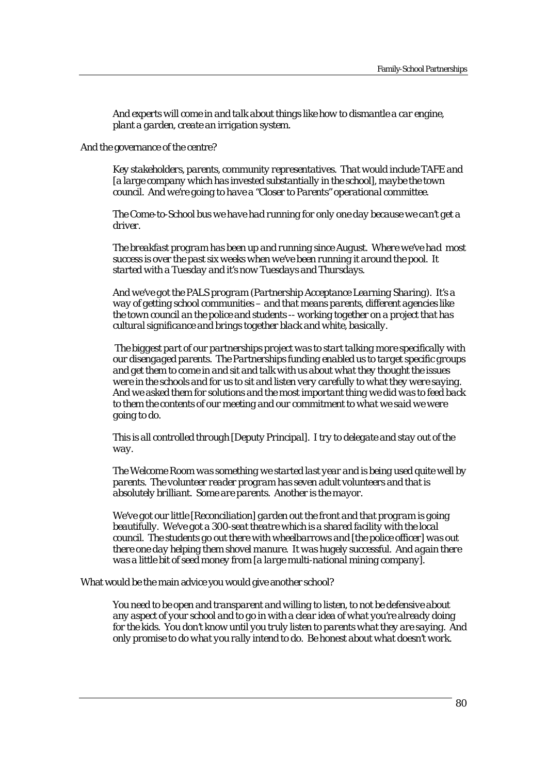*And experts will come in and talk about things like how to dismantle a car engine, plant a garden, create an irrigation system.* 

And the governance of the centre?

*Key stakeholders, parents, community representatives. That would include TAFE and [a large company which has invested substantially in the school], maybe the town council. And we're going to have a "Closer to Parents" operational committee.* 

*The Come-to-School bus we have had running for only one day because we can't get a driver.* 

*The breakfast program has been up and running since August. Where we've had most success is over the past six weeks when we've been running it around the pool. It started with a Tuesday and it's now Tuesdays and Thursdays.* 

*And we've got the PALS program (Partnership Acceptance Learning Sharing). It's a way of getting school communities – and that means parents, different agencies like the town council an the police and students -- working together on a project that has cultural significance and brings together black and white, basically.* 

 *The biggest part of our partnerships project was to start talking more specifically with our disengaged parents. The Partnerships funding enabled us to target specific groups and get them to come in and sit and talk with us about what they thought the issues were in the schools and for us to sit and listen very carefully to what they were saying. And we asked them for solutions and the most important thing we did was to feed back to them the contents of our meeting and our commitment to what we said we were going to do.* 

*This is all controlled through [Deputy Principal]. I try to delegate and stay out of the way.* 

*The Welcome Room was something we started last year and is being used quite well by parents. The volunteer reader program has seven adult volunteers and that is absolutely brilliant. Some are parents. Another is the mayor.* 

*We've got our little [Reconciliation] garden out the front and that program is going beautifully. We've got a 300-seat theatre which is a shared facility with the local council. The students go out there with wheelbarrows and [the police officer] was out there one day helping them shovel manure. It was hugely successful. And again there was a little bit of seed money from [a large multi-national mining company].* 

What would be the main advice you would give another school?

*You need to be open and transparent and willing to listen, to not be defensive about any aspect of your school and to go in with a clear idea of what you're already doing for the kids. You don't know until you truly listen to parents what they are saying. And only promise to do what you rally intend to do. Be honest about what doesn't work.*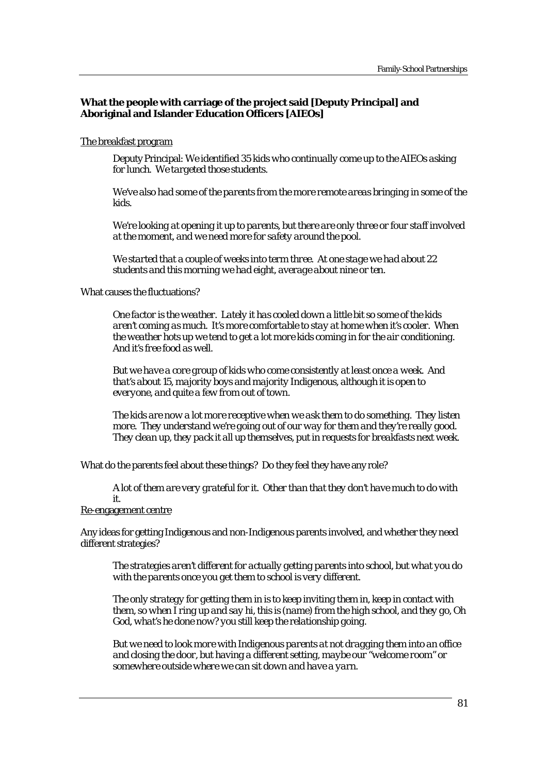# **What the people with carriage of the project said [Deputy Principal] and Aboriginal and Islander Education Officers [AIEOs]**

### The breakfast program

Deputy Principal: *We identified 35 kids who continually come up to the AIEOs asking for lunch. We targeted those students.* 

*We've also had some of the parents from the more remote areas bringing in some of the kids.* 

*We're looking at opening it up to parents, but there are only three or four staff involved at the moment, and we need more for safety around the pool.* 

*We started that a couple of weeks into term three. At one stage we had about 22 students and this morning we had eight, average about nine or ten.* 

#### What causes the fluctuations?

*One factor is the weather. Lately it has cooled down a little bit so some of the kids aren't coming as much. It's more comfortable to stay at home when it's cooler. When the weather hots up we tend to get a lot more kids coming in for the air conditioning. And it's free food as well.* 

*But we have a core group of kids who come consistently at least once a week. And that's about 15, majority boys and majority Indigenous, although it is open to everyone, and quite a few from out of town.* 

*The kids are now a lot more receptive when we ask them to do something. They listen more. They understand we're going out of our way for them and they're really good. They clean up, they pack it all up themselves, put in requests for breakfasts next week.* 

What do the parents feel about these things? Do they feel they have any role?

*A lot of them are very grateful for it. Other than that they don't have much to do with it.* 

# Re-engagement centre

Any ideas for getting Indigenous and non-Indigenous parents involved, and whether they need different strategies?

*The strategies aren't different for actually getting parents into school, but what you do with the parents once you get them to school is very different.* 

*The only strategy for getting them in is to keep inviting them in, keep in contact with them, so when I ring up and say hi, this is (name) from the high school, and they go, Oh God, what's he done now? you still keep the relationship going.* 

*But we need to look more with Indigenous parents at not dragging them into an office and closing the door, but having a different setting, maybe our "welcome room" or somewhere outside where we can sit down and have a yarn.*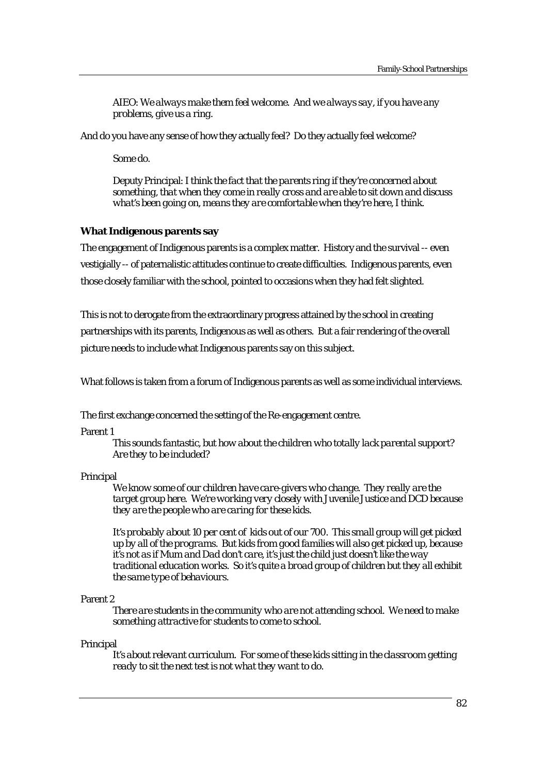AIEO: *We always make them feel welcome. And we always say, if you have any problems, give us a ring.* 

And do you have any sense of how they actually feel? Do they actually feel welcome?

*Some do.* 

Deputy Principal: *I think the fact that the parents ring if they're concerned about something, that when they come in really cross and are able to sit down and discuss what's been going on, means they are comfortable when they're here, I think.* 

### **What Indigenous parents say**

The engagement of Indigenous parents is a complex matter. History and the survival -- even vestigially -- of paternalistic attitudes continue to create difficulties. Indigenous parents, even those closely familiar with the school, pointed to occasions when they had felt slighted.

This is not to derogate from the extraordinary progress attained by the school in creating partnerships with its parents, Indigenous as well as others. But a fair rendering of the overall picture needs to include what Indigenous parents say on this subject.

What follows is taken from a forum of Indigenous parents as well as some individual interviews.

The first exchange concerned the setting of the Re-engagement centre.

Parent 1

*This sounds fantastic, but how about the children who totally lack parental support? Are they to be included?* 

#### Principal

*We know some of our children have care-givers who change. They really are the target group here. We're working very closely with Juvenile Justice and DCD because they are the people who are caring for these kids.* 

*It's probably about 10 per cent of kids out of our 700. This small group will get picked up by all of the programs. But kids from good families will also get picked up, because it's not as if Mum and Dad don't care, it's just the child just doesn't like the way traditional education works. So it's quite a broad group of children but they all exhibit the same type of behaviours.* 

#### Parent 2

*There are students in the community who are not attending school. We need to make something attractive for students to come to school.* 

#### Principal

*It's about relevant curriculum. For some of these kids sitting in the classroom getting ready to sit the next test is not what they want to do.*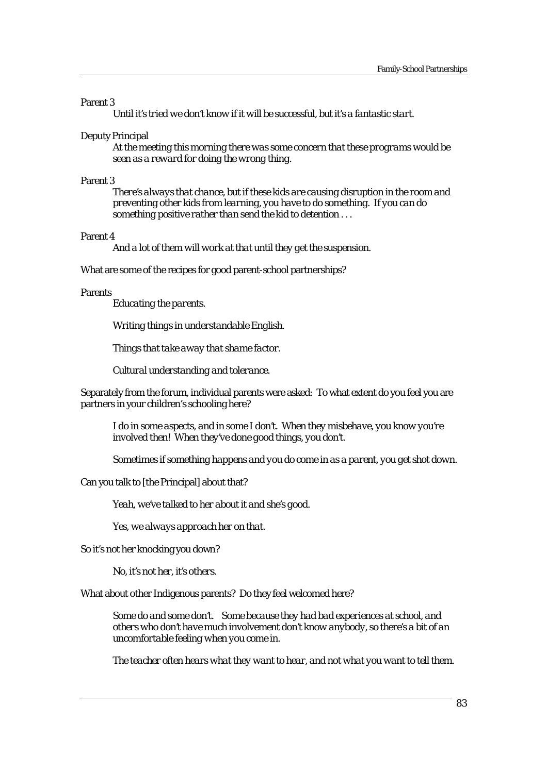#### Parent 3

*Until it's tried we don't know if it will be successful, but it's a fantastic start.* 

#### Deputy Principal

*At the meeting this morning there was some concern that these programs would be seen as a reward for doing the wrong thing.* 

#### Parent 3

*There's always that chance, but if these kids are causing disruption in the room and preventing other kids from learning, you have to do something. If you can do something positive rather than send the kid to detention . . .* 

#### Parent 4

*And a lot of them will work at that until they get the suspension.* 

What are some of the recipes for good parent-school partnerships?

#### Parents

*Educating the parents.* 

*Writing things in understandable English.* 

*Things that take away that shame factor.* 

*Cultural understanding and tolerance.* 

Separately from the forum, individual parents were asked: To what extent do you feel you are partners in your children's schooling here?

*I do in some aspects, and in some I don't. When they misbehave, you know you're involved then! When they've done good things, you don't.* 

*Sometimes if something happens and you do come in as a parent, you get shot down.* 

Can you talk to [the Principal] about that?

*Yeah, we've talked to her about it and she's good.* 

*Yes, we always approach her on that.* 

So it's not her knocking you down?

*No, it's not her, it's others.* 

What about other Indigenous parents? Do they feel welcomed here?

*Some do and some don't. Some because they had bad experiences at school, and others who don't have much involvement don't know anybody, so there's a bit of an uncomfortable feeling when you come in.*

*The teacher often hears what they want to hear, and not what you want to tell them.*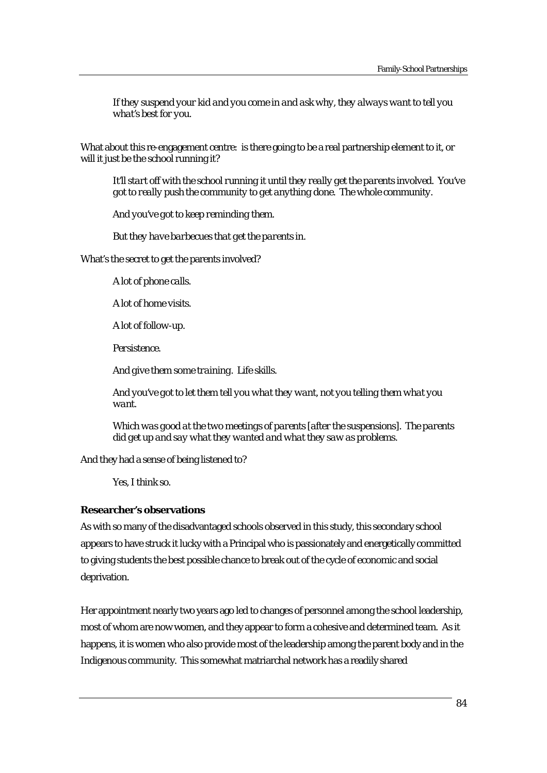*If they suspend your kid and you come in and ask why, they always want to tell you what's best for you.* 

What about this re-engagement centre: is there going to be a real partnership element to it, or will it just be the school running it?

*It'll start off with the school running it until they really get the parents involved. You've got to really push the community to get anything done. The whole community.* 

*And you've got to keep reminding them.* 

*But they have barbecues that get the parents in.* 

What's the secret to get the parents involved?

*A lot of phone calls.* 

*A lot of home visits.* 

*A lot of follow-up.* 

*Persistence.* 

*And give them some training. Life skills.* 

*And you've got to let them tell you what they want, not you telling them what you want.* 

*Which was good at the two meetings of parents [after the suspensions]. The parents did get up and say what they wanted and what they saw as problems.* 

And they had a sense of being listened to?

*Yes, I think so.* 

### **Researcher's observations**

As with so many of the disadvantaged schools observed in this study, this secondary school appears to have struck it lucky with a Principal who is passionately and energetically committed to giving students the best possible chance to break out of the cycle of economic and social deprivation.

Her appointment nearly two years ago led to changes of personnel among the school leadership, most of whom are now women, and they appear to form a cohesive and determined team. As it happens, it is women who also provide most of the leadership among the parent body and in the Indigenous community. This somewhat matriarchal network has a readily shared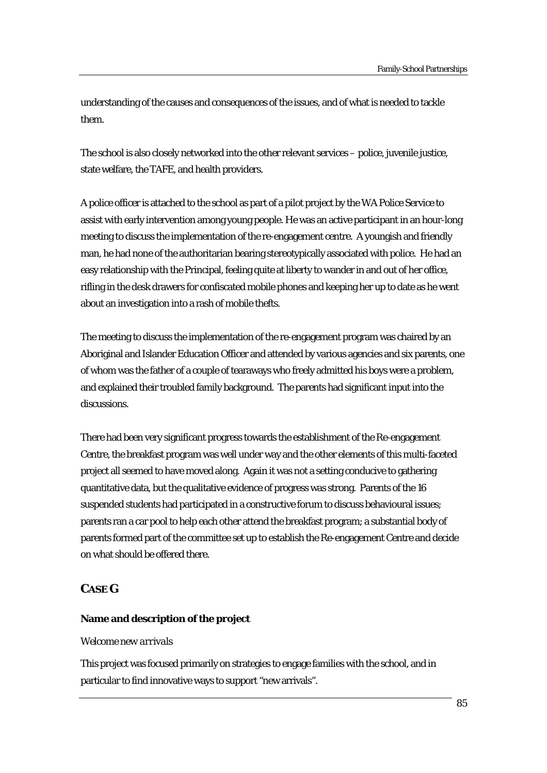understanding of the causes and consequences of the issues, and of what is needed to tackle them.

The school is also closely networked into the other relevant services – police, juvenile justice, state welfare, the TAFE, and health providers.

A police officer is attached to the school as part of a pilot project by the WA Police Service to assist with early intervention among young people. He was an active participant in an hour-long meeting to discuss the implementation of the re-engagement centre. A youngish and friendly man, he had none of the authoritarian bearing stereotypically associated with police. He had an easy relationship with the Principal, feeling quite at liberty to wander in and out of her office, rifling in the desk drawers for confiscated mobile phones and keeping her up to date as he went about an investigation into a rash of mobile thefts.

The meeting to discuss the implementation of the re-engagement program was chaired by an Aboriginal and Islander Education Officer and attended by various agencies and six parents, one of whom was the father of a couple of tearaways who freely admitted his boys were a problem, and explained their troubled family background. The parents had significant input into the discussions.

There had been very significant progress towards the establishment of the Re-engagement Centre, the breakfast program was well under way and the other elements of this multi-faceted project all seemed to have moved along. Again it was not a setting conducive to gathering quantitative data, but the qualitative evidence of progress was strong. Parents of the 16 suspended students had participated in a constructive forum to discuss behavioural issues; parents ran a car pool to help each other attend the breakfast program; a substantial body of parents formed part of the committee set up to establish the Re-engagement Centre and decide on what should be offered there.

# **CASE G**

# **Name and description of the project**

# *Welcome new arrivals*

This project was focused primarily on strategies to engage families with the school, and in particular to find innovative ways to support "new arrivals".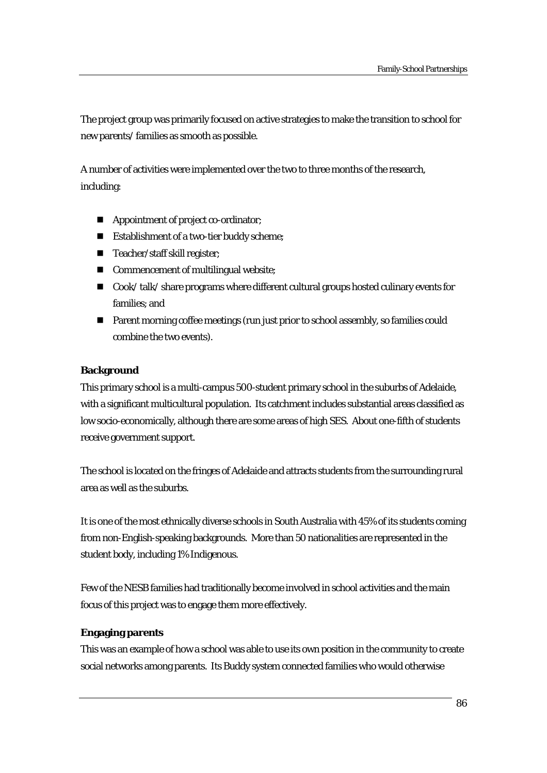The project group was primarily focused on active strategies to make the transition to school for new parents/ families as smooth as possible.

A number of activities were implemented over the two to three months of the research, including:

- **Appointment of project co-ordinator;**
- **Establishment of a two-tier buddy scheme;**
- Teacher/staff skill register;
- Commencement of multilingual website;
- Cook/ talk/ share programs where different cultural groups hosted culinary events for families; and
- Parent morning coffee meetings (run just prior to school assembly, so families could combine the two events).

# **Background**

This primary school is a multi-campus 500-student primary school in the suburbs of Adelaide, with a significant multicultural population. Its catchment includes substantial areas classified as low socio-economically, although there are some areas of high SES. About one-fifth of students receive government support.

The school is located on the fringes of Adelaide and attracts students from the surrounding rural area as well as the suburbs.

It is one of the most ethnically diverse schools in South Australia with 45% of its students coming from non-English-speaking backgrounds. More than 50 nationalities are represented in the student body, including 1% Indigenous.

Few of the NESB families had traditionally become involved in school activities and the main focus of this project was to engage them more effectively.

# **Engaging parents**

This was an example of how a school was able to use its own position in the community to create social networks among parents. Its Buddy system connected families who would otherwise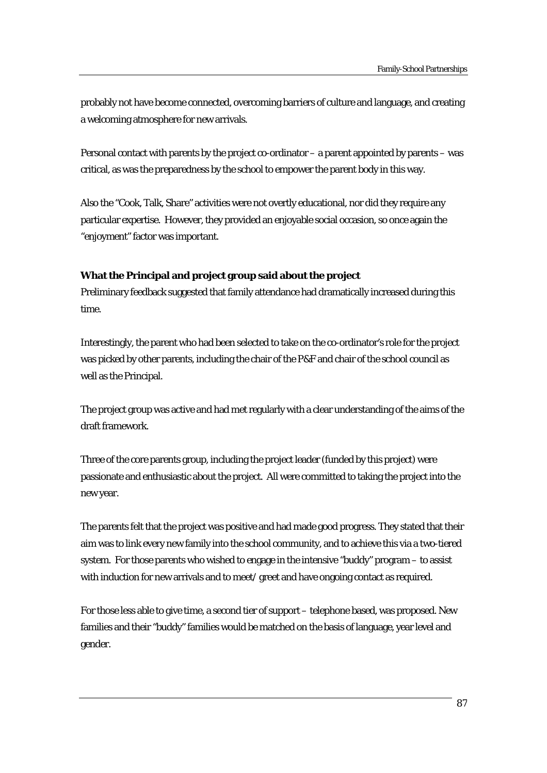probably not have become connected, overcoming barriers of culture and language, and creating a welcoming atmosphere for new arrivals.

Personal contact with parents by the project co-ordinator – a parent appointed by parents – was critical, as was the preparedness by the school to empower the parent body in this way.

Also the "Cook, Talk, Share" activities were not overtly educational, nor did they require any particular expertise. However, they provided an enjoyable social occasion, so once again the "enjoyment" factor was important.

# **What the Principal and project group said about the project**

Preliminary feedback suggested that family attendance had dramatically increased during this time.

Interestingly, the parent who had been selected to take on the co-ordinator's role for the project was picked by other parents, including the chair of the P&F and chair of the school council as well as the Principal.

The project group was active and had met regularly with a clear understanding of the aims of the draft framework.

Three of the core parents group, including the project leader (funded by this project) were passionate and enthusiastic about the project. All were committed to taking the project into the new year.

The parents felt that the project was positive and had made good progress. They stated that their aim was to link every new family into the school community, and to achieve this via a two-tiered system. For those parents who wished to engage in the intensive "buddy" program – to assist with induction for new arrivals and to meet/ greet and have ongoing contact as required.

For those less able to give time, a second tier of support – telephone based, was proposed. New families and their "buddy" families would be matched on the basis of language, year level and gender.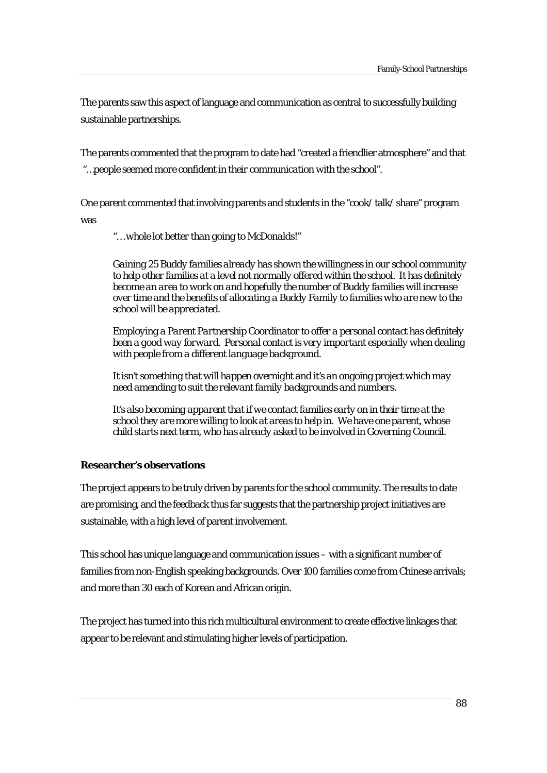The parents saw this aspect of language and communication as central to successfully building sustainable partnerships.

The parents commented that the program to date had "created a friendlier atmosphere" and that  *"…people seemed more confident in their communication with the school".* 

One parent commented that involving parents and students in the "cook/ talk/ share" program was

 *"… whole lot better than going to McDonalds!"* 

*Gaining 25 Buddy families already has shown the willingness in our school community to help other families at a level not normally offered within the school. It has definitely become an area to work on and hopefully the number of Buddy families will increase over time and the benefits of allocating a Buddy Family to families who are new to the school will be appreciated.* 

*Employing a Parent Partnership Coordinator to offer a personal contact has definitely been a good way forward. Personal contact is very important especially when dealing with people from a different language background.* 

*It isn't something that will happen overnight and it's an ongoing project which may need amending to suit the relevant family backgrounds and numbers.* 

*It's also becoming apparent that if we contact families early on in their time at the school they are more willing to look at areas to help in. We have one parent, whose child starts next term, who has already asked to be involved in Governing Council.* 

# **Researcher's observations**

The project appears to be truly driven by parents for the school community. The results to date are promising, and the feedback thus far suggests that the partnership project initiatives are sustainable, with a high level of parent involvement.

This school has unique language and communication issues – with a significant number of families from non-English speaking backgrounds. Over 100 families come from Chinese arrivals; and more than 30 each of Korean and African origin.

The project has turned into this rich multicultural environment to create effective linkages that appear to be relevant and stimulating higher levels of participation.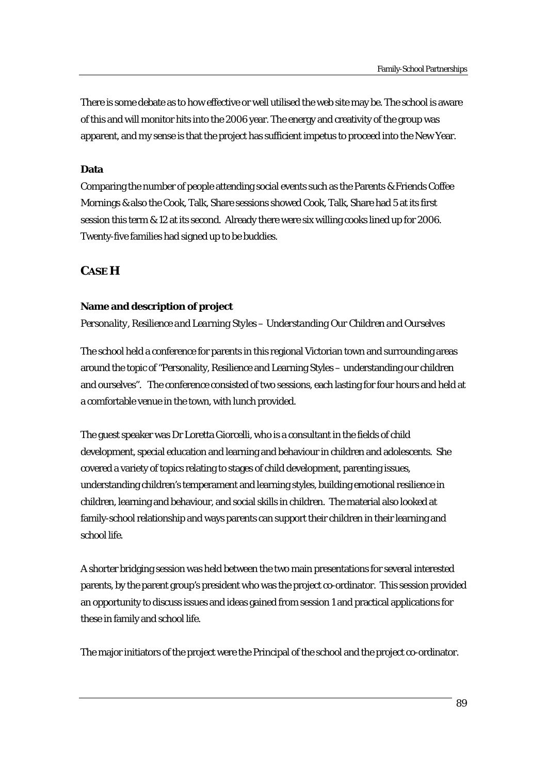There is some debate as to how effective or well utilised the web site may be. The school is aware of this and will monitor hits into the 2006 year. The energy and creativity of the group was apparent, and my sense is that the project has sufficient impetus to proceed into the New Year.

# **Data**

Comparing the number of people attending social events such as the Parents & Friends Coffee Mornings & also the Cook, Talk, Share sessions showed Cook, Talk, Share had 5 at its first session this term & 12 at its second. Already there were six willing cooks lined up for 2006. Twenty-five families had signed up to be buddies.

# **CASE H**

# **Name and description of project**

*Personality, Resilience and Learning Styles – Understanding Our Children and Ourselves* 

The school held a conference for parents in this regional Victorian town and surrounding areas around the topic of "Personality, Resilience and Learning Styles – understanding our children and ourselves". The conference consisted of two sessions, each lasting for four hours and held at a comfortable venue in the town, with lunch provided.

The guest speaker was Dr Loretta Giorcelli, who is a consultant in the fields of child development, special education and learning and behaviour in children and adolescents. She covered a variety of topics relating to stages of child development, parenting issues, understanding children's temperament and learning styles, building emotional resilience in children, learning and behaviour, and social skills in children. The material also looked at family-school relationship and ways parents can support their children in their learning and school life.

A shorter bridging session was held between the two main presentations for several interested parents, by the parent group's president who was the project co-ordinator. This session provided an opportunity to discuss issues and ideas gained from session 1 and practical applications for these in family and school life.

The major initiators of the project were the Principal of the school and the project co-ordinator.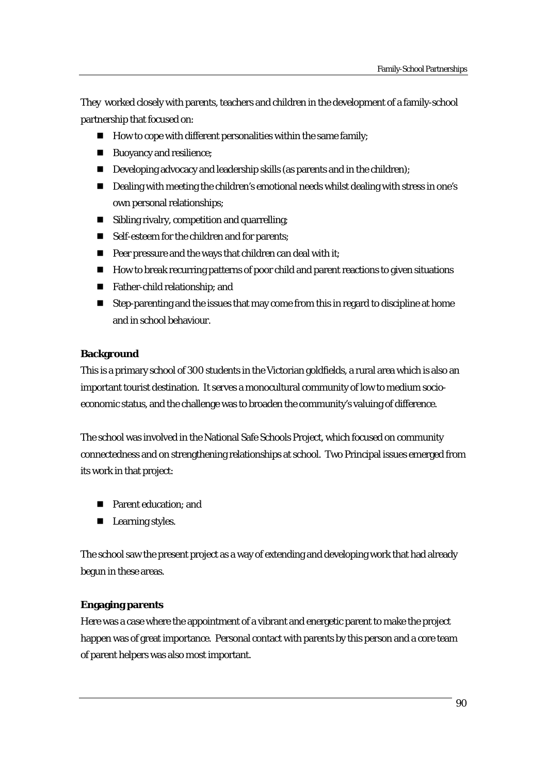They worked closely with parents, teachers and children in the development of a family-school partnership that focused on:

- $\blacksquare$  How to cope with different personalities within the same family;
- Buoyancy and resilience;
- Developing advocacy and leadership skills (as parents and in the children);
- Dealing with meeting the children's emotional needs whilst dealing with stress in one's own personal relationships;
- **Sibling rivalry, competition and quarrelling;**
- Self-esteem for the children and for parents;
- $\blacksquare$  Peer pressure and the ways that children can deal with it;
- How to break recurring patterns of poor child and parent reactions to given situations
- Father-child relationship; and
- Step-parenting and the issues that may come from this in regard to discipline at home and in school behaviour.

# **Background**

This is a primary school of 300 students in the Victorian goldfields, a rural area which is also an important tourist destination. It serves a monocultural community of low to medium socioeconomic status, and the challenge was to broaden the community's valuing of difference.

The school was involved in the National Safe Schools Project, which focused on community connectedness and on strengthening relationships at school. Two Principal issues emerged from its work in that project:

- Parent education; and
- **Learning styles.**

The school saw the present project as a way of extending and developing work that had already begun in these areas.

# **Engaging parents**

Here was a case where the appointment of a vibrant and energetic parent to make the project happen was of great importance. Personal contact with parents by this person and a core team of parent helpers was also most important.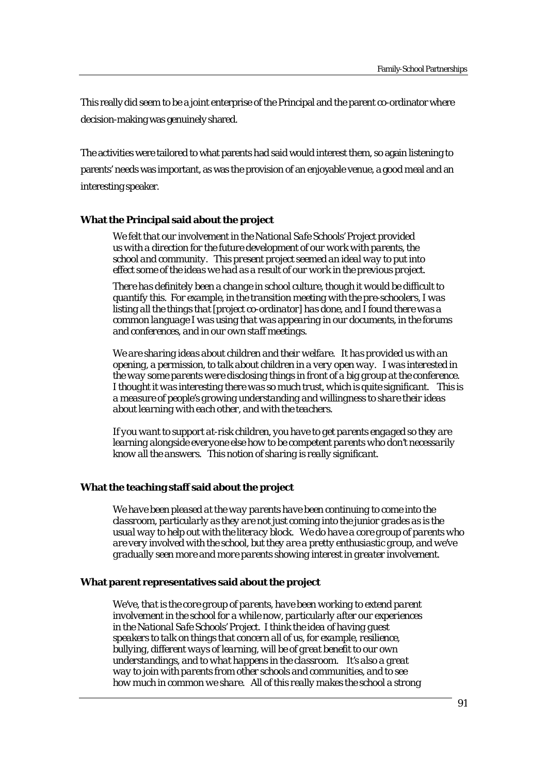This really did seem to be a joint enterprise of the Principal and the parent co-ordinator where decision-making was genuinely shared.

The activities were tailored to what parents had said would interest them, so again listening to parents' needs was important, as was the provision of an enjoyable venue, a good meal and an interesting speaker.

### **What the Principal said about the project**

*We felt that our involvement in the National Safe Schools' Project provided us with a direction for the future development of our work with parents, the school and community. This present project seemed an ideal way to put into effect some of the ideas we had as a result of our work in the previous project.* 

*There has definitely been a change in school culture, though it would be difficult to quantify this. For example, in the transition meeting with the pre-schoolers, I was listing all the things that [project co-ordinator] has done, and I found there was a common language I was using that was appearing in our documents, in the forums and conferences, and in our own staff meetings.* 

*We are sharing ideas about children and their welfare. It has provided us with an opening, a permission, to talk about children in a very open way. I was interested in the way some parents were disclosing things in front of a big group at the conference. I thought it was interesting there was so much trust, which is quite significant. This is a measure of people's growing understanding and willingness to share their ideas about learning with each other, and with the teachers.* 

*If you want to support at-risk children, you have to get parents engaged so they are learning alongside everyone else how to be competent parents who don't necessarily know all the answers. This notion of sharing is really significant.* 

# **What the teaching staff said about the project**

*We have been pleased at the way parents have been continuing to come into the classroom, particularly as they are not just coming into the junior grades as is the usual way to help out with the literacy block. We do have a core group of parents who are very involved with the school, but they are a pretty enthusiastic group, and we've gradually seen more and more parents showing interest in greater involvement.* 

#### **What parent representatives said about the project**

We've, that is the core group of parents, have been working to extend parent *involvement in the school for a while now, particularly after our experiences in the National Safe Schools' Project. I think the idea of having guest speakers to talk on things that concern all of us, for example, resilience, bullying, different ways of learning, will be of great benefit to our own understandings, and to what happens in the classroom. It's also a great way to join with parents from other schools and communities, and to see how much in common we share. All of this really makes the school a strong*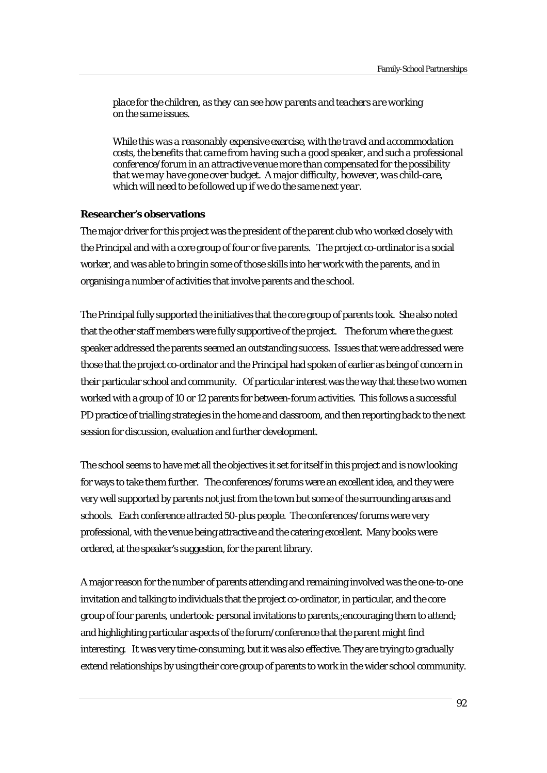*place for the children, as they can see how parents and teachers are working on the same issues.* 

*While this was a reasonably expensive exercise, with the travel and accommodation costs, the benefits that came from having such a good speaker, and such a professional conference/forum in an attractive venue more than compensated for the possibility that we may have gone over budget. A major difficulty, however, was child-care, which will need to be followed up if we do the same next year.* 

# **Researcher's observations**

The major driver for this project was the president of the parent club who worked closely with the Principal and with a core group of four or five parents. The project co-ordinator is a social worker, and was able to bring in some of those skills into her work with the parents, and in organising a number of activities that involve parents and the school.

The Principal fully supported the initiatives that the core group of parents took. She also noted that the other staff members were fully supportive of the project. The forum where the guest speaker addressed the parents seemed an outstanding success. Issues that were addressed were those that the project co-ordinator and the Principal had spoken of earlier as being of concern in their particular school and community. Of particular interest was the way that these two women worked with a group of 10 or 12 parents for between-forum activities. This follows a successful PD practice of trialling strategies in the home and classroom, and then reporting back to the next session for discussion, evaluation and further development.

The school seems to have met all the objectives it set for itself in this project and is now looking for ways to take them further. The conferences/forums were an excellent idea, and they were very well supported by parents not just from the town but some of the surrounding areas and schools. Each conference attracted 50-plus people. The conferences/forums were very professional, with the venue being attractive and the catering excellent. Many books were ordered, at the speaker's suggestion, for the parent library.

A major reason for the number of parents attending and remaining involved was the one-to-one invitation and talking to individuals that the project co-ordinator, in particular, and the core group of four parents, undertook: personal invitations to parents,;encouraging them to attend; and highlighting particular aspects of the forum/conference that the parent might find interesting. It was very time-consuming, but it was also effective. They are trying to gradually extend relationships by using their core group of parents to work in the wider school community.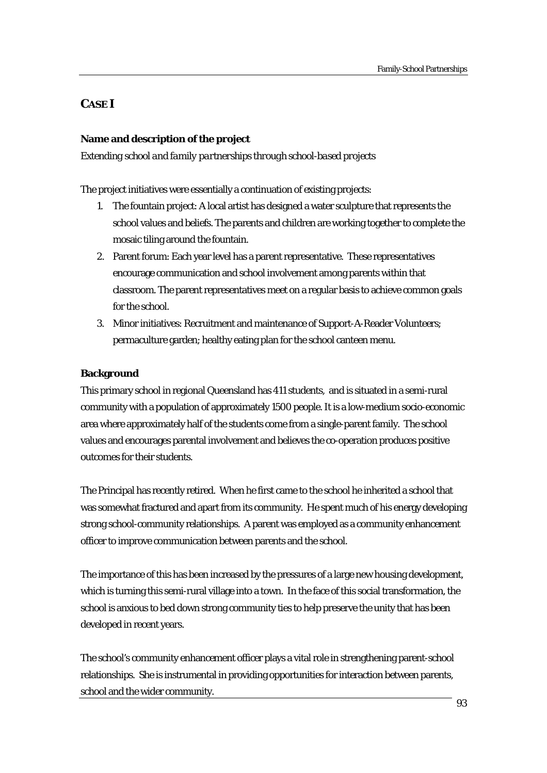# **CASE I**

# **Name and description of the project**

*Extending school and family partnerships through school-based projects* 

The project initiatives were essentially a continuation of existing projects:

- 1. The fountain project: A local artist has designed a water sculpture that represents the school values and beliefs. The parents and children are working together to complete the mosaic tiling around the fountain.
- 2. Parent forum: Each year level has a parent representative. These representatives encourage communication and school involvement among parents within that classroom. The parent representatives meet on a regular basis to achieve common goals for the school.
- 3. Minor initiatives: Recruitment and maintenance of Support-A-Reader Volunteers; permaculture garden; healthy eating plan for the school canteen menu.

### **Background**

This primary school in regional Queensland has 411 students, and is situated in a semi-rural community with a population of approximately 1500 people. It is a low-medium socio-economic area where approximately half of the students come from a single-parent family. The school values and encourages parental involvement and believes the co-operation produces positive outcomes for their students.

The Principal has recently retired. When he first came to the school he inherited a school that was somewhat fractured and apart from its community. He spent much of his energy developing strong school-community relationships. A parent was employed as a community enhancement officer to improve communication between parents and the school.

The importance of this has been increased by the pressures of a large new housing development, which is turning this semi-rural village into a town. In the face of this social transformation, the school is anxious to bed down strong community ties to help preserve the unity that has been developed in recent years.

The school's community enhancement officer plays a vital role in strengthening parent-school relationships. She is instrumental in providing opportunities for interaction between parents, school and the wider community.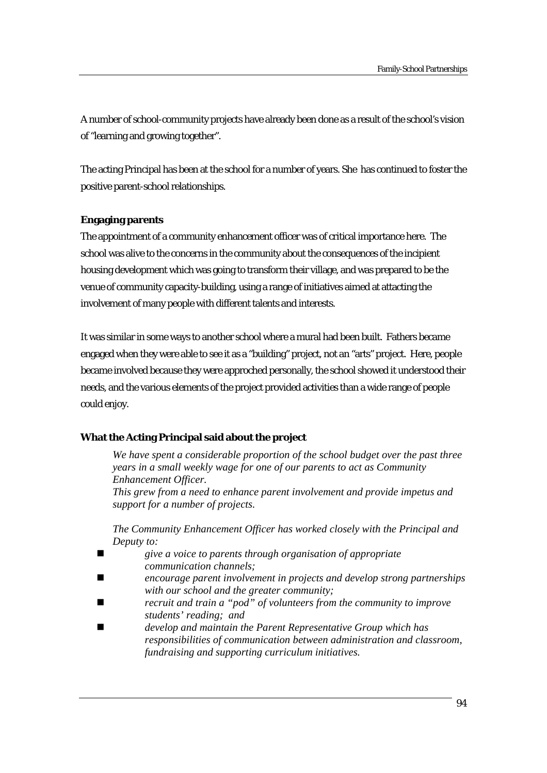A number of school-community projects have already been done as a result of the school's vision of "learning and growing together".

The acting Principal has been at the school for a number of years. She has continued to foster the positive parent-school relationships.

# **Engaging parents**

The appointment of a community enhancement officer was of critical importance here. The school was alive to the concerns in the community about the consequences of the incipient housing development which was going to transform their village, and was prepared to be the venue of community capacity-building, using a range of initiatives aimed at attacting the involvement of many people with different talents and interests.

It was similar in some ways to another school where a mural had been built. Fathers became engaged when they were able to see it as a "building" project, not an "arts" project. Here, people became involved because they were approched personally, the school showed it understood their needs, and the various elements of the project provided activities than a wide range of people could enjoy.

# **What the Acting Principal said about the project**

*We have spent a considerable proportion of the school budget over the past three years in a small weekly wage for one of our parents to act as Community Enhancement Officer. This grew from a need to enhance parent involvement and provide impetus and support for a number of projects.* 

*The Community Enhancement Officer has worked closely with the Principal and Deputy to:* 

- *give a voice to parents through organisation of appropriate communication channels;*
- *encourage parent involvement in projects and develop strong partnerships with our school and the greater community;*
- *recruit and train a "pod" of volunteers from the community to improve students' reading; and*
- *develop and maintain the Parent Representative Group which has responsibilities of communication between administration and classroom, fundraising and supporting curriculum initiatives.*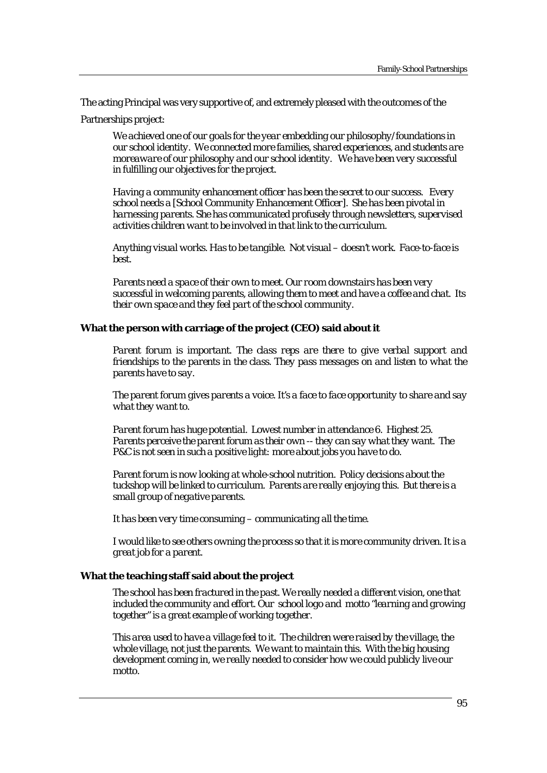The acting Principal was very supportive of, and extremely pleased with the outcomes of the

Partnerships project:

*We achieved one of our goals for the year embedding our philosophy/foundations in our school identity. We connected more families, shared experiences, and students are moreaware of our philosophy and our school identity. We have been very successful in fulfilling our objectives for the project.* 

*Having a community enhancement officer has been the secret to our success. Every school needs a [School Community Enhancement Officer]. She has been pivotal in harnessing parents. She has communicated profusely through newsletters, supervised activities children want to be involved in that link to the curriculum.* 

*Anything visual works. Has to be tangible. Not visual – doesn't work. Face-to-face is best.* 

*Parents need a space of their own to meet. Our room downstairs has been very successful in welcoming parents, allowing them to meet and have a coffee and chat. Its their own space and they feel part of the school community.*

# **What the person with carriage of the project (CEO) said about it**

*Parent forum is important. The class reps are there to give verbal support and friendships to the parents in the class. They pass messages on and listen to what the parents have to say.* 

*The parent forum gives parents a voice. It's a face to face opportunity to share and say what they want to.* 

*Parent forum has huge potential. Lowest number in attendance 6. Highest 25. Parents perceive the parent forum as their own -- they can say what they want. The P&C is not seen in such a positive light: more about jobs you have to do.* 

*Parent forum is now looking at whole-school nutrition. Policy decisions about the tuckshop will be linked to curriculum. Parents are really enjoying this. But there is a small group of negative parents.* 

*It has been very time consuming – communicating all the time.* 

*I would like to see others owning the process so that it is more community driven. It is a great job for a parent.* 

#### **What the teaching staff said about the project**

*The school has been fractured in the past. We really needed a different vision, one that included the community and effort. Our school logo and motto "learning and growing together" is a great example of working together.* 

*This area used to have a village feel to it. The children were raised by the village, the whole village, not just the parents. We want to maintain this. With the big housing development coming in, we really needed to consider how we could publicly live our motto.*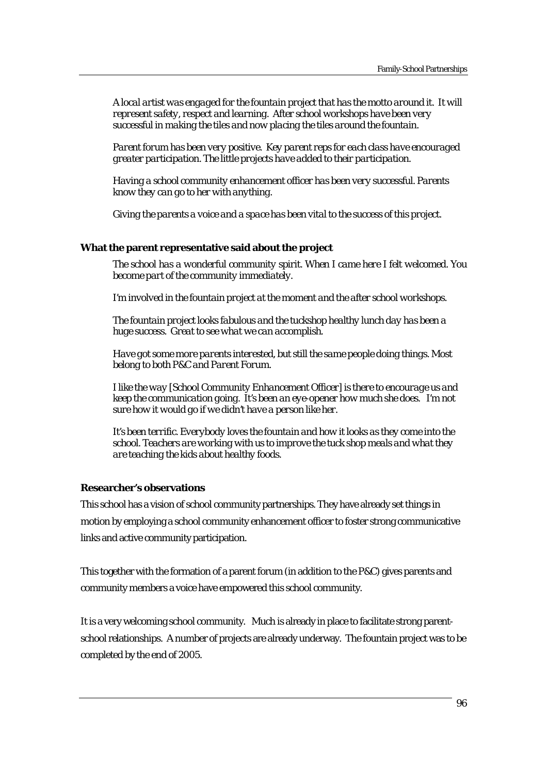*A local artist was engaged for the fountain project that has the motto around it. It will represent safety, respect and learning. After school workshops have been very successful in making the tiles and now placing the tiles around the fountain.* 

*Parent forum has been very positive. Key parent reps for each class have encouraged greater participation. The little projects have added to their participation.*

*Having a school community enhancement officer has been very successful. Parents know they can go to her with anything.* 

*Giving the parents a voice and a space has been vital to the success of this project.* 

### **What the parent representative said about the project**

*The school has a wonderful community spirit. When I came here I felt welcomed. You become part of the community immediately.* 

*I'm involved in the fountain project at the moment and the after school workshops.* 

*The fountain project looks fabulous and the tuckshop healthy lunch day has been a huge success. Great to see what we can accomplish.* 

*Have got some more parents interested, but still the same people doing things. Most belong to both P&C and Parent Forum.* 

*I like the way [School Community Enhancement Officer] is there to encourage us and keep the communication going. It's been an eye-opener how much she does. I'm not sure how it would go if we didn't have a person like her.* 

*It's been terrific. Everybody loves the fountain and how it looks as they come into the school. Teachers are working with us to improve the tuck shop meals and what they are teaching the kids about healthy foods.* 

### **Researcher's observations**

This school has a vision of school community partnerships. They have already set things in motion by employing a school community enhancement officer to foster strong communicative links and active community participation.

This together with the formation of a parent forum (in addition to the P&C) gives parents and community members a voice have empowered this school community.

It is a very welcoming school community. Much is already in place to facilitate strong parentschool relationships. A number of projects are already underway. The fountain project was to be completed by the end of 2005.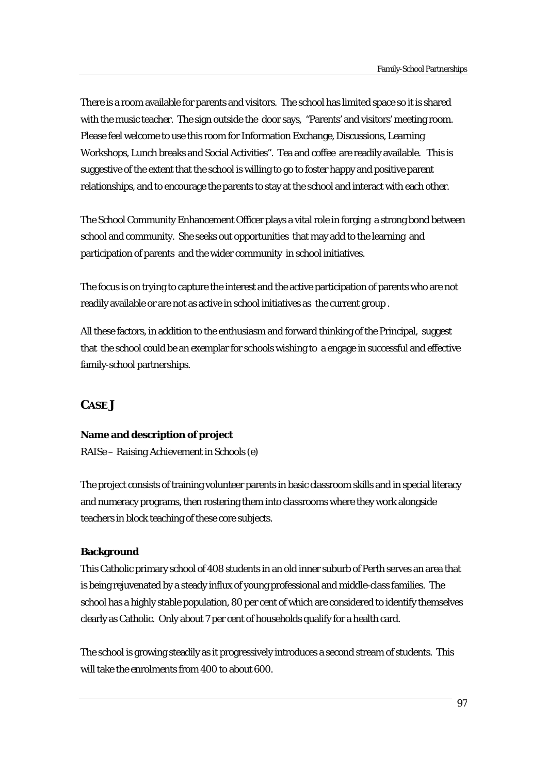There is a room available for parents and visitors. The school has limited space so it is shared with the music teacher. The sign outside the door says, "Parents' and visitors' meeting room. Please feel welcome to use this room for Information Exchange, Discussions, Learning Workshops, Lunch breaks and Social Activities". Tea and coffee are readily available. This is suggestive of the extent that the school is willing to go to foster happy and positive parent relationships, and to encourage the parents to stay at the school and interact with each other.

The School Community Enhancement Officer plays a vital role in forging a strong bond between school and community. She seeks out opportunities that may add to the learning and participation of parents and the wider community in school initiatives.

The focus is on trying to capture the interest and the active participation of parents who are not readily available or are not as active in school initiatives as the current group .

All these factors, in addition to the enthusiasm and forward thinking of the Principal, suggest that the school could be an exemplar for schools wishing to a engage in successful and effective family-school partnerships.

# **CASE J**

# **Name and description of project**

*RAISe – Raising Achievement in Schools (e)* 

The project consists of training volunteer parents in basic classroom skills and in special literacy and numeracy programs, then rostering them into classrooms where they work alongside teachers in block teaching of these core subjects.

# **Background**

This Catholic primary school of 408 students in an old inner suburb of Perth serves an area that is being rejuvenated by a steady influx of young professional and middle-class families. The school has a highly stable population, 80 per cent of which are considered to identify themselves clearly as Catholic. Only about 7 per cent of households qualify for a health card.

The school is growing steadily as it progressively introduces a second stream of students. This will take the enrolments from 400 to about 600.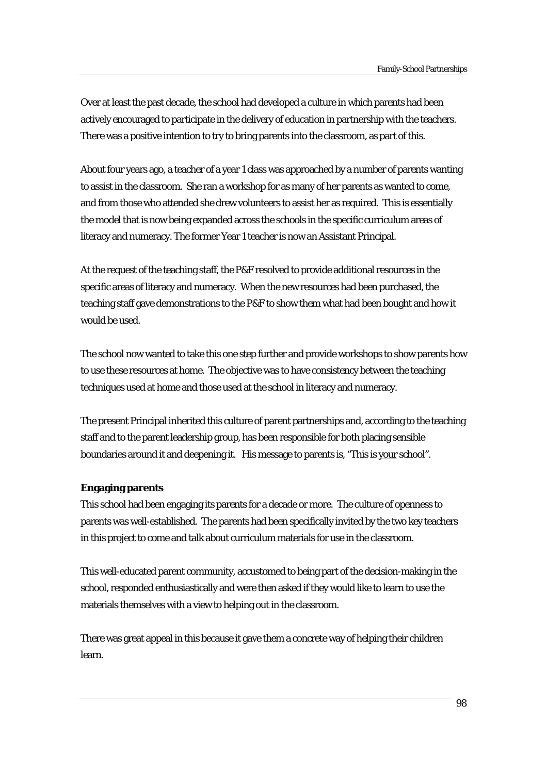Over at least the past decade, the school had developed a culture in which parents had been actively encouraged to participate in the delivery of education in partnership with the teachers. There was a positive intention to try to bring parents into the classroom, as part of this.

About four years ago, a teacher of a year 1 class was approached by a number of parents wanting to assist in the classroom. She ran a workshop for as many of her parents as wanted to come, and from those who attended she drew volunteers to assist her as required. This is essentially the model that is now being expanded across the schools in the specific curriculum areas of literacy and numeracy. The former Year 1 teacher is now an Assistant Principal.

At the request of the teaching staff, the P&F resolved to provide additional resources in the specific areas of literacy and numeracy. When the new resources had been purchased, the teaching staff gave demonstrations to the P&F to show them what had been bought and how it would be used.

The school now wanted to take this one step further and provide workshops to show parents how to use these resources at home. The objective was to have consistency between the teaching techniques used at home and those used at the school in literacy and numeracy.

The present Principal inherited this culture of parent partnerships and, according to the teaching staff and to the parent leadership group, has been responsible for both placing sensible boundaries around it and deepening it. His message to parents is, "This is your school".

# **Engaging parents**

This school had been engaging its parents for a decade or more. The culture of openness to parents was well-established. The parents had been specifically invited by the two key teachers in this project to come and talk about curriculum materials for use in the classroom.

This well-educated parent community, accustomed to being part of the decision-making in the school, responded enthusiastically and were then asked if they would like to learn to use the materials themselves with a view to helping out in the classroom.

There was great appeal in this because it gave them a concrete way of helping their children learn.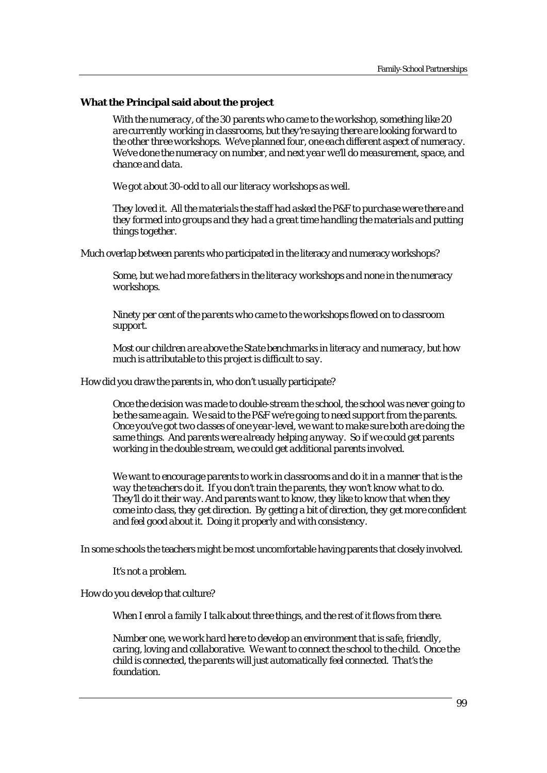### **What the Principal said about the project**

*With the numeracy, of the 30 parents who came to the workshop, something like 20 are currently working in classrooms, but they're saying there are looking forward to the other three workshops. We've planned four, one each different aspect of numeracy. We've done the numeracy on number, and next year we'll do measurement, space, and chance and data.* 

*We got about 30-odd to all our literacy workshops as well.* 

*They loved it. All the materials the staff had asked the P&F to purchase were there and they formed into groups and they had a great time handling the materials and putting things together.* 

Much overlap between parents who participated in the literacy and numeracy workshops?

*Some, but we had more fathers in the literacy workshops and none in the numeracy workshops.* 

*Ninety per cent of the parents who came to the workshops flowed on to classroom support.* 

*Most our children are above the State benchmarks in literacy and numeracy, but how much is attributable to this project is difficult to say.* 

How did you draw the parents in, who don't usually participate?

*Once the decision was made to double-stream the school, the school was never going to be the same again. We said to the P&F we're going to need support from the parents. Once you've got two classes of one year-level, we want to make sure both are doing the same things. And parents were already helping anyway. So if we could get parents working in the double stream, we could get additional parents involved.* 

*We want to encourage parents to work in classrooms and do it in a manner that is the way the teachers do it. If you don't train the parents, they won't know what to do. They'll do it their way. And parents want to know, they like to know that when they come into class, they get direction. By getting a bit of direction, they get more confident and feel good about it. Doing it properly and with consistency.* 

In some schools the teachers might be most uncomfortable having parents that closely involved.

*It's not a problem.* 

How do you develop that culture?

*When I enrol a family I talk about three things, and the rest of it flows from there.* 

*Number one, we work hard here to develop an environment that is safe, friendly, caring, loving and collaborative. We want to connect the school to the child. Once the child is connected, the parents will just automatically feel connected. That's the foundation.*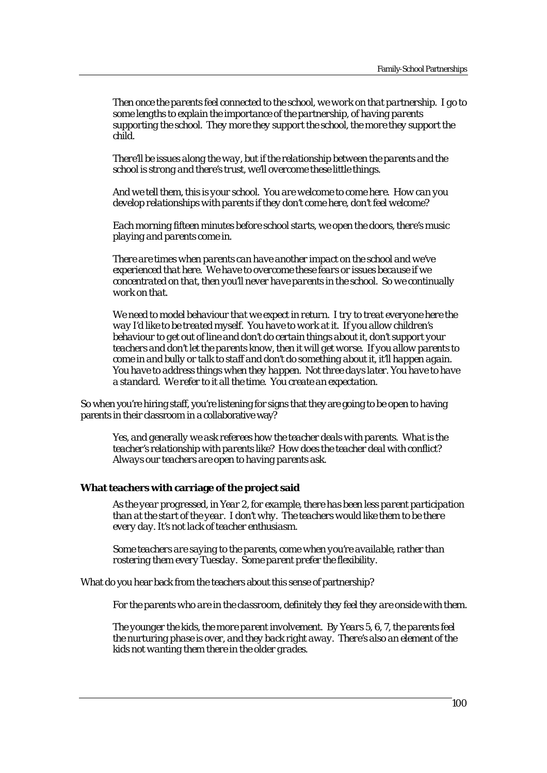*Then once the parents feel connected to the school, we work on that partnership. I go to some lengths to explain the importance of the partnership, of having parents supporting the school. They more they support the school, the more they support the child.* 

*There'll be issues along the way, but if the relationship between the parents and the school is strong and there's trust, we'll overcome these little things.* 

*And we tell them, this is your school. You are welcome to come here. How can you develop relationships with parents if they don't come here, don't feel welcome?* 

*Each morning fifteen minutes before school starts, we open the doors, there's music playing and parents come in.* 

*There are times when parents can have another impact on the school and we've experienced that here. We have to overcome these fears or issues because if we concentrated on that, then you'll never have parents in the school. So we continually work on that.* 

*We need to model behaviour that we expect in return. I try to treat everyone here the way I'd like to be treated myself. You have to work at it. If you allow children's behaviour to get out of line and don't do certain things about it, don't support your teachers and don't let the parents know, then it will get worse. If you allow parents to come in and bully or talk to staff and don't do something about it, it'll happen again. You have to address things when they happen. Not three days later. You have to have a standard. We refer to it all the time. You create an expectation.* 

So when you're hiring staff, you're listening for signs that they are going to be open to having parents in their classroom in a collaborative way?

*Yes, and generally we ask referees how the teacher deals with parents. What is the teacher's relationship with parents like? How does the teacher deal with conflict? Always our teachers are open to having parents ask.* 

# **What teachers with carriage of the project said**

*As the year progressed, in Year 2, for example, there has been less parent participation than at the start of the year. I don't why. The teachers would like them to be there every day. It's not lack of teacher enthusiasm.* 

*Some teachers are saying to the parents, come when you're available, rather than rostering them every Tuesday. Some parent prefer the flexibility.* 

What do you hear back from the teachers about this sense of partnership?

*For the parents who are in the classroom, definitely they feel they are onside with them.* 

*The younger the kids, the more parent involvement. By Years 5, 6, 7, the parents feel the nurturing phase is over, and they back right away. There's also an element of the kids not wanting them there in the older grades.*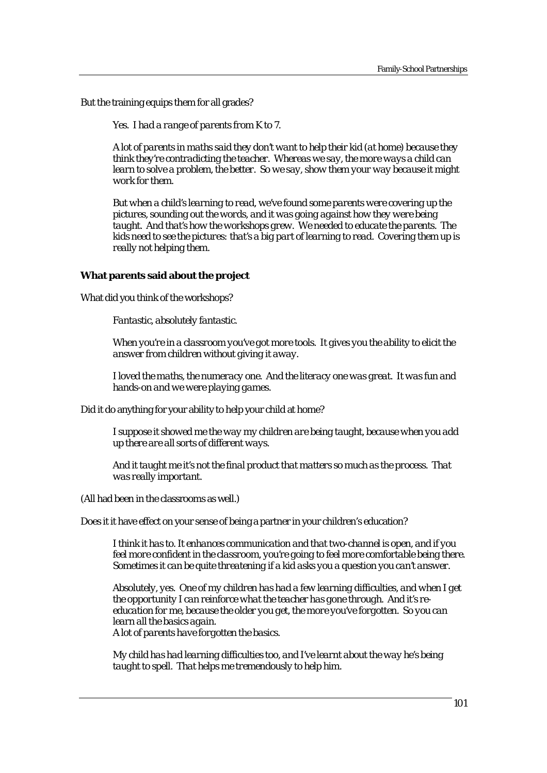But the training equips them for all grades?

*Yes. I had a range of parents from K to 7.* 

*A lot of parents in maths said they don't want to help their kid (at home) because they think they're contradicting the teacher. Whereas we say, the more ways a child can learn to solve a problem, the better. So we say, show them your way because it might work for them.* 

*But when a child's learning to read, we've found some parents were covering up the pictures, sounding out the words, and it was going against how they were being taught. And that's how the workshops grew. We needed to educate the parents. The kids need to see the pictures: that's a big part of learning to read. Covering them up is really not helping them.* 

# **What parents said about the project**

What did you think of the workshops?

*Fantastic, absolutely fantastic.* 

*When you're in a classroom you've got more tools. It gives you the ability to elicit the answer from children without giving it away.* 

*I loved the maths, the numeracy one. And the literacy one was great. It was fun and hands-on and we were playing games.* 

Did it do anything for your ability to help your child at home?

*I suppose it showed me the way my children are being taught, because when you add up there are all sorts of different ways.* 

*And it taught me it's not the final product that matters so much as the process. That was really important.* 

(All had been in the classrooms as well.)

Does it it have effect on your sense of being a partner in your children's education?

*I think it has to. It enhances communication and that two-channel is open, and if you feel more confident in the classroom, you're going to feel more comfortable being there. Sometimes it can be quite threatening if a kid asks you a question you can't answer.* 

*Absolutely, yes. One of my children has had a few learning difficulties, and when I get the opportunity I can reinforce what the teacher has gone through. And it's reeducation for me, because the older you get, the more you've forgotten. So you can learn all the basics again. A lot of parents have forgotten the basics.* 

*My child has had learning difficulties too, and I've learnt about the way he's being taught to spell. That helps me tremendously to help him.*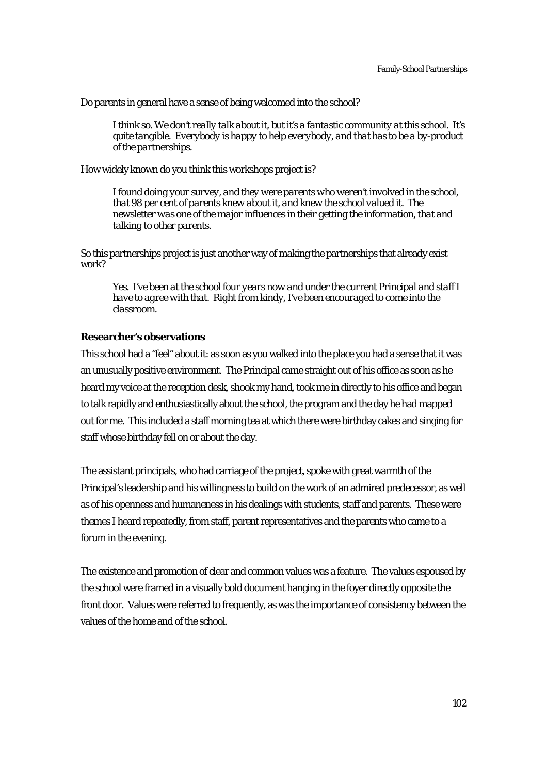Do parents in general have a sense of being welcomed into the school?

*I think so. We don't really talk about it, but it's a fantastic community at this school. It's quite tangible. Everybody is happy to help everybody, and that has to be a by-product of the partnerships.* 

How widely known do you think this workshops project is?

*I found doing your survey, and they were parents who weren't involved in the school, that 98 per cent of parents knew about it, and knew the school valued it. The newsletter was one of the major influences in their getting the information, that and talking to other parents.* 

So this partnerships project is just another way of making the partnerships that already exist work?

*Yes. I've been at the school four years now and under the current Principal and staff I have to agree with that. Right from kindy, I've been encouraged to come into the classroom.* 

# **Researcher's observations**

This school had a "feel" about it: as soon as you walked into the place you had a sense that it was an unusually positive environment. The Principal came straight out of his office as soon as he heard my voice at the reception desk, shook my hand, took me in directly to his office and began to talk rapidly and enthusiastically about the school, the program and the day he had mapped out for me. This included a staff morning tea at which there were birthday cakes and singing for staff whose birthday fell on or about the day.

The assistant principals, who had carriage of the project, spoke with great warmth of the Principal's leadership and his willingness to build on the work of an admired predecessor, as well as of his openness and humaneness in his dealings with students, staff and parents. These were themes I heard repeatedly, from staff, parent representatives and the parents who came to a forum in the evening.

The existence and promotion of clear and common values was a feature. The values espoused by the school were framed in a visually bold document hanging in the foyer directly opposite the front door. Values were referred to frequently, as was the importance of consistency between the values of the home and of the school.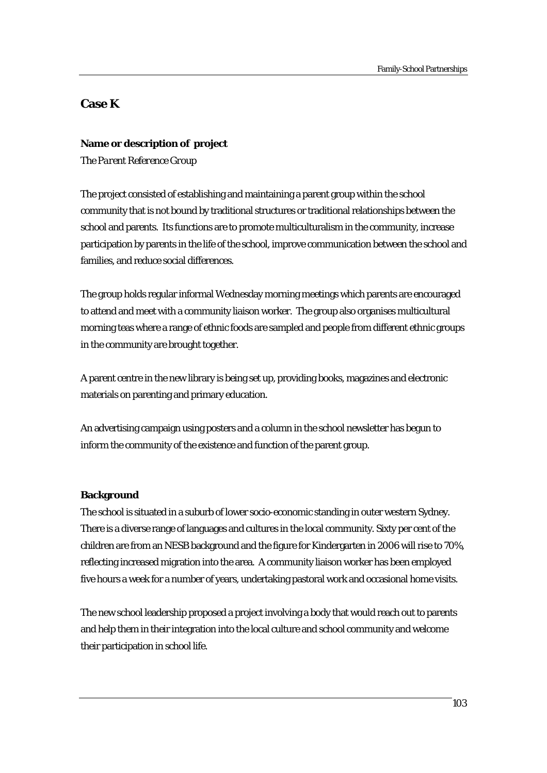# **Case K**

# **Name or description of project**

*The Parent Reference Group* 

The project consisted of establishing and maintaining a parent group within the school community that is not bound by traditional structures or traditional relationships between the school and parents. Its functions are to promote multiculturalism in the community, increase participation by parents in the life of the school, improve communication between the school and families, and reduce social differences.

The group holds regular informal Wednesday morning meetings which parents are encouraged to attend and meet with a community liaison worker. The group also organises multicultural morning teas where a range of ethnic foods are sampled and people from different ethnic groups in the community are brought together.

A parent centre in the new library is being set up, providing books, magazines and electronic materials on parenting and primary education.

An advertising campaign using posters and a column in the school newsletter has begun to inform the community of the existence and function of the parent group.

# **Background**

The school is situated in a suburb of lower socio-economic standing in outer western Sydney. There is a diverse range of languages and cultures in the local community. Sixty per cent of the children are from an NESB background and the figure for Kindergarten in 2006 will rise to 70%, reflecting increased migration into the area. A community liaison worker has been employed five hours a week for a number of years, undertaking pastoral work and occasional home visits.

The new school leadership proposed a project involving a body that would reach out to parents and help them in their integration into the local culture and school community and welcome their participation in school life.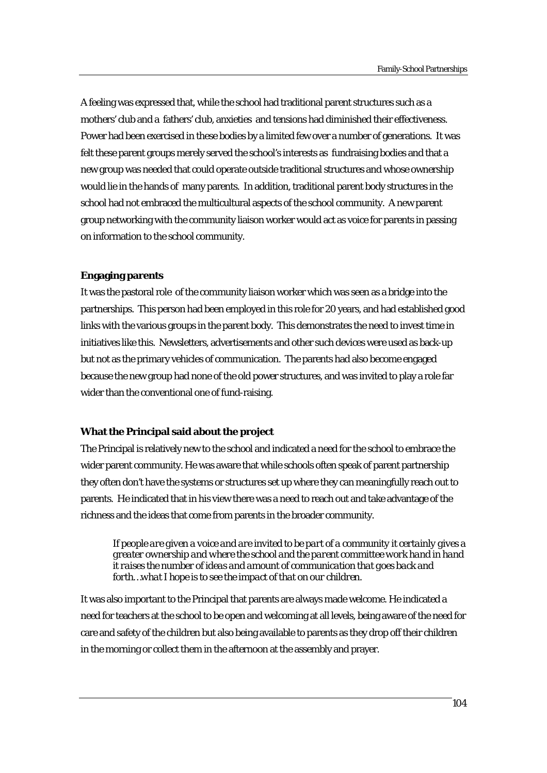A feeling was expressed that, while the school had traditional parent structures such as a mothers' club and a fathers' club, anxieties and tensions had diminished their effectiveness. Power had been exercised in these bodies by a limited few over a number of generations. It was felt these parent groups merely served the school's interests as fundraising bodies and that a new group was needed that could operate outside traditional structures and whose ownership would lie in the hands of many parents. In addition, traditional parent body structures in the school had not embraced the multicultural aspects of the school community. A new parent group networking with the community liaison worker would act as voice for parents in passing on information to the school community.

### **Engaging parents**

It was the pastoral role of the community liaison worker which was seen as a bridge into the partnerships. This person had been employed in this role for 20 years, and had established good links with the various groups in the parent body. This demonstrates the need to invest time in initiatives like this. Newsletters, advertisements and other such devices were used as back-up but not as the primary vehicles of communication. The parents had also become engaged because the new group had none of the old power structures, and was invited to play a role far wider than the conventional one of fund-raising.

# **What the Principal said about the project**

The Principal is relatively new to the school and indicated a need for the school to embrace the wider parent community. He was aware that while schools often speak of parent partnership they often don't have the systems or structures set up where they can meaningfully reach out to parents. He indicated that in his view there was a need to reach out and take advantage of the richness and the ideas that come from parents in the broader community.

*If people are given a voice and are invited to be part of a community it certainly gives a greater ownership and where the school and the parent committee work hand in hand it raises the number of ideas and amount of communication that goes back and forth…what I hope is to see the impact of that on our children.* 

It was also important to the Principal that parents are always made welcome. He indicated a need for teachers at the school to be open and welcoming at all levels, being aware of the need for care and safety of the children but also being available to parents as they drop off their children in the morning or collect them in the afternoon at the assembly and prayer.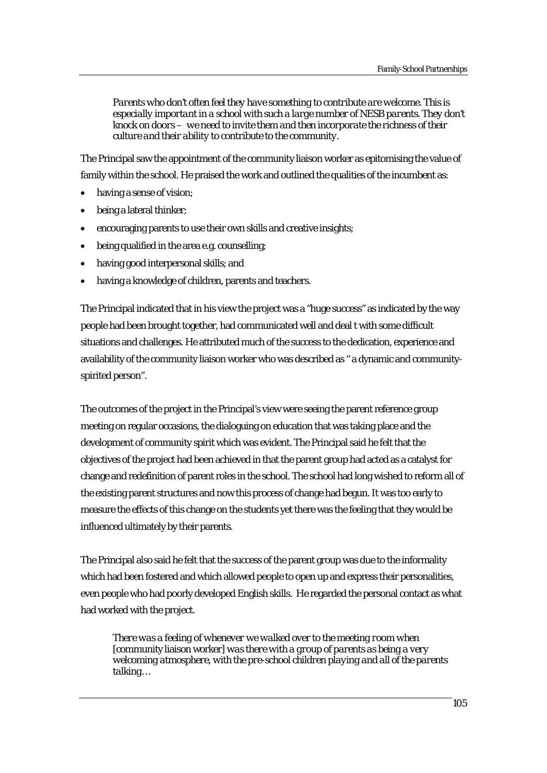*Parents who don't often feel they have something to contribute are welcome. This is especially important in a school with such a large number of NESB parents. They don't knock on doors – we need to invite them and then incorporate the richness of their culture and their ability to contribute to the community.* 

The Principal saw the appointment of the community liaison worker as epitomising the value of family within the school. He praised the work and outlined the qualities of the incumbent as:

- having a sense of vision;
- being a lateral thinker;
- encouraging parents to use their own skills and creative insights;
- being qualified in the area e.g. counselling;
- having good interpersonal skills; and
- having a knowledge of children, parents and teachers.

The Principal indicated that in his view the project was a "huge success" as indicated by the way people had been brought together, had communicated well and deal t with some difficult situations and challenges. He attributed much of the success to the dedication, experience and availability of the community liaison worker who was described as " a dynamic and communityspirited person".

The outcomes of the project in the Principal's view were seeing the parent reference group meeting on regular occasions, the dialoguing on education that was taking place and the development of community spirit which was evident. The Principal said he felt that the objectives of the project had been achieved in that the parent group had acted as a catalyst for change and redefinition of parent roles in the school. The school had long wished to reform all of the existing parent structures and now this process of change had begun. It was too early to measure the effects of this change on the students yet there was the feeling that they would be influenced ultimately by their parents.

The Principal also said he felt that the success of the parent group was due to the informality which had been fostered and which allowed people to open up and express their personalities, even people who had poorly developed English skills. He regarded the personal contact as what had worked with the project.

*There was a feeling of whenever we walked over to the meeting room when*  [community liaison worker] *was there with a group of parents as being a very welcoming atmosphere, with the pre-school children playing and all of the parents talking…*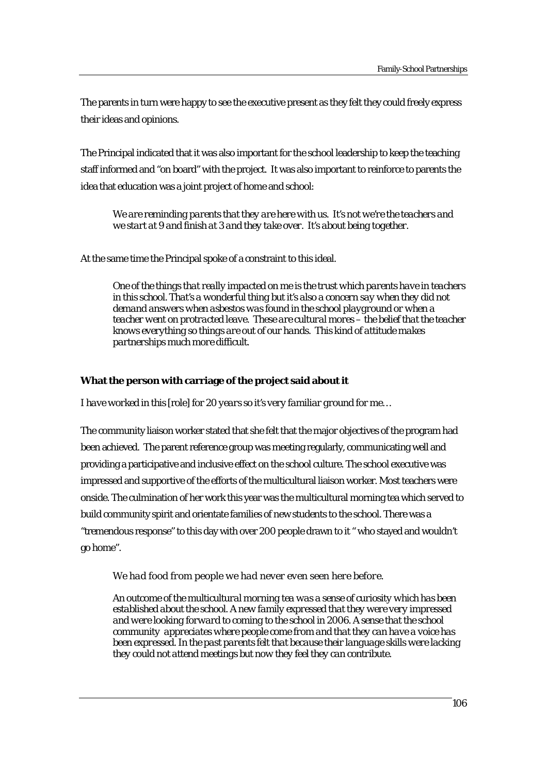The parents in turn were happy to see the executive present as they felt they could freely express their ideas and opinions.

The Principal indicated that it was also important for the school leadership to keep the teaching staff informed and "on board" with the project. It was also important to reinforce to parents the idea that education was a joint project of home and school:

*We are reminding parents that they are here with us. It's not we're the teachers and we start at 9 and finish at 3 and they take over. It's about being together.* 

At the same time the Principal spoke of a constraint to this ideal.

*One of the things that really impacted on me is the trust which parents have in teachers in this school. That's a wonderful thing but it's also a concern say when they did not demand answers when asbestos was found in the school playground or when a teacher went on protracted leave. These are cultural mores – the belief that the teacher knows everything so things are out of our hands. This kind of attitude makes partnerships much more difficult.* 

# **What the person with carriage of the project said about it**

*I have worked in this* [role] *for 20 years so it's very familiar ground for me…* 

The community liaison worker stated that she felt that the major objectives of the program had been achieved. The parent reference group was meeting regularly, communicating well and providing a participative and inclusive effect on the school culture. The school executive was impressed and supportive of the efforts of the multicultural liaison worker. Most teachers were onside. The culmination of her work this year was the multicultural morning tea which served to build community spirit and orientate families of new students to the school. There was a "tremendous response" to this day with over 200 people drawn to it " who stayed and wouldn't go home".

# *We had food from people we had never even seen here before.*

*An outcome of the multicultural morning tea was a sense of curiosity which has been established about the school. A new family expressed that they were very impressed and were looking forward to coming to the school in 2006. A sense that the school community appreciates where people come from and that they can have a voice has been expressed. In the past parents felt that because their language skills were lacking they could not attend meetings but now they feel they can contribute.*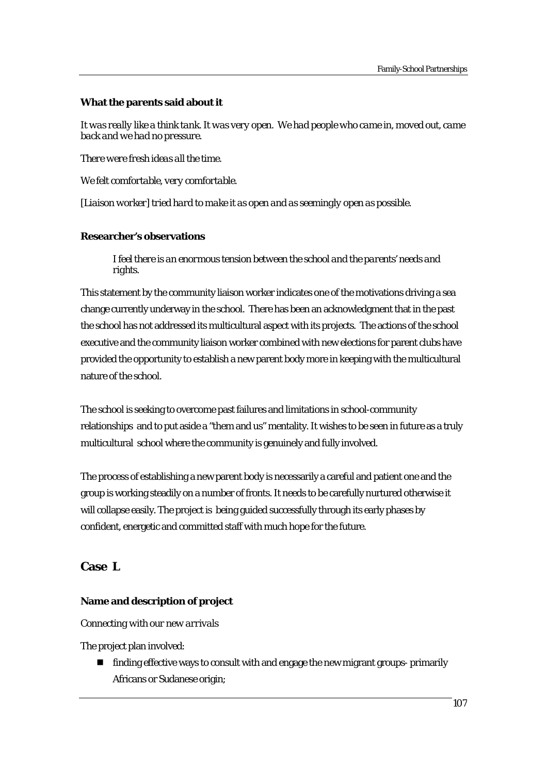# **What the parents said about it**

*It was really like a think tank. It was very open. We had people who came in, moved out, came back and we had no pressure.* 

*There were fresh ideas all the time.* 

*We felt comfortable, very comfortable.* 

*[Liaison worker] tried hard to make it as open and as seemingly open as possible.* 

# **Researcher's observations**

*I feel there is an enormous tension between the school and the parents' needs and rights.* 

This statement by the community liaison worker indicates one of the motivations driving a sea change currently underway in the school. There has been an acknowledgment that in the past the school has not addressed its multicultural aspect with its projects. The actions of the school executive and the community liaison worker combined with new elections for parent clubs have provided the opportunity to establish a new parent body more in keeping with the multicultural nature of the school.

The school is seeking to overcome past failures and limitations in school-community relationships and to put aside a "them and us" mentality. It wishes to be seen in future as a truly multicultural school where the community is genuinely and fully involved.

The process of establishing a new parent body is necessarily a careful and patient one and the group is working steadily on a number of fronts. It needs to be carefully nurtured otherwise it will collapse easily. The project is being guided successfully through its early phases by confident, energetic and committed staff with much hope for the future.

# **Case L**

# **Name and description of project**

*Connecting with our new arrivals* 

The project plan involved:

 finding effective ways to consult with and engage the new migrant groups- primarily Africans or Sudanese origin;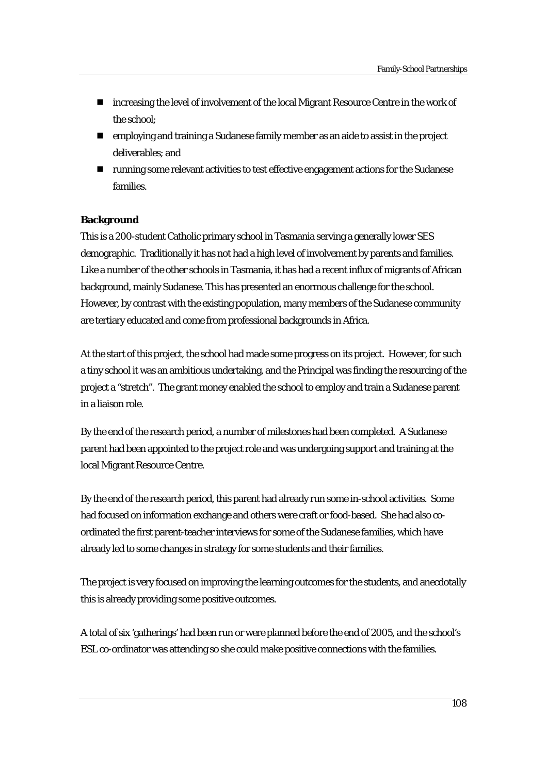- **Increasing the level of involvement of the local Migrant Resource Centre in the work of** the school;
- employing and training a Sudanese family member as an aide to assist in the project deliverables; and
- running some relevant activities to test effective engagement actions for the Sudanese families.

# **Background**

This is a 200-student Catholic primary school in Tasmania serving a generally lower SES demographic. Traditionally it has not had a high level of involvement by parents and families. Like a number of the other schools in Tasmania, it has had a recent influx of migrants of African background, mainly Sudanese. This has presented an enormous challenge for the school. However, by contrast with the existing population, many members of the Sudanese community are tertiary educated and come from professional backgrounds in Africa.

At the start of this project, the school had made some progress on its project. However, for such a tiny school it was an ambitious undertaking, and the Principal was finding the resourcing of the project a "stretch". The grant money enabled the school to employ and train a Sudanese parent in a liaison role.

By the end of the research period, a number of milestones had been completed. A Sudanese parent had been appointed to the project role and was undergoing support and training at the local Migrant Resource Centre.

By the end of the research period, this parent had already run some in-school activities. Some had focused on information exchange and others were craft or food-based. She had also coordinated the first parent-teacher interviews for some of the Sudanese families, which have already led to some changes in strategy for some students and their families.

The project is very focused on improving the learning outcomes for the students, and anecdotally this is already providing some positive outcomes.

A total of six 'gatherings' had been run or were planned before the end of 2005, and the school's ESL co-ordinator was attending so she could make positive connections with the families.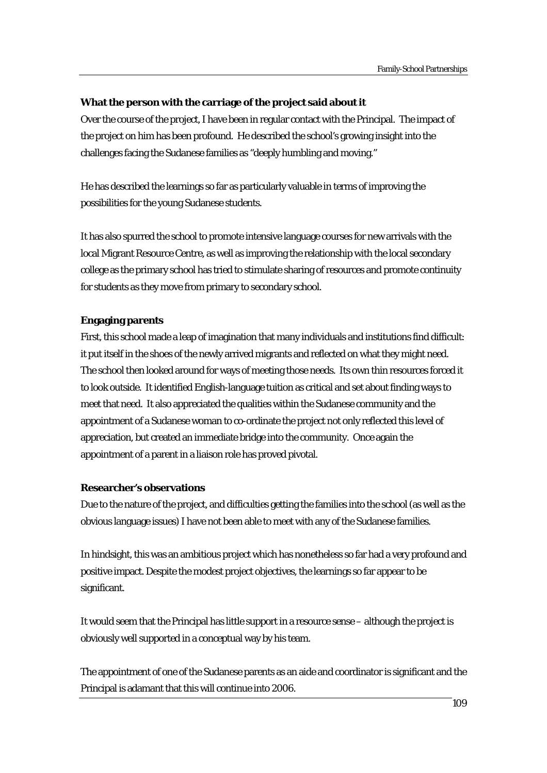#### **What the person with the carriage of the project said about it**

Over the course of the project, I have been in regular contact with the Principal. The impact of the project on him has been profound. He described the school's growing insight into the challenges facing the Sudanese families as "deeply humbling and moving."

He has described the learnings so far as particularly valuable in terms of improving the possibilities for the young Sudanese students.

It has also spurred the school to promote intensive language courses for new arrivals with the local Migrant Resource Centre, as well as improving the relationship with the local secondary college as the primary school has tried to stimulate sharing of resources and promote continuity for students as they move from primary to secondary school.

## **Engaging parents**

First, this school made a leap of imagination that many individuals and institutions find difficult: it put itself in the shoes of the newly arrived migrants and reflected on what they might need. The school then looked around for ways of meeting those needs. Its own thin resources forced it to look outside. It identified English-language tuition as critical and set about finding ways to meet that need. It also appreciated the qualities within the Sudanese community and the appointment of a Sudanese woman to co-ordinate the project not only reflected this level of appreciation, but created an immediate bridge into the community. Once again the appointment of a parent in a liaison role has proved pivotal.

#### **Researcher's observations**

Due to the nature of the project, and difficulties getting the families into the school (as well as the obvious language issues) I have not been able to meet with any of the Sudanese families.

In hindsight, this was an ambitious project which has nonetheless so far had a very profound and positive impact. Despite the modest project objectives, the learnings so far appear to be significant.

It would seem that the Principal has little support in a resource sense – although the project is obviously well supported in a conceptual way by his team.

The appointment of one of the Sudanese parents as an aide and coordinator is significant and the Principal is adamant that this will continue into 2006.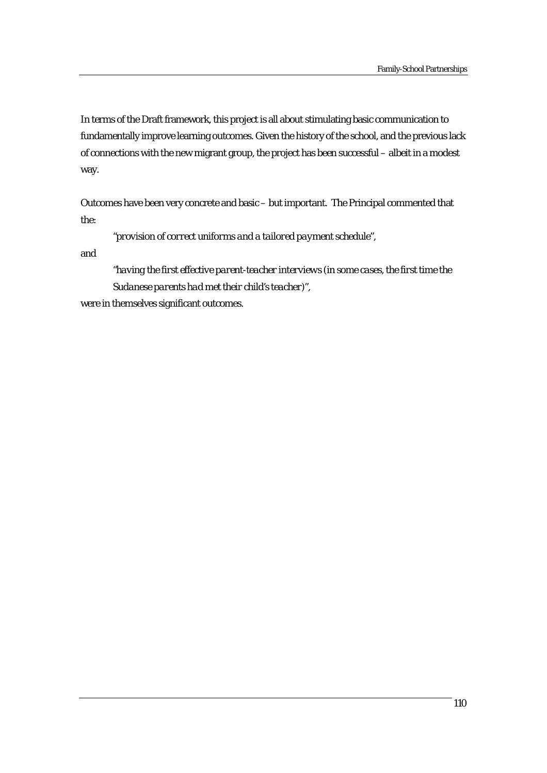In terms of the Draft framework, this project is all about stimulating basic communication to fundamentally improve learning outcomes. Given the history of the school, and the previous lack of connections with the new migrant group, the project has been successful – albeit in a modest way.

Outcomes have been very concrete and basic – but important. The Principal commented that the:

*"provision of correct uniforms and a tailored payment schedule",* 

and

*"having the first effective parent-teacher interviews (in some cases, the first time the Sudanese parents had met their child's teacher)",* 

were in themselves significant outcomes.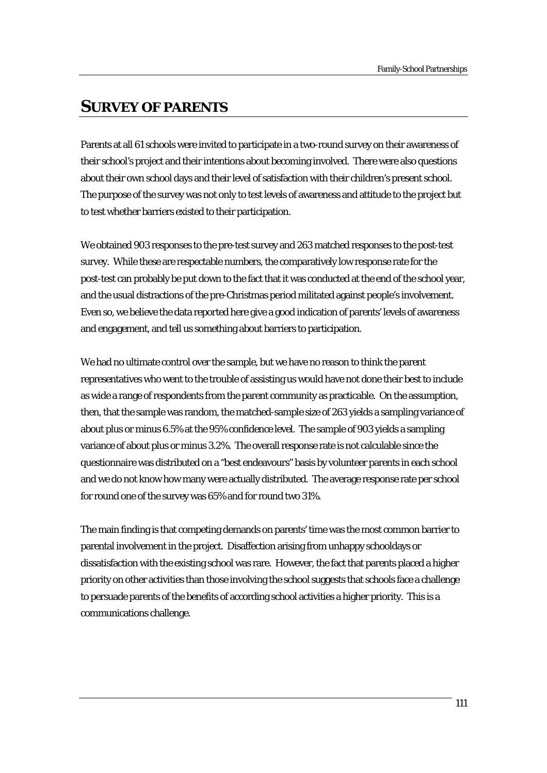# **SURVEY OF PARENTS**

Parents at all 61 schools were invited to participate in a two-round survey on their awareness of their school's project and their intentions about becoming involved. There were also questions about their own school days and their level of satisfaction with their children's present school. The purpose of the survey was not only to test levels of awareness and attitude to the project but to test whether barriers existed to their participation.

We obtained 903 responses to the pre-test survey and 263 matched responses to the post-test survey. While these are respectable numbers, the comparatively low response rate for the post-test can probably be put down to the fact that it was conducted at the end of the school year, and the usual distractions of the pre-Christmas period militated against people's involvement. Even so, we believe the data reported here give a good indication of parents' levels of awareness and engagement, and tell us something about barriers to participation.

We had no ultimate control over the sample, but we have no reason to think the parent representatives who went to the trouble of assisting us would have not done their best to include as wide a range of respondents from the parent community as practicable. On the assumption, then, that the sample was random, the matched-sample size of 263 yields a sampling variance of about plus or minus 6.5% at the 95% confidence level. The sample of 903 yields a sampling variance of about plus or minus 3.2%. The overall response rate is not calculable since the questionnaire was distributed on a "best endeavours" basis by volunteer parents in each school and we do not know how many were actually distributed. The average response rate per school for round one of the survey was 65% and for round two 31%.

The main finding is that competing demands on parents' time was the most common barrier to parental involvement in the project. Disaffection arising from unhappy schooldays or dissatisfaction with the existing school was rare. However, the fact that parents placed a higher priority on other activities than those involving the school suggests that schools face a challenge to persuade parents of the benefits of according school activities a higher priority. This is a communications challenge.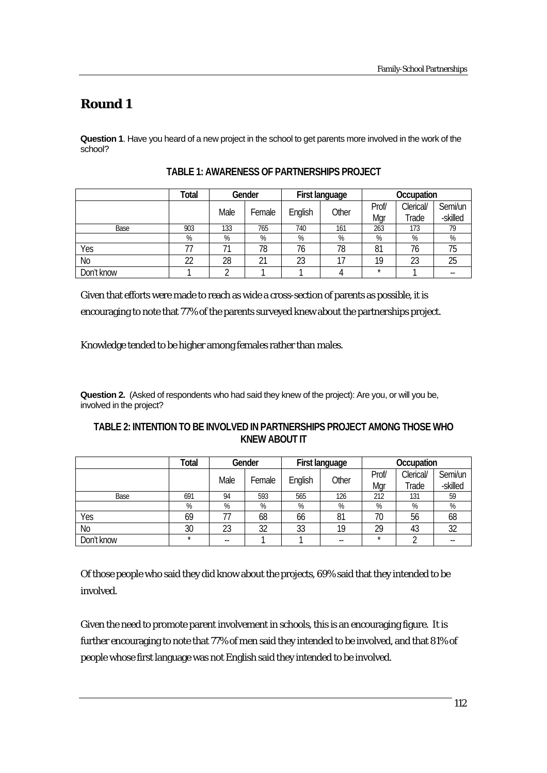# **Round 1**

**Question 1**. Have you heard of a new project in the school to get parents more involved in the work of the school?

|                | <b>Total</b> | Gender |        | First language |       | Occupation |           |          |
|----------------|--------------|--------|--------|----------------|-------|------------|-----------|----------|
|                |              | Male   |        |                | Other | Prof/      | Clerical/ | Semi/un  |
|                |              |        | Female | English        |       | Mgr        | Trade     | -skilled |
| Base           | 903          | 133    | 765    | 740            | 161   | 263        | 173       | 79       |
|                | %            | %      | %      | %              | %     | %          | %         | %        |
| Yes            |              | 71     | 78     | 76             | 78    | 81         | 76        | 75       |
| N <sub>0</sub> | 22           | 28     | 21     | 23             | 17    | 19         | 23        | 25       |
| Don't know     |              |        |        |                |       | $\star$    |           | --       |

**TABLE 1: AWARENESS OF PARTNERSHIPS PROJECT** 

Given that efforts were made to reach as wide a cross-section of parents as possible, it is encouraging to note that 77% of the parents surveyed knew about the partnerships project.

Knowledge tended to be higher among females rather than males.

**Question 2.** (Asked of respondents who had said they knew of the project): Are you, or will you be, involved in the project?

## **TABLE 2: INTENTION TO BE INVOLVED IN PARTNERSHIPS PROJECT AMONG THOSE WHO KNEW ABOUT IT**

|            | Total   | Gender |        | First language   |     | Occupation |           |         |
|------------|---------|--------|--------|------------------|-----|------------|-----------|---------|
|            |         | Male   |        |                  |     | Prof/      | Clerical/ | Semi/un |
|            |         |        | Female | Other<br>English | Mar | Trade      | -skilled  |         |
| Base       | 691     | 94     | 593    | 565              | 126 | 212        | 131       | 59      |
|            | %       | %      | %      | %                | %   | %          | %         | %       |
| Yes        | 69      |        | 68     | 66               | 81  | 70         | 56        | 68      |
| No         | 30      | 23     | 32     | 33               | 19  | 29         | 43        | 32      |
| Don't know | $\star$ | --     |        |                  | --  | $\star$    |           |         |

Of those people who said they did know about the projects, 69% said that they intended to be involved.

Given the need to promote parent involvement in schools, this is an encouraging figure. It is further encouraging to note that 77% of men said they intended to be involved, and that 81% of people whose first language was not English said they intended to be involved.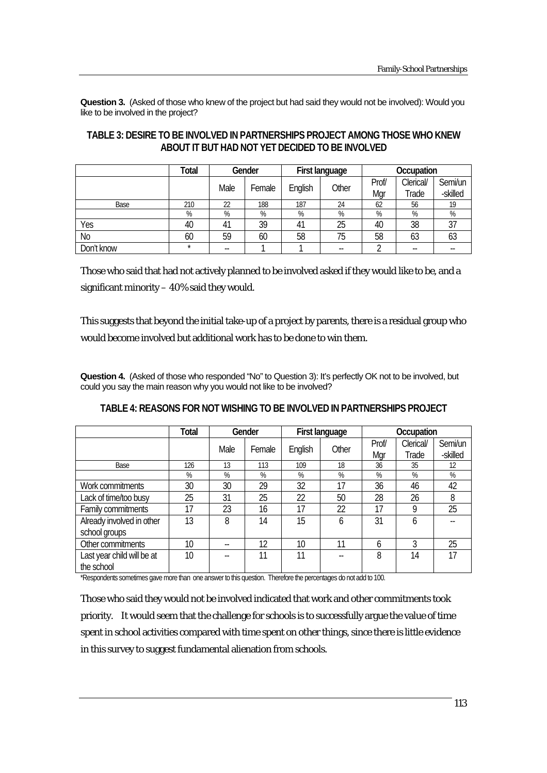**Question 3.** (Asked of those who knew of the project but had said they would not be involved): Would you like to be involved in the project?

|                | Total   | Gender |        | First language |       | Occupation |           |          |
|----------------|---------|--------|--------|----------------|-------|------------|-----------|----------|
|                |         | Male   | Female |                | Other | Prof/      | Clerical/ | Semi/un  |
|                |         |        |        | English        |       | Mar        | Trade     | -skilled |
| Base           | 210     | 22     | 188    | 187            | 24    | 62         | 56        | 19       |
|                | %       | %      | %      | %              | %     | %          | %         | %        |
| Yes            | 40      | 41     | 39     | 41             | 25    | 40         | 38        | 37       |
| N <sub>0</sub> | 60      | 59     | 60     | 58             | 75    | 58         | 63        | 63       |
| Don't know     | $\star$ | --     |        |                |       |            |           |          |

# **TABLE 3: DESIRE TO BE INVOLVED IN PARTNERSHIPS PROJECT AMONG THOSE WHO KNEW ABOUT IT BUT HAD NOT YET DECIDED TO BE INVOLVED**

Those who said that had not actively planned to be involved asked if they would like to be, and a significant minority – 40% said they would.

This suggests that beyond the initial take-up of a project by parents, there is a residual group who would become involved but additional work has to be done to win them.

**Question 4.** (Asked of those who responded "No" to Question 3): It's perfectly OK not to be involved, but could you say the main reason why you would not like to be involved?

|                            | <b>Total</b> | Gender |        |         | First language | Occupation |           |          |
|----------------------------|--------------|--------|--------|---------|----------------|------------|-----------|----------|
|                            |              | Male   | Female |         | Other          | Prof/      | Clerical/ | Semi/un  |
|                            |              |        |        | English |                | Mgr        | Trade     | -skilled |
| Base                       | 126          | 13     | 113    | 109     | 18             | 36         | 35        | 12       |
|                            | %            | %      | %      | %       | %              | %          | %         | %        |
| Work commitments           | 30           | 30     | 29     | 32      | 17             | 36         | 46        | 42       |
| Lack of time/too busy      | 25           | 31     | 25     | 22      | 50             | 28         | 26        | 8        |
| Family commitments         | 17           | 23     | 16     | 17      | 22             | 17         | 9         | 25       |
| Already involved in other  | 13           | 8      | 14     | 15      | 6              | 31         | 6         |          |
| school groups              |              |        |        |         |                |            |           |          |
| Other commitments          | 10           | --     | 12     | 10      | 11             | 6          | 3         | 25       |
| Last year child will be at | 10           | --     | 11     | 11      |                | 8          | 14        | 17       |
| the school                 |              |        |        |         |                |            |           |          |

**TABLE 4: REASONS FOR NOT WISHING TO BE INVOLVED IN PARTNERSHIPS PROJECT** 

\*Respondents sometimes gave more than one answer to this question. Therefore the percentages do not add to 100.

Those who said they would not be involved indicated that work and other commitments took priority. It would seem that the challenge for schools is to successfully argue the value of time spent in school activities compared with time spent on other things, since there is little evidence in this survey to suggest fundamental alienation from schools.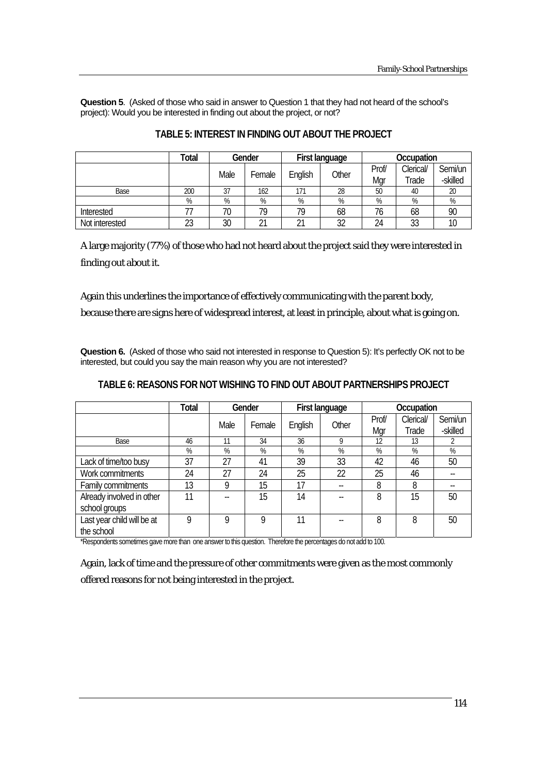**Question 5**. (Asked of those who said in answer to Question 1 that they had not heard of the school's project): Would you be interested in finding out about the project, or not?

|                | <b>Total</b> | Gender |        | First language |       | Occupation |           |          |
|----------------|--------------|--------|--------|----------------|-------|------------|-----------|----------|
|                |              | Male   |        |                | Other | Prof/      | Clerical/ | Semi/un  |
|                |              |        | Female | English        |       | Mar        | Trade     | -skilled |
| Base           | 200          | 37     | 162    | 171            | 28    | 50         | 40        | 20       |
|                | %            | %      | %      | %              | %     | %          | %         | %        |
| Interested     |              | 70     | 79     | 79             | 68    | 76         | 68        | 90       |
| Not interested | 23           | 30     |        | 21             | 32    | 24         | 33        |          |

## **TABLE 5: INTEREST IN FINDING OUT ABOUT THE PROJECT**

A large majority (77%) of those who had not heard about the project said they were interested in finding out about it.

Again this underlines the importance of effectively communicating with the parent body,

because there are signs here of widespread interest, at least in principle, about what is going on.

**Question 6.** (Asked of those who said not interested in response to Question 5): It's perfectly OK not to be interested, but could you say the main reason why you are not interested?

|                            | Total | Gender |        |         | First language | Occupation |           |          |
|----------------------------|-------|--------|--------|---------|----------------|------------|-----------|----------|
|                            |       | Male   | Female | English | Other          | Prof/      | Clerical/ | Semi/un  |
|                            |       |        |        |         |                | Mgr        | Trade     | -skilled |
| Base                       | 46    | 11     | 34     | 36      | 9              | 12         | 13        |          |
|                            | %     | %      | %      | %       | $\%$           | %          | %         | %        |
| Lack of time/too busy      | 37    | 27     | 41     | 39      | 33             | 42         | 46        | 50       |
| Work commitments           | 24    | 27     | 24     | 25      | 22             | 25         | 46        |          |
| Family commitments         | 13    | Q      | 15     | 17      | --             | 8          | 8         |          |
| Already involved in other  | 11    |        | 15     | 14      |                | 8          | 15        | 50       |
| school groups              |       |        |        |         |                |            |           |          |
| Last year child will be at | 9     | 9      | 9      | 11      |                | 8          | 8         | 50       |
| the school                 |       |        |        |         |                |            |           |          |

## **TABLE 6: REASONS FOR NOT WISHING TO FIND OUT ABOUT PARTNERSHIPS PROJECT**

\*Respondents sometimes gave more than one answer to this question. Therefore the percentages do not add to 100.

Again, lack of time and the pressure of other commitments were given as the most commonly offered reasons for not being interested in the project.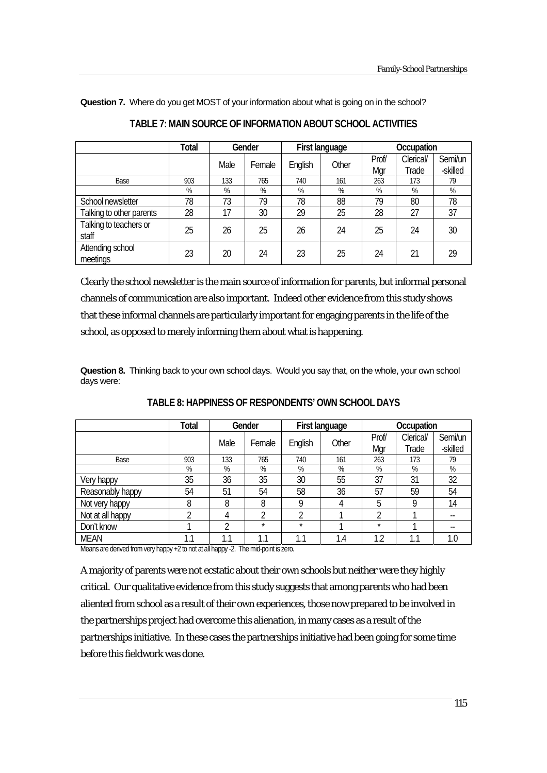|                                 | <b>Total</b> | Gender |        |         | First language | Occupation |           |          |
|---------------------------------|--------------|--------|--------|---------|----------------|------------|-----------|----------|
|                                 |              | Male   | Female | English | Other          | Prof/      | Clerical/ | Semi/un  |
|                                 |              |        |        |         |                | Mar        | Trade     | -skilled |
| Base                            | 903          | 133    | 765    | 740     | 161            | 263        | 173       | 79       |
|                                 | %            | %      | %      | %       | %              | %          | %         | %        |
| School newsletter               | 78           | 73     | 79     | 78      | 88             | 79         | 80        | 78       |
| Talking to other parents        | 28           | 17     | 30     | 29      | 25             | 28         | 27        | 37       |
| Talking to teachers or<br>staff | 25           | 26     | 25     | 26      | 24             | 25         | 24        | 30       |
| Attending school<br>meetings    | 23           | 20     | 24     | 23      | 25             | 24         | 21        | 29       |

|  | TABLE 7: MAIN SOURCE OF INFORMATION ABOUT SCHOOL ACTIVITIES |
|--|-------------------------------------------------------------|
|  |                                                             |

Clearly the school newsletter is the main source of information for parents, but informal personal channels of communication are also important. Indeed other evidence from this study shows that these informal channels are particularly important for engaging parents in the life of the school, as opposed to merely informing them about what is happening.

**Question 8.** Thinking back to your own school days. Would you say that, on the whole, your own school days were:

|                  | Total | Gender |          |         | First language | Occupation |           |          |
|------------------|-------|--------|----------|---------|----------------|------------|-----------|----------|
|                  |       | Male   | Female   | English | Other          | Prof/      | Clerical/ | Semi/un  |
|                  |       |        |          |         |                | Mgr        | Trade     | -skilled |
| Base             | 903   | 133    | 765      | 740     | 161            | 263        | 173       | 79       |
|                  | %     | %      | %        | %       | %              | %          | %         | %        |
| Very happy       | 35    | 36     | 35       | 30      | 55             | 37         | 31        | 32       |
| Reasonably happy | 54    | 51     | 54       | 58      | 36             | 57         | 59        | 54       |
| Not very happy   | 8     | 8      | 8        | Q       | 4              | 5          | Q         | 14       |
| Not at all happy | า     | 4      | າ        | C       |                | າ          |           | --       |
| Don't know       |       | ำ      | $\star$  | $\star$ |                | $\star$    |           | --       |
| <b>MEAN</b>      | 1.1   | 1.1    | 1<br>۱.1 | 1.1     | 1.4            | 2.۱        | 1<br>1.1  | 1.0      |

## **TABLE 8: HAPPINESS OF RESPONDENTS' OWN SCHOOL DAYS**

Means are derived from very happy +2 to not at all happy -2. The mid-point is zero.

A majority of parents were not ecstatic about their own schools but neither were they highly critical. Our qualitative evidence from this study suggests that among parents who had been aliented from school as a result of their own experiences, those now prepared to be involved in the partnerships project had overcome this alienation, in many cases as a result of the partnerships initiative. In these cases the partnerships initiative had been going for some time before this fieldwork was done.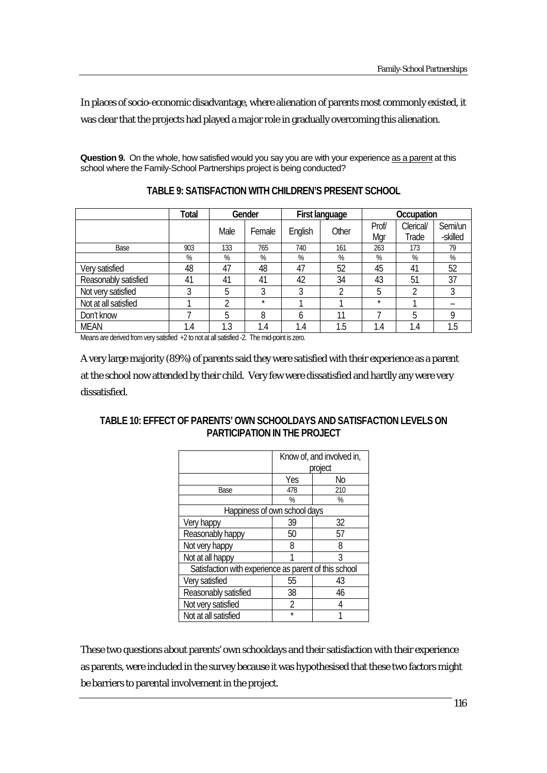In places of socio-economic disadvantage, where alienation of parents most commonly existed, it was clear that the projects had played a major role in gradually overcoming this alienation.

**Question 9.** On the whole, how satisfied would you say you are with your experience as a parent at this school where the Family-School Partnerships project is being conducted?

|                      | <b>Total</b> | Gender |         |         | First language | Occupation |           |          |
|----------------------|--------------|--------|---------|---------|----------------|------------|-----------|----------|
|                      |              | Male   | Female  | English | Other          | Prof/      | Clerical/ | Semi/un  |
|                      |              |        |         |         |                | Mgr        | Trade     | -skilled |
| Base                 | 903          | 133    | 765     | 740     | 161            | 263        | 173       | 79       |
|                      | %            | %      | %       | %       | %              | %          | %         | %        |
| Very satisfied       | 48           | 47     | 48      | 47      | 52             | 45         | 41        | 52       |
| Reasonably satisfied | 41           | 41     | 41      | 42      | 34             | 43         | 51        | 37       |
| Not very satisfied   | 3            | 5      | 3       | 3       | า              | 5          | L         | 3        |
| Not at all satisfied |              | റ      | $\star$ |         |                | $\star$    |           |          |
| Don't know           |              | 5      | 8       | 6       | 11             |            | 5         | Q        |
| <b>MEAN</b>          | 1.4          | 1.3    | 1.4     | 1.4     | 1.5            | 1.4        | 1.4       | 1.5      |

**TABLE 9: SATISFACTION WITH CHILDREN'S PRESENT SCHOOL** 

Means are derived from very satisfied +2 to not at all satisfied -2. The mid-point is zero.

A very large majority (89%) of parents said they were satisfied with their experience as a parent at the school now attended by their child. Very few were dissatisfied and hardly any were very dissatisfied.

# **TABLE 10: EFFECT OF PARENTS' OWN SCHOOLDAYS AND SATISFACTION LEVELS ON PARTICIPATION IN THE PROJECT**

|                                                       |         | Know of, and involved in, |
|-------------------------------------------------------|---------|---------------------------|
|                                                       |         | project                   |
|                                                       | Yes     | No                        |
| Base                                                  | 478     | 210                       |
|                                                       | %       | ℅                         |
| Happiness of own school days                          |         |                           |
| Very happy                                            | 39      | 32                        |
| Reasonably happy                                      | 50      | 57                        |
| Not very happy                                        | 8       | 8                         |
| Not at all happy                                      |         | 3                         |
| Satisfaction with experience as parent of this school |         |                           |
| Very satisfied                                        | 55      | 43                        |
| Reasonably satisfied                                  | 38      | 46                        |
| Not very satisfied                                    | 2       | 4                         |
| Not at all satisfied                                  | $\star$ |                           |

These two questions about parents' own schooldays and their satisfaction with their experience as parents, were included in the survey because it was hypothesised that these two factors might be barriers to parental involvement in the project.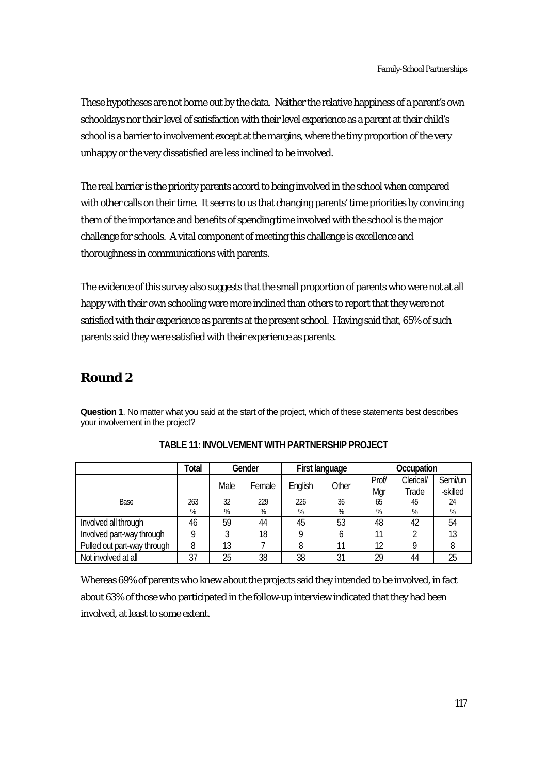These hypotheses are not borne out by the data. Neither the relative happiness of a parent's own schooldays nor their level of satisfaction with their level experience as a parent at their child's school is a barrier to involvement except at the margins, where the tiny proportion of the very unhappy or the very dissatisfied are less inclined to be involved.

The real barrier is the priority parents accord to being involved in the school when compared with other calls on their time. It seems to us that changing parents' time priorities by convincing them of the importance and benefits of spending time involved with the school is the major challenge for schools. A vital component of meeting this challenge is excellence and thoroughness in communications with parents.

The evidence of this survey also suggests that the small proportion of parents who were not at all happy with their own schooling were more inclined than others to report that they were not satisfied with their experience as parents at the present school. Having said that, 65% of such parents said they were satisfied with their experience as parents.

# **Round 2**

**Question 1**. No matter what you said at the start of the project, which of these statements best describes your involvement in the project?

|                             | <b>Total</b> | Gender |        | First language |                  | Occupation |           |          |
|-----------------------------|--------------|--------|--------|----------------|------------------|------------|-----------|----------|
|                             |              |        |        |                | Other<br>English | Prof/      | Clerical/ | Semi/un  |
|                             |              | Male   | Female |                |                  | Mgr        | Trade     | -skilled |
| Base                        | 263          | 32     | 229    | 226            | 36               | 65         | 45        | 24       |
|                             | %            | %      | %      | %              | %                | %          | %         | %        |
| Involved all through        | 46           | 59     | 44     | 45             | 53               | 48         | 42        | 54       |
| Involved part-way through   |              |        | 18     |                | n                | 11         |           | 13       |
| Pulled out part-way through | 8            | 13     |        | 8              |                  | 12         | O         | Ο        |
| Not involved at all         | 37           | 25     | 38     | 38             | 31               | 29         | 44        | 25       |

|  | TABLE 11: INVOLVEMENT WITH PARTNERSHIP PROJECT |
|--|------------------------------------------------|
|--|------------------------------------------------|

Whereas 69% of parents who knew about the projects said they intended to be involved, in fact about 63% of those who participated in the follow-up interview indicated that they had been involved, at least to some extent.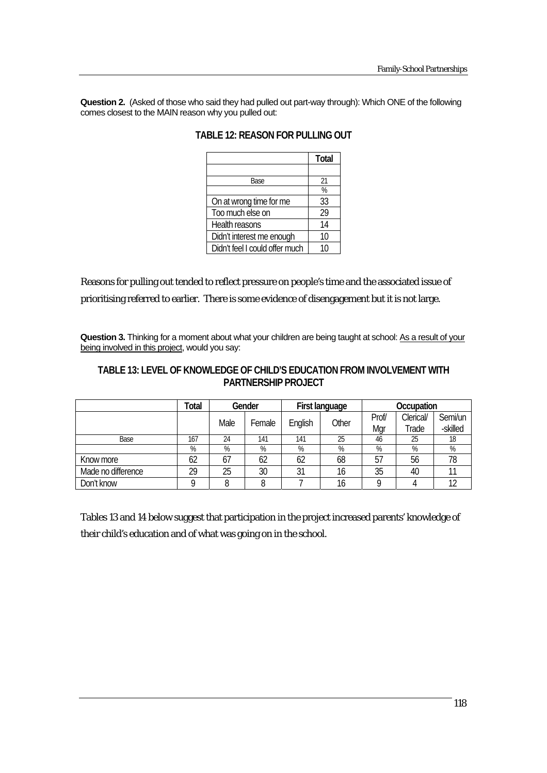**Question 2.** (Asked of those who said they had pulled out part-way through): Which ONE of the following comes closest to the MAIN reason why you pulled out:

|                                | <b>Total</b> |
|--------------------------------|--------------|
|                                |              |
| <b>Base</b>                    | 21           |
|                                | %            |
| On at wrong time for me        | 33           |
| Too much else on               | 29           |
| Health reasons                 | 14           |
| Didn't interest me enough      | 10           |
| Didn't feel I could offer much | 10           |

## **TABLE 12: REASON FOR PULLING OUT**

Reasons for pulling out tended to reflect pressure on people's time and the associated issue of prioritising referred to earlier. There is some evidence of disengagement but it is not large.

Question 3. Thinking for a moment about what your children are being taught at school: As a result of your being involved in this project, would you say:

# **TABLE 13: LEVEL OF KNOWLEDGE OF CHILD'S EDUCATION FROM INVOLVEMENT WITH PARTNERSHIP PROJECT**

|                    | <b>Total</b> | Gender |                | First language |    | Occupation |       |           |         |
|--------------------|--------------|--------|----------------|----------------|----|------------|-------|-----------|---------|
|                    |              |        | Male<br>Female | English        |    | Other      | Prof/ | Clerical/ | Semi/un |
|                    |              |        |                |                |    | Mar        | Trade | -skilled  |         |
| Base               | 167          | 24     | 141            | 141            | 25 | 46         | 25    | 18        |         |
|                    | %            | %      | %              | %              | %  | %          | %     | %         |         |
| Know more          | 62           | 67     | 62             | 62             | 68 | 57         | 56    | 78        |         |
| Made no difference | 29           | 25     | 30             | 31             | 16 | 35         | 40    |           |         |
| Don't know         |              |        |                |                | 16 |            |       |           |         |

Tables 13 and 14 below suggest that participation in the project increased parents' knowledge of their child's education and of what was going on in the school.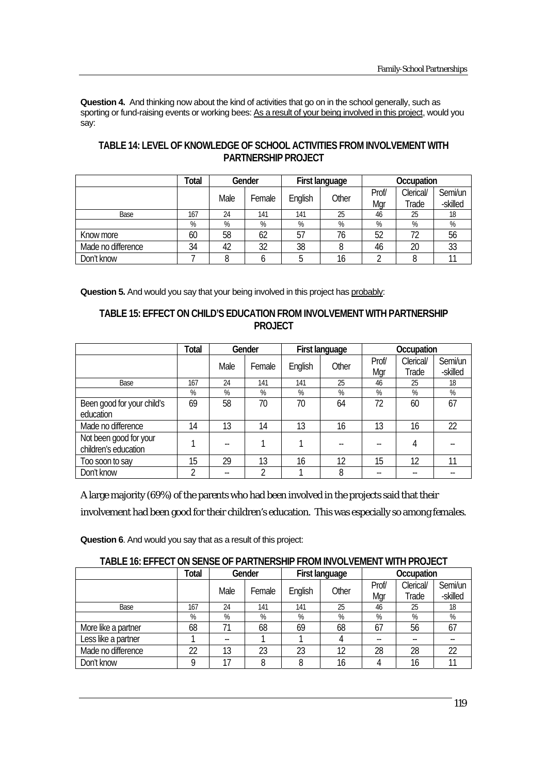**Question 4.** And thinking now about the kind of activities that go on in the school generally, such as sporting or fund-raising events or working bees: As a result of your being involved in this project, would you say:

|                    | Total | Gender |        | First language |       | Occupation |           |          |
|--------------------|-------|--------|--------|----------------|-------|------------|-----------|----------|
|                    |       | Male   | Female | English        | Other | Prof/      | Clerical/ | Semi/un  |
|                    |       |        |        |                |       | Mar        | Trade     | -skilled |
| Base               | 167   | 24     | 141    | 141            | 25    | 46         | 25        | 18       |
|                    | %     | %      | %      | %              | %     | %          | %         | %        |
| Know more          | 60    | 58     | 62     | 57             | 76    | 52         | 72        | 56       |
| Made no difference | 34    | 42     | 32     | 38             | 8     | 46         | 20        | 33       |
| Don't know         |       |        |        |                | 16    |            |           |          |

# **TABLE 14: LEVEL OF KNOWLEDGE OF SCHOOL ACTIVITIES FROM INVOLVEMENT WITH PARTNERSHIP PROJECT**

**Question 5.** And would you say that your being involved in this project has probably:

## **TABLE 15: EFFECT ON CHILD'S EDUCATION FROM INVOLVEMENT WITH PARTNERSHIP PROJECT**

|                                                | <b>Total</b> | Gender |        | First language |       | Occupation   |                    |                     |
|------------------------------------------------|--------------|--------|--------|----------------|-------|--------------|--------------------|---------------------|
|                                                |              | Male   | Female | English        | Other | Prof/<br>Mgr | Clerical/<br>Trade | Semi/un<br>-skilled |
| Base                                           | 167          | 24     | 141    | 141            | 25    | 46           | 25                 | 18                  |
|                                                | %            | %      | %      | %              | %     | $\%$         | %                  | %                   |
| Been good for your child's<br>education        | 69           | 58     | 70     | 70             | 64    | 72           | 60                 | 67                  |
| Made no difference                             | 14           | 13     | 14     | 13             | 16    | 13           | 16                 | 22                  |
| Not been good for your<br>children's education |              | --     |        |                |       |              | 4                  |                     |
| Too soon to say                                | 15           | 29     | 13     | 16             | 12    | 15           | 12                 | 11                  |
| Don't know                                     | C            |        | C      |                | 8     | --           |                    |                     |

A large majority (69%) of the parents who had been involved in the projects said that their involvement had been good for their children's education. This was especially so among females.

**Question 6**. And would you say that as a result of this project:

| TABLE 16: EFFECT ON SENSE OF PARTNERSHIP FROM INVOLVEMENT WITH PROJECT |              |        |        |                |       |            |           |          |  |
|------------------------------------------------------------------------|--------------|--------|--------|----------------|-------|------------|-----------|----------|--|
|                                                                        | <b>Total</b> | Gender |        | First language |       | Occupation |           |          |  |
|                                                                        |              | Male   | Female | English        |       | Prof/      | Clerical/ | Semi/un  |  |
|                                                                        |              |        |        |                | Other | Mar        | Trade     | -skilled |  |
| Base                                                                   | 167          | 24     | 141    | 141            | 25    | 46         | 25        | 18       |  |
|                                                                        | %            | %      | %      | %              | %     | %          | %         | %        |  |
| More like a partner                                                    | 68           | 71     | 68     | 69             | 68    | 67         | 56        | 67       |  |
| Less like a partner                                                    |              | $- -$  |        |                |       | --         |           |          |  |
| Made no difference                                                     | 22           | 13     | 23     | 23             | 12    | 28         | 28        | 22       |  |
| Don't know                                                             | Q            | 17     |        |                | 16    |            | 16        |          |  |

# **TABLE 16: EFFECT ON SENSE OF PARTNERSHIP FROM INVOLVEMENT WITH PROJECT**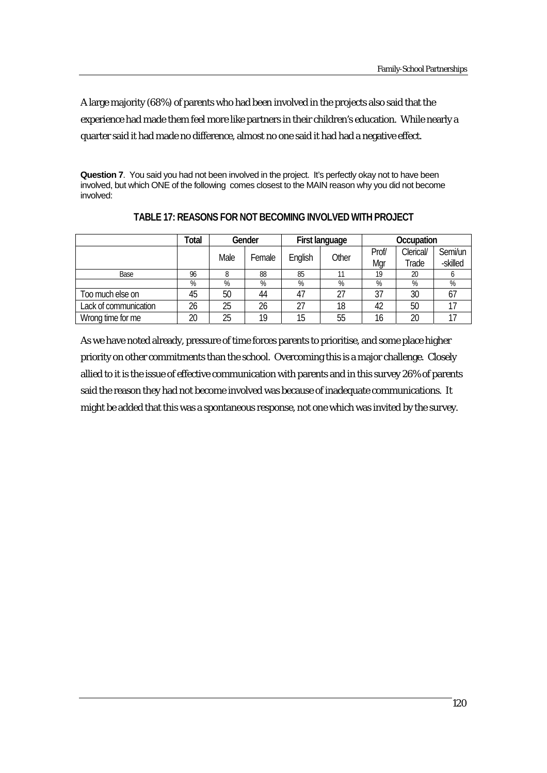A large majority (68%) of parents who had been involved in the projects also said that the experience had made them feel more like partners in their children's education. While nearly a quarter said it had made no difference, almost no one said it had had a negative effect.

**Question 7.** You said you had not been involved in the project. It's perfectly okay not to have been involved, but which ONE of the following comes closest to the MAIN reason why you did not become involved:

|                       | Total | Gender |        | First language |       | Occupation |           |          |
|-----------------------|-------|--------|--------|----------------|-------|------------|-----------|----------|
|                       |       | Male   |        |                | Other | Prof/      | Clerical/ | Semi/un  |
|                       |       |        | Female | English        |       | Mar        | Trade     | -skilled |
| Base                  | 96    |        | 88     | 85             |       | 19         | 20        |          |
|                       | %     | %      | %      | %              | %     | %          | %         | %        |
| Too much else on      | 45    | 50     | 44     | 47             | 27    | 37         | 30        | 67       |
| Lack of communication | 26    | 25     | 26     | 27             | 18    | 42         | 50        |          |
| Wrong time for me     | 20    | 25     | 19     | 15             | 55    | 16         | 20        |          |

**TABLE 17: REASONS FOR NOT BECOMING INVOLVED WITH PROJECT** 

As we have noted already, pressure of time forces parents to prioritise, and some place higher priority on other commitments than the school. Overcoming this is a major challenge. Closely allied to it is the issue of effective communication with parents and in this survey 26% of parents said the reason they had not become involved was because of inadequate communications. It might be added that this was a spontaneous response, not one which was invited by the survey.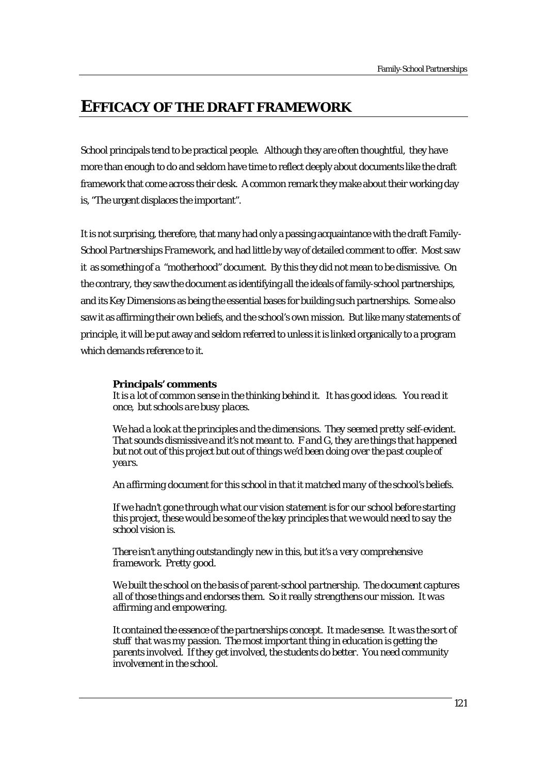# **EFFICACY OF THE DRAFT FRAMEWORK**

School principals tend to be practical people. Although they are often thoughtful, they have more than enough to do and seldom have time to reflect deeply about documents like the draft framework that come across their desk. A common remark they make about their working day is, "The urgent displaces the important".

It is not surprising, therefore, that many had only a passing acquaintance with the draft *Family-School Partnerships Framework,* and had little by way of detailed comment to offer. Most saw it as something of a "motherhood" document. By this they did not mean to be dismissive. On the contrary, they saw the document as identifying all the ideals of family-school partnerships, and its Key Dimensions as being the essential bases for building such partnerships. Some also saw it as affirming their own beliefs, and the school's own mission. But like many statements of principle, it will be put away and seldom referred to unless it is linked organically to a program which demands reference to it.

#### *Principals' comments*

*It is a lot of common sense in the thinking behind it. It has good ideas.* Y*ou read it once, but schools are busy places.*

*We had a look at the principles and the dimensions. They seemed pretty self-evident. That sounds dismissive and it's not meant to. F and G, they are things that happened but not out of this project but out of things we'd been doing over the past couple of years.* 

*An affirming document for this school in that it matched many of the school's beliefs.* 

*If we hadn't gone through what our vision statement is for our school before starting this project, these would be some of the key principles that we would need to say the school vision is*.

*There isn't anything outstandingly new in this, but it's a very comprehensive framework. Pretty good.* 

*We built the school on the basis of parent-school partnership. The document captures all of those things and endorses them. So it really strengthens our mission. It was affirming and empowering.* 

*It contained the essence of the partnerships concept. It made sense. It was the sort of stuff that was my passion. The most important thing in education is getting the parents involved. If they get involved, the students do better. You need community involvement in the school.*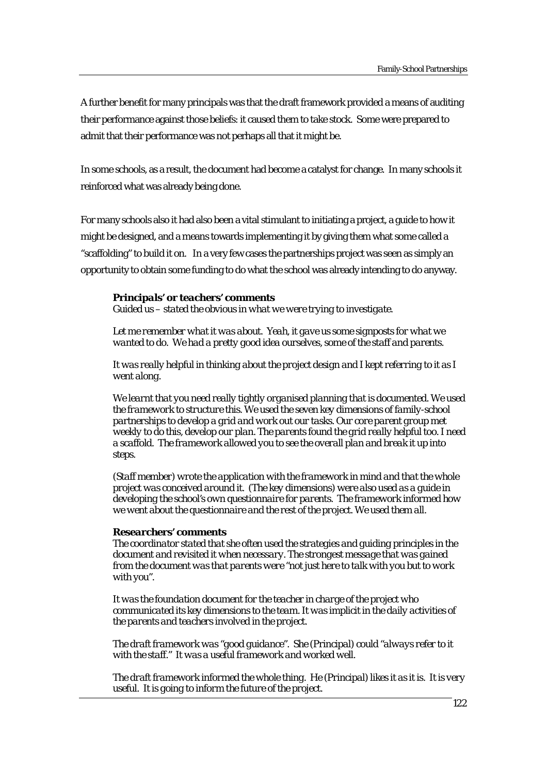A further benefit for many principals was that the draft framework provided a means of auditing their performance against those beliefs: it caused them to take stock. Some were prepared to admit that their performance was not perhaps all that it might be.

In some schools, as a result, the document had become a catalyst for change. In many schools it reinforced what was already being done.

For many schools also it had also been a vital stimulant to initiating a project, a guide to how it might be designed, and a means towards implementing it by giving them what some called a "scaffolding" to build it on. In a very few cases the partnerships project was seen as simply an opportunity to obtain some funding to do what the school was already intending to do anyway.

#### *Principals' or teachers' comments*

*Guided us – stated the obvious in what we were trying to investigate.* 

Let me remember what it was about. Yeah, it gave us some signposts for what we *wanted to do. We had a pretty good idea ourselves, some of the staff and parents.* 

*It was really helpful in thinking about the project design and I kept referring to it as I went along.* 

*We learnt that you need really tightly organised planning that is documented. We used the framework to structure this. We used the seven key dimensions of family-school partnerships to develop a grid and work out our tasks. Our core parent group met weekly to do this, develop our plan. The parents found the grid really helpful too. I need a scaffold. The framework allowed you to see the overall plan and break it up into steps.* 

*(Staff member) wrote the application with the framework in mind and that the whole project was conceived around it. (The key dimensions) were also used as a guide in developing the school's own questionnaire for parents. The framework informed how we went about the questionnaire and the rest of the project. We used them all.* 

#### *Researchers' comments*

*The coordinator stated that she often used the strategies and guiding principles in the document and revisited it when necessary. The strongest message that was gained from the document was that parents were "not just here to talk with you but to work with you".* 

*It was the foundation document for the teacher in charge of the project who communicated its key dimensions to the team. It was implicit in the daily activities of the parents and teachers involved in the project.* 

*The draft framework was "good guidance". She (Principal) could "always refer to it with the staff." It was a useful framework and worked well.* 

*The draft framework informed the whole thing. He (Principal) likes it as it is. It is very useful. It is going to inform the future of the project.*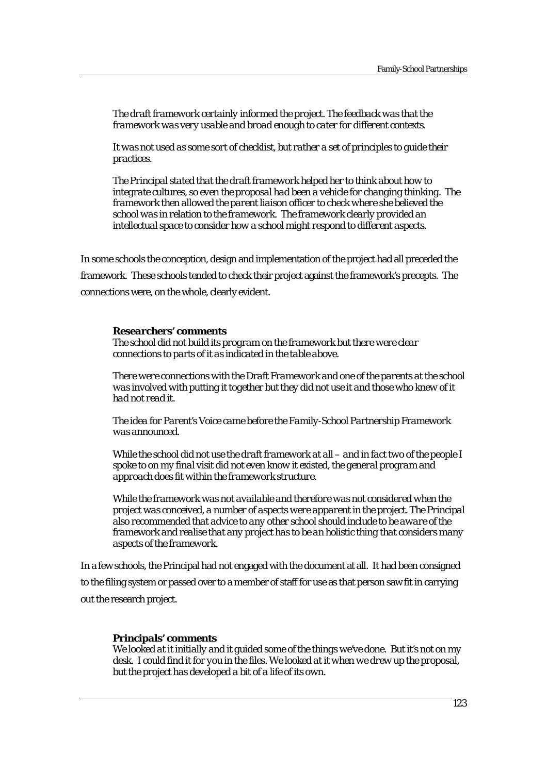*The draft framework certainly informed the project. The feedback was that the framework was very usable and broad enough to cater for different contexts.* 

*It was not used as some sort of checklist, but rather a set of principles to guide their practices.* 

*The Principal stated that the draft framework helped her to think about how to integrate cultures, so even the proposal had been a vehicle for changing thinking. The framework then allowed the parent liaison officer to check where she believed the school was in relation to the framework. The framework clearly provided an intellectual space to consider how a school might respond to different aspects.* 

In some schools the conception, design and implementation of the project had all preceded the framework. These schools tended to check their project against the framework's precepts. The connections were, on the whole, clearly evident.

#### *Researchers' comments*

*The school did not build its program on the framework but there were clear connections to parts of it as indicated in the table above.* 

*There were connections with the Draft Framework and one of the parents at the school was involved with putting it together but they did not use it and those who knew of it had not read it.* 

*The idea for Parent's Voice came before the Family-School Partnership Framework was announced.* 

*While the school did not use the draft framework at all – and in fact two of the people I spoke to on my final visit did not even know it existed, the general program and approach does fit within the framework structure.* 

*While the framework was not available and therefore was not considered when the project was conceived, a number of aspects were apparent in the project. The Principal also recommended that advice to any other school should include to be aware of the framework and realise that any project has to be an holistic thing that considers many aspects of the framework.* 

In a few schools, the Principal had not engaged with the document at all. It had been consigned to the filing system or passed over to a member of staff for use as that person saw fit in carrying out the research project.

#### *Principals' comments*

*We looked at it initially and it guided some of the things we've done. But it's not on my desk. I could find it for you in the files. We looked at it when we drew up the proposal, but the project has developed a bit of a life of its own.*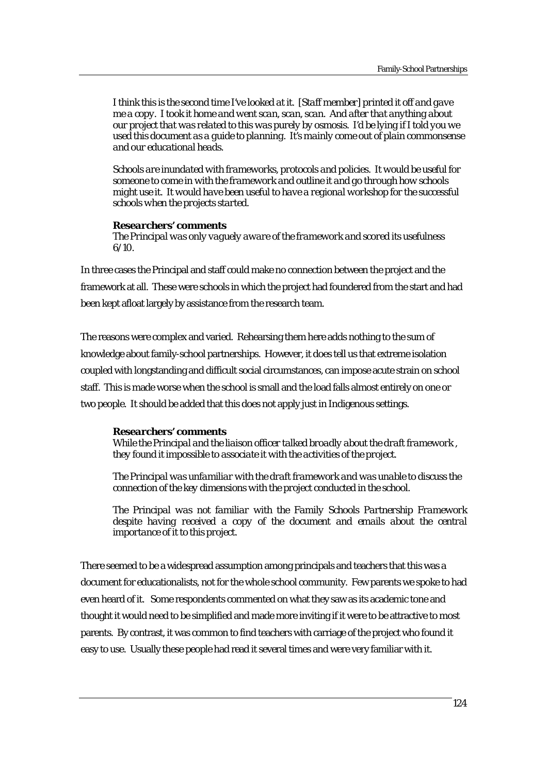*I think this is the second time I've looked at it. [Staff member] printed it off and gave me a copy. I took it home and went scan, scan, scan. And after that anything about our project that was related to this was purely by osmosis. I'd be lying if I told you we used this document as a guide to planning. It's mainly come out of plain commonsense and our educational heads.* 

*Schools are inundated with frameworks, protocols and policies. It would be useful for someone to come in with the framework and outline it and go through how schools might use it. It would have been useful to have a regional workshop for the successful schools when the projects started.* 

#### *Researchers' comments*

*The Principal was only vaguely aware of the framework and scored its usefulness 6/10.* 

In three cases the Principal and staff could make no connection between the project and the framework at all. These were schools in which the project had foundered from the start and had been kept afloat largely by assistance from the research team.

The reasons were complex and varied. Rehearsing them here adds nothing to the sum of knowledge about family-school partnerships. However, it does tell us that extreme isolation coupled with longstanding and difficult social circumstances, can impose acute strain on school staff. This is made worse when the school is small and the load falls almost entirely on one or two people. It should be added that this does not apply just in Indigenous settings.

#### *Researchers' comments*

*While the Principal and the liaison officer talked broadly about the draft framework , they found it impossible to associate it with the activities of the project.* 

*The Principal was unfamiliar with the draft framework and was unable to discuss the connection of the key dimensions with the project conducted in the school.* 

*The Principal was not familiar with the Family Schools Partnership Framework*  despite having received a copy of the document and emails about the central *importance of it to this project.* 

There seemed to be a widespread assumption among principals and teachers that this was a document for educationalists, not for the whole school community. Few parents we spoke to had even heard of it. Some respondents commented on what they saw as its academic tone and thought it would need to be simplified and made more inviting if it were to be attractive to most parents. By contrast, it was common to find teachers with carriage of the project who found it easy to use. Usually these people had read it several times and were very familiar with it.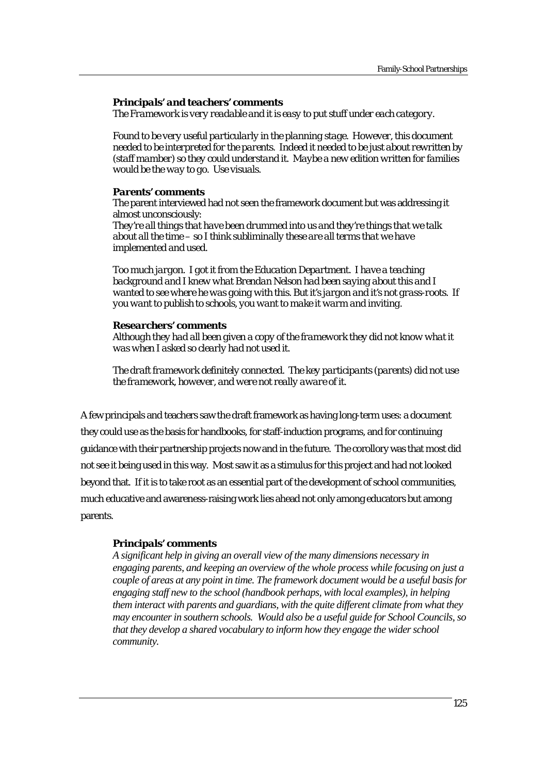#### *Principals' and teachers' comments*

*The Framework is very readable and it is easy to put stuff under each category.*

*Found to be very useful particularly in the planning stage. However, this document needed to be interpreted for the parents. Indeed it needed to be just about rewritten by (staff mamber) so they could understand it. Maybe a new edition written for families would be the way to go. Use visuals.* 

#### *Parents' comments*

The parent interviewed had not seen the framework document but was addressing it almost unconsciously:

*They're all things that have been drummed into us and they're things that we talk about all the time – so I think subliminally these are all terms that we have implemented and used.* 

*Too much jargon. I got it from the Education Department. I have a teaching background and I knew what Brendan Nelson had been saying about this and I wanted to see where he was going with this. But it's jargon and it's not grass-roots. If you want to publish to schools, you want to make it warm and inviting.* 

#### *Researchers' comments*

*Although they had all been given a copy of the framework they did not know what it was when I asked so clearly had not used it.* 

*The draft framework definitely connected. The key participants (parents) did not use the framework, however, and were not really aware of it.* 

A few principals and teachers saw the draft framework as having long-term uses: a document they could use as the basis for handbooks, for staff-induction programs, and for continuing guidance with their partnership projects now and in the future. The corollory was that most did not see it being used in this way. Most saw it as a stimulus for this project and had not looked beyond that. If it is to take root as an essential part of the development of school communities, much educative and awareness-raising work lies ahead not only among educators but among parents.

#### *Principals' comments*

*A significant help in giving an overall view of the many dimensions necessary in engaging parents, and keeping an overview of the whole process while focusing on just a couple of areas at any point in time. The framework document would be a useful basis for engaging staff new to the school (handbook perhaps, with local examples), in helping them interact with parents and guardians, with the quite different climate from what they may encounter in southern schools. Would also be a useful guide for School Councils, so that they develop a shared vocabulary to inform how they engage the wider school community.*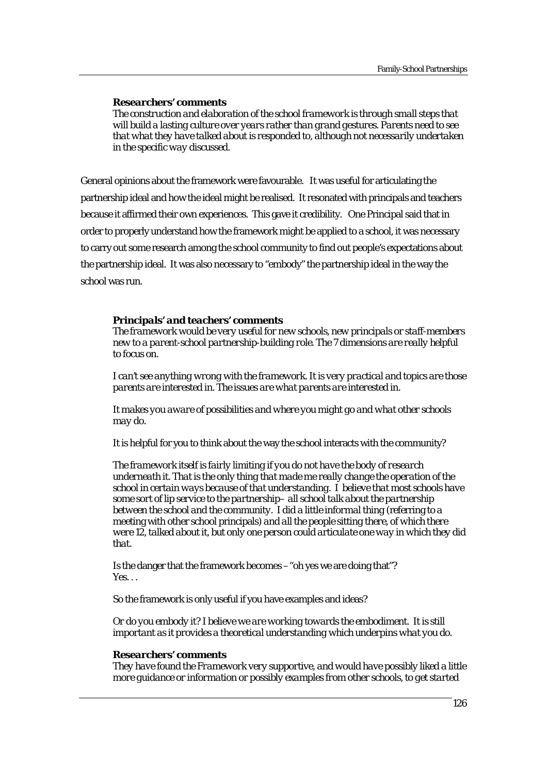#### *Researchers' comments*

*The construction and elaboration of the school framework is through small steps that will build a lasting culture over years rather than grand gestures. Parents need to see that what they have talked about is responded to, although not necessarily undertaken in the specific way discussed.* 

General opinions about the framework were favourable. It was useful for articulating the partnership ideal and how the ideal might be realised. It resonated with principals and teachers because it affirmed their own experiences. This gave it credibility. One Principal said that in order to properly understand how the framework might be applied to a school, it was necessary to carry out some research among the school community to find out people's expectations about the partnership ideal. It was also necessary to "embody" the partnership ideal in the way the school was run.

#### *Principals' and teachers' comments*

*The framework would be very useful for new schools, new principals or staff-members new to a parent-school partnership-building role. The 7 dimensions are really helpful to focus on.* 

*I can't see anything wrong with the framework. It is very practical and topics are those parents are interested in. The issues are what parents are interested in.* 

*It makes you aware of possibilities and where you might go and what other schools may do.* 

It is helpful for you to think about the way the school interacts with the community?

*The framework itself is fairly limiting if you do not have the body of research underneath it. That is the only thing that made me really change the operation of the school in certain ways because of that understanding. I believe that most schools have some sort of lip service to the partnership– all school talk about the partnership between the school and the community. I did a little informal thing* (referring to a meeting with other school principals) *and all the people sitting there, of which there were 12, talked about it, but only one person could articulate one way in which they did that.* 

Is the danger that the framework becomes –"oh yes we are doing that"? *Yes. . .*

So the framework is only useful if you have examples and ideas?

*Or do you embody it? I believe we are working towards the embodiment. It is still important as it provides a theoretical understanding which underpins what you do.* 

#### *Researchers' comments*

*They have found the Framework very supportive, and would have possibly liked a little more guidance or information or possibly examples from other schools, to get started*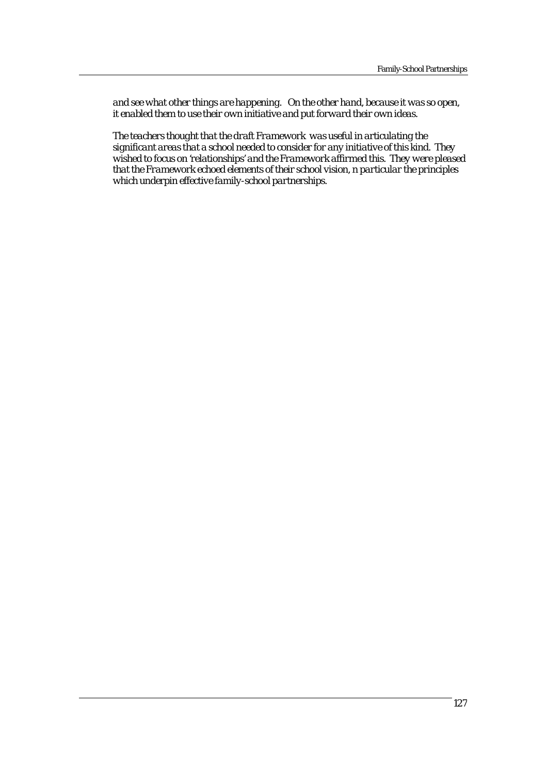*and see what other things are happening. On the other hand, because it was so open, it enabled them to use their own initiative and put forward their own ideas.* 

*The teachers thought that the draft Framework was useful in articulating the significant areas that a school needed to consider for any initiative of this kind. They wished to focus on 'relationships' and the Framework affirmed this. They were pleased that the Framework echoed elements of their school vision, n particular the principles which underpin effective family-school partnerships.*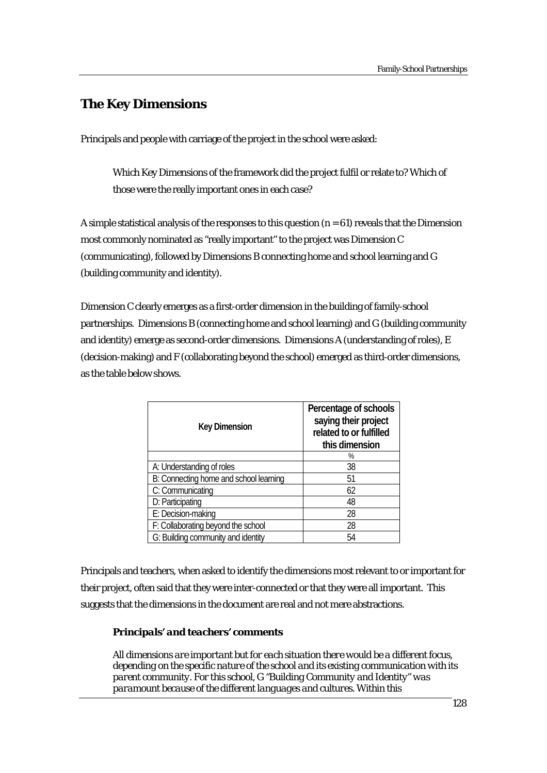# **The Key Dimensions**

Principals and people with carriage of the project in the school were asked:

Which Key Dimensions of the framework did the project fulfil or relate to? Which of those were the really important ones in each case?

A simple statistical analysis of the responses to this question  $(n = 61)$  reveals that the Dimension most commonly nominated as "really important" to the project was Dimension C (communicating), followed by Dimensions B connecting home and school learning and G (building community and identity).

Dimension C clearly emerges as a first-order dimension in the building of family-school partnerships. Dimensions B (connecting home and school learning) and G (building community and identity) emerge as second-order dimensions. Dimensions A (understanding of roles), E (decision-making) and F (collaborating beyond the school) emerged as third-order dimensions, as the table below shows.

| <b>Key Dimension</b>                   | Percentage of schools<br>saying their project<br>related to or fulfilled<br>this dimension |
|----------------------------------------|--------------------------------------------------------------------------------------------|
|                                        | %                                                                                          |
| A: Understanding of roles              | 38                                                                                         |
| B: Connecting home and school learning | 51                                                                                         |
| C: Communicating                       | 62                                                                                         |
| D: Participating                       | 48                                                                                         |
| E: Decision-making                     | 28                                                                                         |
| F: Collaborating beyond the school     | 28                                                                                         |
| G: Building community and identity     | 54                                                                                         |

Principals and teachers, when asked to identify the dimensions most relevant to or important for their project, often said that they were inter-connected or that they were all important. This suggests that the dimensions in the document are real and not mere abstractions.

## *Principals' and teachers' comments*

*All dimensions are important but for each situation there would be a different focus, depending on the specific nature of the school and its existing communication with its parent community. For this school, G "Building Community and Identity" was paramount because of the different languages and cultures. Within this*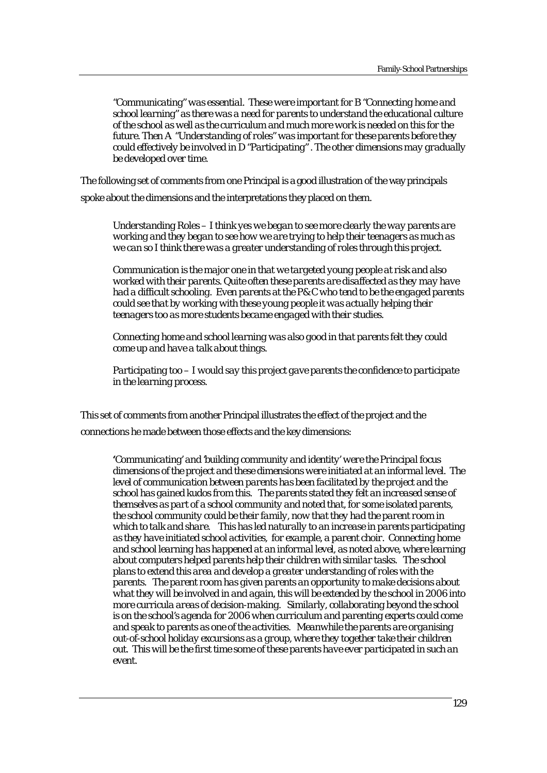*"Communicating" was essential. These were important for B "Connecting home and school learning" as there was a need for parents to understand the educational culture of the school as well as the curriculum and much more work is needed on this for the future. Then A "Understanding of roles" was important for these parents before they could effectively be involved in D "Participating" . The other dimensions may gradually be developed over time.* 

The following set of comments from one Principal is a good illustration of the way principals spoke about the dimensions and the interpretations they placed on them.

*Understanding Roles – I think yes we began to see more clearly the way parents are working and they began to see how we are trying to help their teenagers as much as we can so I think there was a greater understanding of roles through this project.* 

*Communication is the major one in that we targeted young people at risk and also worked with their parents. Quite often these parents are disaffected as they may have had a difficult schooling. Even parents at the P& C who tend to be the engaged parents could see that by working with these young people it was actually helping their teenagers too as more students became engaged with their studies*.

*Connecting home and school learning was also good in that parents felt they could come up and have a talk about things.* 

*Participating too – I would say this project gave parents the confidence to participate in the learning process.* 

This set of comments from another Principal illustrates the effect of the project and the connections he made between those effects and the key dimensions:

*'Communicating' and 'building community and identity' were the Principal focus dimensions of the project and these dimensions were initiated at an informal level. The level of communication between parents has been facilitated by the project and the school has gained kudos from this. The parents stated they felt an increased sense of themselves as part of a school community and noted that, for some isolated parents, the school community could be their family, now that they had the parent room in which to talk and share. This has led naturally to an increase in parents participating as they have initiated school activities, for example, a parent choir. Connecting home and school learning has happened at an informal level, as noted above, where learning about computers helped parents help their children with similar tasks. The school plans to extend this area and develop a greater understanding of roles with the parents. The parent room has given parents an opportunity to make decisions about what they will be involved in and again, this will be extended by the school in 2006 into more curricula areas of decision-making. Similarly, collaborating beyond the school is on the school's agenda for 2006 when curriculum and parenting experts could come and speak to parents as one of the activities. Meanwhile the parents are organising out-of-school holiday excursions as a group, where they together take their children out. This will be the first time some of these parents have ever participated in such an event.*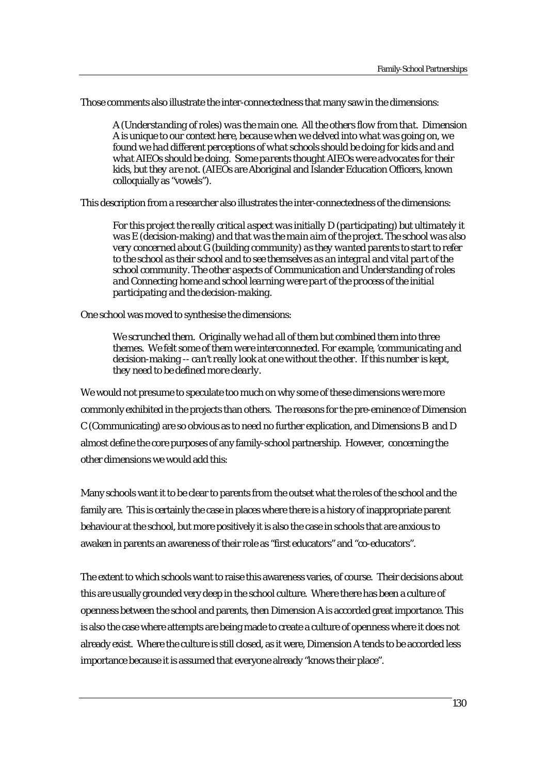Those comments also illustrate the inter-connectedness that many saw in the dimensions:

*A (Understanding of roles) was the main one. All the others flow from that. Dimension A is unique to our context here, because when we delved into what was going on, we found we had different perceptions of what schools should be doing for kids and and what AIEOs should be doing. Some parents thought AIEOs were advocates for their kids, but they are not.* (AIEOs are Aboriginal and Islander Education Officers, known colloquially as "vowels").

This description from a researcher also illustrates the inter-connectedness of the dimensions:

*For this project the really critical aspect was initially D (participating) but ultimately it was E (decision-making) and that was the main aim of the project. The school was also very concerned about G (building community) as they wanted parents to start to refer to the school as their school and to see themselves as an integral and vital part of the school community. The other aspects of Communication and Understanding of roles and Connecting home and school learning were part of the process of the initial participating and the decision-making.* 

One school was moved to synthesise the dimensions:

*We scrunched them. Originally we had all of them but combined them into three themes. We felt some of them were interconnected. For example, 'communicating and decision-making -- can't really look at one without the other. If this number is kept, they need to be defined more clearly.* 

We would not presume to speculate too much on why some of these dimensions were more commonly exhibited in the projects than others. The reasons for the pre-eminence of Dimension C (Communicating) are so obvious as to need no further explication, and Dimensions B and D almost define the core purposes of any family-school partnership. However, concerning the other dimensions we would add this:

Many schools want it to be clear to parents from the outset what the roles of the school and the family are. This is certainly the case in places where there is a history of inappropriate parent behaviour at the school, but more positively it is also the case in schools that are anxious to awaken in parents an awareness of their role as "first educators" and "co-educators".

The extent to which schools want to raise this awareness varies, of course. Their decisions about this are usually grounded very deep in the school culture. Where there has been a culture of openness between the school and parents, then Dimension A is accorded great importance. This is also the case where attempts are being made to create a culture of openness where it does not already exist. Where the culture is still closed, as it were, Dimension A tends to be accorded less importance because it is assumed that everyone already "knows their place".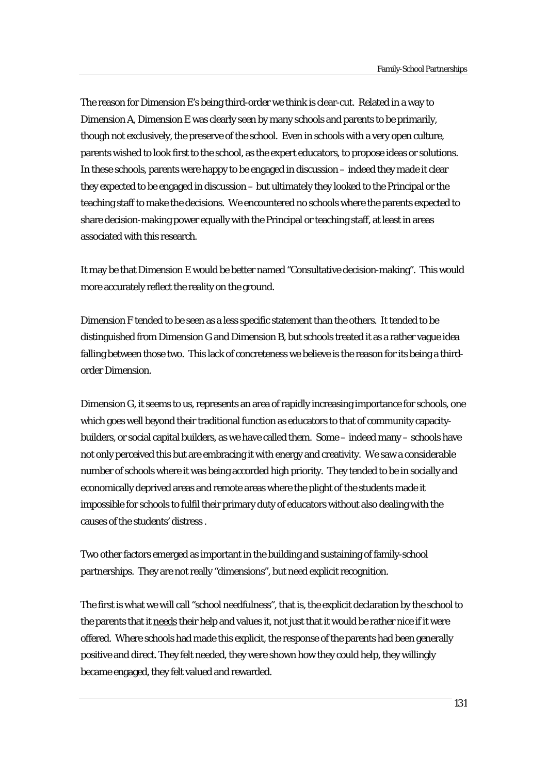The reason for Dimension E's being third-order we think is clear-cut. Related in a way to Dimension A, Dimension E was clearly seen by many schools and parents to be primarily, though not exclusively, the preserve of the school. Even in schools with a very open culture, parents wished to look first to the school, as the expert educators, to propose ideas or solutions. In these schools, parents were happy to be engaged in discussion – indeed they made it clear they expected to be engaged in discussion – but ultimately they looked to the Principal or the teaching staff to make the decisions. We encountered no schools where the parents expected to share decision-making power equally with the Principal or teaching staff, at least in areas associated with this research.

It may be that Dimension E would be better named "Consultative decision-making". This would more accurately reflect the reality on the ground.

Dimension F tended to be seen as a less specific statement than the others. It tended to be distinguished from Dimension G and Dimension B, but schools treated it as a rather vague idea falling between those two. This lack of concreteness we believe is the reason for its being a thirdorder Dimension.

Dimension G, it seems to us, represents an area of rapidly increasing importance for schools, one which goes well beyond their traditional function as educators to that of community capacitybuilders, or social capital builders, as we have called them. Some – indeed many – schools have not only perceived this but are embracing it with energy and creativity. We saw a considerable number of schools where it was being accorded high priority. They tended to be in socially and economically deprived areas and remote areas where the plight of the students made it impossible for schools to fulfil their primary duty of educators without also dealing with the causes of the students' distress .

Two other factors emerged as important in the building and sustaining of family-school partnerships. They are not really "dimensions", but need explicit recognition.

The first is what we will call "school needfulness", that is, the explicit declaration by the school to the parents that it needs their help and values it, not just that it would be rather nice if it were offered. Where schools had made this explicit, the response of the parents had been generally positive and direct. They felt needed, they were shown how they could help, they willingly became engaged, they felt valued and rewarded.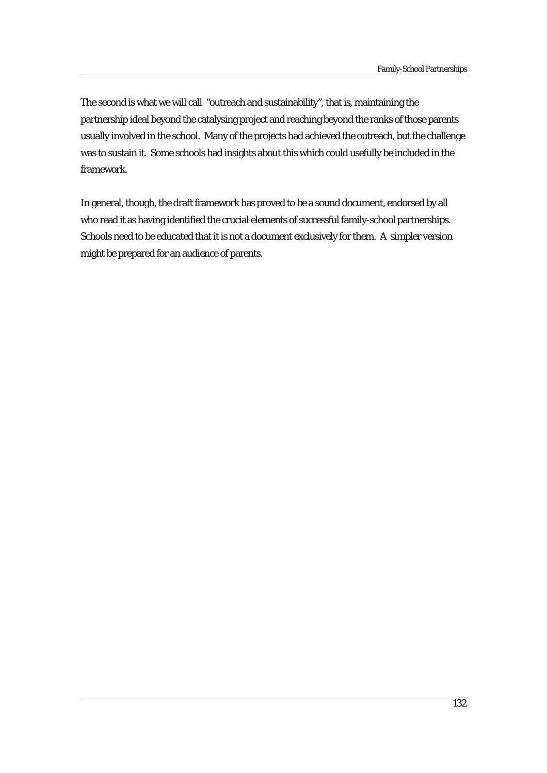The second is what we will call "outreach and sustainability", that is, maintaining the partnership ideal beyond the catalysing project and reaching beyond the ranks of those parents usually involved in the school. Many of the projects had achieved the outreach, but the challenge was to sustain it. Some schools had insights about this which could usefully be included in the framework.

In general, though, the draft framework has proved to be a sound document, endorsed by all who read it as having identified the crucial elements of successful family-school partnerships. Schools need to be educated that it is not a document exclusively for them. A simpler version might be prepared for an audience of parents.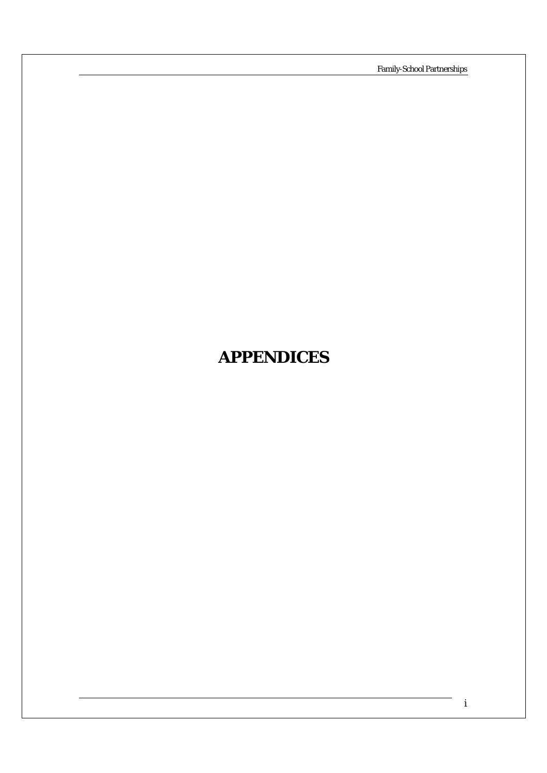Family-School Partnerships

# **APPENDICES**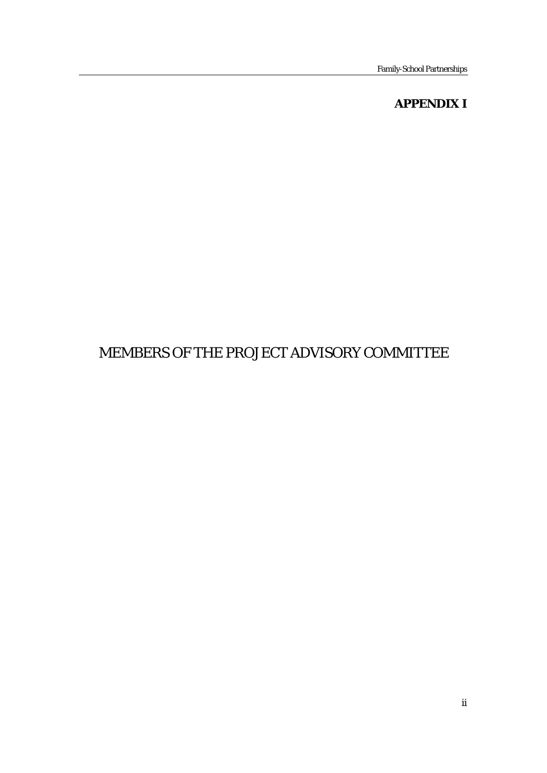# **APPENDIX I**

# MEMBERS OF THE PROJECT ADVISORY COMMITTEE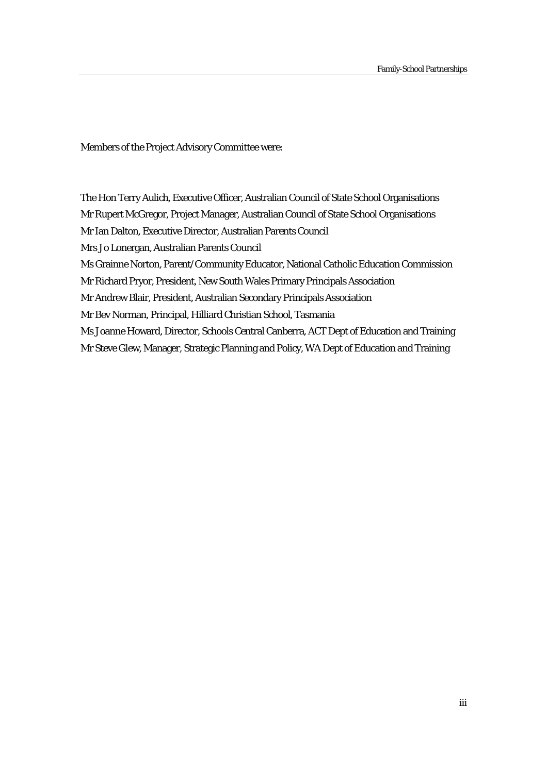Members of the Project Advisory Committee were:

The Hon Terry Aulich, Executive Officer, Australian Council of State School Organisations Mr Rupert McGregor, Project Manager, Australian Council of State School Organisations

Mr Ian Dalton, Executive Director, Australian Parents Council

Mrs Jo Lonergan, Australian Parents Council

Ms Grainne Norton, Parent/Community Educator, National Catholic Education Commission

Mr Richard Pryor, President, New South Wales Primary Principals Association

Mr Andrew Blair, President, Australian Secondary Principals Association

Mr Bev Norman, Principal, Hilliard Christian School, Tasmania

Ms Joanne Howard, Director, Schools Central Canberra, ACT Dept of Education and Training

Mr Steve Glew, Manager, Strategic Planning and Policy, WA Dept of Education and Training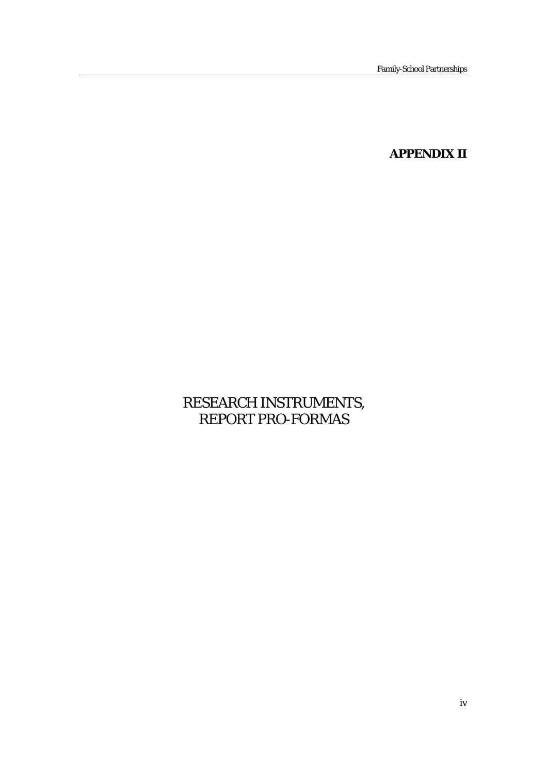**APPENDIX II** 

# RESEARCH INSTRUMENTS, REPORT PRO-FORMAS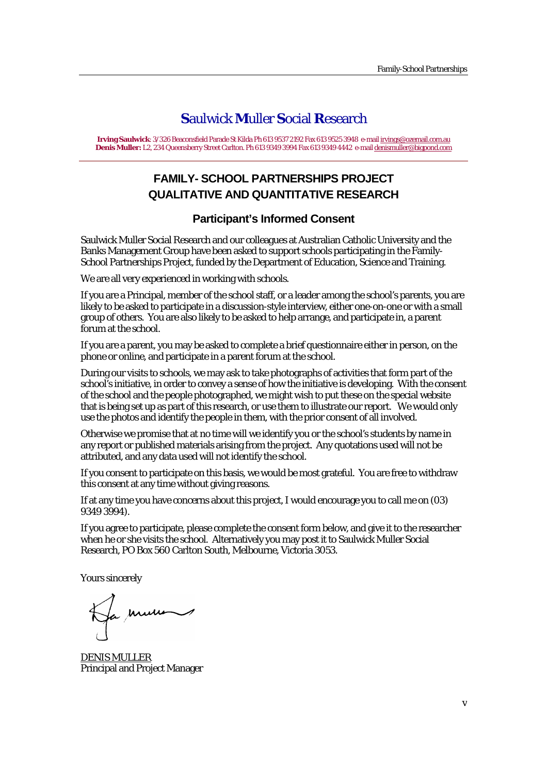# **S**aulwick **M**uller **S**ocial **R**esearch

**Irving Saulwick**: 3/326 Beaconsfield Parade St Kilda Ph 613 9537 2192 Fax 613 9525 3948 e-mail irvings@ozemail.com.au **Denis Muller:** L2, 234 Queensberry Street Carlton. Ph 613 9349 3994 Fax 613 9349 4442 e-mail denismuller@bigpond.com

# **FAMILY- SCHOOL PARTNERSHIPS PROJECT QUALITATIVE AND QUANTITATIVE RESEARCH**

# **Participant's Informed Consent**

Saulwick Muller Social Research and our colleagues at Australian Catholic University and the Banks Management Group have been asked to support schools participating in the Family-School Partnerships Project, funded by the Department of Education, Science and Training.

We are all very experienced in working with schools.

If you are a Principal, member of the school staff, or a leader among the school's parents, you are likely to be asked to participate in a discussion-style interview, either one-on-one or with a small group of others. You are also likely to be asked to help arrange, and participate in, a parent forum at the school.

If you are a parent, you may be asked to complete a brief questionnaire either in person, on the phone or online, and participate in a parent forum at the school.

During our visits to schools, we may ask to take photographs of activities that form part of the school's initiative, in order to convey a sense of how the initiative is developing. With the consent of the school and the people photographed, we might wish to put these on the special website that is being set up as part of this research, or use them to illustrate our report. We would only use the photos and identify the people in them, with the prior consent of all involved.

Otherwise we promise that at no time will we identify you or the school's students by name in any report or published materials arising from the project. Any quotations used will not be attributed, and any data used will not identify the school.

If you consent to participate on this basis, we would be most grateful. You are free to withdraw this consent at any time without giving reasons.

If at any time you have concerns about this project, I would encourage you to call me on (03) 9349 3994).

If you agree to participate, please complete the consent form below, and give it to the researcher when he or she visits the school. Alternatively you may post it to Saulwick Muller Social Research, PO Box 560 Carlton South, Melbourne, Victoria 3053.

Yours sincerely

Ha mure

DENIS MULLER Principal and Project Manager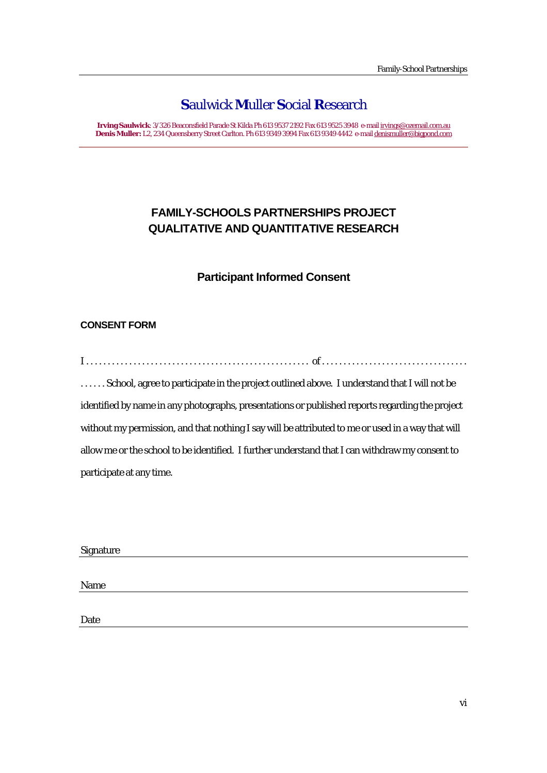# **S**aulwick **M**uller **S**ocial **R**esearch

**Irving Saulwick**: 3/326 Beaconsfield Parade St Kilda Ph 613 9537 2192 Fax 613 9525 3948 e-mail irvings@ozemail.com.au **Denis Muller:** L2, 234 Queensberry Street Carlton. Ph 613 9349 3994 Fax 613 9349 4442 e-mail denismuller@bigpond.com

# **FAMILY-SCHOOLS PARTNERSHIPS PROJECT QUALITATIVE AND QUANTITATIVE RESEARCH**

# **Participant Informed Consent**

## **CONSENT FORM**

I . . . . . . . . . . . . . . . . . . . . . . . . . . . . . . . . . . . . . . . . . . . . . . . . . . . . of . . . . . . . . . . . . . . . . . . . . . . . . . . . . . . . . . . . . . . . . School, agree to participate in the project outlined above. I understand that I will not be identified by name in any photographs, presentations or published reports regarding the project without my permission, and that nothing I say will be attributed to me or used in a way that will allow me or the school to be identified. I further understand that I can withdraw my consent to participate at any time.

#### Signature

Name

Date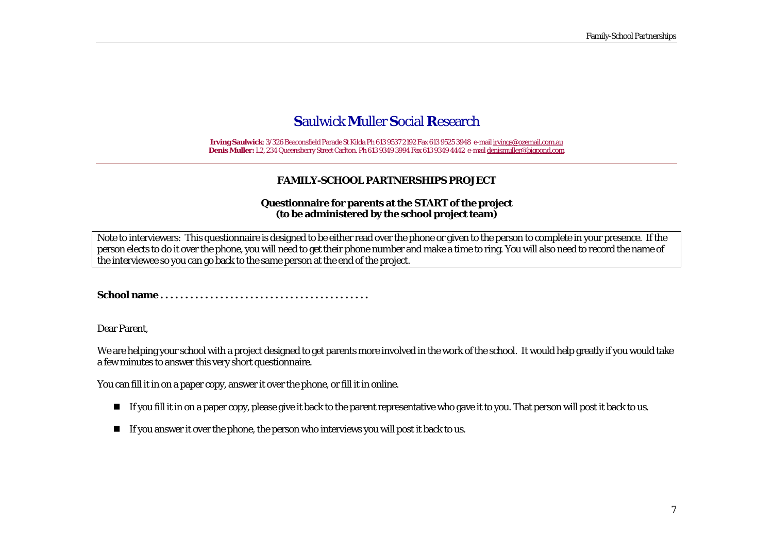# **S**aulwick **M**uller **S**ocial **R**esearch

**Irving Saulwick**: 3/326 Beaconsfield Parade St Kilda Ph 613 9537 2192 Fax 613 9525 3948 e-mail irvings@ozemail.com.au **Denis Muller:** L2, 234 Queensberry Street Carlton. Ph 613 9349 3994 Fax 613 9349 4442 e-mail denismuller@bigpond.com

#### **FAMILY-SCHOOL PARTNERSHIPS PROJECT**

#### **Questionnaire for parents at the START of the project (to be administered by the school project team)**

Note to interviewers: This questionnaire is designed to be either read over the phone or given to the person to complete in your presence. If the person elects to do it over the phone, you will need to get their phone number and make a time to ring. You will also need to record the name of the interviewee so you can go back to the same person at the end of the project.

**School name . . . . . . . . . . . . . . . . . . . . . . . . . . . . . . . . . . . . . . . . . .** 

Dear Parent,

We are helping your school with a project designed to get parents more involved in the work of the school. It would help greatly if you would take a few minutes to answer this very short questionnaire.

You can fill it in on a paper copy, answer it over the phone, or fill it in online.

- $\blacksquare$  If you fill it in on a paper copy, please give it back to the parent representative who gave it to you. That person will post it back to us.
- $\blacksquare$  If you answer it over the phone, the person who interviews you will post it back to us.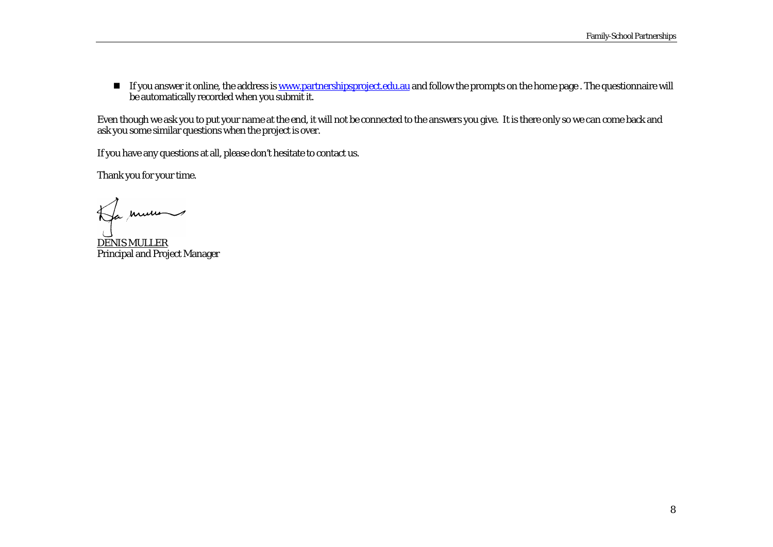$\blacksquare$  If you answer it online, the address is <u>www.partnershipsproject.edu.au</u> and follow the prompts on the home page . The questionnaire will be automatically recorded when you submit it.

Even though we ask you to put your name at the end, it will not be connected to the answers you give. It is there only so we can come back and ask you some similar questions when the project is over.

If you have any questions at all, please don't hesitate to contact us.

Thank you for your time.

Ha mums

DENIS MULLER Principal and Project Manager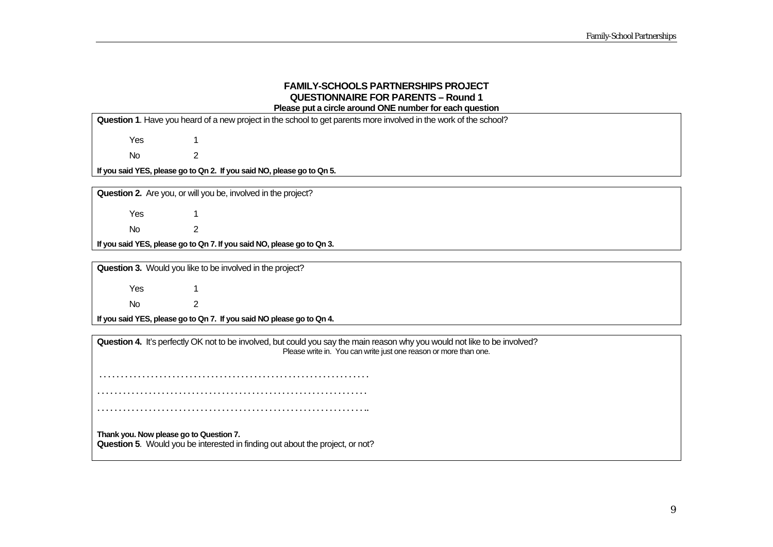#### **FAMILY-SCHOOLS PARTNERSHIPS PROJECT QUESTIONNAIRE FOR PARENTS – Round 1 Please put a circle around ONE number for each question**

**Question 1**. Have you heard of a new project in the school to get parents more involved in the work of the school?

Yes 1

No 2

**If you said YES, please go to Qn 2. If you said NO, please go to Qn 5.** 

**Question 2.** Are you, or will you be, involved in the project?

Yes 1 No 2

**If you said YES, please go to Qn 7. If you said NO, please go to Qn 3.** 

**Question 3.** Would you like to be involved in the project?

Yes 1 No 2

**If you said YES, please go to Qn 7. If you said NO please go to Qn 4.**

**Question 4.** It's perfectly OK not to be involved, but could you say the main reason why you would not like to be involved? Please write in. You can write just one reason or more than one.

 . . . . . . . . . . . . . . . . . . . . . . . . . . . . . . . . . . . . . . . . . . . . . . . . . . . . . . . . . . . . . . . . . . . . . . . . . . . . . . . . . . . . . . . . . . . . . . . . . . . . . . . . . . . . . . . . . . . . . . . . . . . . . .

. . . . . . . . . . . . . . . . . . . . . . . . . . . . . . . . . . . . . . . . . . . . . . . . . . . . . . . . . . . . . . ..

**Thank you. Now please go to Question 7. Question 5**. Would you be interested in finding out about the project, or not?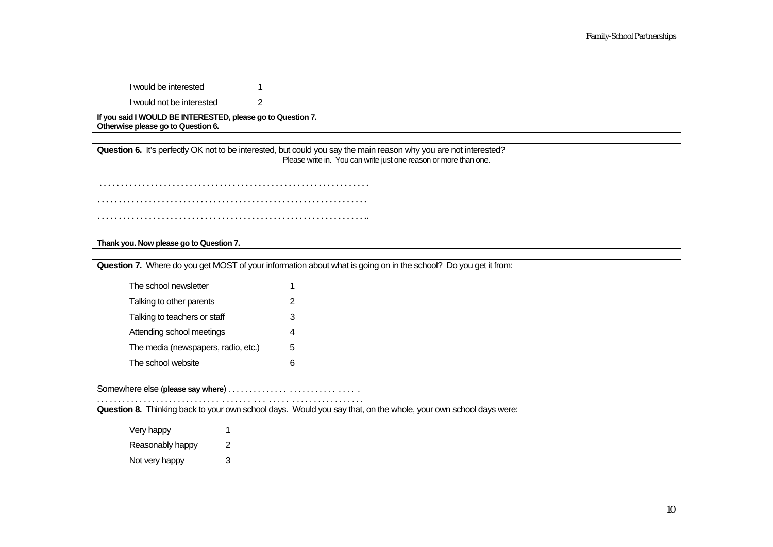| I would be interested                                                                             |  |
|---------------------------------------------------------------------------------------------------|--|
| I would not be interested                                                                         |  |
| If you said I WOULD BE INTERESTED, please go to Question 7.<br>Otherwise please go to Question 6. |  |

**Question 6.** It's perfectly OK not to be interested, but could you say the main reason why you are not interested? Please write in. You can write just one reason or more than one.

 . . . . . . . . . . . . . . . . . . . . . . . . . . . . . . . . . . . . . . . . . . . . . . . . . . . . . . . . . . . . . . . . . . . . . . . . . . . . . . . . . . . . . . . . . . . . . . . . . . . . . . . . . . . . . . . . . . . . . . . . . . . . . . . . . . . . . . . . . . . . . . . . . . . . . . . . . . . . . . . . . . . . . . . . . . . . . . . . . . . . . . . . . . . . ..

**Thank you. Now please go to Question 7.** 

| Question 7. Where do you get MOST of your information about what is going on in the school? Do you get it from: |                                                                                                                                                                                                                |  |  |  |  |  |  |  |  |
|-----------------------------------------------------------------------------------------------------------------|----------------------------------------------------------------------------------------------------------------------------------------------------------------------------------------------------------------|--|--|--|--|--|--|--|--|
| The school newsletter                                                                                           |                                                                                                                                                                                                                |  |  |  |  |  |  |  |  |
| Talking to other parents                                                                                        |                                                                                                                                                                                                                |  |  |  |  |  |  |  |  |
| Talking to teachers or staff                                                                                    | 3                                                                                                                                                                                                              |  |  |  |  |  |  |  |  |
| Attending school meetings                                                                                       | 4                                                                                                                                                                                                              |  |  |  |  |  |  |  |  |
| The media (newspapers, radio, etc.)                                                                             | 5                                                                                                                                                                                                              |  |  |  |  |  |  |  |  |
| The school website                                                                                              | 6                                                                                                                                                                                                              |  |  |  |  |  |  |  |  |
|                                                                                                                 | Somewhere else (please say where) $\ldots \ldots \ldots \ldots \ldots \ldots \ldots \ldots$<br>Question 8. Thinking back to your own school days. Would you say that, on the whole, your own school days were: |  |  |  |  |  |  |  |  |
| Very happy                                                                                                      |                                                                                                                                                                                                                |  |  |  |  |  |  |  |  |
| 2<br>Reasonably happy                                                                                           |                                                                                                                                                                                                                |  |  |  |  |  |  |  |  |
| 3<br>Not very happy                                                                                             |                                                                                                                                                                                                                |  |  |  |  |  |  |  |  |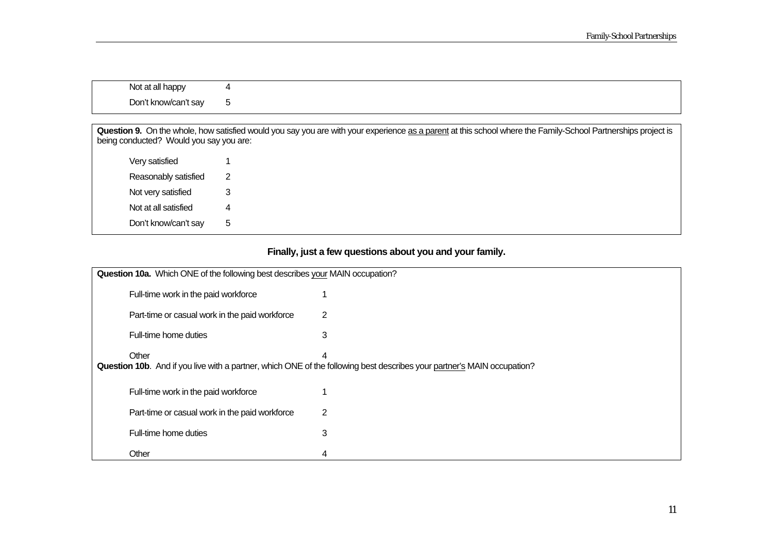| Not at all happy     | $\overline{ }$ |  |  |
|----------------------|----------------|--|--|
| Don't know/can't say | <br>u          |  |  |

Question 9. On the whole, how satisfied would you say you are with your experience as a parent at this school where the Family-School Partnerships project is being conducted? Would you say you are:

| Very satisfied       | 1 |
|----------------------|---|
| Reasonably satisfied | 2 |
| Not very satisfied   | 3 |
| Not at all satisfied | Δ |
| Don't know/can't say | 5 |

## **Finally, just a few questions about you and your family.**

| Question 10a. Which ONE of the following best describes your MAIN occupation? |                                                                                                                                       |   |  |  |  |  |
|-------------------------------------------------------------------------------|---------------------------------------------------------------------------------------------------------------------------------------|---|--|--|--|--|
|                                                                               | Full-time work in the paid workforce                                                                                                  |   |  |  |  |  |
|                                                                               | Part-time or casual work in the paid workforce                                                                                        | 2 |  |  |  |  |
|                                                                               | Full-time home duties                                                                                                                 | 3 |  |  |  |  |
|                                                                               | Other<br>4<br>Question 10b. And if you live with a partner, which ONE of the following best describes your partner's MAIN occupation? |   |  |  |  |  |
|                                                                               | Full-time work in the paid workforce                                                                                                  |   |  |  |  |  |
|                                                                               | Part-time or casual work in the paid workforce                                                                                        | 2 |  |  |  |  |
|                                                                               | Full-time home duties                                                                                                                 | 3 |  |  |  |  |
|                                                                               | Other                                                                                                                                 | 4 |  |  |  |  |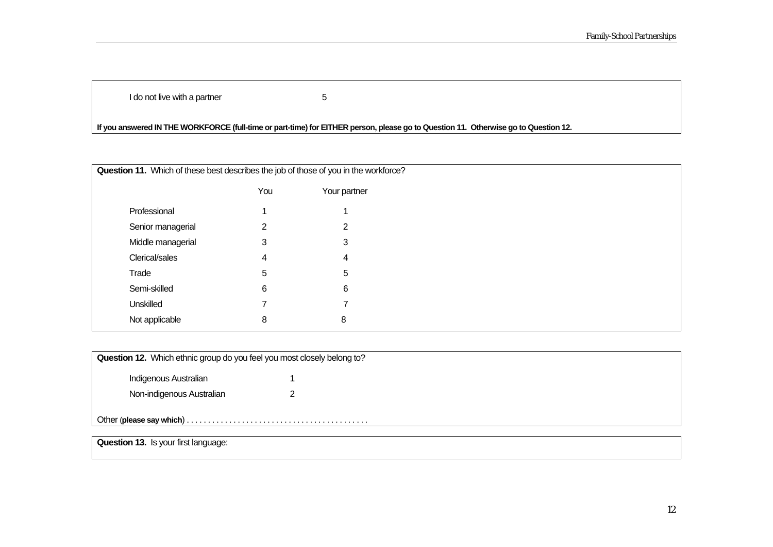I do not live with a partner  $\qquad \qquad 5$ 

## **If you answered IN THE WORKFORCE (full-time or part-time) for EITHER person, please go to Question 11. Otherwise go to Question 12.**

| Question 11. Which of these best describes the job of those of you in the workforce? |     |              |  |  |  |
|--------------------------------------------------------------------------------------|-----|--------------|--|--|--|
|                                                                                      | You | Your partner |  |  |  |
| Professional                                                                         |     |              |  |  |  |
| Senior managerial                                                                    | 2   | 2            |  |  |  |
| Middle managerial                                                                    | 3   | 3            |  |  |  |
| Clerical/sales                                                                       | 4   | 4            |  |  |  |
| Trade                                                                                | 5   | 5            |  |  |  |
| Semi-skilled                                                                         | 6   | 6            |  |  |  |
| Unskilled                                                                            |     |              |  |  |  |
| Not applicable                                                                       | 8   | 8            |  |  |  |

| Question 12. Which ethnic group do you feel you most closely belong to? |  |  |  |  |  |
|-------------------------------------------------------------------------|--|--|--|--|--|
| Indigenous Australian                                                   |  |  |  |  |  |
| Non-indigenous Australian                                               |  |  |  |  |  |
|                                                                         |  |  |  |  |  |

**Question 13.** Is your first language: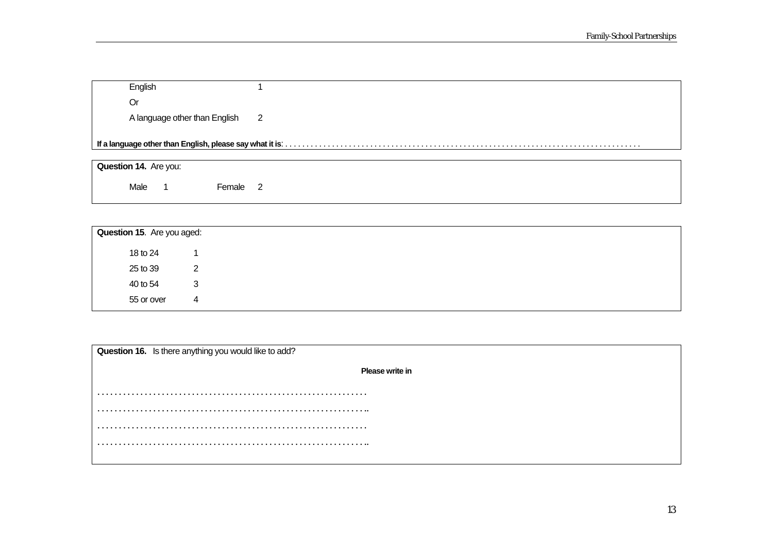| English                       |                |  |  |  |
|-------------------------------|----------------|--|--|--|
| Or                            |                |  |  |  |
| A language other than English | $\overline{2}$ |  |  |  |
|                               |                |  |  |  |
|                               |                |  |  |  |
| <b>Question 14.</b> Are you:  |                |  |  |  |

Male 1 Female 2

| Question 15. Are you aged: |   |
|----------------------------|---|
| 18 to 24                   |   |
| 25 to 39                   | 2 |
| 40 to 54                   | 3 |
| 55 or over                 | 4 |

|   | Question 16. Is there anything you would like to add? |
|---|-------------------------------------------------------|
|   | Please write in                                       |
|   |                                                       |
|   |                                                       |
|   |                                                       |
|   |                                                       |
| . |                                                       |
|   |                                                       |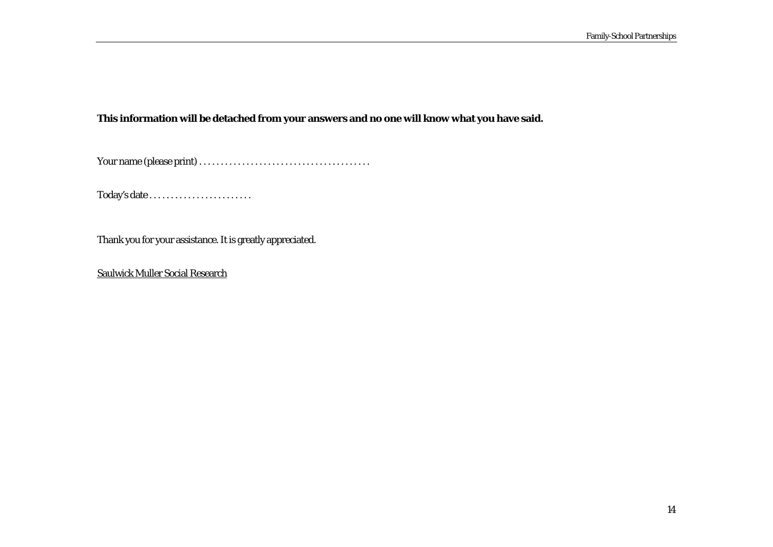## **This information will be detached from your answers and no one will know what you have said.**

Your name (please print) . . . . . . . . . . . . . . . . . . . . . . . . . . . . . . . . . . . . . . . .

Today's date . . . . . . . . . . . . . . . . . . . . . . . .

Thank you for your assistance. It is greatly appreciated.

Saulwick Muller Social Research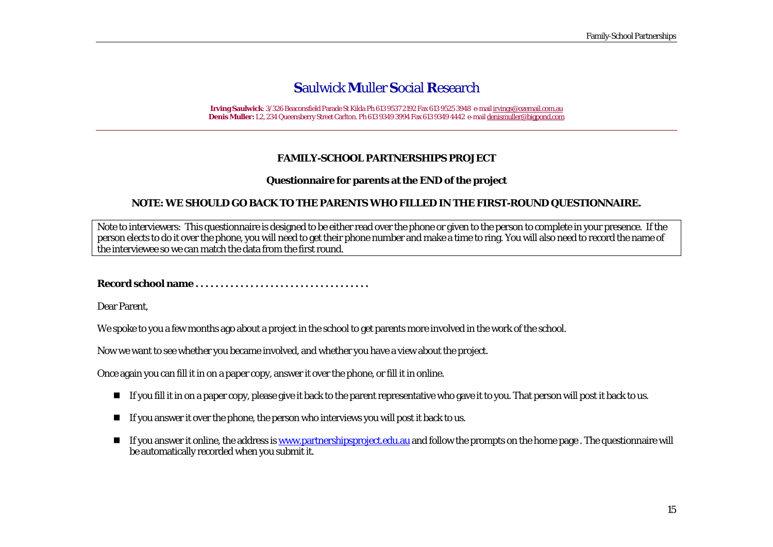**Irving Saulwick**: 3/326 Beaconsfield Parade St Kilda Ph 613 9537 2192 Fax 613 9525 3948 e-mail irvings@ozemail.com.au **Denis Muller:** L2, 234 Queensberry Street Carlton. Ph 613 9349 3994 Fax 613 9349 4442 e-mail denismuller@bigpond.com

#### **FAMILY-SCHOOL PARTNERSHIPS PROJECT**

#### **Questionnaire for parents at the END of the project**

#### **NOTE: WE SHOULD GO BACK TO THE PARENTS WHO FILLED IN THE FIRST-ROUND QUESTIONNAIRE.**

Note to interviewers: This questionnaire is designed to be either read over the phone or given to the person to complete in your presence. If the person elects to do it over the phone, you will need to get their phone number and make a time to ring. You will also need to record the name of the interviewee so we can match the data from the first round.

**Record school name . . . . . . . . . . . . . . . . . . . . . . . . . . . . . . . . . . .** 

Dear Parent,

We spoke to you a few months ago about a project in the school to get parents more involved in the work of the school.

Now we want to see whether you became involved, and whether you have a view about the project.

Once again you can fill it in on a paper copy, answer it over the phone, or fill it in online.

- $\blacksquare$  If you fill it in on a paper copy, please give it back to the parent representative who gave it to you. That person will post it back to us.
- $\blacksquare$  If you answer it over the phone, the person who interviews you will post it back to us.
- . If you answer it online, the address is www.partnershipsproject.edu.au and follow the prompts on the home page . The questionnaire will be automatically recorded when you submit it.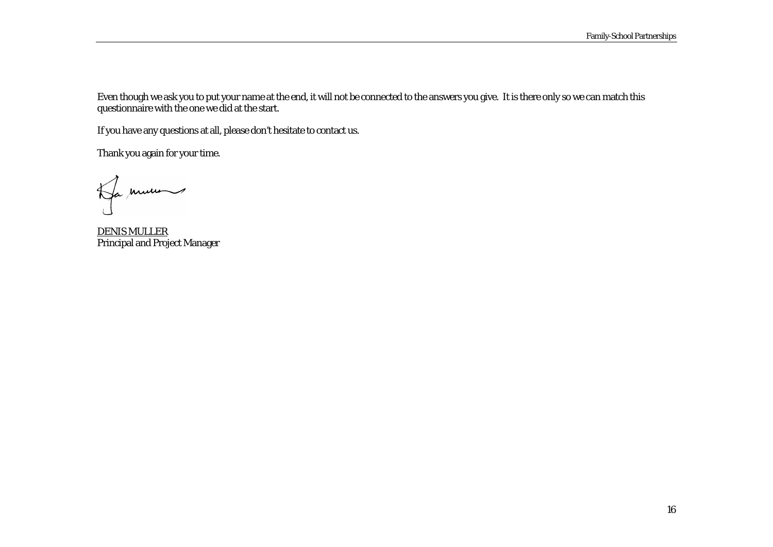Even though we ask you to put your name at the end, it will not be connected to the answers you give. It is there only so we can match this questionnaire with the one we did at the start.

If you have any questions at all, please don't hesitate to contact us.

Thank you again for your time.

Ha mune

DENIS MULLER Principal and Project Manager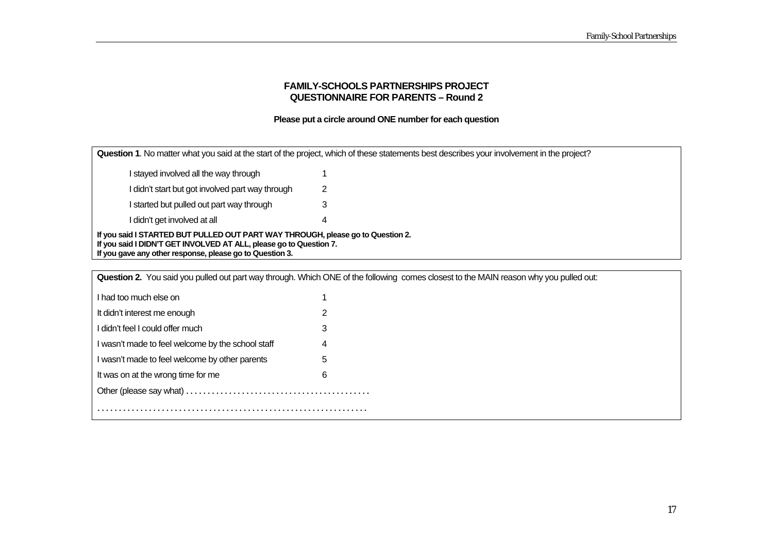#### **FAMILY-SCHOOLS PARTNERSHIPS PROJECT QUESTIONNAIRE FOR PARENTS – Round 2**

#### **Please put a circle around ONE number for each question**

**Question 1**. No matter what you said at the start of the project, which of these statements best describes your involvement in the project? I stayed involved all the way through 1 I didn't start but got involved part way through 2 I started but pulled out part way through 3 I didn't get involved at all 4 **If you said I STARTED BUT PULLED OUT PART WAY THROUGH, please go to Question 2. If you said I DIDN'T GET INVOLVED AT ALL, please go to Question 7. If you gave any other response, please go to Question 3.** 

| Question 2. You said you pulled out part way through. Which ONE of the following comes closest to the MAIN reason why you pulled out: |   |  |  |
|---------------------------------------------------------------------------------------------------------------------------------------|---|--|--|
| I had too much else on                                                                                                                |   |  |  |
| It didn't interest me enough                                                                                                          |   |  |  |
| I didn't feel I could offer much                                                                                                      | 3 |  |  |
| I wasn't made to feel welcome by the school staff                                                                                     | 4 |  |  |
| I wasn't made to feel welcome by other parents                                                                                        | 5 |  |  |
| It was on at the wrong time for me                                                                                                    | 6 |  |  |
|                                                                                                                                       |   |  |  |
|                                                                                                                                       |   |  |  |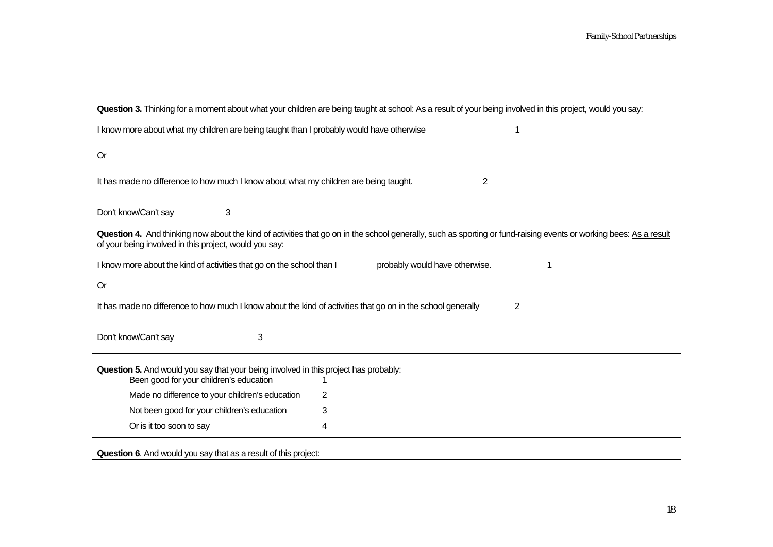═╕

| Question 3. Thinking for a moment about what your children are being taught at school: As a result of your being involved in this project, would you say:          |
|--------------------------------------------------------------------------------------------------------------------------------------------------------------------|
| I know more about what my children are being taught than I probably would have otherwise                                                                           |
| <b>Or</b>                                                                                                                                                          |
| It has made no difference to how much I know about what my children are being taught.<br>$\overline{2}$                                                            |
| Don't know/Can't say<br>3                                                                                                                                          |
| Question 4. And thinking now about the kind of activities that go on in the school generally, such as sporting or fund-raising events or working bees: As a result |
| of your being involved in this project, would you say:                                                                                                             |
| I know more about the kind of activities that go on the school than I<br>probably would have otherwise.                                                            |
| <b>Or</b>                                                                                                                                                          |
| It has made no difference to how much I know about the kind of activities that go on in the school generally<br>2                                                  |
| Don't know/Can't say<br>3                                                                                                                                          |
|                                                                                                                                                                    |
| Question 5. And would you say that your being involved in this project has probably:<br>Been good for your children's education                                    |
| Made no difference to your children's education<br>2                                                                                                               |
| Not been good for your children's education<br>3                                                                                                                   |
| Or is it too soon to say<br>4                                                                                                                                      |
|                                                                                                                                                                    |
| Question 6. And would you say that as a result of this project:                                                                                                    |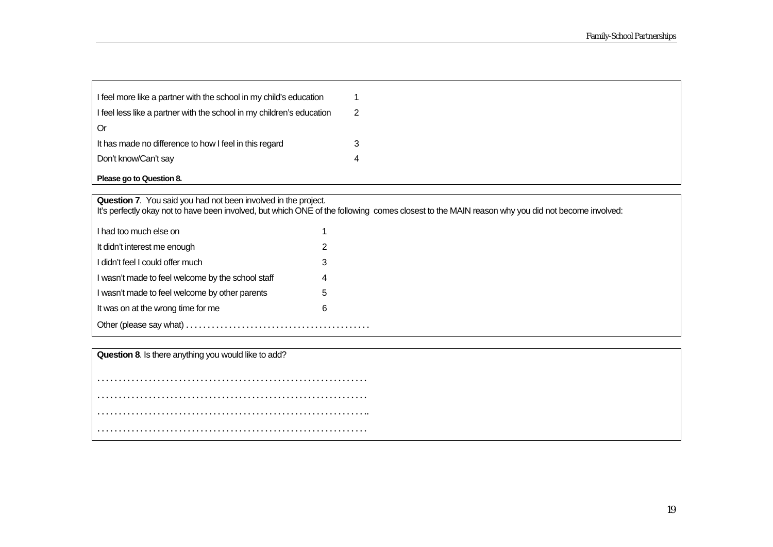| I feel more like a partner with the school in my child's education    |  |
|-----------------------------------------------------------------------|--|
| I feel less like a partner with the school in my children's education |  |
| Or                                                                    |  |
| It has made no difference to how I feel in this regard                |  |
| Don't know/Can't say                                                  |  |
| Please go to Question 8.                                              |  |

**Question 7**. You said you had not been involved in the project.

It's perfectly okay not to have been involved, but which ONE of the following comes closest to the MAIN reason why you did not become involved:

| I had too much else on                            |   |  |
|---------------------------------------------------|---|--|
| It didn't interest me enough                      | 2 |  |
| I didn't feel I could offer much                  | 3 |  |
| I wasn't made to feel welcome by the school staff | 4 |  |
| I wasn't made to feel welcome by other parents    | 5 |  |
| It was on at the wrong time for me                | 6 |  |
| Other (please say what)                           |   |  |

**Question 8**. Is there anything you would like to add?

. . . . . . . . . . . . . . . . . . . . . . . . . . . . . . . . . . . . . . . . . . . . . . . . . . . . . . . . . . . . . . . . . . . . . . . . . . . . . . . . . . . . . . . . . . . . . . . . . . . . . . . . . . . . . . . . . . . . . . . . . . . . . . . . . . . . . . . . . . . . . . . . . . . . . . . . . . . . . . . . . . . . . . . . . . . . . . . . . . . . . . . . . . . . .. . . . . . . . . . . . . . . . . . . . . . . . . . . . . . . . . . . . . . . . . . . . . . . . . . . . . . . . . . . . . . . .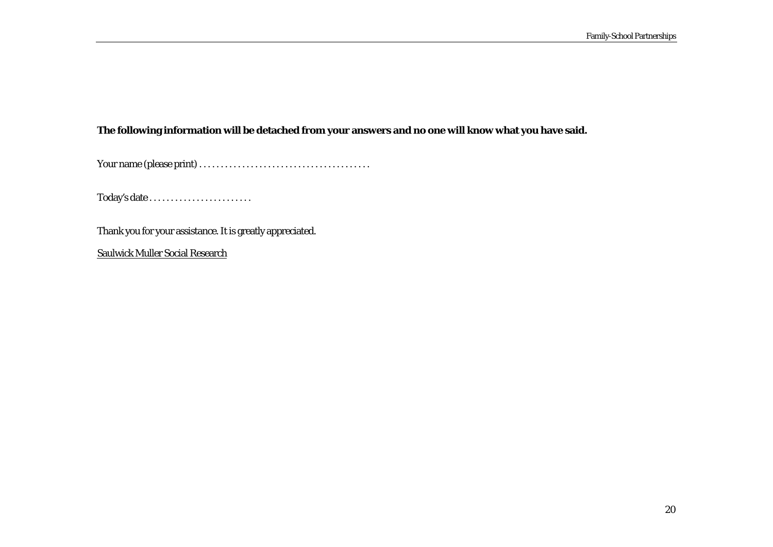## **The following information will be detached from your answers and no one will know what you have said.**

Your name (please print) . . . . . . . . . . . . . . . . . . . . . . . . . . . . . . . . . . . . . . . .

Today's date . . . . . . . . . . . . . . . . . . . . . . . .

Thank you for your assistance. It is greatly appreciated.

Saulwick Muller Social Research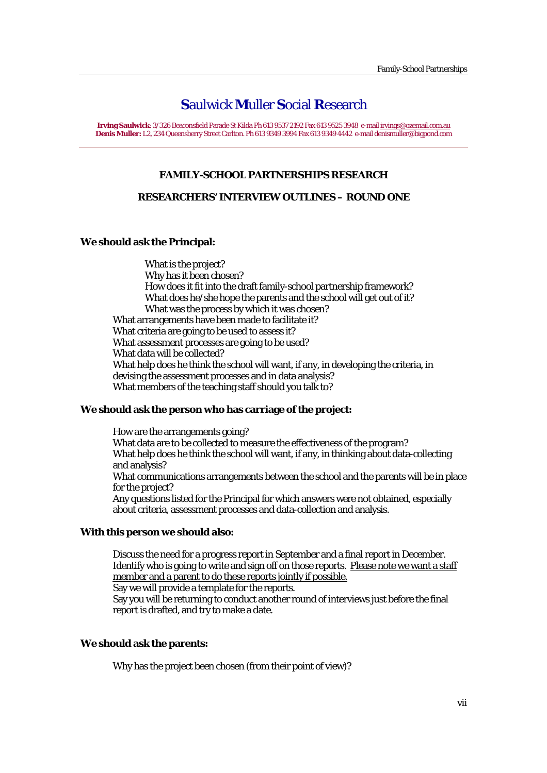**Irving Saulwick**: 3/326 Beaconsfield Parade St Kilda Ph 613 9537 2192 Fax 613 9525 3948 e-mail irvings@ozemail.com.au **Denis Muller:** L2, 234 Queensberry Street Carlton. Ph 613 9349 3994 Fax 613 9349 4442 e-mail denismuller@bigpond.com

#### **FAMILY-SCHOOL PARTNERSHIPS RESEARCH**

#### **RESEARCHERS' INTERVIEW OUTLINES – ROUND ONE**

#### **We should ask the Principal:**

What is the project? Why has it been chosen? How does it fit into the draft family-school partnership framework? What does he/she hope the parents and the school will get out of it? What was the process by which it was chosen? What arrangements have been made to facilitate it? What criteria are going to be used to assess it? What assessment processes are going to be used? What data will be collected? What help does he think the school will want, if any, in developing the criteria, in devising the assessment processes and in data analysis? What members of the teaching staff should you talk to?

#### **We should ask the person who has carriage of the project:**

How are the arrangements going? What data are to be collected to measure the effectiveness of the program? What help does he think the school will want, if any, in thinking about data-collecting and analysis? What communications arrangements between the school and the parents will be in place for the project? Any questions listed for the Principal for which answers were not obtained, especially about criteria, assessment processes and data-collection and analysis.

#### **With this person we should also:**

Discuss the need for a progress report in September and a final report in December. Identify who is going to write and sign off on those reports. Please note we want a staff member and a parent to do these reports jointly if possible. Say we will provide a template for the reports. Say you will be returning to conduct another round of interviews just before the final report is drafted, and try to make a date.

#### **We should ask the parents:**

Why has the project been chosen (from their point of view)?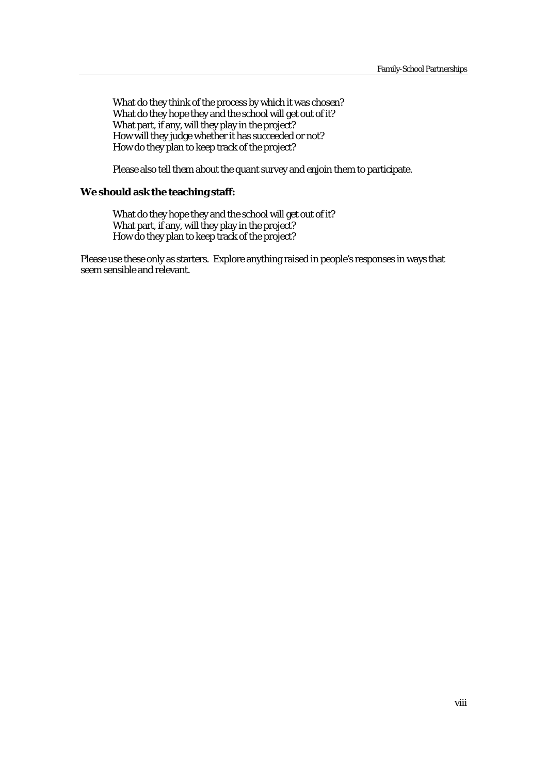What do they think of the process by which it was chosen? What do they hope they and the school will get out of it? What part, if any, will they play in the project? How will they judge whether it has succeeded or not? How do they plan to keep track of the project?

Please also tell them about the quant survey and enjoin them to participate.

#### **We should ask the teaching staff:**

What do they hope they and the school will get out of it? What part, if any, will they play in the project? How do they plan to keep track of the project?

Please use these only as starters. Explore anything raised in people's responses in ways that seem sensible and relevant.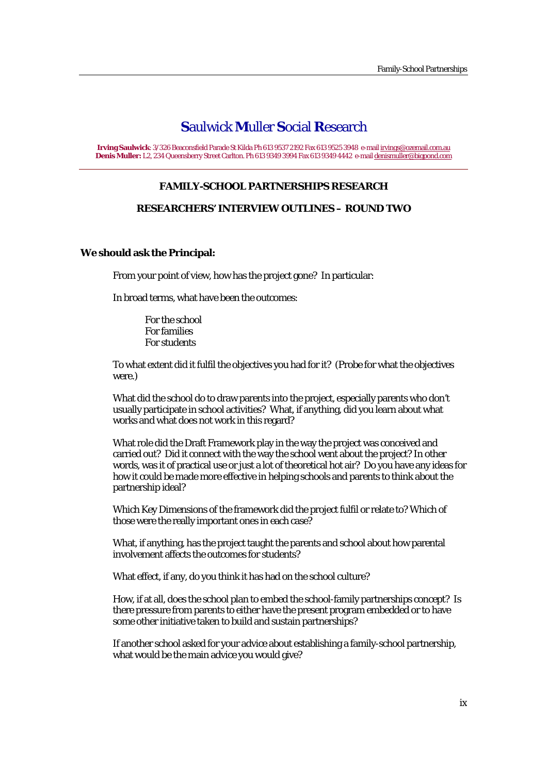**Irving Saulwick**: 3/326 Beaconsfield Parade St Kilda Ph 613 9537 2192 Fax 613 9525 3948 e-mail irvings@ozemail.com.au **Denis Muller:** L2, 234 Queensberry Street Carlton. Ph 613 9349 3994 Fax 613 9349 4442 e-mail denismuller@bigpond.com

#### **FAMILY-SCHOOL PARTNERSHIPS RESEARCH**

#### **RESEARCHERS' INTERVIEW OUTLINES – ROUND TWO**

#### **We should ask the Principal:**

From your point of view, how has the project gone? In particular:

In broad terms, what have been the outcomes:

For the school For families For students

To what extent did it fulfil the objectives you had for it? (Probe for what the objectives were.)

What did the school do to draw parents into the project, especially parents who don't usually participate in school activities? What, if anything, did you learn about what works and what does not work in this regard?

What role did the Draft Framework play in the way the project was conceived and carried out? Did it connect with the way the school went about the project? In other words, was it of practical use or just a lot of theoretical hot air? Do you have any ideas for how it could be made more effective in helping schools and parents to think about the partnership ideal?

Which Key Dimensions of the framework did the project fulfil or relate to? Which of those were the really important ones in each case?

What, if anything, has the project taught the parents and school about how parental involvement affects the outcomes for students?

What effect, if any, do you think it has had on the school culture?

How, if at all, does the school plan to embed the school-family partnerships concept? Is there pressure from parents to either have the present program embedded or to have some other initiative taken to build and sustain partnerships?

If another school asked for your advice about establishing a family-school partnership, what would be the main advice you would give?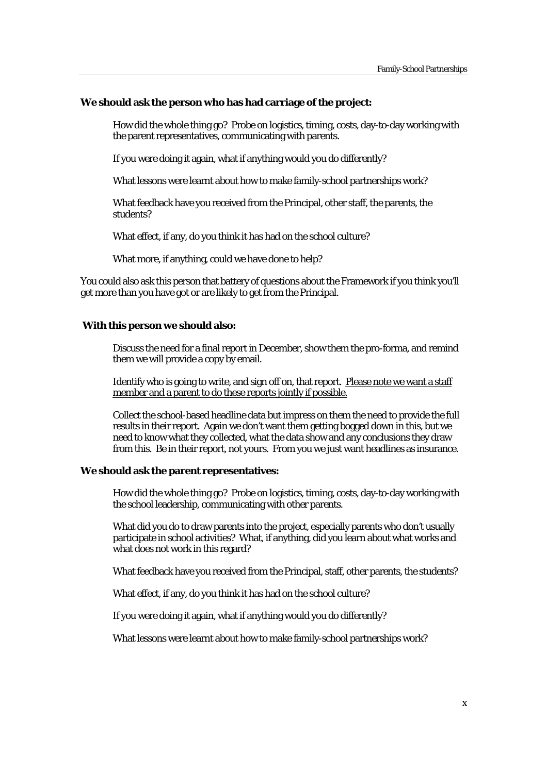#### **We should ask the person who has had carriage of the project:**

How did the whole thing go? Probe on logistics, timing, costs, day-to-day working with the parent representatives, communicating with parents.

If you were doing it again, what if anything would you do differently?

What lessons were learnt about how to make family-school partnerships work?

What feedback have you received from the Principal, other staff, the parents, the students?

What effect, if any, do you think it has had on the school culture?

What more, if anything, could we have done to help?

You could also ask this person that battery of questions about the Framework if you think you'll get more than you have got or are likely to get from the Principal.

#### **With this person we should also:**

Discuss the need for a final report in December, show them the pro-forma, and remind them we will provide a copy by email.

Identify who is going to write, and sign off on, that report. Please note we want a staff member and a parent to do these reports jointly if possible.

Collect the school-based headline data but impress on them the need to provide the full results in their report. Again we don't want them getting bogged down in this, but we need to know what they collected, what the data show and any conclusions they draw from this. Be in their report, not yours. From you we just want headlines as insurance.

#### **We should ask the parent representatives:**

How did the whole thing go? Probe on logistics, timing, costs, day-to-day working with the school leadership, communicating with other parents.

What did you do to draw parents into the project, especially parents who don't usually participate in school activities? What, if anything, did you learn about what works and what does not work in this regard?

What feedback have you received from the Principal, staff, other parents, the students?

What effect, if any, do you think it has had on the school culture?

If you were doing it again, what if anything would you do differently?

What lessons were learnt about how to make family-school partnerships work?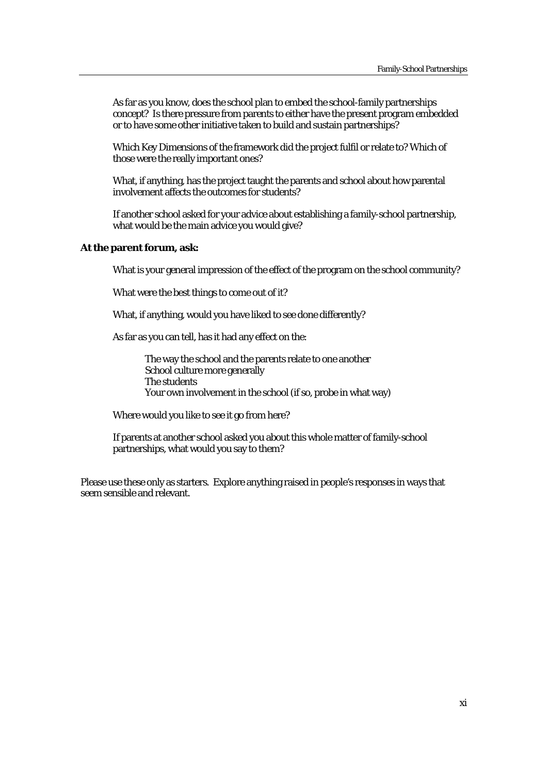As far as you know, does the school plan to embed the school-family partnerships concept? Is there pressure from parents to either have the present program embedded or to have some other initiative taken to build and sustain partnerships?

Which Key Dimensions of the framework did the project fulfil or relate to? Which of those were the really important ones?

What, if anything, has the project taught the parents and school about how parental involvement affects the outcomes for students?

If another school asked for your advice about establishing a family-school partnership, what would be the main advice you would give?

#### **At the parent forum, ask:**

What is your general impression of the effect of the program on the school community?

What were the best things to come out of it?

What, if anything, would you have liked to see done differently?

As far as you can tell, has it had any effect on the:

The way the school and the parents relate to one another School culture more generally The students Your own involvement in the school (if so, probe in what way)

Where would you like to see it go from here?

If parents at another school asked you about this whole matter of family-school partnerships, what would you say to them?

Please use these only as starters. Explore anything raised in people's responses in ways that seem sensible and relevant.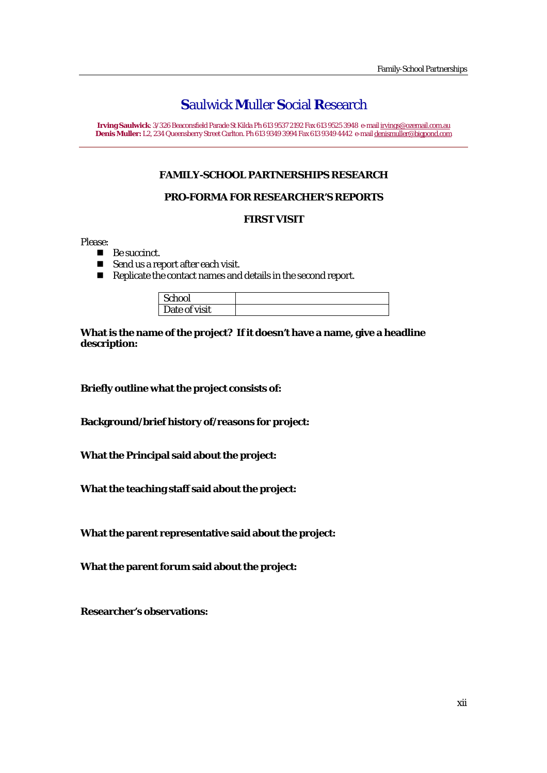**Irving Saulwick**: 3/326 Beaconsfield Parade St Kilda Ph 613 9537 2192 Fax 613 9525 3948 e-mail irvings@ozemail.com.au **Denis Muller:** L2, 234 Queensberry Street Carlton. Ph 613 9349 3994 Fax 613 9349 4442 e-mail denismuller@bigpond.com

## **FAMILY-SCHOOL PARTNERSHIPS RESEARCH**

## **PRO-FORMA FOR RESEARCHER'S REPORTS**

## **FIRST VISIT**

Please:

- Be succinct.
- Send us a report after each visit.
- Replicate the contact names and details in the second report.

| School        |  |
|---------------|--|
| Date of visit |  |

**What is the name of the project? If it doesn't have a name, give a headline description:** 

**Briefly outline what the project consists of:** 

**Background/brief history of/reasons for project:** 

**What the Principal said about the project:** 

**What the teaching staff said about the project:** 

**What the parent representative said about the project:** 

**What the parent forum said about the project:** 

**Researcher's observations:**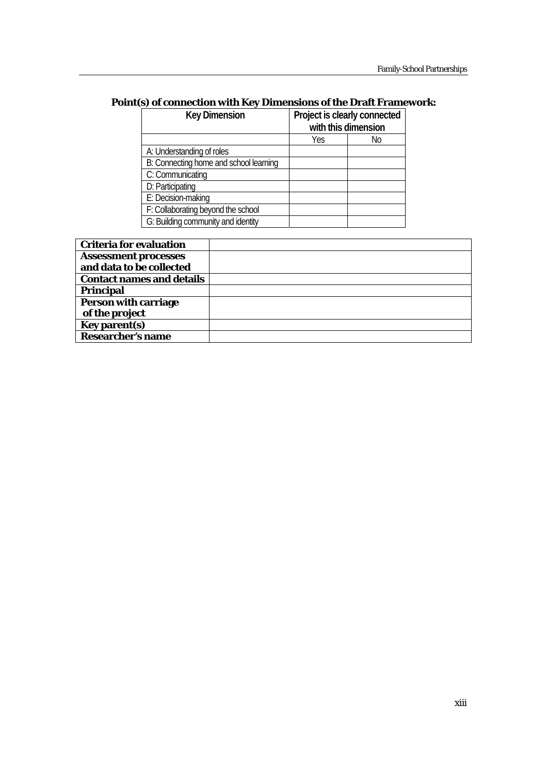## **Point(s) of connection with Key Dimensions of the Draft Framework:**

| <b>Key Dimension</b>                   | Project is clearly connected |    |
|----------------------------------------|------------------------------|----|
|                                        | with this dimension          |    |
|                                        | Yes                          | No |
| A: Understanding of roles              |                              |    |
| B: Connecting home and school learning |                              |    |
| C: Communicating                       |                              |    |
| D: Participating                       |                              |    |
| E: Decision-making                     |                              |    |
| F: Collaborating beyond the school     |                              |    |
| G: Building community and identity     |                              |    |

| <b>Criteria for evaluation</b>   |  |
|----------------------------------|--|
| <b>Assessment processes</b>      |  |
| and data to be collected         |  |
| <b>Contact names and details</b> |  |
| <b>Principal</b>                 |  |
| <b>Person with carriage</b>      |  |
| of the project                   |  |
| <b>Key parent(s)</b>             |  |
| <b>Researcher's name</b>         |  |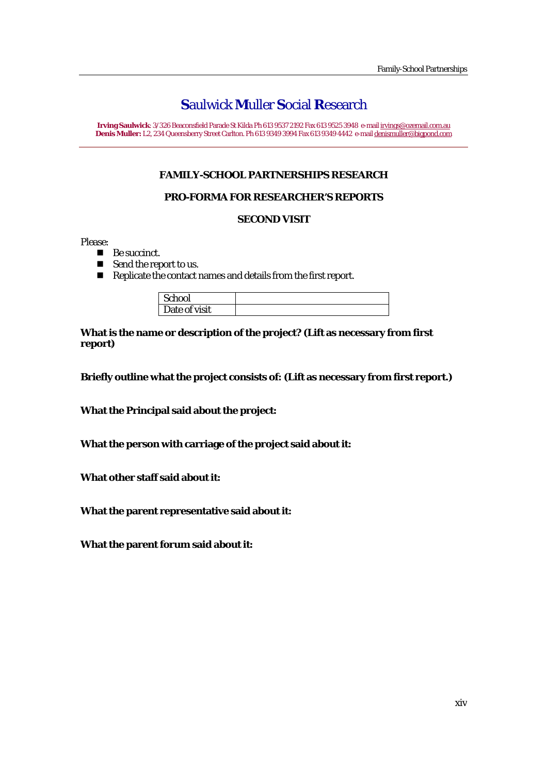**Irving Saulwick**: 3/326 Beaconsfield Parade St Kilda Ph 613 9537 2192 Fax 613 9525 3948 e-mail irvings@ozemail.com.au **Denis Muller:** L2, 234 Queensberry Street Carlton. Ph 613 9349 3994 Fax 613 9349 4442 e-mail denismuller@bigpond.com

## **FAMILY-SCHOOL PARTNERSHIPS RESEARCH**

## **PRO-FORMA FOR RESEARCHER'S REPORTS**

#### **SECOND VISIT**

Please:

- Be succinct.
- Send the report to us.
- Replicate the contact names and details from the first report.

| School        |  |
|---------------|--|
| Date of visit |  |

**What is the name or description of the project? (Lift as necessary from first report)** 

**Briefly outline what the project consists of: (Lift as necessary from first report.)** 

**What the Principal said about the project:** 

**What the person with carriage of the project said about it:** 

**What other staff said about it:** 

**What the parent representative said about it:** 

**What the parent forum said about it:**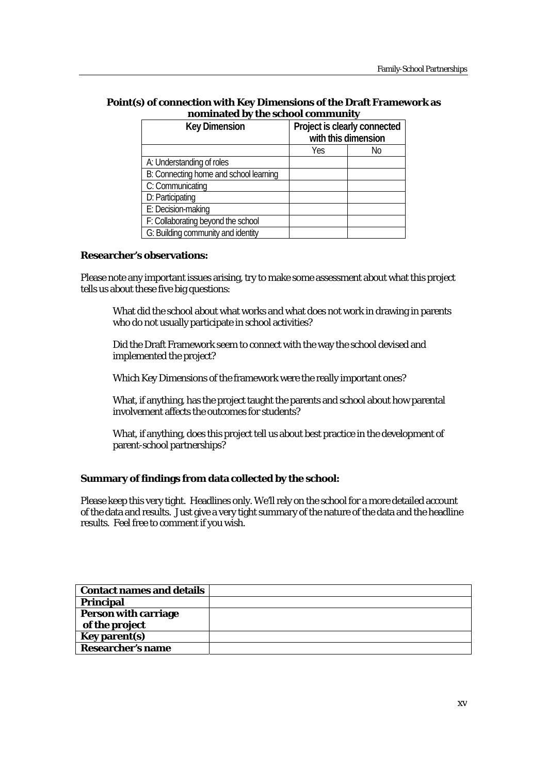#### **Point(s) of connection with Key Dimensions of the Draft Framework as nominated by the school community**

| <b>Key Dimension</b>                   | Project is clearly connected |    |
|----------------------------------------|------------------------------|----|
|                                        | with this dimension          |    |
|                                        | Yes                          | Νo |
| A: Understanding of roles              |                              |    |
| B: Connecting home and school learning |                              |    |
| C: Communicating                       |                              |    |
| D: Participating                       |                              |    |
| E: Decision-making                     |                              |    |
| F: Collaborating beyond the school     |                              |    |
| G: Building community and identity     |                              |    |

#### **Researcher's observations:**

Please note any important issues arising, try to make some assessment about what this project tells us about these five big questions:

What did the school about what works and what does not work in drawing in parents who do not usually participate in school activities?

Did the Draft Framework seem to connect with the way the school devised and implemented the project?

Which Key Dimensions of the framework were the really important ones?

What, if anything, has the project taught the parents and school about how parental involvement affects the outcomes for students?

What, if anything, does this project tell us about best practice in the development of parent-school partnerships?

#### **Summary of findings from data collected by the school:**

Please keep this very tight. Headlines only. We'll rely on the school for a more detailed account of the data and results. Just give a very tight summary of the nature of the data and the headline results. Feel free to comment if you wish.

| <b>Contact names and details</b> |  |
|----------------------------------|--|
| <b>Principal</b>                 |  |
| <b>Person with carriage</b>      |  |
| of the project                   |  |
| Key parent(s)                    |  |
| <b>Researcher's name</b>         |  |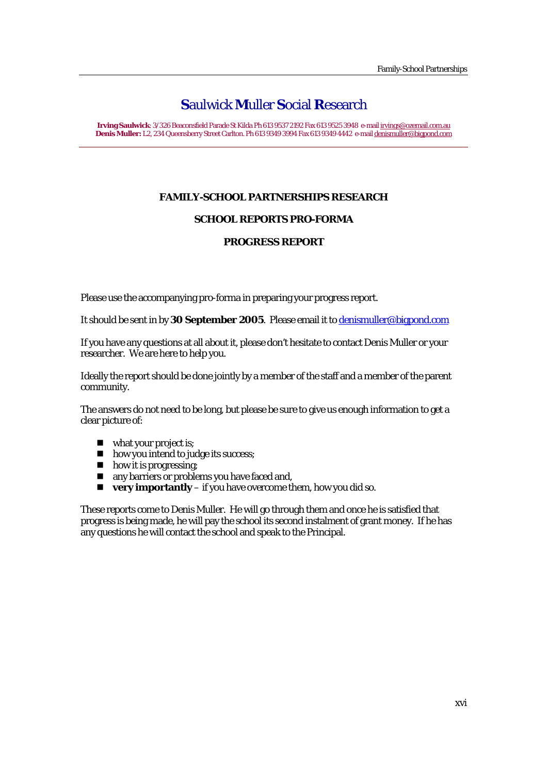**Irving Saulwick**: 3/326 Beaconsfield Parade St Kilda Ph 613 9537 2192 Fax 613 9525 3948 e-mail irvings@ozemail.com.au **Denis Muller:** L2, 234 Queensberry Street Carlton. Ph 613 9349 3994 Fax 613 9349 4442 e-mail denismuller@bigpond.com

## **FAMILY-SCHOOL PARTNERSHIPS RESEARCH**

## **SCHOOL REPORTS PRO-FORMA**

## **PROGRESS REPORT**

Please use the accompanying pro-forma in preparing your progress report.

It should be sent in by **30 September 2005**. Please email it to denismuller@bigpond.com

If you have any questions at all about it, please don't hesitate to contact Denis Muller or your researcher. We are here to help you.

Ideally the report should be done jointly by a member of the staff and a member of the parent community.

The answers do not need to be long, but please be sure to give us enough information to get a clear picture of:

- what your project is;
- **how you intend to judge its success;**
- how it is progressing;
- **n** any barriers or problems you have faced and,
- **very importantly** if you have overcome them, how you did so.

These reports come to Denis Muller. He will go through them and once he is satisfied that progress is being made, he will pay the school its second instalment of grant money. If he has any questions he will contact the school and speak to the Principal.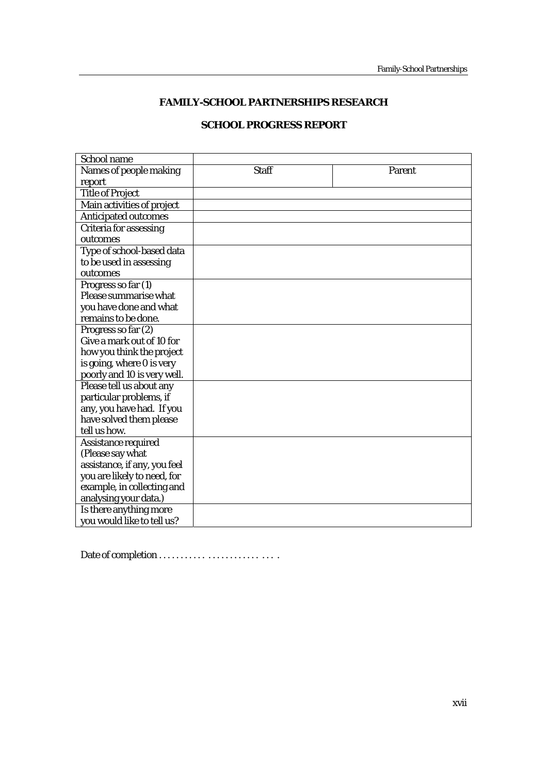## **FAMILY-SCHOOL PARTNERSHIPS RESEARCH**

## **SCHOOL PROGRESS REPORT**

| School name                   |              |        |
|-------------------------------|--------------|--------|
| Names of people making        | <b>Staff</b> | Parent |
| report                        |              |        |
| <b>Title of Project</b>       |              |        |
| Main activities of project    |              |        |
| <b>Anticipated outcomes</b>   |              |        |
| <b>Criteria for assessing</b> |              |        |
| outcomes                      |              |        |
| Type of school-based data     |              |        |
| to be used in assessing       |              |        |
| outcomes                      |              |        |
| Progress so far (1)           |              |        |
| Please summarise what         |              |        |
| you have done and what        |              |        |
| remains to be done.           |              |        |
| Progress so far (2)           |              |        |
| Give a mark out of 10 for     |              |        |
| how you think the project     |              |        |
| is going, where 0 is very     |              |        |
| poorly and 10 is very well.   |              |        |
| Please tell us about any      |              |        |
| particular problems, if       |              |        |
| any, you have had. If you     |              |        |
| have solved them please       |              |        |
| tell us how.                  |              |        |
| Assistance required           |              |        |
| (Please say what              |              |        |
| assistance, if any, you feel  |              |        |
| you are likely to need, for   |              |        |
| example, in collecting and    |              |        |
| analysing your data.)         |              |        |
| Is there anything more        |              |        |
| you would like to tell us?    |              |        |

Date of completion . . . . . . . . . . . . . . . . . . . . . . . . . . .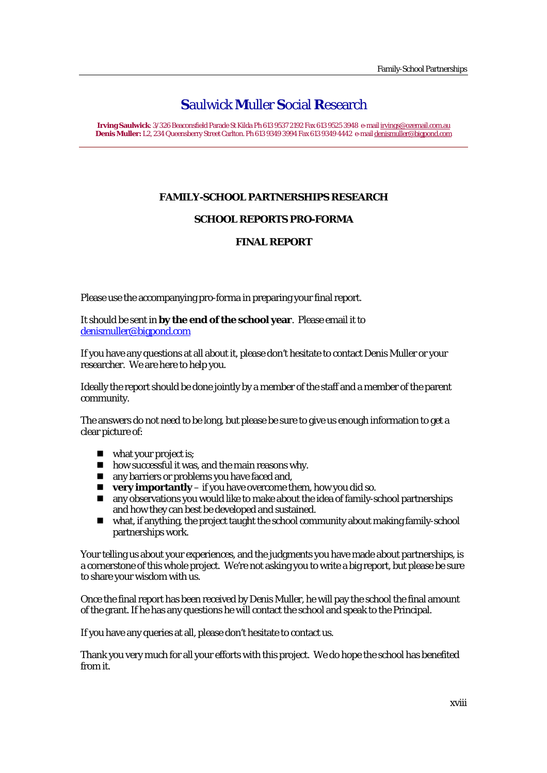**Irving Saulwick**: 3/326 Beaconsfield Parade St Kilda Ph 613 9537 2192 Fax 613 9525 3948 e-mail irvings@ozemail.com.au **Denis Muller:** L2, 234 Queensberry Street Carlton. Ph 613 9349 3994 Fax 613 9349 4442 e-mail denismuller@bigpond.com

## **FAMILY-SCHOOL PARTNERSHIPS RESEARCH**

## **SCHOOL REPORTS PRO-FORMA**

## **FINAL REPORT**

Please use the accompanying pro-forma in preparing your final report.

It should be sent in **by the end of the school year**. Please email it to denismuller@bigpond.com

If you have any questions at all about it, please don't hesitate to contact Denis Muller or your researcher. We are here to help you.

Ideally the report should be done jointly by a member of the staff and a member of the parent community.

The answers do not need to be long, but please be sure to give us enough information to get a clear picture of:

- what your project is;
- **n** how successful it was, and the main reasons why.
- **n** any barriers or problems you have faced and,
- **very importantly** if you have overcome them, how you did so.
- any observations you would like to make about the idea of family-school partnerships and how they can best be developed and sustained.
- what, if anything, the project taught the school community about making family-school partnerships work.

Your telling us about your experiences, and the judgments you have made about partnerships, is a cornerstone of this whole project. We're not asking you to write a big report, but please be sure to share your wisdom with us.

Once the final report has been received by Denis Muller, he will pay the school the final amount of the grant. If he has any questions he will contact the school and speak to the Principal.

If you have any queries at all, please don't hesitate to contact us.

Thank you very much for all your efforts with this project. We do hope the school has benefited from it.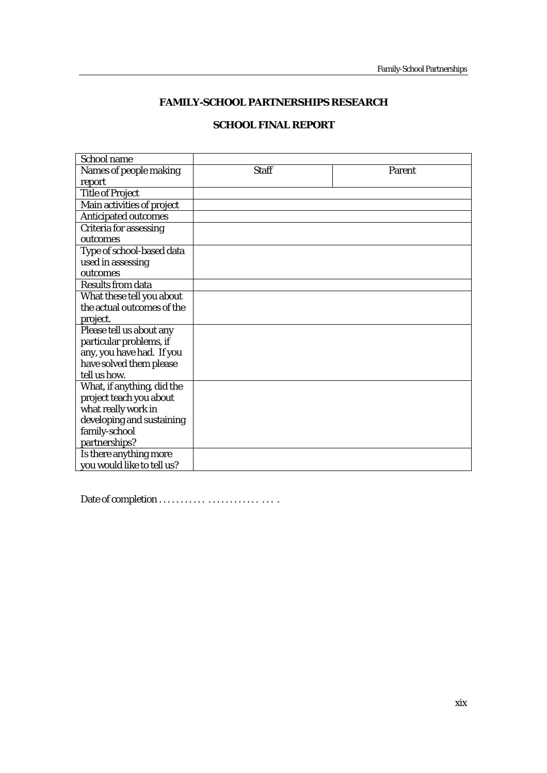## **FAMILY-SCHOOL PARTNERSHIPS RESEARCH**

## **SCHOOL FINAL REPORT**

| School name                 |              |        |
|-----------------------------|--------------|--------|
| Names of people making      | <b>Staff</b> | Parent |
| report                      |              |        |
| <b>Title of Project</b>     |              |        |
| Main activities of project  |              |        |
| <b>Anticipated outcomes</b> |              |        |
| Criteria for assessing      |              |        |
| outcomes                    |              |        |
| Type of school-based data   |              |        |
| used in assessing           |              |        |
| outcomes                    |              |        |
| Results from data           |              |        |
| What these tell you about   |              |        |
| the actual outcomes of the  |              |        |
| project.                    |              |        |
| Please tell us about any    |              |        |
| particular problems, if     |              |        |
| any, you have had. If you   |              |        |
| have solved them please     |              |        |
| tell us how.                |              |        |
| What, if anything, did the  |              |        |
| project teach you about     |              |        |
| what really work in         |              |        |
| developing and sustaining   |              |        |
| family-school               |              |        |
| partnerships?               |              |        |
| Is there anything more      |              |        |
| you would like to tell us?  |              |        |

Date of completion . . . . . . . . . . . . . . . . . . . . . . . . . . .